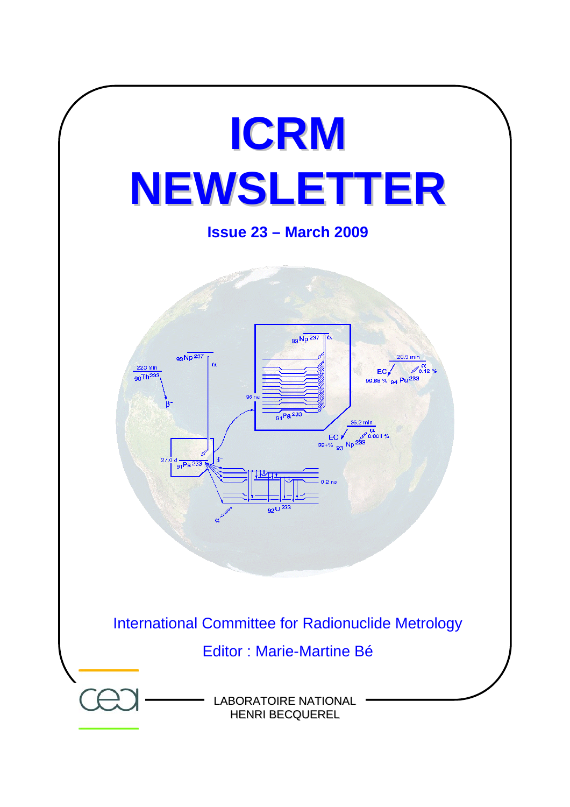

LABORATOIRE NATIONAL HENRI BECQUEREL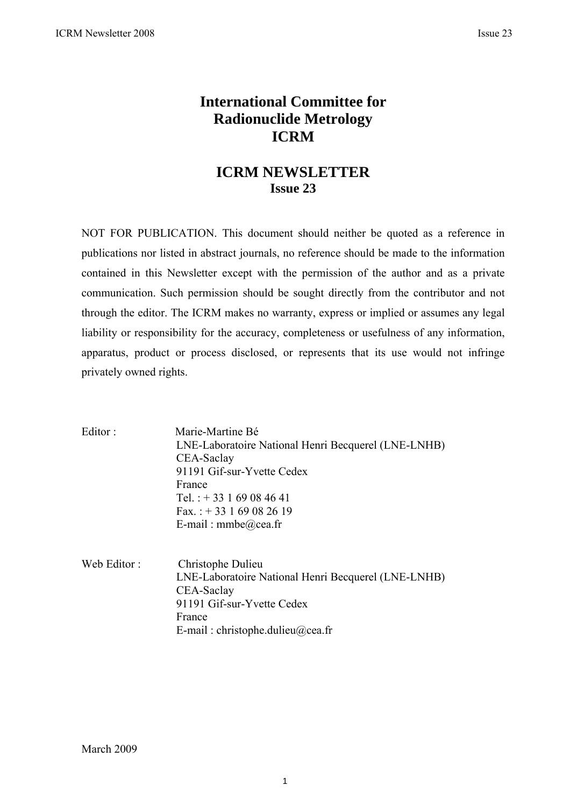## **International Committee for Radionuclide Metrology ICRM**

## **ICRM NEWSLETTER Issue 23**

NOT FOR PUBLICATION. This document should neither be quoted as a reference in publications nor listed in abstract journals, no reference should be made to the information contained in this Newsletter except with the permission of the author and as a private communication. Such permission should be sought directly from the contributor and not through the editor. The ICRM makes no warranty, express or implied or assumes any legal liability or responsibility for the accuracy, completeness or usefulness of any information, apparatus, product or process disclosed, or represents that its use would not infringe privately owned rights.

| Editor:     | Marie-Martine Bé                                                  |
|-------------|-------------------------------------------------------------------|
|             | LNE-Laboratoire National Henri Becquerel (LNE-LNHB)<br>CEA-Saclay |
|             | 91191 Gif-sur-Yvette Cedex                                        |
|             | France                                                            |
|             | Tel.: $+33169084641$                                              |
|             | Fax.: $+33169082619$                                              |
|             | E-mail: $mmbe@cea.fr$                                             |
| Web Editor: | Christophe Dulieu                                                 |
|             |                                                                   |

LNE-Laboratoire National Henri Becquerel (LNE-LNHB) CEA-Saclay 91191 Gif-sur-Yvette Cedex France E-mail : christophe.dulieu@cea.fr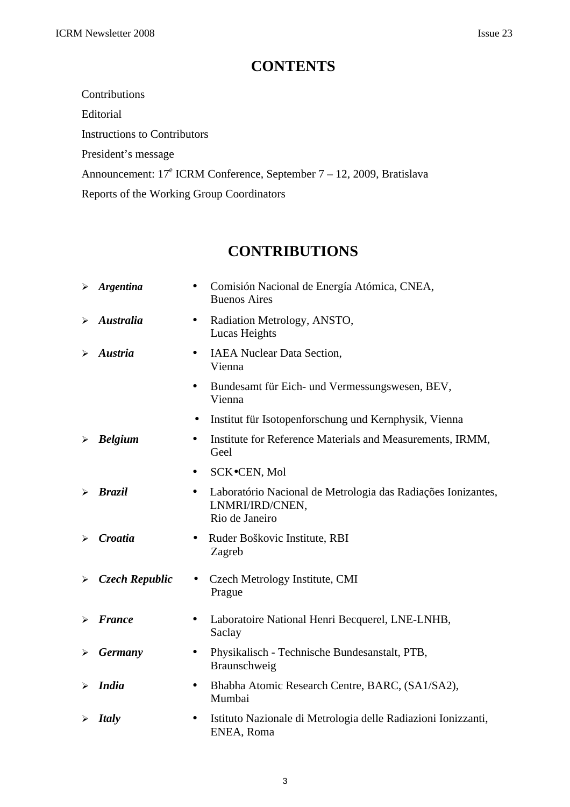# **CONTENTS**

**Contributions** 

Editorial

Instructions to Contributors

President's message

Announcement:  $17<sup>e</sup>$  ICRM Conference, September 7 – 12, 2009, Bratislava

Reports of the Working Group Coordinators

## **CONTRIBUTIONS**

|                       | $\triangleright$ Argentina | Comisión Nacional de Energía Atómica, CNEA,<br>$\bullet$<br><b>Buenos Aires</b>                                |
|-----------------------|----------------------------|----------------------------------------------------------------------------------------------------------------|
| ≻                     | <b>Australia</b>           | Radiation Metrology, ANSTO,<br>$\bullet$<br>Lucas Heights                                                      |
| ⋗                     | <b>Austria</b>             | <b>IAEA</b> Nuclear Data Section,<br>$\bullet$<br>Vienna                                                       |
|                       |                            | Bundesamt für Eich- und Vermessungswesen, BEV,<br>$\bullet$<br>Vienna                                          |
|                       |                            | Institut für Isotopenforschung und Kernphysik, Vienna<br>٠                                                     |
| $\blacktriangleright$ | <b>Belgium</b>             | Institute for Reference Materials and Measurements, IRMM,<br>Geel                                              |
|                       |                            | SCK•CEN, Mol<br>$\bullet$                                                                                      |
|                       | $\triangleright$ Brazil    | Laboratório Nacional de Metrologia das Radiações Ionizantes,<br>$\bullet$<br>LNMRI/IRD/CNEN,<br>Rio de Janeiro |
| ➤                     | Croatia                    | Ruder Boškovic Institute, RBI<br>$\bullet$<br>Zagreb                                                           |
| ➤                     | <b>Czech Republic</b>      | Czech Metrology Institute, CMI<br>$\bullet$<br>Prague                                                          |
|                       | $\triangleright$ France    | Laboratoire National Henri Becquerel, LNE-LNHB,<br>$\bullet$<br>Saclay                                         |
| ⋗                     | <b>Germany</b>             | Physikalisch - Technische Bundesanstalt, PTB,<br>$\bullet$<br>Braunschweig                                     |
| ➤                     | <b>India</b>               | Bhabha Atomic Research Centre, BARC, (SA1/SA2),<br>$\bullet$<br>Mumbai                                         |
|                       | <b>Italy</b>               | Istituto Nazionale di Metrologia delle Radiazioni Ionizzanti,<br>$\bullet$<br>ENEA, Roma                       |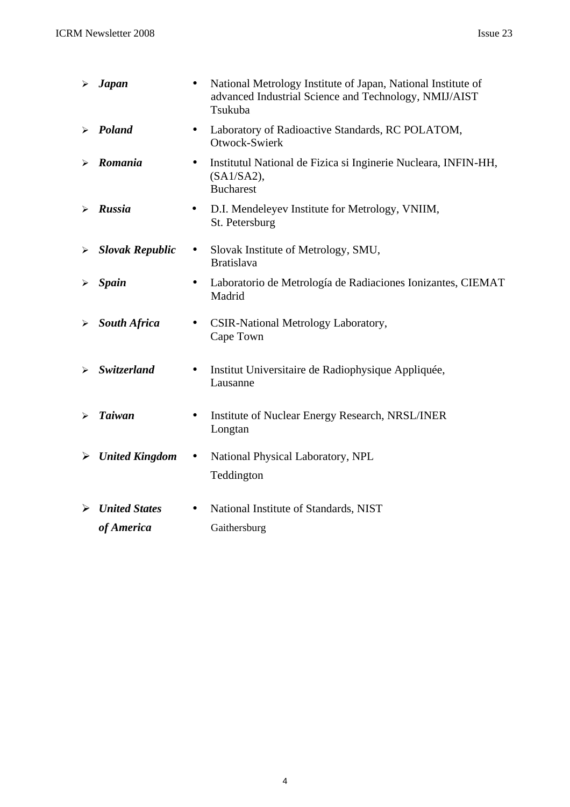| $\blacktriangleright$ | <b>Japan</b>            | National Metrology Institute of Japan, National Institute of<br>$\bullet$<br>advanced Industrial Science and Technology, NMIJ/AIST<br>Tsukuba |
|-----------------------|-------------------------|-----------------------------------------------------------------------------------------------------------------------------------------------|
|                       | $\triangleright$ Poland | Laboratory of Radioactive Standards, RC POLATOM,<br>$\bullet$<br>Otwock-Swierk                                                                |
|                       | Romania                 | Institutul National de Fizica si Inginerie Nucleara, INFIN-HH,<br>$\bullet$<br>(SA1/SA2),<br><b>Bucharest</b>                                 |
| ⋗                     | Russia                  | D.I. Mendeleyev Institute for Metrology, VNIIM,<br>$\bullet$<br>St. Petersburg                                                                |
| ➤                     | <b>Slovak Republic</b>  | Slovak Institute of Metrology, SMU,<br>$\bullet$<br><b>Bratislava</b>                                                                         |
|                       | <b>Spain</b>            | Laboratorio de Metrología de Radiaciones Ionizantes, CIEMAT<br>$\bullet$<br>Madrid                                                            |
| ➤                     | <b>South Africa</b>     | CSIR-National Metrology Laboratory,<br>$\bullet$<br>Cape Town                                                                                 |
|                       | <b>Switzerland</b>      | Institut Universitaire de Radiophysique Appliquée,<br>$\bullet$<br>Lausanne                                                                   |
| ⋗                     | <b>Taiwan</b>           | Institute of Nuclear Energy Research, NRSL/INER<br>$\bullet$<br>Longtan                                                                       |
| ➤                     | <b>United Kingdom</b>   | National Physical Laboratory, NPL<br>$\bullet$                                                                                                |
|                       |                         | Teddington                                                                                                                                    |
| ➤                     | <b>United States</b>    | National Institute of Standards, NIST<br>$\bullet$                                                                                            |
|                       | of America              | Gaithersburg                                                                                                                                  |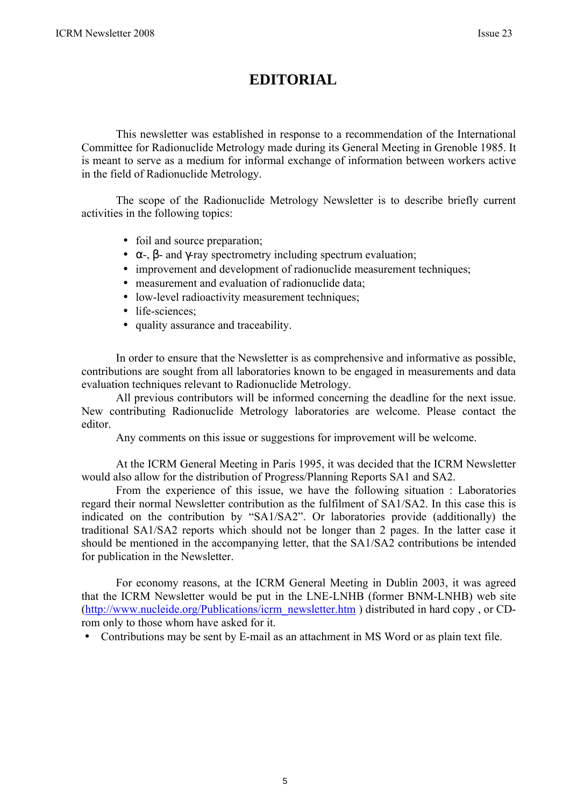## **EDITORIAL**

This newsletter was established in response to a recommendation of the International Committee for Radionuclide Metrology made during its General Meeting in Grenoble 1985. It is meant to serve as a medium for informal exchange of information between workers active in the field of Radionuclide Metrology.

The scope of the Radionuclide Metrology Newsletter is to describe briefly current activities in the following topics:

- foil and source preparation;
- $\alpha$ -,  $\beta$  and γ-ray spectrometry including spectrum evaluation;
- improvement and development of radionuclide measurement techniques;
- measurement and evaluation of radionuclide data;
- low-level radioactivity measurement techniques;
- life-sciences:
- quality assurance and traceability.

In order to ensure that the Newsletter is as comprehensive and informative as possible, contributions are sought from all laboratories known to be engaged in measurements and data evaluation techniques relevant to Radionuclide Metrology.

All previous contributors will be informed concerning the deadline for the next issue. New contributing Radionuclide Metrology laboratories are welcome. Please contact the editor.

Any comments on this issue or suggestions for improvement will be welcome.

At the ICRM General Meeting in Paris 1995, it was decided that the ICRM Newsletter would also allow for the distribution of Progress/Planning Reports SA1 and SA2.

From the experience of this issue, we have the following situation : Laboratories regard their normal Newsletter contribution as the fulfilment of SA1/SA2. In this case this is indicated on the contribution by "SA1/SA2". Or laboratories provide (additionally) the traditional SA1/SA2 reports which should not be longer than 2 pages. In the latter case it should be mentioned in the accompanying letter, that the SA1/SA2 contributions be intended for publication in the Newsletter.

For economy reasons, at the ICRM General Meeting in Dublin 2003, it was agreed that the ICRM Newsletter would be put in the LNE-LNHB (former BNM-LNHB) web site (http://www.nucleide.org/Publications/icrm\_newsletter.htm ) distributed in hard copy , or CDrom only to those whom have asked for it.

• Contributions may be sent by E-mail as an attachment in MS Word or as plain text file.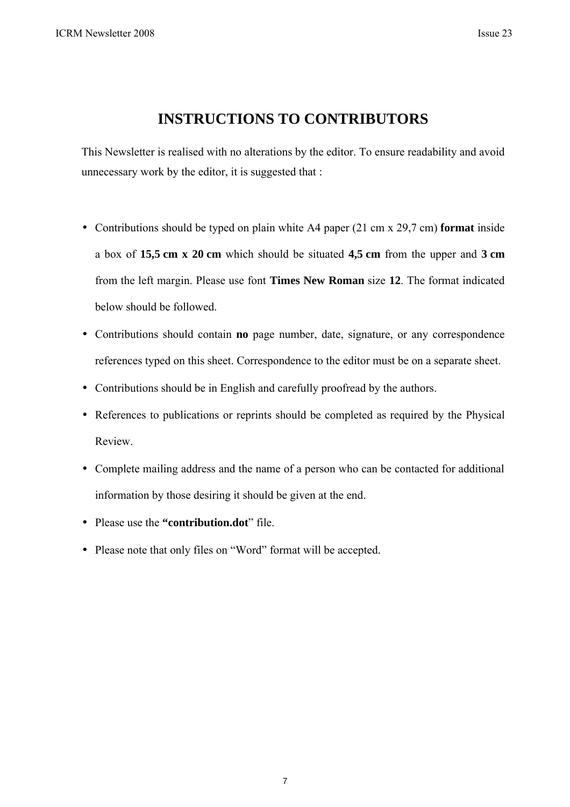## **INSTRUCTIONS TO CONTRIBUTORS**

This Newsletter is realised with no alterations by the editor. To ensure readability and avoid unnecessary work by the editor, it is suggested that :

- Contributions should be typed on plain white A4 paper (21 cm x 29,7 cm) **format** inside a box of **15,5 cm x 20 cm** which should be situated **4,5 cm** from the upper and **3 cm** from the left margin. Please use font **Times New Roman** size **12**. The format indicated below should be followed.
- Contributions should contain **no** page number, date, signature, or any correspondence references typed on this sheet. Correspondence to the editor must be on a separate sheet.
- Contributions should be in English and carefully proofread by the authors.
- References to publications or reprints should be completed as required by the Physical Review.
- Complete mailing address and the name of a person who can be contacted for additional information by those desiring it should be given at the end.
- Please use the **"contribution.dot**" file.
- Please note that only files on "Word" format will be accepted.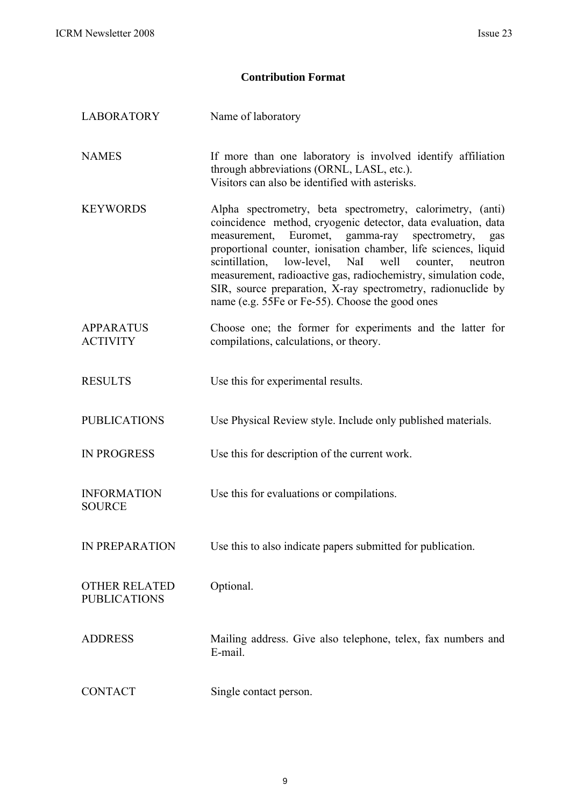## **Contribution Format**

| <b>LABORATORY</b>                           | Name of laboratory                                                                                                                                                                                                                                                                                                                                                                                                                                                                                             |
|---------------------------------------------|----------------------------------------------------------------------------------------------------------------------------------------------------------------------------------------------------------------------------------------------------------------------------------------------------------------------------------------------------------------------------------------------------------------------------------------------------------------------------------------------------------------|
| <b>NAMES</b>                                | If more than one laboratory is involved identify affiliation<br>through abbreviations (ORNL, LASL, etc.).<br>Visitors can also be identified with asterisks.                                                                                                                                                                                                                                                                                                                                                   |
| <b>KEYWORDS</b>                             | Alpha spectrometry, beta spectrometry, calorimetry, (anti)<br>coincidence method, cryogenic detector, data evaluation, data<br>measurement, Euromet, gamma-ray<br>spectrometry, gas<br>proportional counter, ionisation chamber, life sciences, liquid<br>low-level, NaI<br>scintillation,<br>well<br>counter,<br>neutron<br>measurement, radioactive gas, radiochemistry, simulation code,<br>SIR, source preparation, X-ray spectrometry, radionuclide by<br>name (e.g. 55Fe or Fe-55). Choose the good ones |
| <b>APPARATUS</b><br><b>ACTIVITY</b>         | Choose one; the former for experiments and the latter for<br>compilations, calculations, or theory.                                                                                                                                                                                                                                                                                                                                                                                                            |
| <b>RESULTS</b>                              | Use this for experimental results.                                                                                                                                                                                                                                                                                                                                                                                                                                                                             |
| <b>PUBLICATIONS</b>                         | Use Physical Review style. Include only published materials.                                                                                                                                                                                                                                                                                                                                                                                                                                                   |
| <b>IN PROGRESS</b>                          | Use this for description of the current work.                                                                                                                                                                                                                                                                                                                                                                                                                                                                  |
| <b>INFORMATION</b><br><b>SOURCE</b>         | Use this for evaluations or compilations.                                                                                                                                                                                                                                                                                                                                                                                                                                                                      |
| IN PREPARATION                              | Use this to also indicate papers submitted for publication.                                                                                                                                                                                                                                                                                                                                                                                                                                                    |
| <b>OTHER RELATED</b><br><b>PUBLICATIONS</b> | Optional.                                                                                                                                                                                                                                                                                                                                                                                                                                                                                                      |
| <b>ADDRESS</b>                              | Mailing address. Give also telephone, telex, fax numbers and<br>E-mail.                                                                                                                                                                                                                                                                                                                                                                                                                                        |
| <b>CONTACT</b>                              | Single contact person.                                                                                                                                                                                                                                                                                                                                                                                                                                                                                         |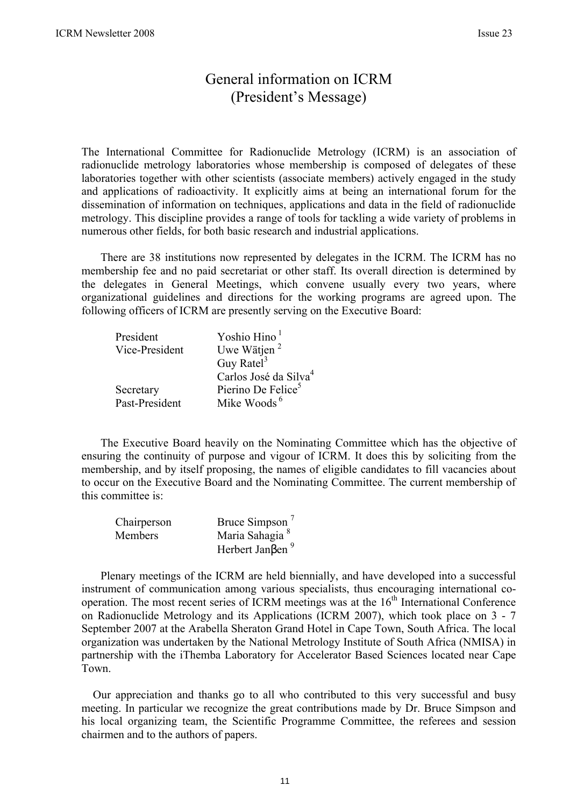## General information on ICRM (President's Message)

The International Committee for Radionuclide Metrology (ICRM) is an association of radionuclide metrology laboratories whose membership is composed of delegates of these laboratories together with other scientists (associate members) actively engaged in the study and applications of radioactivity. It explicitly aims at being an international forum for the dissemination of information on techniques, applications and data in the field of radionuclide metrology. This discipline provides a range of tools for tackling a wide variety of problems in numerous other fields, for both basic research and industrial applications.

There are 38 institutions now represented by delegates in the ICRM. The ICRM has no membership fee and no paid secretariat or other staff. Its overall direction is determined by the delegates in General Meetings, which convene usually every two years, where organizational guidelines and directions for the working programs are agreed upon. The following officers of ICRM are presently serving on the Executive Board:

| President      | Yoshio Hino <sup>1</sup>          |
|----------------|-----------------------------------|
| Vice-President | Uwe Wätjen $^2$                   |
|                | Guy Ratel <sup>3</sup>            |
|                | Carlos José da Silva <sup>4</sup> |
| Secretary      | Pierino De Felice <sup>5</sup>    |
| Past-President | Mike Woods <sup>6</sup>           |

The Executive Board heavily on the Nominating Committee which has the objective of ensuring the continuity of purpose and vigour of ICRM. It does this by soliciting from the membership, and by itself proposing, the names of eligible candidates to fill vacancies about to occur on the Executive Board and the Nominating Committee. The current membership of this committee is:

| Chairperson    | <b>Bruce Simpson</b>                |
|----------------|-------------------------------------|
| <b>Members</b> | Maria Sahagia <sup>8</sup>          |
|                | Herbert Jan $\beta$ en <sup>9</sup> |

Plenary meetings of the ICRM are held biennially, and have developed into a successful instrument of communication among various specialists, thus encouraging international cooperation. The most recent series of ICRM meetings was at the  $16<sup>th</sup>$  International Conference on Radionuclide Metrology and its Applications (ICRM 2007), which took place on 3 - 7 September 2007 at the Arabella Sheraton Grand Hotel in Cape Town, South Africa. The local organization was undertaken by the National Metrology Institute of South Africa (NMISA) in partnership with the iThemba Laboratory for Accelerator Based Sciences located near Cape Town.

 Our appreciation and thanks go to all who contributed to this very successful and busy meeting. In particular we recognize the great contributions made by Dr. Bruce Simpson and his local organizing team, the Scientific Programme Committee, the referees and session chairmen and to the authors of papers.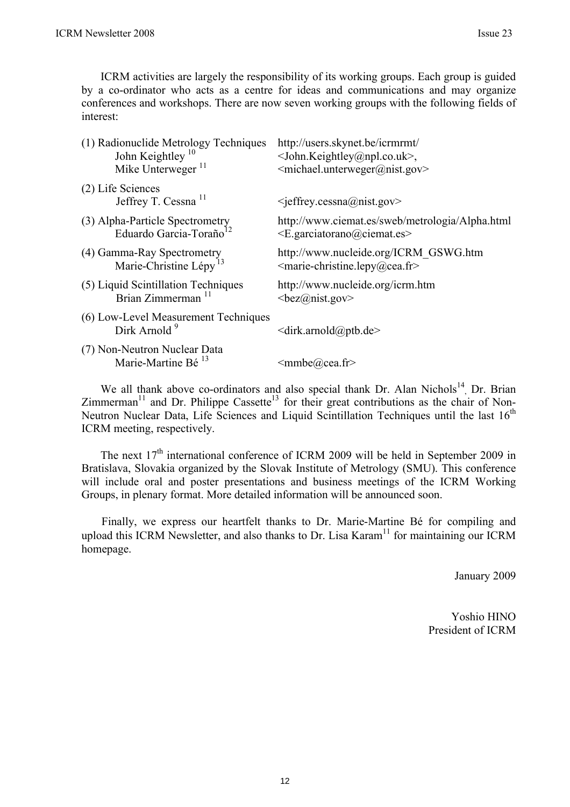ICRM activities are largely the responsibility of its working groups. Each group is guided by a co-ordinator who acts as a centre for ideas and communications and may organize conferences and workshops. There are now seven working groups with the following fields of interest:

| (1) Radionuclide Metrology Techniques                            | http://users.skynet.be/icrmrmt/                             |
|------------------------------------------------------------------|-------------------------------------------------------------|
| John Keightley <sup>10</sup>                                     | $\le$ John.Keightley@npl.co.uk>,                            |
| Mike Unterweger <sup>11</sup>                                    | <michael.unterweger@nist.gov></michael.unterweger@nist.gov> |
| (2) Life Sciences<br>Jeffrey T. Cessna <sup>11</sup>             | $\leq$ jeffrey.cessna@nist.gov>                             |
| (3) Alpha-Particle Spectrometry                                  | http://www.ciemat.es/sweb/metrologia/Alpha.html             |
| Eduardo Garcia-Toraño <sup>12</sup>                              | $\leq E$ garciatorano@ciemat.es>                            |
| (4) Gamma-Ray Spectrometry                                       | http://www.nucleide.org/ICRM GSWG.htm                       |
| Marie-Christine Lépy <sup>13</sup>                               | $\leq$ marie-christine.lepy@cea.fr>                         |
| (5) Liquid Scintillation Techniques                              | http://www.nucleide.org/icrm.htm                            |
| Brian Zimmerman <sup>11</sup>                                    | $\langle bez(a)$ nist.gov $>$                               |
| (6) Low-Level Measurement Techniques<br>Dirk Arnold <sup>9</sup> | $\le$ dirk.arnold@ptb.de>                                   |
| (7) Non-Neutron Nuclear Data<br>Marie-Martine Bé <sup>13</sup>   | $\leq$ mmbe $\omega$ cea.fr>                                |
|                                                                  |                                                             |

We all thank above co-ordinators and also special thank Dr. Alan Nichols<sup>14</sup>, Dr. Brian Zimmerman $11$  and Dr. Philippe Cassette<sup>13</sup> for their great contributions as the chair of Non-Neutron Nuclear Data, Life Sciences and Liquid Scintillation Techniques until the last 16<sup>th</sup> ICRM meeting, respectively.

The next  $17<sup>th</sup>$  international conference of ICRM 2009 will be held in September 2009 in Bratislava, Slovakia organized by the Slovak Institute of Metrology (SMU). This conference will include oral and poster presentations and business meetings of the ICRM Working Groups, in plenary format. More detailed information will be announced soon.

 Finally, we express our heartfelt thanks to Dr. Marie-Martine Bé for compiling and upload this ICRM Newsletter, and also thanks to Dr. Lisa  $\text{Karam}^{11}$  for maintaining our ICRM homepage.

January 2009

Yoshio HINO President of ICRM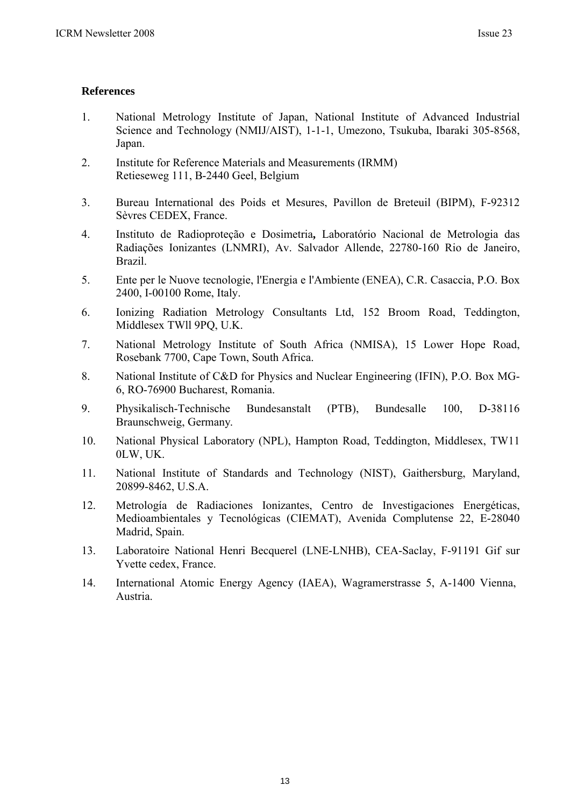#### **References**

- 1. National Metrology Institute of Japan, National Institute of Advanced Industrial Science and Technology (NMIJ/AIST), 1-1-1, Umezono, Tsukuba, Ibaraki 305-8568, Japan.
- 2. Institute for Reference Materials and Measurements (IRMM) Retieseweg 111, B-2440 Geel, Belgium
- 3. Bureau International des Poids et Mesures, Pavillon de Breteuil (BIPM), F-92312 Sèvres CEDEX, France.
- 4. Instituto de Radioproteção e Dosimetria**,** Laboratório Nacional de Metrologia das Radiações Ionizantes (LNMRI), Av. Salvador Allende, 22780-160 Rio de Janeiro, Brazil.
- 5. Ente per le Nuove tecnologie, l'Energia e l'Ambiente (ENEA), C.R. Casaccia, P.O. Box 2400, I-00100 Rome, Italy.
- 6. Ionizing Radiation Metrology Consultants Ltd, 152 Broom Road, Teddington, Middlesex TWll 9PQ, U.K.
- 7. National Metrology Institute of South Africa (NMISA), 15 Lower Hope Road, Rosebank 7700, Cape Town, South Africa.
- 8. National Institute of C&D for Physics and Nuclear Engineering (IFIN), P.O. Box MG-6, RO-76900 Bucharest, Romania.
- 9. Physikalisch-Technische Bundesanstalt (PTB), Bundesalle 100, D-38116 Braunschweig, Germany.
- 10. National Physical Laboratory (NPL), Hampton Road, Teddington, Middlesex, TW11 0LW, UK.
- 11. National Institute of Standards and Technology (NIST), Gaithersburg, Maryland, 20899-8462, U.S.A.
- 12. Metrología de Radiaciones Ionizantes, Centro de Investigaciones Energéticas, Medioambientales y Tecnológicas (CIEMAT), Avenida Complutense 22, E-28040 Madrid, Spain.
- 13. Laboratoire National Henri Becquerel (LNE-LNHB), CEA-Saclay, F-91191 Gif sur Yvette cedex, France.
- 14. International Atomic Energy Agency (IAEA), Wagramerstrasse 5, A-1400 Vienna, Austria.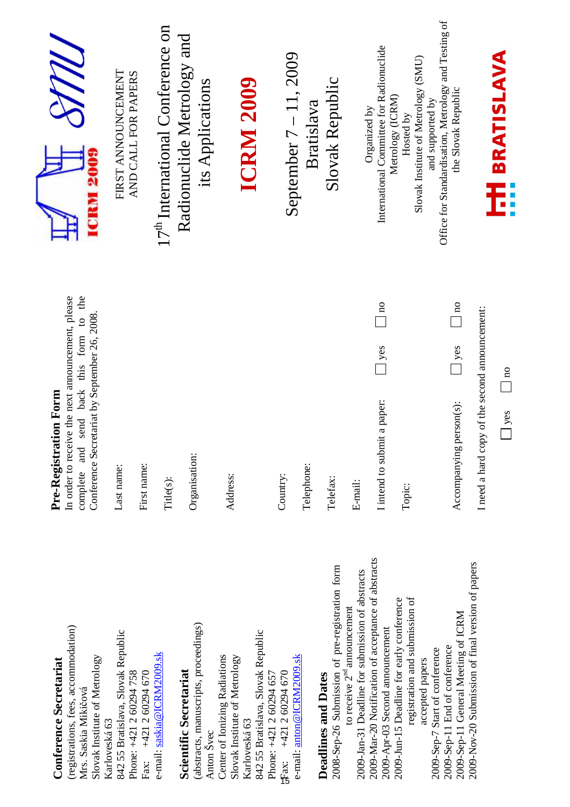| <b>Conference Secretariat</b>                                                          | <b>Pre-Registration Form</b>                                          |                                                         |
|----------------------------------------------------------------------------------------|-----------------------------------------------------------------------|---------------------------------------------------------|
| (registrations, fees, accommodation)                                                   | In order to receive the next announcement, please                     | <b>RIVIS</b>                                            |
| Mrs. Saskia Mikičová                                                                   | send back this form to the<br>complete and                            |                                                         |
| Slovak Institute of Metrology                                                          | Conference Secretariat by September 26, 2008                          | <b>10 RV</b>                                            |
| Karloveská 63                                                                          |                                                                       |                                                         |
| 842 55 Bratislava, Slovak Republic                                                     | Last name:                                                            | FIRST ANNOUNCEMENT                                      |
| Phone: +421 2 60294 758                                                                |                                                                       | AND CALL FOR PAPERS                                     |
| Fax: $+421260294670$                                                                   | First name:                                                           |                                                         |
| e-mail: saskia@ICRM2009.sk                                                             | Title(s):                                                             | 17 <sup>th</sup> International Conference on            |
| <b>Scientific Secretariat</b>                                                          |                                                                       | Radionuclide Metrology and                              |
| (abstracts, manuscripts, proceedings)                                                  | Organisation:                                                         | its Applications                                        |
| Center of Ionizing Radiations<br>Anton Švec                                            |                                                                       |                                                         |
| Slovak Institute of Metrology                                                          | Address:                                                              |                                                         |
| Karloveská 63                                                                          |                                                                       | <b>ICRM 2009</b>                                        |
| 842 55 Bratislava, Slovak Republic                                                     |                                                                       |                                                         |
| Phone: +421 2 60294 657                                                                |                                                                       |                                                         |
| 5 ax: +421 2 60294 670                                                                 | Country:                                                              | September 7 - 11, 2009                                  |
| e-mail: anton@ICRM2009.sk                                                              |                                                                       |                                                         |
|                                                                                        | Telephone:                                                            | Bratislava                                              |
| Deadlines and Dates                                                                    |                                                                       |                                                         |
| 2008-Sep-26 Submission of pre-registration form                                        | Telefax:                                                              | Slovak Republic                                         |
| to receive $2nd$ announcement                                                          | E-mail:                                                               |                                                         |
| 2009-Jan-31 Deadline for submission of abstracts                                       |                                                                       | Organized by                                            |
| 2009-Mar-20 Notification of acceptance of abstracts<br>2009-Apr-03 Second announcement | $\frac{10}{10}$<br>$\mathsf{L}$ yes<br>I intend to submit a paper:    | International Committee for Radionuclide                |
| 2009-Jun-15 Deadline for early conference                                              |                                                                       | Metrology (ICRM)                                        |
| registration and submission of                                                         | Topic:                                                                | Hosted by                                               |
| accepted papers                                                                        |                                                                       | Slovak Institute of Metrology (SMU)<br>and supported by |
| 2009-Sep-7 Start of conference                                                         |                                                                       | Office for Standardisation, Metrology and Testing of    |
| 2009-Sep-11 General Meeting of ICRM<br>2009-Sep-11 End of conference                   | $\overline{\phantom{a}}$<br>$\sqrt{1}$ yes<br>Accompanying person(s): | the Slovak Republic                                     |
| 2009-Nov-20 Submission of final version of papers                                      | I need a hard copy of the second announcement:                        |                                                         |
|                                                                                        |                                                                       |                                                         |
|                                                                                        | $\Box$ no<br>$\Box$ yes                                               | <b>HH BRATISLAVA</b>                                    |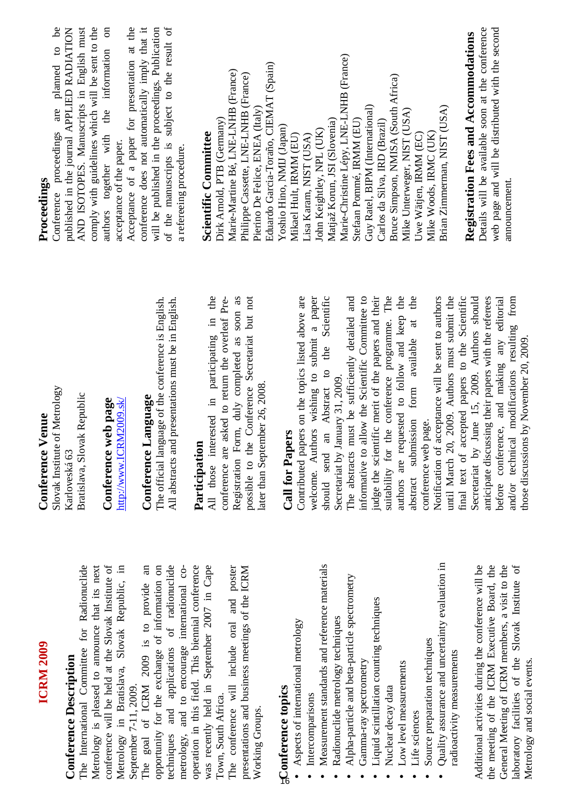| <b>ICRM 2009</b>                                    | <b>Conference Venue</b>                                                                         | Proceedings                                                                                          |
|-----------------------------------------------------|-------------------------------------------------------------------------------------------------|------------------------------------------------------------------------------------------------------|
|                                                     | Slovak Institute of Metrology                                                                   | ತಿ<br>Conference proceedings are planned to                                                          |
| <b>Conference Description</b>                       | Karloveská 63                                                                                   | published in the journal APPLIED RADIATION                                                           |
| The International Committee for Radionuclide        | Bratislava, Slovak Republic                                                                     | AND ISOTOPES. Manuscripts in English must                                                            |
| Metrology is pleased to announce that its next      |                                                                                                 | comply with guidelines which will be sent to the                                                     |
| conference will be held at the Slovak Institute of  | Conference web page                                                                             | $\overline{\mathrm{nn}}$<br>authors together with the information                                    |
| $\Xi$<br>Metrology in Bratislava, Slovak Republic,  | http://www.ICRM2009.sk/                                                                         | acceptance of the paper.                                                                             |
| September 7-11, 2009.                               |                                                                                                 | Acceptance of a paper for presentation at the                                                        |
| The goal of ICRM 2009 is to provide an              | Conference Language                                                                             | conference does not automatically imply that it                                                      |
| opportunity for the exchange of information on      | The official language of the conference is English.                                             | will be published in the proceedings. Publication                                                    |
| techniques and applications of radionuclide         | All abstracts and presentations must be in English.                                             | of the manuscripts is subject to the result of                                                       |
| metrology, and to encourage international co-       |                                                                                                 | a refereeing procedure.                                                                              |
| operation in this field. This biennial conference   | Participation                                                                                   |                                                                                                      |
| was recently held in September 2007 in Cape         | All those interested in participating in the                                                    | <b>Scientific Committee</b>                                                                          |
| Town, South Africa.                                 | conference are asked to return the overleaf Pre-                                                | Dirk Arnold, PTB (Germany)                                                                           |
| The conference will include oral and poster         | Form, duly completed as soon as<br>Registration 1                                               | Marie-Martine Bé, LNE-LNHB (France)                                                                  |
| presentations and business meetings of the ICRM     | possible to the Conference Secretariat but not                                                  | Philippe Cassette, LNE-LNHB (France)                                                                 |
| Working Groups.                                     |                                                                                                 | Pierino De Felice, ENEA (Italy)                                                                      |
|                                                     | later than September 26, 2008.                                                                  | Eduardo Garcia-Toraño, CIEMAT (Spain)                                                                |
| Sonference topics                                   | Call for Pap                                                                                    | Yoshio Hino, NMIJ (Japan)                                                                            |
| Aspects of international metrology                  | pers                                                                                            | Mikael Hult, IRMM (EU)                                                                               |
|                                                     | Contributed papers on the topics listed above are                                               | Lisa Karam, NIST (USA)                                                                               |
| Intercomparisons                                    | welcome. Authors wishing to submit a paper                                                      | John Keightley, NPL (UK)                                                                             |
| Measurement standards and reference materials       | an Abstract to the Scientific<br>should send                                                    |                                                                                                      |
| Radionuclide metrology techniques                   | Secretariat by January 31, 2009.                                                                | Matjaž Korun, JSI (Slovenia)                                                                         |
| Alpha-particle and beta-particle spectrometry       | The abstracts must be sufficiently detailed and                                                 | Marie-Christine Lépy, LNE-LNHB (France)                                                              |
| Gamma-ray spectrometry                              | informative to allow the Scientific Committee to                                                | Stefaan Pommé, IRMM (EU)                                                                             |
| Liquid scintillation counting techniques            | judge the scientific merit of the papers and their                                              | Guy Ratel, BIPM (International)                                                                      |
| Nuclear decay data                                  | suitability for the conference programme. The                                                   | Carlos da Silva, IRD (Brazil)                                                                        |
| Low level measurements                              | authors are requested to follow and keep the                                                    | Bruce Simpson, NMISA (South Africa)                                                                  |
|                                                     | the<br>abstract submission form available at                                                    | Mike Unterweger, NIST (USA)                                                                          |
| Life sciences                                       | conference web page.                                                                            | Uwe Wätjen, IRMM (EC)                                                                                |
| Source preparation techniques                       | Notification of acceptance will be sent to authors                                              | Mike Woods, IRMC (UK)                                                                                |
| Quality assurance and uncertainty evaluation in     | until March 20, 2009. Authors must submit the                                                   | Brian Zimmerman, NIST (USA)                                                                          |
| radioactivity measurements                          |                                                                                                 |                                                                                                      |
| Additional activities during the conference will be | final text of accepted papers to the Scientific<br>Secretariat by June 15, 2009. Authors should | Registration Fees and Accommodations                                                                 |
| the meeting of the ICRM Executive Board, the        | anticipate discussing their papers with the referees                                            | web page and will be distributed with the second<br>Details will be available soon at the conference |
| General Meeting of ICRM members, a visit to the     | before conference, and making any editorial                                                     | announcement.                                                                                        |
| laboratory facilities of the Slovak Institute of    | and/or technical modifications resulting from                                                   |                                                                                                      |
| Metrology and social events.                        | those discussions by November 20, 2009                                                          |                                                                                                      |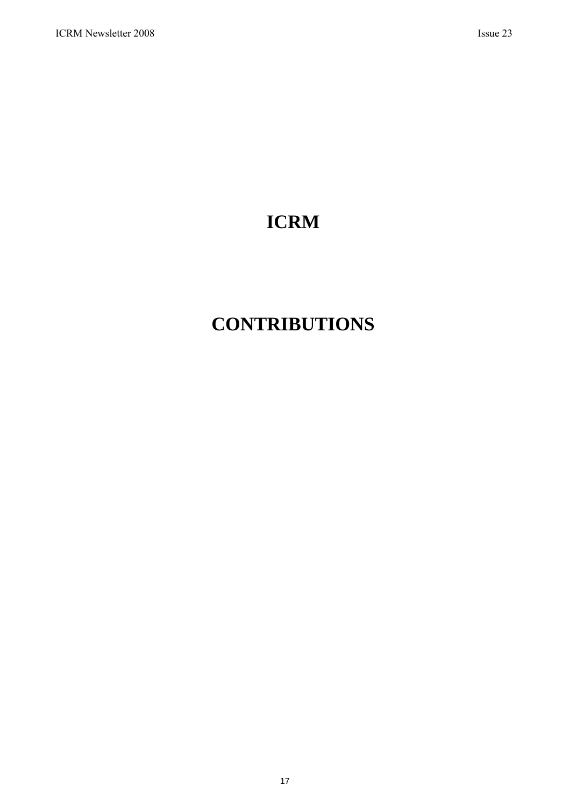# **ICRM**

# **CONTRIBUTIONS**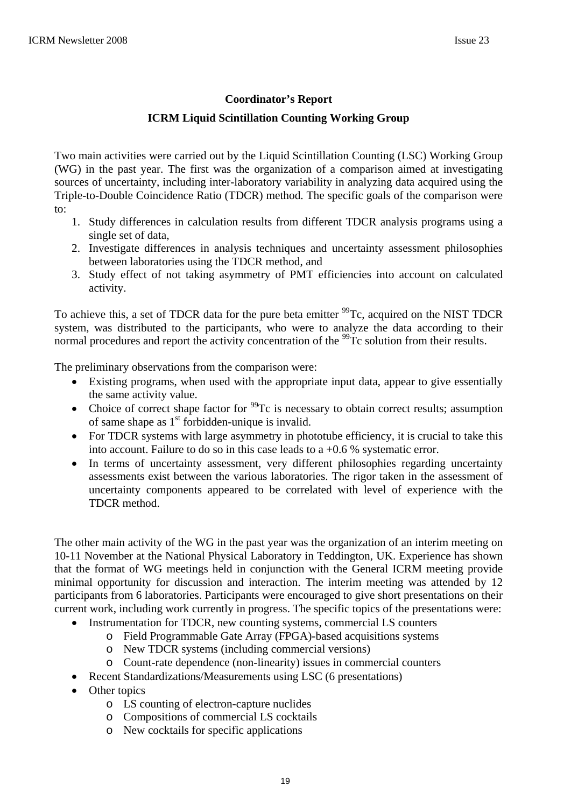### **Coordinator's Report**

### **ICRM Liquid Scintillation Counting Working Group**

Two main activities were carried out by the Liquid Scintillation Counting (LSC) Working Group (WG) in the past year. The first was the organization of a comparison aimed at investigating sources of uncertainty, including inter-laboratory variability in analyzing data acquired using the Triple-to-Double Coincidence Ratio (TDCR) method. The specific goals of the comparison were to:

- 1. Study differences in calculation results from different TDCR analysis programs using a single set of data,
- 2. Investigate differences in analysis techniques and uncertainty assessment philosophies between laboratories using the TDCR method, and
- 3. Study effect of not taking asymmetry of PMT efficiencies into account on calculated activity.

To achieve this, a set of TDCR data for the pure beta emitter <sup>99</sup>Tc, acquired on the NIST TDCR system, was distributed to the participants, who were to analyze the data according to their normal procedures and report the activity concentration of the <sup>99</sup>Tc solution from their results.

The preliminary observations from the comparison were:

- Existing programs, when used with the appropriate input data, appear to give essentially the same activity value.
- Choice of correct shape factor for  $99$ Tc is necessary to obtain correct results; assumption of same shape as  $1<sup>st</sup>$  forbidden-unique is invalid.
- For TDCR systems with large asymmetry in phototube efficiency, it is crucial to take this into account. Failure to do so in this case leads to a +0.6 % systematic error.
- In terms of uncertainty assessment, very different philosophies regarding uncertainty assessments exist between the various laboratories. The rigor taken in the assessment of uncertainty components appeared to be correlated with level of experience with the TDCR method.

The other main activity of the WG in the past year was the organization of an interim meeting on 10-11 November at the National Physical Laboratory in Teddington, UK. Experience has shown that the format of WG meetings held in conjunction with the General ICRM meeting provide minimal opportunity for discussion and interaction. The interim meeting was attended by 12 participants from 6 laboratories. Participants were encouraged to give short presentations on their current work, including work currently in progress. The specific topics of the presentations were:

- Instrumentation for TDCR, new counting systems, commercial LS counters
	- o Field Programmable Gate Array (FPGA)-based acquisitions systems
	- o New TDCR systems (including commercial versions)
	- o Count-rate dependence (non-linearity) issues in commercial counters
- Recent Standardizations/Measurements using LSC (6 presentations)
- Other topics
	- o LS counting of electron-capture nuclides
	- o Compositions of commercial LS cocktails
	- o New cocktails for specific applications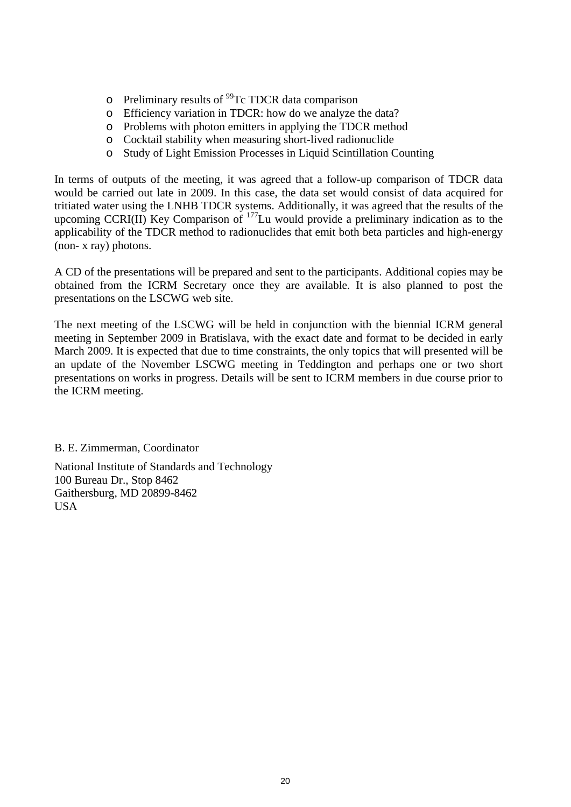- $\circ$  Preliminary results of <sup>99</sup>Tc TDCR data comparison
- o Efficiency variation in TDCR: how do we analyze the data?
- o Problems with photon emitters in applying the TDCR method
- o Cocktail stability when measuring short-lived radionuclide
- o Study of Light Emission Processes in Liquid Scintillation Counting

In terms of outputs of the meeting, it was agreed that a follow-up comparison of TDCR data would be carried out late in 2009. In this case, the data set would consist of data acquired for tritiated water using the LNHB TDCR systems. Additionally, it was agreed that the results of the upcoming CCRI(II) Key Comparison of  $177$  Lu would provide a preliminary indication as to the applicability of the TDCR method to radionuclides that emit both beta particles and high-energy (non- x ray) photons.

A CD of the presentations will be prepared and sent to the participants. Additional copies may be obtained from the ICRM Secretary once they are available. It is also planned to post the presentations on the LSCWG web site.

The next meeting of the LSCWG will be held in conjunction with the biennial ICRM general meeting in September 2009 in Bratislava, with the exact date and format to be decided in early March 2009. It is expected that due to time constraints, the only topics that will presented will be an update of the November LSCWG meeting in Teddington and perhaps one or two short presentations on works in progress. Details will be sent to ICRM members in due course prior to the ICRM meeting.

B. E. Zimmerman, Coordinator

National Institute of Standards and Technology 100 Bureau Dr., Stop 8462 Gaithersburg, MD 20899-8462 USA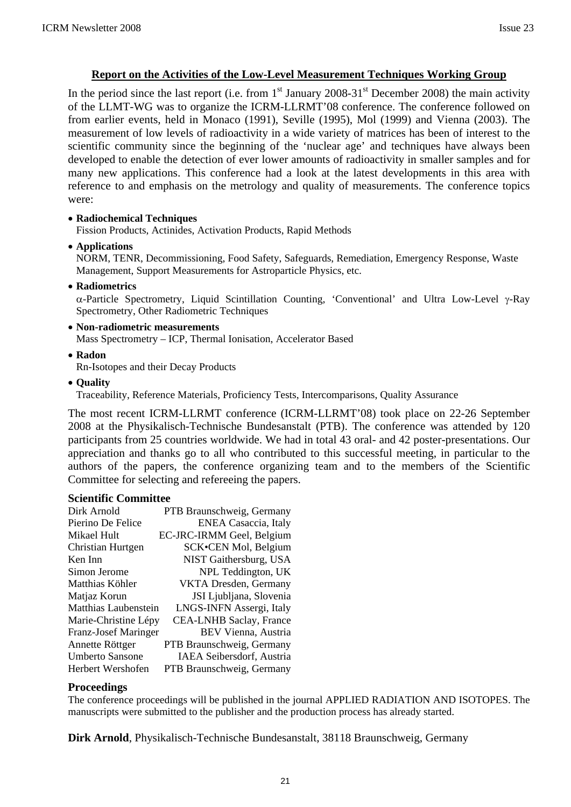#### **Report on the Activities of the Low-Level Measurement Techniques Working Group**

In the period since the last report (i.e. from  $1<sup>st</sup>$  January 2008-31<sup>st</sup> December 2008) the main activity of the LLMT-WG was to organize the ICRM-LLRMT'08 conference. The conference followed on from earlier events, held in Monaco (1991), Seville (1995), Mol (1999) and Vienna (2003). The measurement of low levels of radioactivity in a wide variety of matrices has been of interest to the scientific community since the beginning of the 'nuclear age' and techniques have always been developed to enable the detection of ever lower amounts of radioactivity in smaller samples and for many new applications. This conference had a look at the latest developments in this area with reference to and emphasis on the metrology and quality of measurements. The conference topics were:

• **Radiochemical Techniques** 

Fission Products, Actinides, Activation Products, Rapid Methods

#### • **Applications**

NORM, TENR, Decommissioning, Food Safety, Safeguards, Remediation, Emergency Response, Waste Management, Support Measurements for Astroparticle Physics, etc.

• **Radiometrics** 

α-Particle Spectrometry, Liquid Scintillation Counting, 'Conventional' and Ultra Low-Level γ-Ray Spectrometry, Other Radiometric Techniques

- **Non-radiometric measurements**  Mass Spectrometry – ICP, Thermal Ionisation, Accelerator Based
- **Radon** 
	- Rn-Isotopes and their Decay Products
- **Quality**

Traceability, Reference Materials, Proficiency Tests, Intercomparisons, Quality Assurance

The most recent ICRM-LLRMT conference (ICRM-LLRMT'08) took place on 22-26 September 2008 at the Physikalisch-Technische Bundesanstalt (PTB). The conference was attended by 120 participants from 25 countries worldwide. We had in total 43 oral- and 42 poster-presentations. Our appreciation and thanks go to all who contributed to this successful meeting, in particular to the authors of the papers, the conference organizing team and to the members of the Scientific Committee for selecting and refereeing the papers.

#### **Scientific Committee**

| Dirk Arnold                 | PTB Braunschweig, Germany      |
|-----------------------------|--------------------------------|
| Pierino De Felice           | <b>ENEA Casaccia</b> , Italy   |
| Mikael Hult                 | EC-JRC-IRMM Geel, Belgium      |
| Christian Hurtgen           | SCK.CEN Mol, Belgium           |
| Ken Inn                     | NIST Gaithersburg, USA         |
| Simon Jerome                | NPL Teddington, UK             |
| Matthias Köhler             | VKTA Dresden, Germany          |
| Matjaz Korun                | JSI Ljubljana, Slovenia        |
| Matthias Laubenstein        | LNGS-INFN Assergi, Italy       |
| Marie-Christine Lépy        | <b>CEA-LNHB</b> Saclay, France |
| <b>Franz-Josef Maringer</b> | BEV Vienna, Austria            |
| Annette Röttger             | PTB Braunschweig, Germany      |
| <b>Umberto Sansone</b>      | IAEA Seibersdorf, Austria      |
| Herbert Wershofen           | PTB Braunschweig, Germany      |

#### **Proceedings**

The conference proceedings will be published in the journal APPLIED RADIATION AND ISOTOPES. The manuscripts were submitted to the publisher and the production process has already started.

**Dirk Arnold**, Physikalisch-Technische Bundesanstalt, 38118 Braunschweig, Germany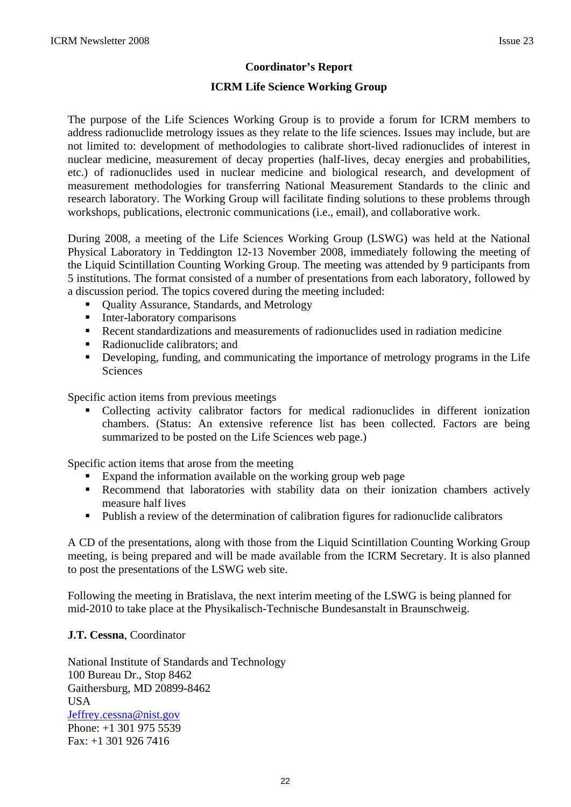#### **Coordinator's Report**

#### **ICRM Life Science Working Group**

The purpose of the Life Sciences Working Group is to provide a forum for ICRM members to address radionuclide metrology issues as they relate to the life sciences. Issues may include, but are not limited to: development of methodologies to calibrate short-lived radionuclides of interest in nuclear medicine, measurement of decay properties (half-lives, decay energies and probabilities, etc.) of radionuclides used in nuclear medicine and biological research, and development of measurement methodologies for transferring National Measurement Standards to the clinic and research laboratory. The Working Group will facilitate finding solutions to these problems through workshops, publications, electronic communications (i.e., email), and collaborative work.

During 2008, a meeting of the Life Sciences Working Group (LSWG) was held at the National Physical Laboratory in Teddington 12-13 November 2008, immediately following the meeting of the Liquid Scintillation Counting Working Group. The meeting was attended by 9 participants from 5 institutions. The format consisted of a number of presentations from each laboratory, followed by a discussion period. The topics covered during the meeting included:

- Quality Assurance, Standards, and Metrology
- **Inter-laboratory comparisons**
- Recent standardizations and measurements of radionuclides used in radiation medicine
- Radionuclide calibrators: and
- Developing, funding, and communicating the importance of metrology programs in the Life Sciences

Specific action items from previous meetings

 Collecting activity calibrator factors for medical radionuclides in different ionization chambers. (Status: An extensive reference list has been collected. Factors are being summarized to be posted on the Life Sciences web page.)

Specific action items that arose from the meeting

- Expand the information available on the working group web page
- **Recommend that laboratories with stability data on their ionization chambers actively** measure half lives
- Publish a review of the determination of calibration figures for radionuclide calibrators

A CD of the presentations, along with those from the Liquid Scintillation Counting Working Group meeting, is being prepared and will be made available from the ICRM Secretary. It is also planned to post the presentations of the LSWG web site.

Following the meeting in Bratislava, the next interim meeting of the LSWG is being planned for mid-2010 to take place at the Physikalisch-Technische Bundesanstalt in Braunschweig.

#### **J.T. Cessna**, Coordinator

National Institute of Standards and Technology 100 Bureau Dr., Stop 8462 Gaithersburg, MD 20899-8462 **USA** [Jeffrey.cessna@nist.gov](mailto:Jeffrey.cessna@nist.gov) Phone: +1 301 975 5539 Fax: +1 301 926 7416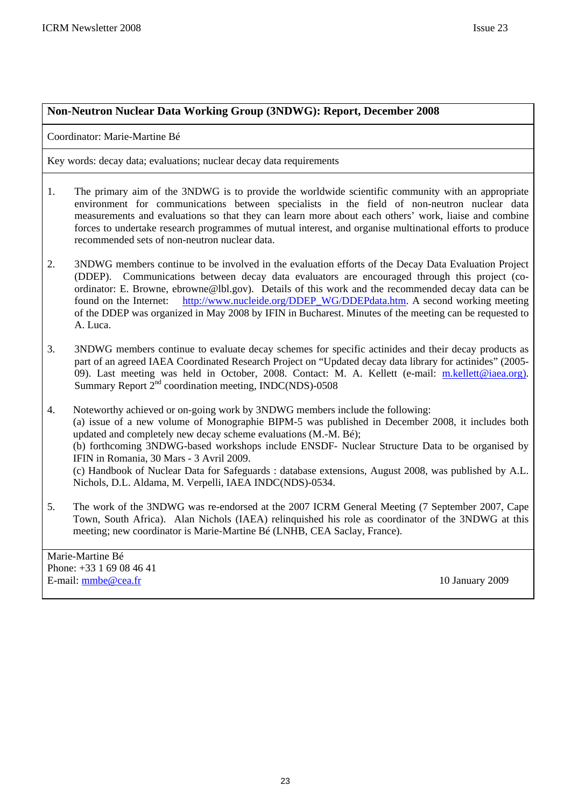#### **Non-Neutron Nuclear Data Working Group (3NDWG): Report, December 2008**

Coordinator: Marie-Martine Bé

Key words: decay data; evaluations; nuclear decay data requirements

- 1. The primary aim of the 3NDWG is to provide the worldwide scientific community with an appropriate environment for communications between specialists in the field of non-neutron nuclear data measurements and evaluations so that they can learn more about each others' work, liaise and combine forces to undertake research programmes of mutual interest, and organise multinational efforts to produce recommended sets of non-neutron nuclear data.
- 2. 3NDWG members continue to be involved in the evaluation efforts of the Decay Data Evaluation Project (DDEP). Communications between decay data evaluators are encouraged through this project (coordinator: E. Browne, ebrowne@lbl.gov). Details of this work and the recommended decay data can be found on the Internet: [http://www.nucleide.org/DDEP\\_WG/DDEPdata.htm.](http://www.nucleide.org/DDEP_WG/DDEPdata.htm) A second working meeting of the DDEP was organized in May 2008 by IFIN in Bucharest. Minutes of the meeting can be requested to A. Luca.
- 3. 3NDWG members continue to evaluate decay schemes for specific actinides and their decay products as part of an agreed IAEA Coordinated Research Project on "Updated decay data library for actinides" (2005 09). Last meeting was held in October, 2008. Contact: M. A. Kellett (e-mail: [m.kellett@iaea.org\).](mailto:m.kellett@iaea.org)) Summary Report 2<sup>nd</sup> coordination meeting, INDC(NDS)-0508
- 4. Noteworthy achieved or on-going work by 3NDWG members include the following: (a) issue of a new volume of Monographie BIPM-5 was published in December 2008, it includes both updated and completely new decay scheme evaluations (M.-M. Bé); (b) forthcoming 3NDWG-based workshops include ENSDF- Nuclear Structure Data to be organised by IFIN in Romania, 30 Mars - 3 Avril 2009. (c) Handbook of Nuclear Data for Safeguards : database extensions, August 2008, was published by A.L. Nichols, D.L. Aldama, M. Verpelli, IAEA INDC(NDS)-0534.
- 5. The work of the 3NDWG was re-endorsed at the 2007 ICRM General Meeting (7 September 2007, Cape Town, South Africa). Alan Nichols (IAEA) relinquished his role as coordinator of the 3NDWG at this meeting; new coordinator is Marie-Martine Bé (LNHB, CEA Saclay, France).

Marie-Martine Bé Phone: +33 1 69 08 46 41 E-mail: [mmbe@cea.fr](mailto:mmbe@cea.fr) 10 January 2009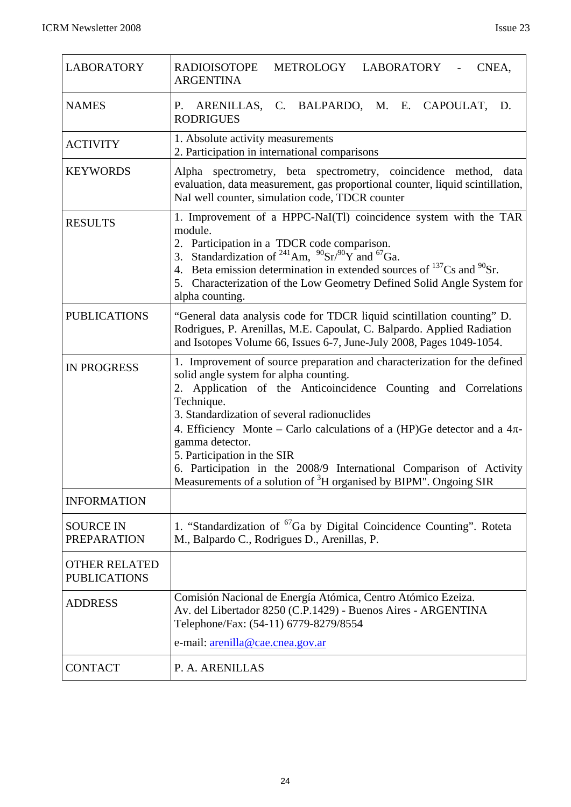| <b>LABORATORY</b>                           | <b>RADIOISOTOPE</b><br>METROLOGY LABORATORY<br>CNEA,<br><b>ARGENTINA</b>                                                                                                                                                                                                                                                                                                                                                                                                                                                                     |  |
|---------------------------------------------|----------------------------------------------------------------------------------------------------------------------------------------------------------------------------------------------------------------------------------------------------------------------------------------------------------------------------------------------------------------------------------------------------------------------------------------------------------------------------------------------------------------------------------------------|--|
| <b>NAMES</b>                                | ARENILLAS, C. BALPARDO, M. E. CAPOULAT, D.<br>P.<br><b>RODRIGUES</b>                                                                                                                                                                                                                                                                                                                                                                                                                                                                         |  |
| <b>ACTIVITY</b>                             | 1. Absolute activity measurements<br>2. Participation in international comparisons                                                                                                                                                                                                                                                                                                                                                                                                                                                           |  |
| <b>KEYWORDS</b>                             | Alpha spectrometry, beta spectrometry, coincidence method, data<br>evaluation, data measurement, gas proportional counter, liquid scintillation,<br>NaI well counter, simulation code, TDCR counter                                                                                                                                                                                                                                                                                                                                          |  |
| <b>RESULTS</b>                              | 1. Improvement of a HPPC-NaI(Tl) coincidence system with the TAR<br>module.<br>2. Participation in a TDCR code comparison.<br>3. Standardization of $^{241}$ Am, $^{90}$ Sr $/^{90}$ Y and $^{67}$ Ga.<br>4. Beta emission determination in extended sources of $^{137}Cs$ and $^{90}Sr$ .<br>5. Characterization of the Low Geometry Defined Solid Angle System for<br>alpha counting.                                                                                                                                                      |  |
| <b>PUBLICATIONS</b>                         | "General data analysis code for TDCR liquid scintillation counting" D.<br>Rodrigues, P. Arenillas, M.E. Capoulat, C. Balpardo. Applied Radiation<br>and Isotopes Volume 66, Issues 6-7, June-July 2008, Pages 1049-1054.                                                                                                                                                                                                                                                                                                                     |  |
| <b>IN PROGRESS</b>                          | 1. Improvement of source preparation and characterization for the defined<br>solid angle system for alpha counting.<br>2. Application of the Anticoincidence Counting and Correlations<br>Technique.<br>3. Standardization of several radionuclides<br>4. Efficiency Monte – Carlo calculations of a (HP)Ge detector and a $4\pi$ -<br>gamma detector.<br>5. Participation in the SIR<br>6. Participation in the 2008/9 International Comparison of Activity<br>Measurements of a solution of <sup>3</sup> H organised by BIPM". Ongoing SIR |  |
| <b>INFORMATION</b>                          |                                                                                                                                                                                                                                                                                                                                                                                                                                                                                                                                              |  |
| <b>SOURCE IN</b><br><b>PREPARATION</b>      | 1. "Standardization of <sup>67</sup> Ga by Digital Coincidence Counting". Roteta<br>M., Balpardo C., Rodrigues D., Arenillas, P.                                                                                                                                                                                                                                                                                                                                                                                                             |  |
| <b>OTHER RELATED</b><br><b>PUBLICATIONS</b> |                                                                                                                                                                                                                                                                                                                                                                                                                                                                                                                                              |  |
| <b>ADDRESS</b>                              | Comisión Nacional de Energía Atómica, Centro Atómico Ezeiza.<br>Av. del Libertador 8250 (C.P.1429) - Buenos Aires - ARGENTINA<br>Telephone/Fax: (54-11) 6779-8279/8554                                                                                                                                                                                                                                                                                                                                                                       |  |
|                                             | e-mail: arenilla@cae.cnea.gov.ar                                                                                                                                                                                                                                                                                                                                                                                                                                                                                                             |  |
| <b>CONTACT</b>                              | P. A. ARENILLAS                                                                                                                                                                                                                                                                                                                                                                                                                                                                                                                              |  |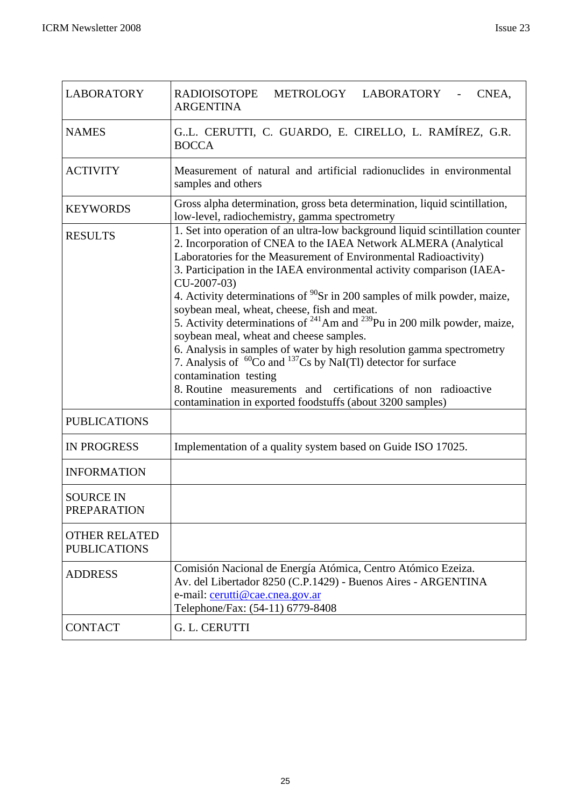| <b>LABORATORY</b>                           | <b>RADIOISOTOPE</b><br>METROLOGY LABORATORY<br>CNEA,                                                                                                                                                                                                                                                                                                                                                                                                                                                                                                                                                                                                                                                                                                                                                                                                                                        |
|---------------------------------------------|---------------------------------------------------------------------------------------------------------------------------------------------------------------------------------------------------------------------------------------------------------------------------------------------------------------------------------------------------------------------------------------------------------------------------------------------------------------------------------------------------------------------------------------------------------------------------------------------------------------------------------------------------------------------------------------------------------------------------------------------------------------------------------------------------------------------------------------------------------------------------------------------|
|                                             | <b>ARGENTINA</b>                                                                                                                                                                                                                                                                                                                                                                                                                                                                                                                                                                                                                                                                                                                                                                                                                                                                            |
| <b>NAMES</b>                                | G.L. CERUTTI, C. GUARDO, E. CIRELLO, L. RAMÍREZ, G.R.<br><b>BOCCA</b>                                                                                                                                                                                                                                                                                                                                                                                                                                                                                                                                                                                                                                                                                                                                                                                                                       |
| <b>ACTIVITY</b>                             | Measurement of natural and artificial radionuclides in environmental<br>samples and others                                                                                                                                                                                                                                                                                                                                                                                                                                                                                                                                                                                                                                                                                                                                                                                                  |
| <b>KEYWORDS</b>                             | Gross alpha determination, gross beta determination, liquid scintillation,<br>low-level, radiochemistry, gamma spectrometry                                                                                                                                                                                                                                                                                                                                                                                                                                                                                                                                                                                                                                                                                                                                                                 |
| <b>RESULTS</b>                              | 1. Set into operation of an ultra-low background liquid scintillation counter<br>2. Incorporation of CNEA to the IAEA Network ALMERA (Analytical<br>Laboratories for the Measurement of Environmental Radioactivity)<br>3. Participation in the IAEA environmental activity comparison (IAEA-<br>CU-2007-03)<br>4. Activity determinations of $^{90}Sr$ in 200 samples of milk powder, maize,<br>soybean meal, wheat, cheese, fish and meat.<br>5. Activity determinations of $241$ Am and $239$ Pu in 200 milk powder, maize,<br>soybean meal, wheat and cheese samples.<br>6. Analysis in samples of water by high resolution gamma spectrometry<br>7. Analysis of ${}^{60}Co$ and ${}^{137}Cs$ by NaI(Tl) detector for surface<br>contamination testing<br>certifications of non radioactive<br>8. Routine measurements and<br>contamination in exported foodstuffs (about 3200 samples) |
| <b>PUBLICATIONS</b>                         |                                                                                                                                                                                                                                                                                                                                                                                                                                                                                                                                                                                                                                                                                                                                                                                                                                                                                             |
| <b>IN PROGRESS</b>                          | Implementation of a quality system based on Guide ISO 17025.                                                                                                                                                                                                                                                                                                                                                                                                                                                                                                                                                                                                                                                                                                                                                                                                                                |
| <b>INFORMATION</b>                          |                                                                                                                                                                                                                                                                                                                                                                                                                                                                                                                                                                                                                                                                                                                                                                                                                                                                                             |
| <b>SOURCE IN</b><br>PREPARATION             |                                                                                                                                                                                                                                                                                                                                                                                                                                                                                                                                                                                                                                                                                                                                                                                                                                                                                             |
| <b>OTHER RELATED</b><br><b>PUBLICATIONS</b> |                                                                                                                                                                                                                                                                                                                                                                                                                                                                                                                                                                                                                                                                                                                                                                                                                                                                                             |
| <b>ADDRESS</b>                              | Comisión Nacional de Energía Atómica, Centro Atómico Ezeiza.<br>Av. del Libertador 8250 (C.P.1429) - Buenos Aires - ARGENTINA<br>e-mail: cerutti@cae.cnea.gov.ar<br>Telephone/Fax: (54-11) 6779-8408                                                                                                                                                                                                                                                                                                                                                                                                                                                                                                                                                                                                                                                                                        |
| <b>CONTACT</b>                              | G. L. CERUTTI                                                                                                                                                                                                                                                                                                                                                                                                                                                                                                                                                                                                                                                                                                                                                                                                                                                                               |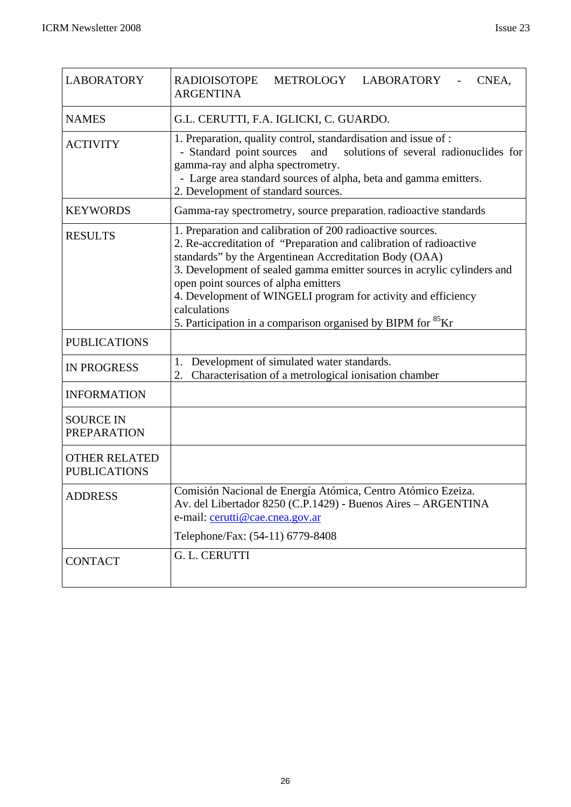| <b>LABORATORY</b>                           | <b>RADIOISOTOPE</b><br>METROLOGY LABORATORY<br>CNEA,<br><b>ARGENTINA</b>                                                                                                                                                                                                                                                                                                                                                                                                  |
|---------------------------------------------|---------------------------------------------------------------------------------------------------------------------------------------------------------------------------------------------------------------------------------------------------------------------------------------------------------------------------------------------------------------------------------------------------------------------------------------------------------------------------|
| <b>NAMES</b>                                | G.L. CERUTTI, F.A. IGLICKI, C. GUARDO.                                                                                                                                                                                                                                                                                                                                                                                                                                    |
| <b>ACTIVITY</b>                             | 1. Preparation, quality control, standardisation and issue of :<br>solutions of several radionuclides for<br>- Standard point sources<br>and<br>gamma-ray and alpha spectrometry.<br>- Large area standard sources of alpha, beta and gamma emitters.<br>2. Development of standard sources.                                                                                                                                                                              |
| <b>KEYWORDS</b>                             | Gamma-ray spectrometry, source preparation, radioactive standards                                                                                                                                                                                                                                                                                                                                                                                                         |
| <b>RESULTS</b>                              | 1. Preparation and calibration of 200 radioactive sources.<br>2. Re-accreditation of "Preparation and calibration of radioactive<br>standards" by the Argentinean Accreditation Body (OAA)<br>3. Development of sealed gamma emitter sources in acrylic cylinders and<br>open point sources of alpha emitters<br>4. Development of WINGELI program for activity and efficiency<br>calculations<br>5. Participation in a comparison organised by BIPM for <sup>85</sup> Kr |
| <b>PUBLICATIONS</b>                         |                                                                                                                                                                                                                                                                                                                                                                                                                                                                           |
| <b>IN PROGRESS</b>                          | Development of simulated water standards.<br>1.<br>Characterisation of a metrological ionisation chamber<br>2.                                                                                                                                                                                                                                                                                                                                                            |
| <b>INFORMATION</b>                          |                                                                                                                                                                                                                                                                                                                                                                                                                                                                           |
| <b>SOURCE IN</b><br><b>PREPARATION</b>      |                                                                                                                                                                                                                                                                                                                                                                                                                                                                           |
| <b>OTHER RELATED</b><br><b>PUBLICATIONS</b> |                                                                                                                                                                                                                                                                                                                                                                                                                                                                           |
| <b>ADDRESS</b>                              | Comisión Nacional de Energía Atómica, Centro Atómico Ezeiza.<br>Av. del Libertador 8250 (C.P.1429) - Buenos Aires - ARGENTINA<br>e-mail: cerutti@cae.cnea.gov.ar<br>Telephone/Fax: (54-11) 6779-8408                                                                                                                                                                                                                                                                      |
| <b>CONTACT</b>                              | G. L. CERUTTI                                                                                                                                                                                                                                                                                                                                                                                                                                                             |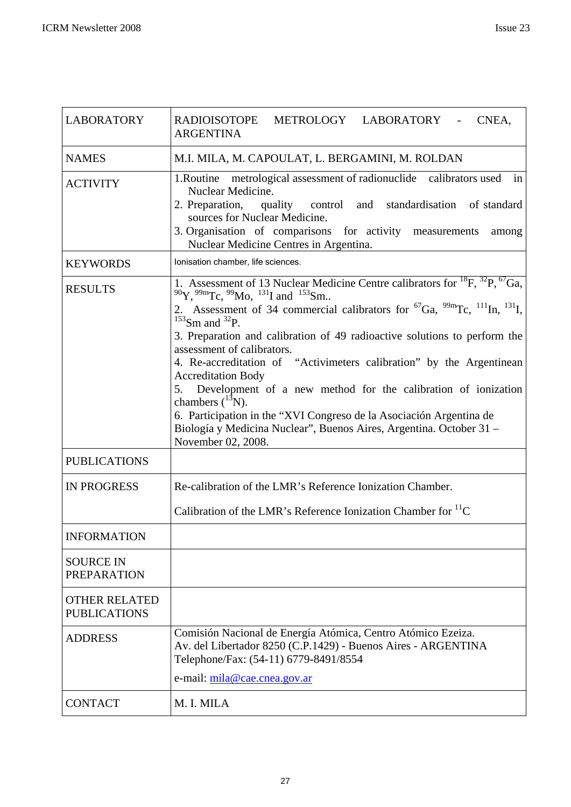| <b>LABORATORY</b>                                           | METROLOGY LABORATORY - CNEA,<br>RADIOISOTOPE<br><b>ARGENTINA</b>                                                                                                                                                                                                                                                                                                                                                                                                                                                                                                                                                                                                                                                                                                                                                                      |
|-------------------------------------------------------------|---------------------------------------------------------------------------------------------------------------------------------------------------------------------------------------------------------------------------------------------------------------------------------------------------------------------------------------------------------------------------------------------------------------------------------------------------------------------------------------------------------------------------------------------------------------------------------------------------------------------------------------------------------------------------------------------------------------------------------------------------------------------------------------------------------------------------------------|
| <b>NAMES</b>                                                | M.I. MILA, M. CAPOULAT, L. BERGAMINI, M. ROLDAN                                                                                                                                                                                                                                                                                                                                                                                                                                                                                                                                                                                                                                                                                                                                                                                       |
| <b>ACTIVITY</b>                                             | 1. Routine metrological assessment of radionuclide calibrators used<br>in<br>Nuclear Medicine.<br>2. Preparation, quality control and standardisation of standard<br>sources for Nuclear Medicine.<br>3. Organisation of comparisons for activity measurements<br>among<br>Nuclear Medicine Centres in Argentina.                                                                                                                                                                                                                                                                                                                                                                                                                                                                                                                     |
| <b>KEYWORDS</b>                                             | Ionisation chamber, life sciences.                                                                                                                                                                                                                                                                                                                                                                                                                                                                                                                                                                                                                                                                                                                                                                                                    |
| <b>RESULTS</b><br><b>PUBLICATIONS</b><br><b>IN PROGRESS</b> | 1. Assessment of 13 Nuclear Medicine Centre calibrators for ${}^{18}F, {}^{32}P, {}^{67}Ga,$<br>$^{90}Y, ^{99m}Tc, ^{99}Mo, ^{131}I$ and $^{153}Sm$<br>2. Assessment of 34 commercial calibrators for ${}^{67}Ga$ , ${}^{99m}Te$ , ${}^{111}In$ , ${}^{131}I$ ,<br>$153$ Sm and $32$ P.<br>3. Preparation and calibration of 49 radioactive solutions to perform the<br>assessment of calibrators.<br>4. Re-accreditation of "Activimeters calibration" by the Argentinean<br><b>Accreditation Body</b><br>5. Development of a new method for the calibration of ionization<br>chambers $(^{13}N)$ .<br>6. Participation in the "XVI Congreso de la Asociación Argentina de<br>Biología y Medicina Nuclear", Buenos Aires, Argentina. October 31 -<br>November 02, 2008.<br>Re-calibration of the LMR's Reference Ionization Chamber. |
|                                                             | Calibration of the LMR's Reference Ionization Chamber for ${}^{11}C$                                                                                                                                                                                                                                                                                                                                                                                                                                                                                                                                                                                                                                                                                                                                                                  |
| <b>INFORMATION</b>                                          |                                                                                                                                                                                                                                                                                                                                                                                                                                                                                                                                                                                                                                                                                                                                                                                                                                       |
| <b>SOURCE IN</b><br><b>PREPARATION</b>                      |                                                                                                                                                                                                                                                                                                                                                                                                                                                                                                                                                                                                                                                                                                                                                                                                                                       |
| <b>OTHER RELATED</b><br><b>PUBLICATIONS</b>                 |                                                                                                                                                                                                                                                                                                                                                                                                                                                                                                                                                                                                                                                                                                                                                                                                                                       |
| <b>ADDRESS</b>                                              | Comisión Nacional de Energía Atómica, Centro Atómico Ezeiza.<br>Av. del Libertador 8250 (C.P.1429) - Buenos Aires - ARGENTINA<br>Telephone/Fax: (54-11) 6779-8491/8554                                                                                                                                                                                                                                                                                                                                                                                                                                                                                                                                                                                                                                                                |
|                                                             | e-mail: mila@cae.cnea.gov.ar                                                                                                                                                                                                                                                                                                                                                                                                                                                                                                                                                                                                                                                                                                                                                                                                          |
| <b>CONTACT</b>                                              | M. I. MILA                                                                                                                                                                                                                                                                                                                                                                                                                                                                                                                                                                                                                                                                                                                                                                                                                            |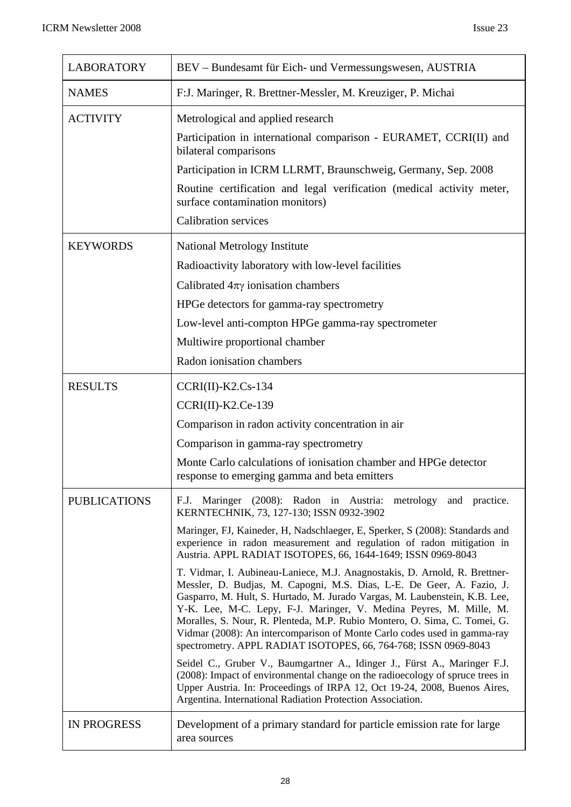| <b>LABORATORY</b>   | BEV – Bundesamt für Eich- und Vermessungswesen, AUSTRIA                                                                                                                                                                                                                                                                                                                                                                                                                                                                             |
|---------------------|-------------------------------------------------------------------------------------------------------------------------------------------------------------------------------------------------------------------------------------------------------------------------------------------------------------------------------------------------------------------------------------------------------------------------------------------------------------------------------------------------------------------------------------|
| <b>NAMES</b>        | F: J. Maringer, R. Brettner-Messler, M. Kreuziger, P. Michai                                                                                                                                                                                                                                                                                                                                                                                                                                                                        |
| <b>ACTIVITY</b>     | Metrological and applied research                                                                                                                                                                                                                                                                                                                                                                                                                                                                                                   |
|                     | Participation in international comparison - EURAMET, CCRI(II) and<br>bilateral comparisons                                                                                                                                                                                                                                                                                                                                                                                                                                          |
|                     | Participation in ICRM LLRMT, Braunschweig, Germany, Sep. 2008                                                                                                                                                                                                                                                                                                                                                                                                                                                                       |
|                     | Routine certification and legal verification (medical activity meter,<br>surface contamination monitors)                                                                                                                                                                                                                                                                                                                                                                                                                            |
|                     | <b>Calibration services</b>                                                                                                                                                                                                                                                                                                                                                                                                                                                                                                         |
| <b>KEYWORDS</b>     | <b>National Metrology Institute</b>                                                                                                                                                                                                                                                                                                                                                                                                                                                                                                 |
|                     | Radioactivity laboratory with low-level facilities                                                                                                                                                                                                                                                                                                                                                                                                                                                                                  |
|                     | Calibrated $4\pi\gamma$ ionisation chambers                                                                                                                                                                                                                                                                                                                                                                                                                                                                                         |
|                     | HPGe detectors for gamma-ray spectrometry                                                                                                                                                                                                                                                                                                                                                                                                                                                                                           |
|                     | Low-level anti-compton HPGe gamma-ray spectrometer                                                                                                                                                                                                                                                                                                                                                                                                                                                                                  |
|                     | Multiwire proportional chamber                                                                                                                                                                                                                                                                                                                                                                                                                                                                                                      |
|                     | Radon ionisation chambers                                                                                                                                                                                                                                                                                                                                                                                                                                                                                                           |
| <b>RESULTS</b>      | $CCRI(II)-K2.Cs-134$                                                                                                                                                                                                                                                                                                                                                                                                                                                                                                                |
|                     | $CCRI(II)-K2.Ce-139$                                                                                                                                                                                                                                                                                                                                                                                                                                                                                                                |
|                     | Comparison in radon activity concentration in air                                                                                                                                                                                                                                                                                                                                                                                                                                                                                   |
|                     | Comparison in gamma-ray spectrometry                                                                                                                                                                                                                                                                                                                                                                                                                                                                                                |
|                     | Monte Carlo calculations of ionisation chamber and HPGe detector<br>response to emerging gamma and beta emitters                                                                                                                                                                                                                                                                                                                                                                                                                    |
| <b>PUBLICATIONS</b> | Maringer (2008): Radon in Austria: metrology and practice.<br>F.J.<br>KERNTECHNIK, 73, 127-130; ISSN 0932-3902                                                                                                                                                                                                                                                                                                                                                                                                                      |
|                     | Maringer, FJ, Kaineder, H, Nadschlaeger, E, Sperker, S (2008): Standards and<br>experience in radon measurement and regulation of radon mitigation in<br>Austria. APPL RADIAT ISOTOPES, 66, 1644-1649; ISSN 0969-8043                                                                                                                                                                                                                                                                                                               |
|                     | T. Vidmar, I. Aubineau-Laniece, M.J. Anagnostakis, D. Arnold, R. Brettner-<br>Messler, D. Budjas, M. Capogni, M.S. Dias, L-E. De Geer, A. Fazio, J.<br>Gasparro, M. Hult, S. Hurtado, M. Jurado Vargas, M. Laubenstein, K.B. Lee,<br>Y-K. Lee, M-C. Lepy, F-J. Maringer, V. Medina Peyres, M. Mille, M.<br>Moralles, S. Nour, R. Plenteda, M.P. Rubio Montero, O. Sima, C. Tomei, G.<br>Vidmar (2008): An intercomparison of Monte Carlo codes used in gamma-ray<br>spectrometry. APPL RADIAT ISOTOPES, 66, 764-768; ISSN 0969-8043 |
|                     | Seidel C., Gruber V., Baumgartner A., Idinger J., Fürst A., Maringer F.J.<br>(2008): Impact of environmental change on the radioecology of spruce trees in<br>Upper Austria. In: Proceedings of IRPA 12, Oct 19-24, 2008, Buenos Aires,<br>Argentina. International Radiation Protection Association.                                                                                                                                                                                                                               |
| <b>IN PROGRESS</b>  | Development of a primary standard for particle emission rate for large<br>area sources                                                                                                                                                                                                                                                                                                                                                                                                                                              |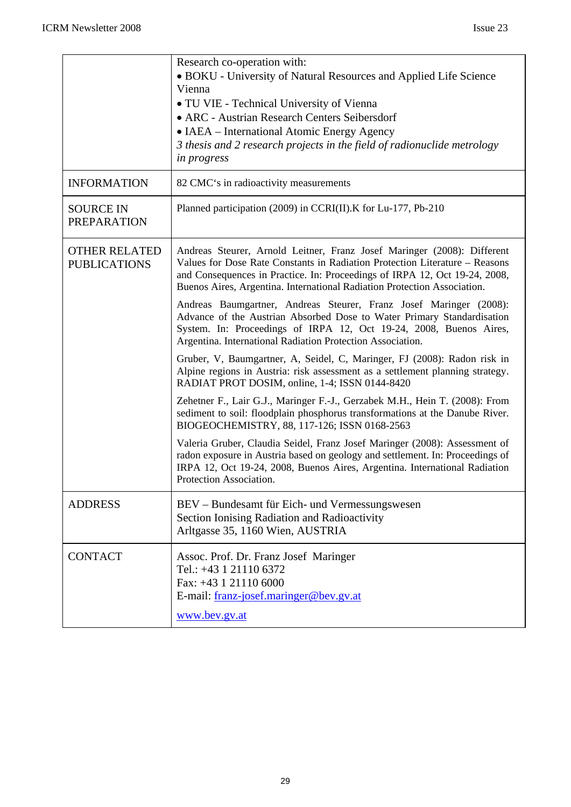|                                             | Research co-operation with:<br>• BOKU - University of Natural Resources and Applied Life Science<br>Vienna<br>• TU VIE - Technical University of Vienna<br>• ARC - Austrian Research Centers Seibersdorf<br>• IAEA – International Atomic Energy Agency<br>3 thesis and 2 research projects in the field of radionuclide metrology<br><i>in progress</i> |
|---------------------------------------------|----------------------------------------------------------------------------------------------------------------------------------------------------------------------------------------------------------------------------------------------------------------------------------------------------------------------------------------------------------|
| <b>INFORMATION</b>                          | 82 CMC's in radioactivity measurements                                                                                                                                                                                                                                                                                                                   |
| <b>SOURCE IN</b><br><b>PREPARATION</b>      | Planned participation (2009) in CCRI(II).K for Lu-177, Pb-210                                                                                                                                                                                                                                                                                            |
| <b>OTHER RELATED</b><br><b>PUBLICATIONS</b> | Andreas Steurer, Arnold Leitner, Franz Josef Maringer (2008): Different<br>Values for Dose Rate Constants in Radiation Protection Literature - Reasons<br>and Consequences in Practice. In: Proceedings of IRPA 12, Oct 19-24, 2008,<br>Buenos Aires, Argentina. International Radiation Protection Association.                                         |
|                                             | Andreas Baumgartner, Andreas Steurer, Franz Josef Maringer (2008):<br>Advance of the Austrian Absorbed Dose to Water Primary Standardisation<br>System. In: Proceedings of IRPA 12, Oct 19-24, 2008, Buenos Aires,<br>Argentina. International Radiation Protection Association.                                                                         |
|                                             | Gruber, V, Baumgartner, A, Seidel, C, Maringer, FJ (2008): Radon risk in<br>Alpine regions in Austria: risk assessment as a settlement planning strategy.<br>RADIAT PROT DOSIM, online, 1-4; ISSN 0144-8420                                                                                                                                              |
|                                             | Zehetner F., Lair G.J., Maringer F.-J., Gerzabek M.H., Hein T. (2008): From<br>sediment to soil: floodplain phosphorus transformations at the Danube River.<br>BIOGEOCHEMISTRY, 88, 117-126; ISSN 0168-2563                                                                                                                                              |
|                                             | Valeria Gruber, Claudia Seidel, Franz Josef Maringer (2008): Assessment of<br>radon exposure in Austria based on geology and settlement. In: Proceedings of<br>IRPA 12, Oct 19-24, 2008, Buenos Aires, Argentina. International Radiation<br>Protection Association.                                                                                     |
| <b>ADDRESS</b>                              | BEV – Bundesamt für Eich- und Vermessungswesen<br>Section Ionising Radiation and Radioactivity<br>Arltgasse 35, 1160 Wien, AUSTRIA                                                                                                                                                                                                                       |
| <b>CONTACT</b>                              | Assoc. Prof. Dr. Franz Josef Maringer<br>Tel.: +43 1 21110 6372<br>Fax: +43 1 21110 6000<br>E-mail: franz-josef.maringer@bev.gv.at<br>www.bev.gv.at                                                                                                                                                                                                      |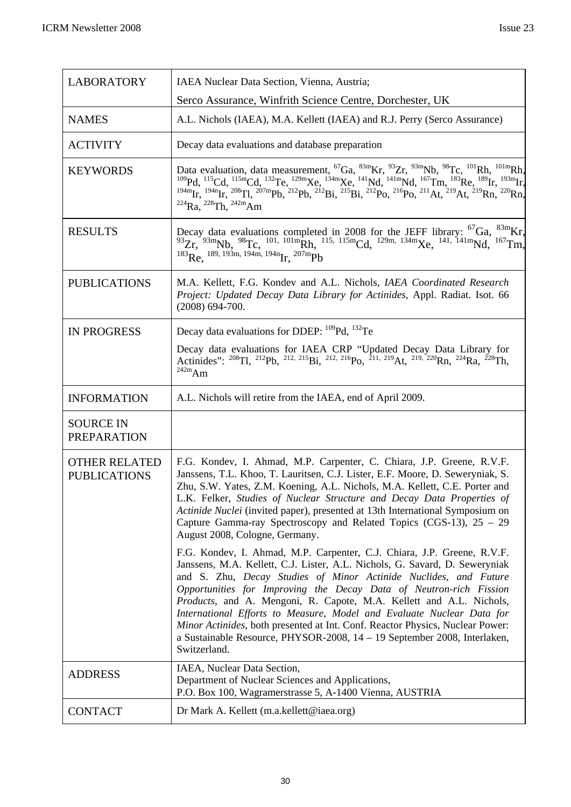| <b>LABORATORY</b>                           | IAEA Nuclear Data Section, Vienna, Austria;                                                                                                                                                                                                                                                                                                                                                                                                                                                                                                                                                                                   |
|---------------------------------------------|-------------------------------------------------------------------------------------------------------------------------------------------------------------------------------------------------------------------------------------------------------------------------------------------------------------------------------------------------------------------------------------------------------------------------------------------------------------------------------------------------------------------------------------------------------------------------------------------------------------------------------|
|                                             | Serco Assurance, Winfrith Science Centre, Dorchester, UK                                                                                                                                                                                                                                                                                                                                                                                                                                                                                                                                                                      |
| <b>NAMES</b>                                | A.L. Nichols (IAEA), M.A. Kellett (IAEA) and R.J. Perry (Serco Assurance)                                                                                                                                                                                                                                                                                                                                                                                                                                                                                                                                                     |
| <b>ACTIVITY</b>                             | Decay data evaluations and database preparation                                                                                                                                                                                                                                                                                                                                                                                                                                                                                                                                                                               |
| <b>KEYWORDS</b>                             | Data evaluation, data measurement, <sup>67</sup> Ga, <sup>83m</sup> Kr, <sup>93</sup> Zr, <sup>93m</sup> Nb, <sup>98</sup> Tc, <sup>101</sup> Rh, <sup>101m</sup> Rh, <sup>109</sup> Pd, <sup>115</sup> Cd, <sup>115m</sup> Cd, <sup>132</sup> Te, <sup>129m</sup> Xe, <sup>134m</sup> Xe, <sup>141</sup> Nd, <sup>141m</sup> Nd, <sup>167</sup> Tm, <sup>183</sup> Re, <sup>189</sup> Ir, <sup>193m</sup> Ir, <sup>194m</sup> Ir, <sup>1</sup><br>$^{224}$ Ra, $^{228}$ Th, $^{242m}$ Am                                                                                                                                     |
| <b>RESULTS</b>                              | Decay data evaluations completed in 2008 for the JEFF library: ${}^{67}Ga$ , ${}^{83m}Kr$ ,<br>$^{93}Zr$ , $^{93m}Nb$ , $^{98}Tc$ , $^{101}$ , $^{101m}Rh$ , $^{115}$ , $^{115m}Cd$ , $^{129m}$ , $^{134m}Xe$ , $^{141}$ , $^{141m}Nd$ , $^{167}Tm$ , $^{183}Re$ , $^{189}$ , $^{193m}$ , $^{194m}$ , $^{194n}Ir$ , $^{207m}Pb$                                                                                                                                                                                                                                                                                               |
| <b>PUBLICATIONS</b>                         | M.A. Kellett, F.G. Kondev and A.L. Nichols, IAEA Coordinated Research<br>Project: Updated Decay Data Library for Actinides, Appl. Radiat. Isot. 66<br>$(2008) 694-700.$                                                                                                                                                                                                                                                                                                                                                                                                                                                       |
| <b>IN PROGRESS</b>                          | Decay data evaluations for DDEP: <sup>109</sup> Pd, <sup>132</sup> Te                                                                                                                                                                                                                                                                                                                                                                                                                                                                                                                                                         |
|                                             | Decay data evaluations for IAEA CRP "Updated Decay Data Library for Actinides": <sup>208</sup> Tl, <sup>212</sup> Pb, <sup>212, 215</sup> Bi, <sup>212, 216</sup> Po, <sup>211, 219</sup> At, <sup>219, 220</sup> Rn, <sup>224</sup> Ra, <sup>228</sup> Th,<br>$242m$ Am                                                                                                                                                                                                                                                                                                                                                      |
| <b>INFORMATION</b>                          | A.L. Nichols will retire from the IAEA, end of April 2009.                                                                                                                                                                                                                                                                                                                                                                                                                                                                                                                                                                    |
| <b>SOURCE IN</b><br><b>PREPARATION</b>      |                                                                                                                                                                                                                                                                                                                                                                                                                                                                                                                                                                                                                               |
| <b>OTHER RELATED</b><br><b>PUBLICATIONS</b> | F.G. Kondev, I. Ahmad, M.P. Carpenter, C. Chiara, J.P. Greene, R.V.F.<br>Janssens, T.L. Khoo, T. Lauritsen, C.J. Lister, E.F. Moore, D. Seweryniak, S.<br>Zhu, S.W. Yates, Z.M. Koening, A.L. Nichols, M.A. Kellett, C.E. Porter and<br>L.K. Felker, Studies of Nuclear Structure and Decay Data Properties of<br>Actinide Nuclei (invited paper), presented at 13th International Symposium on<br>Capture Gamma-ray Spectroscopy and Related Topics (CGS-13), 25 - 29<br>August 2008, Cologne, Germany.                                                                                                                      |
|                                             | F.G. Kondev, I. Ahmad, M.P. Carpenter, C.J. Chiara, J.P. Greene, R.V.F.<br>Janssens, M.A. Kellett, C.J. Lister, A.L. Nichols, G. Savard, D. Seweryniak<br>and S. Zhu, Decay Studies of Minor Actinide Nuclides, and Future<br>Opportunities for Improving the Decay Data of Neutron-rich Fission<br>Products, and A. Mengoni, R. Capote, M.A. Kellett and A.L. Nichols,<br>International Efforts to Measure, Model and Evaluate Nuclear Data for<br>Minor Actinides, both presented at Int. Conf. Reactor Physics, Nuclear Power:<br>a Sustainable Resource, PHYSOR-2008, 14 - 19 September 2008, Interlaken,<br>Switzerland. |
| <b>ADDRESS</b>                              | IAEA, Nuclear Data Section,<br>Department of Nuclear Sciences and Applications,<br>P.O. Box 100, Wagramerstrasse 5, A-1400 Vienna, AUSTRIA                                                                                                                                                                                                                                                                                                                                                                                                                                                                                    |
| <b>CONTACT</b>                              | Dr Mark A. Kellett (m.a.kellett@iaea.org)                                                                                                                                                                                                                                                                                                                                                                                                                                                                                                                                                                                     |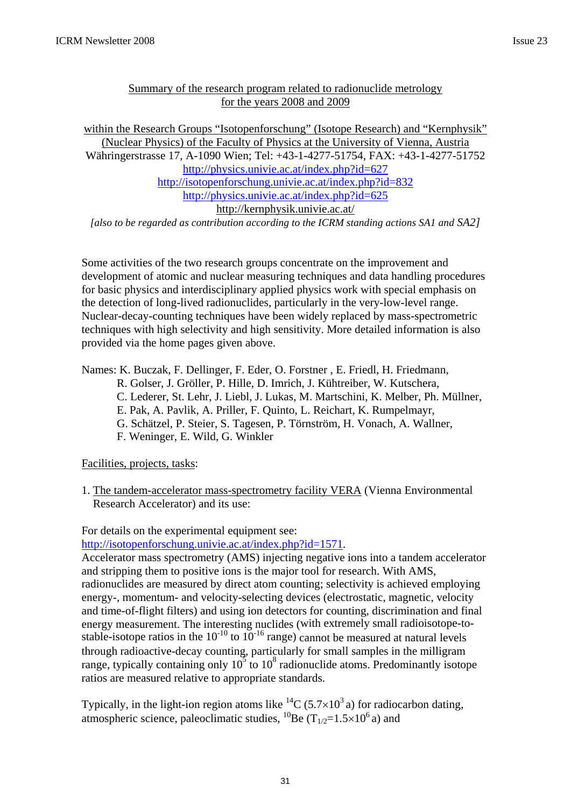#### Summary of the research program related to radionuclide metrology for the years 2008 and 2009

within the Research Groups "Isotopenforschung" (Isotope Research) and "Kernphysik" (Nuclear Physics) of the Faculty of Physics at the University of Vienna, Austria Währingerstrasse 17, A-1090 Wien; Tel: +43-1-4277-51754, FAX: +43-1-4277-51752 <http://physics.univie.ac.at/index.php?id=627> <http://isotopenforschung.univie.ac.at/index.php?id=832> <http://physics.univie.ac.at/index.php?id=625> http://kernphysik.univie.ac.at/ *[also to be regarded as contribution according to the ICRM standing actions SA1 and SA2]* 

Some activities of the two research groups concentrate on the improvement and development of atomic and nuclear measuring techniques and data handling procedures for basic physics and interdisciplinary applied physics work with special emphasis on the detection of long-lived radionuclides, particularly in the very-low-level range. Nuclear-decay-counting techniques have been widely replaced by mass-spectrometric techniques with high selectivity and high sensitivity. More detailed information is also provided via the home pages given above.

Names: K. Buczak, F. Dellinger, F. Eder, O. Forstner , E. Friedl, H. Friedmann,

- R. Golser, J. Gröller, P. Hille, D. Imrich, J. Kühtreiber, W. Kutschera,
- C. Lederer, St. Lehr, J. Liebl, J. Lukas, M. Martschini, K. Melber, Ph. Müllner,
- E. Pak, A. Pavlik, A. Priller, F. Quinto, L. Reichart, K. Rumpelmayr,
- G. Schätzel, P. Steier, S. Tagesen, P. Törnström, H. Vonach, A. Wallner,
- F. Weninger, E. Wild, G. Winkler

Facilities, projects, tasks:

1. The tandem-accelerator mass-spectrometry facility VERA (Vienna Environmental Research Accelerator) and its use:

For details on the experimental equipment see:

http://isotopenforschung.univie.ac.at/index.php?id=1571.

Accelerator mass spectrometry (AMS) injecting negative ions into a tandem accelerator and stripping them to positive ions is the major tool for research. With AMS, radionuclides are measured by direct atom counting; selectivity is achieved employing energy-, momentum- and velocity-selecting devices (electrostatic, magnetic, velocity and time-of-flight filters) and using ion detectors for counting, discrimination and final energy measurement. The interesting nuclides (with extremely small radioisotope-tostable-isotope ratios in the  $10^{-10}$  to  $10^{-16}$  range) cannot be measured at natural levels through radioactive-decay counting, particularly for small samples in the milligram range, typically containing only  $10^5$  to  $10^8$  radionuclide atoms. Predominantly isotope ratios are measured relative to appropriate standards.

Typically, in the light-ion region atoms like  ${}^{14}C$  (5.7×10<sup>3</sup> a) for radiocarbon dating, atmospheric science, paleoclimatic studies,  ${}^{10}$ Be (T<sub>1/2</sub>=1.5×10<sup>6</sup> a) and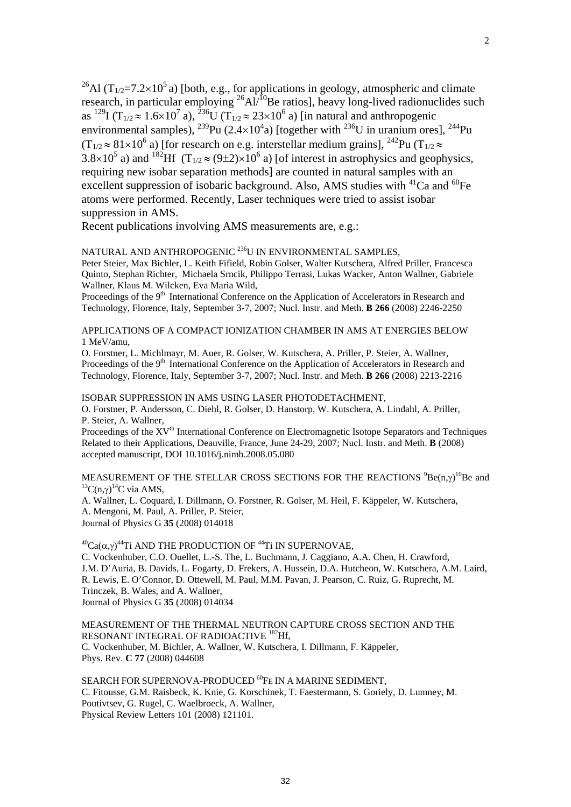<sup>26</sup>Al (T<sub>1/2</sub>=7.2×10<sup>5</sup> a) [both, e.g., for applications in geology, atmospheric and climate research, in particular employing  $^{26}$ Al/ $^{10}$ Be ratios], heavy long-lived radionuclides such as <sup>129</sup>I (T<sub>1/2</sub>  $\approx$  1.6×10<sup>7</sup> a), <sup>236</sup>U (T<sub>1/2</sub>  $\approx$  23×10<sup>6</sup> a) [in natural and anthropogenic environmental samples),  $^{239}$ Pu (2.4×10<sup>4</sup>a) [together with  $^{236}$ U in uranium ores],  $^{244}$ Pu  $(T_{1/2} \approx 81 \times 10^6$  a) [for research on e.g. interstellar medium grains],  $^{242}$ Pu (T<sub>1/2</sub>  $\approx$ 3.8×10<sup>5</sup> a) and <sup>182</sup>Hf (T<sub>1/2</sub>  $\approx$  (9±2)×10<sup>6</sup> a) [of interest in astrophysics and geophysics, requiring new isobar separation methods] are counted in natural samples with an excellent suppression of isobaric background. Also, AMS studies with  ${}^{41}Ca$  and  ${}^{60}Fe$ atoms were performed. Recently, Laser techniques were tried to assist isobar suppression in AMS.

Recent publications involving AMS measurements are, e.g.:

NATURAL AND ANTHROPOGENIC<sup>236</sup>U IN ENVIRONMENTAL SAMPLES,

Peter Steier, Max Bichler, L. Keith Fifield, Robin Golser, Walter Kutschera, Alfred Priller, Francesca Quinto, Stephan Richter, Michaela Srncik, Philippo Terrasi, Lukas Wacker, Anton Wallner, Gabriele Wallner, Klaus M. Wilcken, Eva Maria Wild,

Proceedings of the 9<sup>th</sup> International Conference on the Application of Accelerators in Research and Technology, Florence, Italy, September 3-7, 2007; Nucl. Instr. and Meth. **B 266** (2008) 2246-2250

APPLICATIONS OF A COMPACT IONIZATION CHAMBER IN AMS AT ENERGIES BELOW 1 MeV/amu,

O. Forstner, L. Michlmayr, M. Auer, R. Golser, W. Kutschera, A. Priller, P. Steier, A. Wallner, Proceedings of the 9<sup>th</sup> International Conference on the Application of Accelerators in Research and Technology, Florence, Italy, September 3-7, 2007; Nucl. Instr. and Meth. **B 266** (2008) 2213-2216

ISOBAR SUPPRESSION IN AMS USING LASER PHOTODETACHMENT, O. Forstner, P. Andersson, C. Diehl, R. Golser, D. Hanstorp, W. Kutschera, A. Lindahl, A. Priller, P. Steier, A. Wallner,

Proceedings of the XV<sup>th</sup> International Conference on Electromagnetic Isotope Separators and Techniques Related to their Applications, Deauville, France, June 24-29, 2007; Nucl. Instr. and Meth. **B** (2008) accepted manuscript, DOI 10.1016/j.nimb.2008.05.080

MEASUREMENT OF THE STELLAR CROSS SECTIONS FOR THE REACTIONS  $^{9}Be(n,\gamma)^{10}Be$  and  $^{13}C(n,\gamma)^{14}C$  via AMS,  ${}^{13}C(n,\gamma)$ <sup>14</sup>C via AMS,

A. Wallner, L. Coquard, I. Dillmann, O. Forstner, R. Golser, M. Heil, F. Käppeler, W. Kutschera, A. Mengoni, M. Paul, A. Priller, P. Steier, Journal of Physics G **35** (2008) 014018

<sup>40</sup>Ca(α,γ)<sup>44</sup>Ti AND THE PRODUCTION OF <sup>44</sup>Ti IN SUPERNOVAE, C. Vockenhuber, C.O. Ouellet, L.-S. The, L. Buchmann, J. Caggiano, A.A. Chen, H. Crawford, J.M. D'Auria, B. Davids, L. Fogarty, D. Frekers, A. Hussein, D.A. Hutcheon, W. Kutschera, A.M. Laird, R. Lewis, E. O'Connor, D. Ottewell, M. Paul, M.M. Pavan, J. Pearson, C. Ruiz, G. Ruprecht, M. Trinczek, B. Wales, and A. Wallner, Journal of Physics G **35** (2008) 014034

MEASUREMENT OF THE THERMAL NEUTRON CAPTURE CROSS SECTION AND THE RESONANT INTEGRAL OF RADIOACTIVE 182Hf, C. Vockenhuber, M. Bichler, A. Wallner, W. Kutschera, I. Dillmann, F. Käppeler, Phys. Rev. **C 77** (2008) 044608

SEARCH FOR SUPERNOVA-PRODUCED<sup>60</sup>FE IN A MARINE SEDIMENT. C. Fitousse, G.M. Raisbeck, K. Knie, G. Korschinek, T. Faestermann, S. Goriely, D. Lumney, M. Poutivtsev, G. Rugel, C. Waelbroeck, A. Wallner, Physical Review Letters 101 (2008) 121101.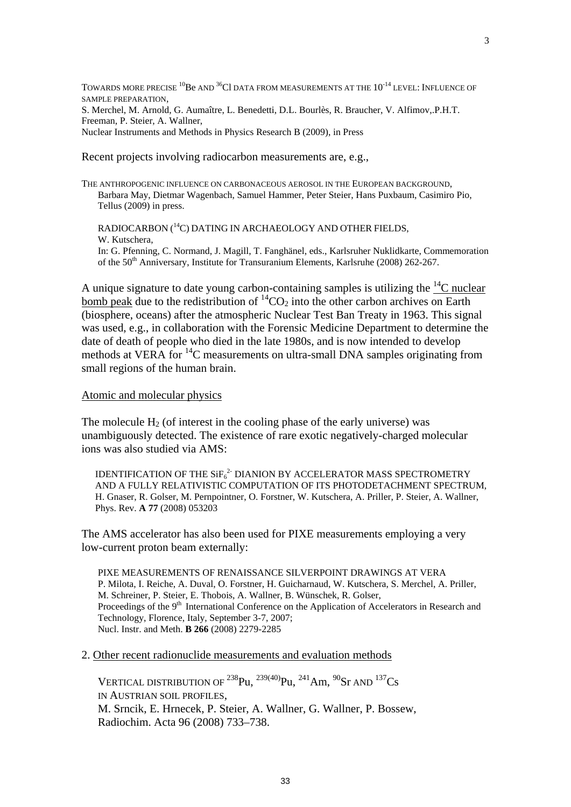TOWARDS MORE PRECISE  $^{10}$ Be AND  $^{36}$ Cl DATA FROM MEASUREMENTS AT THE  $10^{-14}$  LEVEL: INFLUENCE OF SAMPLE PREPARATION,

S. Merchel, M. Arnold, G. Aumaître, L. Benedetti, D.L. Bourlès, R. Braucher, V. Alfimov,.P.H.T. Freeman, P. Steier, A. Wallner,

Nuclear Instruments and Methods in Physics Research B (2009), in Press

Recent projects involving radiocarbon measurements are, e.g.,

THE ANTHROPOGENIC INFLUENCE ON CARBONACEOUS AEROSOL IN THE EUROPEAN BACKGROUND, Barbara May, Dietmar Wagenbach, Samuel Hammer, Peter Steier, Hans Puxbaum, Casimiro Pio, Tellus (2009) in press.

RADIOCARBON (<sup>14</sup>C) DATING IN ARCHAEOLOGY AND OTHER FIELDS, W. Kutschera, In: G. Pfenning, C. Normand, J. Magill, T. Fanghänel, eds., Karlsruher Nuklidkarte, Commemoration of the 50<sup>th</sup> Anniversary, Institute for Transuranium Elements, Karlsruhe (2008) 262-267.

A unique signature to date young carbon-containing samples is utilizing the  ${}^{14}C$  nuclear bomb peak due to the redistribution of  ${}^{14}CO_2$  into the other carbon archives on Earth (biosphere, oceans) after the atmospheric Nuclear Test Ban Treaty in 1963. This signal was used, e.g., in collaboration with the Forensic Medicine Department to determine the date of death of people who died in the late 1980s, and is now intended to develop methods at VERA for  ${}^{14}C$  measurements on ultra-small DNA samples originating from small regions of the human brain.

#### Atomic and molecular physics

The molecule  $H_2$  (of interest in the cooling phase of the early universe) was unambiguously detected. The existence of rare exotic negatively-charged molecular ions was also studied via AMS:

IDENTIFICATION OF THE  $\mathrm{SiF_6}^{2-}$  DIANION BY ACCELERATOR MASS SPECTROMETRY AND A FULLY RELATIVISTIC COMPUTATION OF ITS PHOTODETACHMENT SPECTRUM, H. Gnaser, R. Golser, M. Pernpointner, O. Forstner, W. Kutschera, A. Priller, P. Steier, A. Wallner, Phys. Rev. **A 77** (2008) 053203

The AMS accelerator has also been used for PIXE measurements employing a very low-current proton beam externally:

PIXE MEASUREMENTS OF RENAISSANCE SILVERPOINT DRAWINGS AT VERA P. Milota, I. Reiche, A. Duval, O. Forstner, H. Guicharnaud, W. Kutschera, S. Merchel, A. Priller, M. Schreiner, P. Steier, E. Thobois, A. Wallner, B. Wünschek, R. Golser, Proceedings of the 9<sup>th</sup> International Conference on the Application of Accelerators in Research and Technology, Florence, Italy, September 3-7, 2007; Nucl. Instr. and Meth. **B 266** (2008) 2279-2285

2. Other recent radionuclide measurements and evaluation methods

VERTICAL DISTRIBUTION OF  $^{238}$ Pu,  $^{239(40)}$ Pu,  $^{241}$ Am,  $^{90}$ Sr AND  $^{137}$ Cs IN AUSTRIAN SOIL PROFILES, M. Srncik, E. Hrnecek, P. Steier, A. Wallner, G. Wallner, P. Bossew, Radiochim. Acta 96 (2008) 733–738.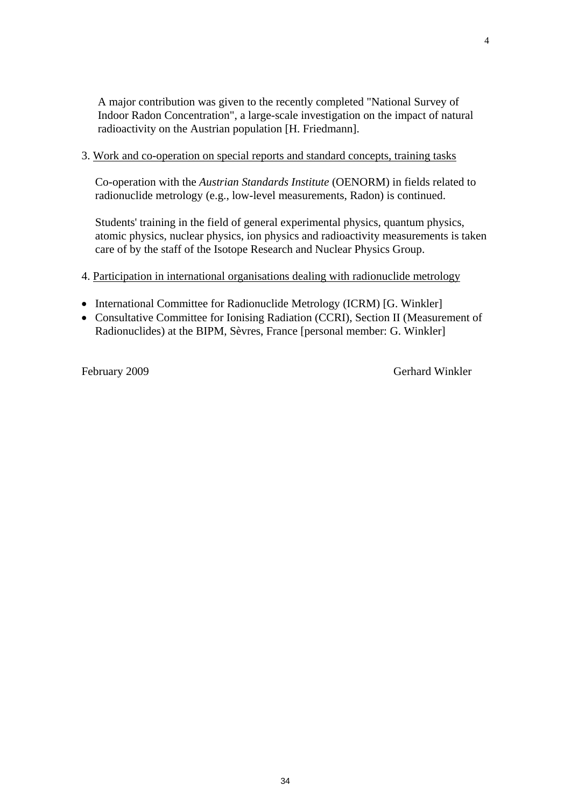A major contribution was given to the recently completed "National Survey of Indoor Radon Concentration", a large-scale investigation on the impact of natural radioactivity on the Austrian population [H. Friedmann].

#### 3. Work and co-operation on special reports and standard concepts, training tasks

Co-operation with the *Austrian Standards Institute* (OENORM) in fields related to radionuclide metrology (e.g., low-level measurements, Radon) is continued.

Students' training in the field of general experimental physics, quantum physics, atomic physics, nuclear physics, ion physics and radioactivity measurements is taken care of by the staff of the Isotope Research and Nuclear Physics Group.

- 4. Participation in international organisations dealing with radionuclide metrology
- International Committee for Radionuclide Metrology (ICRM) [G. Winkler]
- Consultative Committee for Ionising Radiation (CCRI), Section II (Measurement of Radionuclides) at the BIPM, Sèvres, France [personal member: G. Winkler]

February 2009 Gerhard Winkler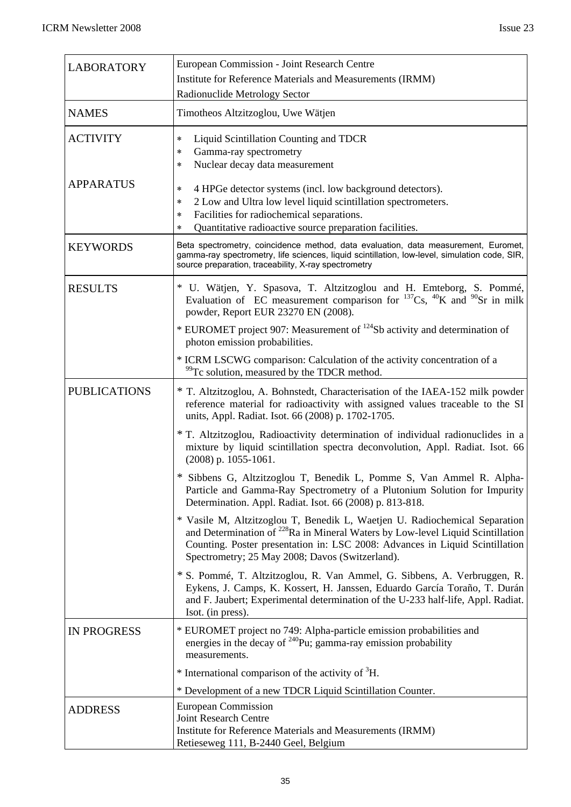| <b>LABORATORY</b>   | European Commission - Joint Research Centre                                                                                                                                                                                                                                                                 |
|---------------------|-------------------------------------------------------------------------------------------------------------------------------------------------------------------------------------------------------------------------------------------------------------------------------------------------------------|
|                     | Institute for Reference Materials and Measurements (IRMM)                                                                                                                                                                                                                                                   |
|                     | Radionuclide Metrology Sector                                                                                                                                                                                                                                                                               |
| <b>NAMES</b>        | Timotheos Altzitzoglou, Uwe Wätjen                                                                                                                                                                                                                                                                          |
| <b>ACTIVITY</b>     | Liquid Scintillation Counting and TDCR<br>∗                                                                                                                                                                                                                                                                 |
|                     | Gamma-ray spectrometry<br>∗                                                                                                                                                                                                                                                                                 |
|                     | Nuclear decay data measurement<br>∗                                                                                                                                                                                                                                                                         |
| <b>APPARATUS</b>    | 4 HPGe detector systems (incl. low background detectors).<br>∗                                                                                                                                                                                                                                              |
|                     | 2 Low and Ultra low level liquid scintillation spectrometers.<br>∗                                                                                                                                                                                                                                          |
|                     | Facilities for radiochemical separations.<br>∗                                                                                                                                                                                                                                                              |
|                     | Quantitative radioactive source preparation facilities.<br>∗                                                                                                                                                                                                                                                |
| <b>KEYWORDS</b>     | Beta spectrometry, coincidence method, data evaluation, data measurement, Euromet,<br>gamma-ray spectrometry, life sciences, liquid scintillation, low-level, simulation code, SIR,<br>source preparation, traceability, X-ray spectrometry                                                                 |
| <b>RESULTS</b>      | * U. Wätjen, Y. Spasova, T. Altzitzoglou and H. Emteborg, S. Pommé,<br>Evaluation of EC measurement comparison for $^{137}Cs$ , $^{40}K$ and $^{90}Sr$ in milk<br>powder, Report EUR 23270 EN (2008).                                                                                                       |
|                     | * EUROMET project 907: Measurement of <sup>124</sup> Sb activity and determination of<br>photon emission probabilities.                                                                                                                                                                                     |
|                     | * ICRM LSCWG comparison: Calculation of the activity concentration of a<br><sup>99</sup> Tc solution, measured by the TDCR method.                                                                                                                                                                          |
| <b>PUBLICATIONS</b> | * T. Altzitzoglou, A. Bohnstedt, Characterisation of the IAEA-152 milk powder<br>reference material for radioactivity with assigned values traceable to the SI<br>units, Appl. Radiat. Isot. 66 (2008) p. 1702-1705.                                                                                        |
|                     | * T. Altzitzoglou, Radioactivity determination of individual radionuclides in a<br>mixture by liquid scintillation spectra deconvolution, Appl. Radiat. Isot. 66<br>$(2008)$ p. 1055-1061.                                                                                                                  |
|                     | * Sibbens G, Altzitzoglou T, Benedik L, Pomme S, Van Ammel R. Alpha-<br>Particle and Gamma-Ray Spectrometry of a Plutonium Solution for Impurity<br>Determination. Appl. Radiat. Isot. 66 (2008) p. 813-818.                                                                                                |
|                     | * Vasile M, Altzitzoglou T, Benedik L, Waetjen U. Radiochemical Separation<br>and Determination of <sup>228</sup> Ra in Mineral Waters by Low-level Liquid Scintillation<br>Counting. Poster presentation in: LSC 2008: Advances in Liquid Scintillation<br>Spectrometry; 25 May 2008; Davos (Switzerland). |
|                     | * S. Pommé, T. Altzitzoglou, R. Van Ammel, G. Sibbens, A. Verbruggen, R.<br>Eykens, J. Camps, K. Kossert, H. Janssen, Eduardo García Toraño, T. Durán<br>and F. Jaubert; Experimental determination of the U-233 half-life, Appl. Radiat.<br>Isot. (in press).                                              |
| <b>IN PROGRESS</b>  | * EUROMET project no 749: Alpha-particle emission probabilities and<br>energies in the decay of $240$ Pu; gamma-ray emission probability<br>measurements.                                                                                                                                                   |
|                     | * International comparison of the activity of ${}^{3}H$ .                                                                                                                                                                                                                                                   |
|                     | * Development of a new TDCR Liquid Scintillation Counter.                                                                                                                                                                                                                                                   |
| <b>ADDRESS</b>      | <b>European Commission</b>                                                                                                                                                                                                                                                                                  |
|                     | <b>Joint Research Centre</b>                                                                                                                                                                                                                                                                                |
|                     | Institute for Reference Materials and Measurements (IRMM)<br>Retieseweg 111, B-2440 Geel, Belgium                                                                                                                                                                                                           |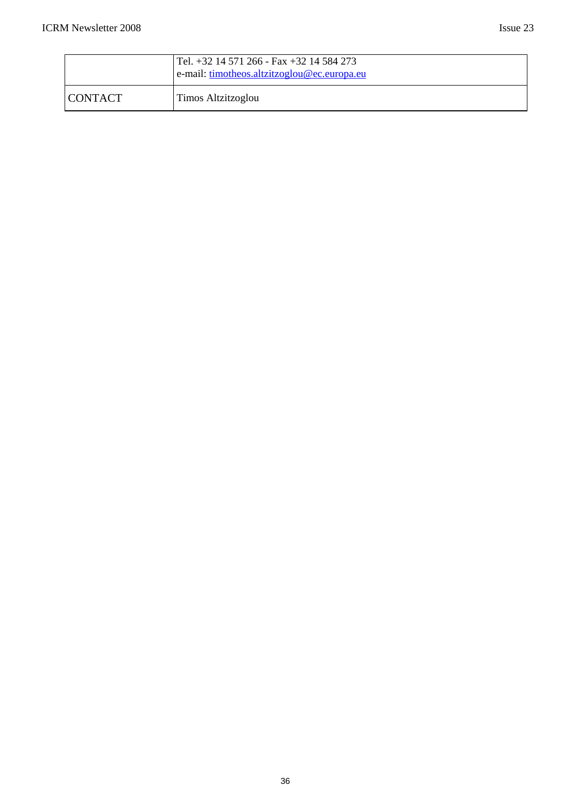|          | Tel. +32 14 571 266 - Fax +32 14 584 273<br>e-mail: timotheos.altzitzoglou@ec.europa.eu |
|----------|-----------------------------------------------------------------------------------------|
| LCONTACT | Timos Altzitzoglou                                                                      |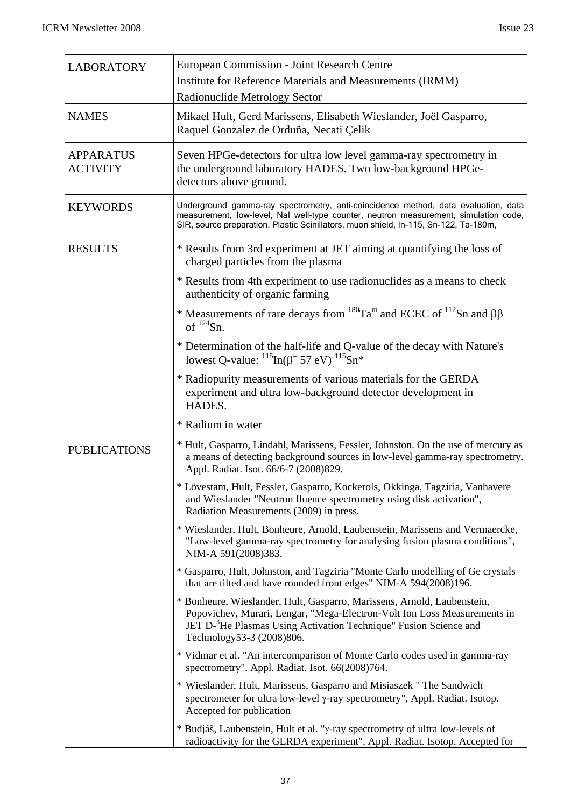| <b>LABORATORY</b>                   | European Commission - Joint Research Centre                                                                                                                                                                                                                        |
|-------------------------------------|--------------------------------------------------------------------------------------------------------------------------------------------------------------------------------------------------------------------------------------------------------------------|
|                                     | Institute for Reference Materials and Measurements (IRMM)                                                                                                                                                                                                          |
|                                     | Radionuclide Metrology Sector                                                                                                                                                                                                                                      |
| <b>NAMES</b>                        | Mikael Hult, Gerd Marissens, Elisabeth Wieslander, Joël Gasparro,<br>Raquel Gonzalez de Orduña, Necati Çelik                                                                                                                                                       |
| <b>APPARATUS</b><br><b>ACTIVITY</b> | Seven HPGe-detectors for ultra low level gamma-ray spectrometry in<br>the underground laboratory HADES. Two low-background HPGe-<br>detectors above ground.                                                                                                        |
| <b>KEYWORDS</b>                     | Underground gamma-ray spectrometry, anti-coincidence method, data evaluation, data<br>measurement, low-level, Nal well-type counter, neutron measurement, simulation code,<br>SIR, source preparation, Plastic Scinillators, muon shield, In-115, Sn-122, Ta-180m, |
| <b>RESULTS</b>                      | * Results from 3rd experiment at JET aiming at quantifying the loss of<br>charged particles from the plasma                                                                                                                                                        |
|                                     | * Results from 4th experiment to use radionuclides as a means to check<br>authenticity of organic farming                                                                                                                                                          |
|                                     | * Measurements of rare decays from $^{180}$ Ta <sup>m</sup> and ECEC of $^{112}$ Sn and $\beta\beta$<br>of $^{124}Sn$ .                                                                                                                                            |
|                                     | * Determination of the half-life and Q-value of the decay with Nature's<br>lowest Q-value: ${}^{115}$ In( $\beta$ <sup>-</sup> 57 eV) ${}^{115}$ Sn*                                                                                                               |
|                                     | * Radiopurity measurements of various materials for the GERDA<br>experiment and ultra low-background detector development in<br>HADES.                                                                                                                             |
|                                     | * Radium in water                                                                                                                                                                                                                                                  |
| <b>PUBLICATIONS</b>                 | * Hult, Gasparro, Lindahl, Marissens, Fessler, Johnston. On the use of mercury as<br>a means of detecting background sources in low-level gamma-ray spectrometry.<br>Appl. Radiat. Isot. 66/6-7 (2008)829.                                                         |
|                                     | * Lövestam, Hult, Fessler, Gasparro, Kockerols, Okkinga, Tagziria, Vanhavere<br>and Wieslander "Neutron fluence spectrometry using disk activation",<br>Radiation Measurements (2009) in press.                                                                    |
|                                     | * Wieslander, Hult, Bonheure, Arnold, Laubenstein, Marissens and Vermaercke,<br>"Low-level gamma-ray spectrometry for analysing fusion plasma conditions",<br>NIM-A 591(2008)383.                                                                                  |
|                                     | * Gasparro, Hult, Johnston, and Tagziria "Monte Carlo modelling of Ge crystals<br>that are tilted and have rounded front edges" NIM-A 594(2008)196.                                                                                                                |
|                                     | * Bonheure, Wieslander, Hult, Gasparro, Marissens, Arnold, Laubenstein,<br>Popovichev, Murari, Lengar, "Mega-Electron-Volt Ion Loss Measurements in<br>JET D- <sup>3</sup> He Plasmas Using Activation Technique" Fusion Science and<br>Technology53-3 (2008)806.  |
|                                     | * Vidmar et al. "An intercomparison of Monte Carlo codes used in gamma-ray<br>spectrometry". Appl. Radiat. Isot. 66(2008)764.                                                                                                                                      |
|                                     | * Wieslander, Hult, Marissens, Gasparro and Misiaszek " The Sandwich<br>spectrometer for ultra low-level y-ray spectrometry", Appl. Radiat. Isotop.<br>Accepted for publication                                                                                    |
|                                     | * Budjáš, Laubenstein, Hult et al. "γ-ray spectrometry of ultra low-levels of<br>radioactivity for the GERDA experiment". Appl. Radiat. Isotop. Accepted for                                                                                                       |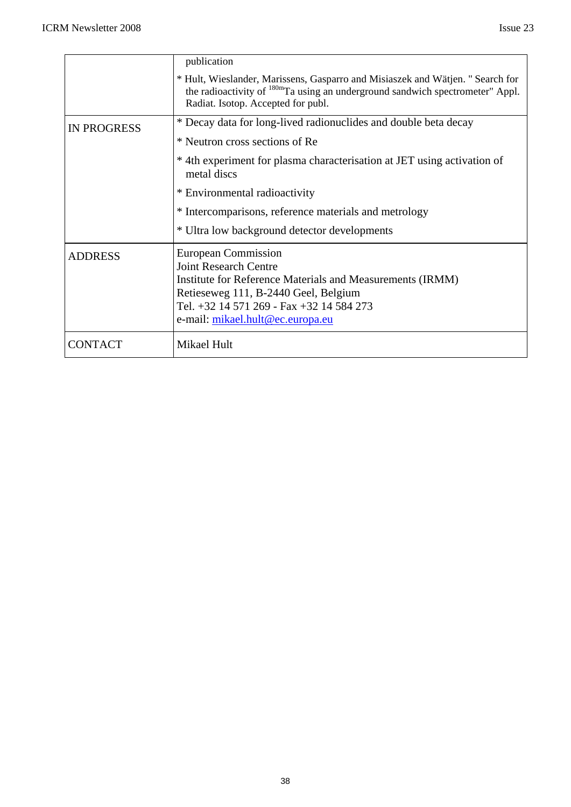|                    | publication                                                                                                                                                                                                                              |
|--------------------|------------------------------------------------------------------------------------------------------------------------------------------------------------------------------------------------------------------------------------------|
|                    | * Hult, Wieslander, Marissens, Gasparro and Misiaszek and Wätjen. " Search for<br>the radioactivity of <sup>180m</sup> Ta using an underground sandwich spectrometer" Appl.<br>Radiat. Isotop. Accepted for publ.                        |
| <b>IN PROGRESS</b> | * Decay data for long-lived radionuclides and double beta decay                                                                                                                                                                          |
|                    | * Neutron cross sections of Re                                                                                                                                                                                                           |
|                    | * 4th experiment for plasma characterisation at JET using activation of<br>metal discs                                                                                                                                                   |
|                    | * Environmental radioactivity                                                                                                                                                                                                            |
|                    | * Intercomparisons, reference materials and metrology                                                                                                                                                                                    |
|                    | * Ultra low background detector developments                                                                                                                                                                                             |
| <b>ADDRESS</b>     | European Commission<br><b>Joint Research Centre</b><br>Institute for Reference Materials and Measurements (IRMM)<br>Retieseweg 111, B-2440 Geel, Belgium<br>Tel. +32 14 571 269 - Fax +32 14 584 273<br>e-mail: mikael.hult@ec.europa.eu |
| <b>CONTACT</b>     | Mikael Hult                                                                                                                                                                                                                              |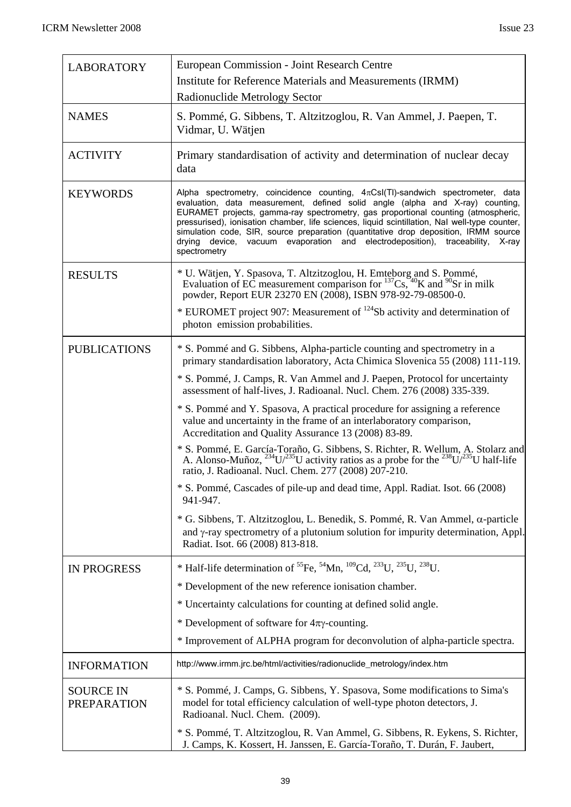| <b>LABORATORY</b>                      | European Commission - Joint Research Centre                                                                                                                                                                                                                                                                                                                                                                                                                                                                                                          |
|----------------------------------------|------------------------------------------------------------------------------------------------------------------------------------------------------------------------------------------------------------------------------------------------------------------------------------------------------------------------------------------------------------------------------------------------------------------------------------------------------------------------------------------------------------------------------------------------------|
|                                        | Institute for Reference Materials and Measurements (IRMM)<br>Radionuclide Metrology Sector                                                                                                                                                                                                                                                                                                                                                                                                                                                           |
| <b>NAMES</b>                           | S. Pommé, G. Sibbens, T. Altzitzoglou, R. Van Ammel, J. Paepen, T.<br>Vidmar, U. Wätjen                                                                                                                                                                                                                                                                                                                                                                                                                                                              |
| <b>ACTIVITY</b>                        | Primary standardisation of activity and determination of nuclear decay<br>data                                                                                                                                                                                                                                                                                                                                                                                                                                                                       |
| <b>KEYWORDS</b>                        | Alpha spectrometry, coincidence counting, $4\pi Csl(Tl)$ -sandwich spectrometer, data<br>evaluation, data measurement, defined solid angle (alpha and X-ray) counting,<br>EURAMET projects, gamma-ray spectrometry, gas proportional counting (atmospheric,<br>pressurised), ionisation chamber, life sciences, liquid scintillation, Nal well-type counter,<br>simulation code, SIR, source preparation (quantitative drop deposition, IRMM source<br>drying device, vacuum evaporation and electrodeposition), traceability, X-ray<br>spectrometry |
| <b>RESULTS</b>                         | * U. Wätjen, Y. Spasova, T. Altzitzoglou, H. Emteborg and S. Pommé, Evaluation of EC measurement comparison for $^{137}Cs$ , $^{40}K$ and $^{90}Sr$ in milk<br>powder, Report EUR 23270 EN (2008), ISBN 978-92-79-08500-0.                                                                                                                                                                                                                                                                                                                           |
|                                        | * EUROMET project 907: Measurement of <sup>124</sup> Sb activity and determination of<br>photon emission probabilities.                                                                                                                                                                                                                                                                                                                                                                                                                              |
| <b>PUBLICATIONS</b>                    | * S. Pommé and G. Sibbens, Alpha-particle counting and spectrometry in a<br>primary standardisation laboratory, Acta Chimica Slovenica 55 (2008) 111-119.                                                                                                                                                                                                                                                                                                                                                                                            |
|                                        | * S. Pommé, J. Camps, R. Van Ammel and J. Paepen, Protocol for uncertainty<br>assessment of half-lives, J. Radioanal. Nucl. Chem. 276 (2008) 335-339.                                                                                                                                                                                                                                                                                                                                                                                                |
|                                        | * S. Pommé and Y. Spasova, A practical procedure for assigning a reference<br>value and uncertainty in the frame of an interlaboratory comparison,<br>Accreditation and Quality Assurance 13 (2008) 83-89.                                                                                                                                                                                                                                                                                                                                           |
|                                        | * S. Pommé, E. García-Toraño, G. Sibbens, S. Richter, R. Wellum, A. Stolarz and A. Alonso-Muñoz, $^{234}U/^{235}U$ activity ratios as a probe for the $^{238}U/^{235}U$ half-life<br>ratio, J. Radioanal. Nucl. Chem. 277 (2008) 207-210.                                                                                                                                                                                                                                                                                                            |
|                                        | * S. Pommé, Cascades of pile-up and dead time, Appl. Radiat. Isot. 66 (2008)<br>941-947.                                                                                                                                                                                                                                                                                                                                                                                                                                                             |
|                                        | * G. Sibbens, T. Altzitzoglou, L. Benedik, S. Pommé, R. Van Ammel, α-particle<br>and y-ray spectrometry of a plutonium solution for impurity determination, Appl.<br>Radiat. Isot. 66 (2008) 813-818.                                                                                                                                                                                                                                                                                                                                                |
| <b>IN PROGRESS</b>                     | * Half-life determination of <sup>55</sup> Fe, <sup>54</sup> Mn, <sup>109</sup> Cd, <sup>233</sup> U, <sup>235</sup> U, <sup>238</sup> U.                                                                                                                                                                                                                                                                                                                                                                                                            |
|                                        | * Development of the new reference ionisation chamber.                                                                                                                                                                                                                                                                                                                                                                                                                                                                                               |
|                                        | * Uncertainty calculations for counting at defined solid angle.                                                                                                                                                                                                                                                                                                                                                                                                                                                                                      |
|                                        | * Development of software for $4\pi\gamma$ -counting.                                                                                                                                                                                                                                                                                                                                                                                                                                                                                                |
|                                        | * Improvement of ALPHA program for deconvolution of alpha-particle spectra.                                                                                                                                                                                                                                                                                                                                                                                                                                                                          |
| <b>INFORMATION</b>                     | http://www.irmm.jrc.be/html/activities/radionuclide_metrology/index.htm                                                                                                                                                                                                                                                                                                                                                                                                                                                                              |
| <b>SOURCE IN</b><br><b>PREPARATION</b> | * S. Pommé, J. Camps, G. Sibbens, Y. Spasova, Some modifications to Sima's<br>model for total efficiency calculation of well-type photon detectors, J.<br>Radioanal. Nucl. Chem. (2009).                                                                                                                                                                                                                                                                                                                                                             |
|                                        | * S. Pommé, T. Altzitzoglou, R. Van Ammel, G. Sibbens, R. Eykens, S. Richter,<br>J. Camps, K. Kossert, H. Janssen, E. García-Toraño, T. Durán, F. Jaubert,                                                                                                                                                                                                                                                                                                                                                                                           |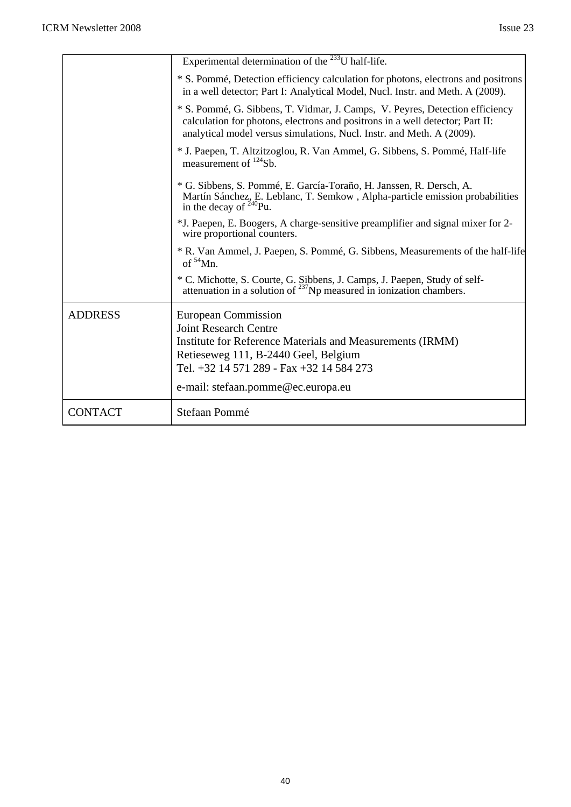|                | Experimental determination of the $^{233}$ U half-life.                                                                                                                                                                                           |
|----------------|---------------------------------------------------------------------------------------------------------------------------------------------------------------------------------------------------------------------------------------------------|
|                | * S. Pommé, Detection efficiency calculation for photons, electrons and positrons<br>in a well detector; Part I: Analytical Model, Nucl. Instr. and Meth. A (2009).                                                                               |
|                | * S. Pommé, G. Sibbens, T. Vidmar, J. Camps, V. Peyres, Detection efficiency<br>calculation for photons, electrons and positrons in a well detector; Part II:<br>analytical model versus simulations, Nucl. Instr. and Meth. A (2009).            |
|                | * J. Paepen, T. Altzitzoglou, R. Van Ammel, G. Sibbens, S. Pommé, Half-life<br>measurement of $^{124}$ Sb.                                                                                                                                        |
|                | * G. Sibbens, S. Pommé, E. García-Toraño, H. Janssen, R. Dersch, A.<br>Martín Sánchez, E. Leblanc, T. Semkow, Alpha-particle emission probabilities<br>in the decay of $^{240}$ Pu.                                                               |
|                | *J. Paepen, E. Boogers, A charge-sensitive preamplifier and signal mixer for 2-<br>wire proportional counters.                                                                                                                                    |
|                | * R. Van Ammel, J. Paepen, S. Pommé, G. Sibbens, Measurements of the half-life<br>of $54$ Mn.                                                                                                                                                     |
|                | * C. Michotte, S. Courte, G. Sibbens, J. Camps, J. Paepen, Study of self-<br>attenuation in a solution of <sup>237</sup> Np measured in ionization chambers.                                                                                      |
| <b>ADDRESS</b> | <b>European Commission</b><br><b>Joint Research Centre</b><br>Institute for Reference Materials and Measurements (IRMM)<br>Retieseweg 111, B-2440 Geel, Belgium<br>Tel. +32 14 571 289 - Fax +32 14 584 273<br>e-mail: stefaan.pomme@ec.europa.eu |
| <b>CONTACT</b> | Stefaan Pommé                                                                                                                                                                                                                                     |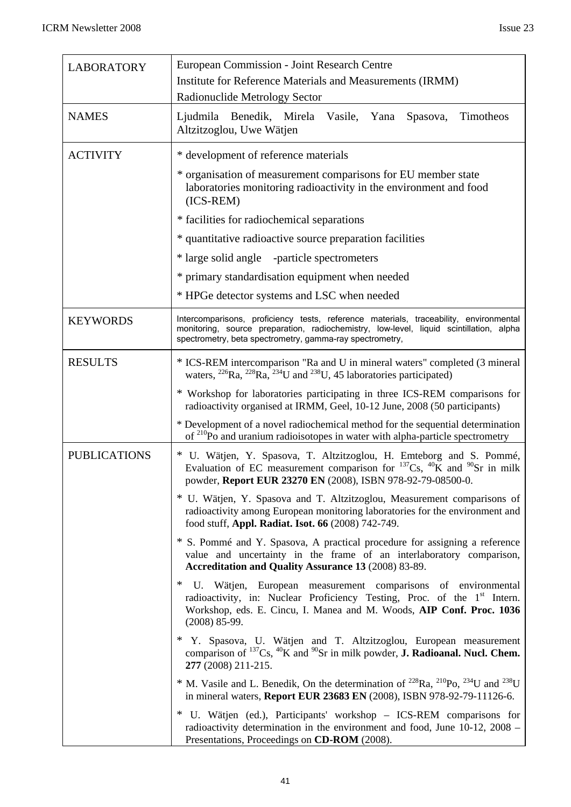| <b>LABORATORY</b>   | European Commission - Joint Research Centre<br>Institute for Reference Materials and Measurements (IRMM)<br>Radionuclide Metrology Sector                                                                                                            |
|---------------------|------------------------------------------------------------------------------------------------------------------------------------------------------------------------------------------------------------------------------------------------------|
| <b>NAMES</b>        | Ljudmila Benedik, Mirela Vasile, Yana Spasova,<br>Timotheos<br>Altzitzoglou, Uwe Wätjen                                                                                                                                                              |
| <b>ACTIVITY</b>     | * development of reference materials                                                                                                                                                                                                                 |
|                     | * organisation of measurement comparisons for EU member state<br>laboratories monitoring radioactivity in the environment and food<br>$(ICS-REM)$                                                                                                    |
|                     | * facilities for radiochemical separations                                                                                                                                                                                                           |
|                     | * quantitative radioactive source preparation facilities                                                                                                                                                                                             |
|                     | * large solid angle -particle spectrometers                                                                                                                                                                                                          |
|                     | * primary standardisation equipment when needed                                                                                                                                                                                                      |
|                     | * HPGe detector systems and LSC when needed                                                                                                                                                                                                          |
| <b>KEYWORDS</b>     | Intercomparisons, proficiency tests, reference materials, traceability, environmental<br>monitoring, source preparation, radiochemistry, low-level, liquid scintillation, alpha<br>spectrometry, beta spectrometry, gamma-ray spectrometry,          |
| <b>RESULTS</b>      | * ICS-REM intercomparison "Ra and U in mineral waters" completed (3 mineral<br>waters, $^{226}$ Ra, $^{228}$ Ra, $^{234}$ U and $^{238}$ U, 45 laboratories participated)                                                                            |
|                     | * Workshop for laboratories participating in three ICS-REM comparisons for<br>radioactivity organised at IRMM, Geel, 10-12 June, 2008 (50 participants)                                                                                              |
|                     | * Development of a novel radiochemical method for the sequential determination<br>of $2^{10}$ Po and uranium radioisotopes in water with alpha-particle spectrometry                                                                                 |
| <b>PUBLICATIONS</b> | * U. Wätjen, Y. Spasova, T. Altzitzoglou, H. Emteborg and S. Pommé,<br>Evaluation of EC measurement comparison for $^{137}Cs$ , $^{40}K$ and $^{90}Sr$ in milk<br>powder, Report EUR 23270 EN (2008), ISBN 978-92-79-08500-0.                        |
|                     | * U. Wätjen, Y. Spasova and T. Altzitzoglou, Measurement comparisons of<br>radioactivity among European monitoring laboratories for the environment and<br>food stuff, Appl. Radiat. Isot. 66 (2008) 742-749.                                        |
|                     | * S. Pommé and Y. Spasova, A practical procedure for assigning a reference<br>value and uncertainty in the frame of an interlaboratory comparison,<br>Accreditation and Quality Assurance 13 (2008) 83-89.                                           |
|                     | U. Wätjen, European measurement comparisons of environmental<br>∗<br>radioactivity, in: Nuclear Proficiency Testing, Proc. of the 1 <sup>st</sup> Intern.<br>Workshop, eds. E. Cincu, I. Manea and M. Woods, AIP Conf. Proc. 1036<br>$(2008)$ 85-99. |
|                     | * Y. Spasova, U. Wätjen and T. Altzitzoglou, European measurement<br>comparison of $^{137}Cs$ , $^{40}K$ and $^{90}Sr$ in milk powder, <b>J. Radioanal. Nucl. Chem.</b><br>277 (2008) 211-215.                                                       |
|                     | <sup>*</sup> M. Vasile and L. Benedik, On the determination of <sup>228</sup> Ra, <sup>210</sup> Po, <sup>234</sup> U and <sup>238</sup> U<br>in mineral waters, Report EUR 23683 EN (2008), ISBN 978-92-79-11126-6.                                 |
|                     | * U. Wätjen (ed.), Participants' workshop - ICS-REM comparisons for<br>radioactivity determination in the environment and food, June 10-12, 2008 -<br>Presentations, Proceedings on CD-ROM (2008).                                                   |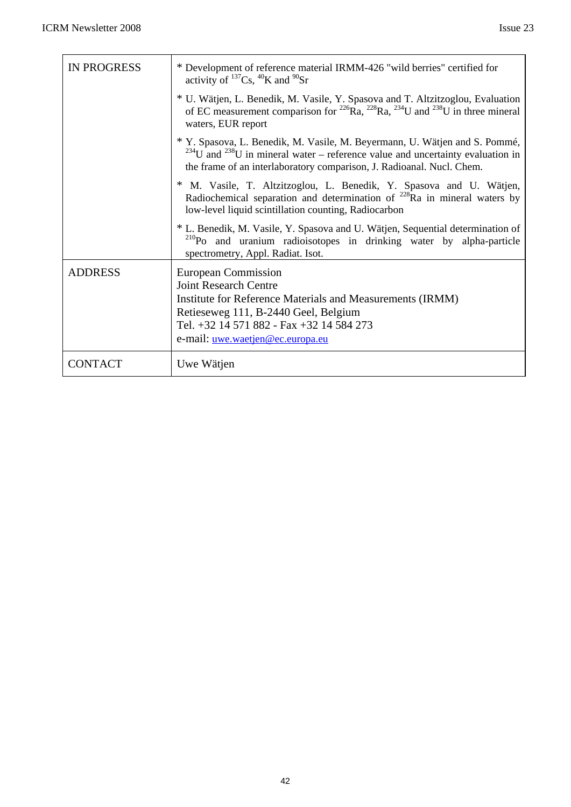| <b>IN PROGRESS</b> | * Development of reference material IRMM-426 "wild berries" certified for<br>activity of $^{137}Cs$ , $^{40}K$ and $^{90}Sr$                                                                                                                      |
|--------------------|---------------------------------------------------------------------------------------------------------------------------------------------------------------------------------------------------------------------------------------------------|
|                    | * U. Wätjen, L. Benedik, M. Vasile, Y. Spasova and T. Altzitzoglou, Evaluation<br>of EC measurement comparison for <sup>226</sup> Ra, <sup>228</sup> Ra, <sup>234</sup> U and <sup>238</sup> U in three mineral<br>waters, EUR report             |
|                    | * Y. Spasova, L. Benedik, M. Vasile, M. Beyermann, U. Wätjen and S. Pommé,<br>$^{234}$ U and $^{238}$ U in mineral water – reference value and uncertainty evaluation in<br>the frame of an interlaboratory comparison, J. Radioanal. Nucl. Chem. |
|                    | * M. Vasile, T. Altzitzoglou, L. Benedik, Y. Spasova and U. Wätjen,<br>Radiochemical separation and determination of $^{228}$ Ra in mineral waters by<br>low-level liquid scintillation counting, Radiocarbon                                     |
|                    | * L. Benedik, M. Vasile, Y. Spasova and U. Wätjen, Sequential determination of<br><sup>210</sup> Po and uranium radioisotopes in drinking water by alpha-particle<br>spectrometry, Appl. Radiat. Isot.                                            |
| <b>ADDRESS</b>     | <b>European Commission</b><br><b>Joint Research Centre</b><br>Institute for Reference Materials and Measurements (IRMM)<br>Retieseweg 111, B-2440 Geel, Belgium<br>Tel. +32 14 571 882 - Fax +32 14 584 273<br>e-mail: uwe.waetjen@ec.europa.eu   |
| <b>CONTACT</b>     | Uwe Wätjen                                                                                                                                                                                                                                        |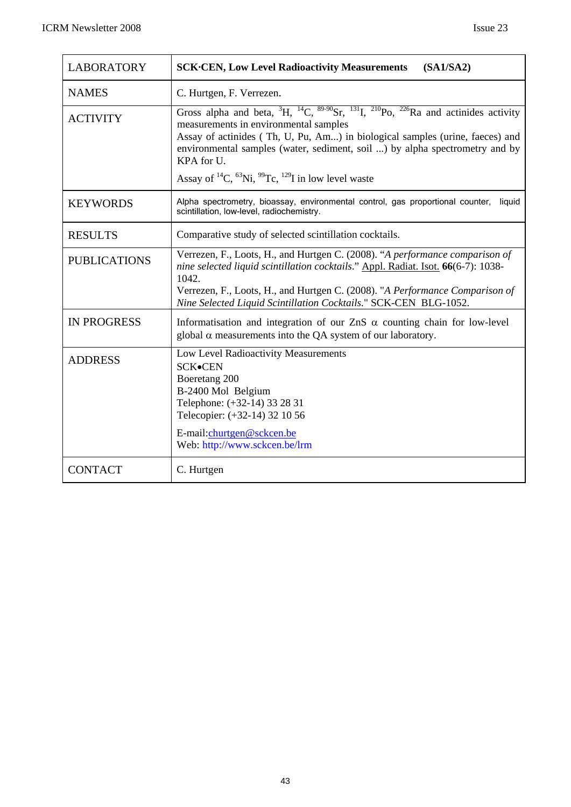| <b>LABORATORY</b>   | <b>SCK·CEN, Low Level Radioactivity Measurements</b><br>(SA1/SA2)                                                                                                                                                                                                                                                                                                                                                                  |
|---------------------|------------------------------------------------------------------------------------------------------------------------------------------------------------------------------------------------------------------------------------------------------------------------------------------------------------------------------------------------------------------------------------------------------------------------------------|
| <b>NAMES</b>        | C. Hurtgen, F. Verrezen.                                                                                                                                                                                                                                                                                                                                                                                                           |
| <b>ACTIVITY</b>     | Gross alpha and beta, ${}^{3}H, {}^{14}C, {}^{89\text{-}90}Sr, {}^{131}I, {}^{210}Po, {}^{226}Ra$ and actinides activity<br>measurements in environmental samples<br>Assay of actinides (Th, U, Pu, Am) in biological samples (urine, faeces) and<br>environmental samples (water, sediment, soil ) by alpha spectrometry and by<br>KPA for U.<br>Assay of ${}^{14}C$ , ${}^{63}Ni$ , ${}^{99}Tc$ , ${}^{129}I$ in low level waste |
| <b>KEYWORDS</b>     | Alpha spectrometry, bioassay, environmental control, gas proportional counter,<br>liquid<br>scintillation, low-level, radiochemistry.                                                                                                                                                                                                                                                                                              |
| <b>RESULTS</b>      | Comparative study of selected scintillation cocktails.                                                                                                                                                                                                                                                                                                                                                                             |
| <b>PUBLICATIONS</b> | Verrezen, F., Loots, H., and Hurtgen C. (2008). "A performance comparison of<br>nine selected liquid scintillation cocktails." Appl. Radiat. Isot. 66(6-7): 1038-<br>1042.<br>Verrezen, F., Loots, H., and Hurtgen C. (2008). "A Performance Comparison of<br>Nine Selected Liquid Scintillation Cocktails." SCK-CEN BLG-1052.                                                                                                     |
| <b>IN PROGRESS</b>  | Informatisation and integration of our ZnS $\alpha$ counting chain for low-level<br>global $\alpha$ measurements into the QA system of our laboratory.                                                                                                                                                                                                                                                                             |
| <b>ADDRESS</b>      | Low Level Radioactivity Measurements<br><b>SCK</b> •CEN<br>Boeretang 200<br>B-2400 Mol Belgium<br>Telephone: (+32-14) 33 28 31<br>Telecopier: (+32-14) 32 10 56<br>E-mail:churtgen@sckcen.be<br>Web: http://www.sckcen.be/lrm                                                                                                                                                                                                      |
| <b>CONTACT</b>      | C. Hurtgen                                                                                                                                                                                                                                                                                                                                                                                                                         |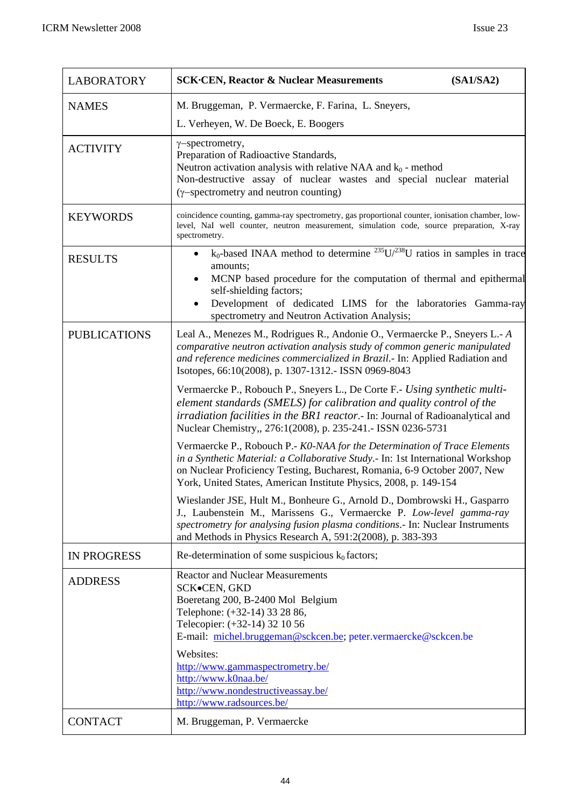| <b>LABORATORY</b>   | <b>SCK.CEN, Reactor &amp; Nuclear Measurements</b>                                                                                                                                                                                                                                                                                | (SA1/SA2) |
|---------------------|-----------------------------------------------------------------------------------------------------------------------------------------------------------------------------------------------------------------------------------------------------------------------------------------------------------------------------------|-----------|
| <b>NAMES</b>        | M. Bruggeman, P. Vermaercke, F. Farina, L. Sneyers,                                                                                                                                                                                                                                                                               |           |
|                     | L. Verheyen, W. De Boeck, E. Boogers                                                                                                                                                                                                                                                                                              |           |
| <b>ACTIVITY</b>     | $\gamma$ -spectrometry,<br>Preparation of Radioactive Standards,<br>Neutron activation analysis with relative NAA and $k_0$ - method<br>Non-destructive assay of nuclear wastes and special nuclear material<br>$(\gamma$ -spectrometry and neutron counting)                                                                     |           |
| <b>KEYWORDS</b>     | coincidence counting, gamma-ray spectrometry, gas proportional counter, ionisation chamber, low-<br>level, NaI well counter, neutron measurement, simulation code, source preparation, X-ray<br>spectrometry.                                                                                                                     |           |
| <b>RESULTS</b>      | $k_0$ -based INAA method to determine <sup>235</sup> U/ <sup>238</sup> U ratios in samples in trace<br>amounts;<br>MCNP based procedure for the computation of thermal and epithermal<br>self-shielding factors;<br>Development of dedicated LIMS for the laboratories Gamma-ray<br>spectrometry and Neutron Activation Analysis; |           |
| <b>PUBLICATIONS</b> | Leal A., Menezes M., Rodrigues R., Andonie O., Vermaercke P., Sneyers L.- A<br>comparative neutron activation analysis study of common generic manipulated<br>and reference medicines commercialized in Brazil.- In: Applied Radiation and<br>Isotopes, 66:10(2008), p. 1307-1312.- ISSN 0969-8043                                |           |
|                     | Vermaercke P., Robouch P., Sneyers L., De Corte F.- Using synthetic multi-<br>element standards (SMELS) for calibration and quality control of the<br>irradiation facilities in the BR1 reactor.- In: Journal of Radioanalytical and<br>Nuclear Chemistry,, 276:1(2008), p. 235-241. ISSN 0236-5731                               |           |
|                     | Vermaercke P., Robouch P.- KO-NAA for the Determination of Trace Elements<br>in a Synthetic Material: a Collaborative Study.- In: 1st International Workshop<br>on Nuclear Proficiency Testing, Bucharest, Romania, 6-9 October 2007, New<br>York, United States, American Institute Physics, 2008, p. 149-154                    |           |
|                     | Wieslander JSE, Hult M., Bonheure G., Arnold D., Dombrowski H., Gasparro<br>J., Laubenstein M., Marissens G., Vermaercke P. Low-level gamma-ray<br>spectrometry for analysing fusion plasma conditions.- In: Nuclear Instruments<br>and Methods in Physics Research A, 591:2(2008), p. 383-393                                    |           |
| <b>IN PROGRESS</b>  | Re-determination of some suspicious $k_0$ factors;                                                                                                                                                                                                                                                                                |           |
| <b>ADDRESS</b>      | <b>Reactor and Nuclear Measurements</b><br>SCK.CEN, GKD<br>Boeretang 200, B-2400 Mol Belgium<br>Telephone: (+32-14) 33 28 86,<br>Telecopier: (+32-14) 32 10 56<br>E-mail: michel.bruggeman@sckcen.be; peter.vermaercke@sckcen.be                                                                                                  |           |
|                     | Websites:<br>http://www.gammaspectrometry.be/<br>http://www.k0naa.be/<br>http://www.nondestructiveassay.be/<br>http://www.radsources.be/                                                                                                                                                                                          |           |
| <b>CONTACT</b>      | M. Bruggeman, P. Vermaercke                                                                                                                                                                                                                                                                                                       |           |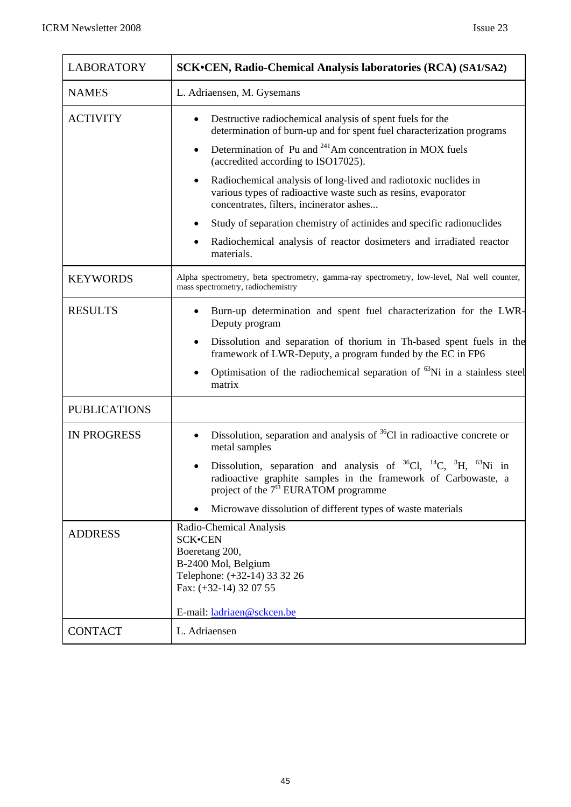| <b>LABORATORY</b>   | SCK•CEN, Radio-Chemical Analysis laboratories (RCA) (SA1/SA2)                                                                                                                                                       |
|---------------------|---------------------------------------------------------------------------------------------------------------------------------------------------------------------------------------------------------------------|
| <b>NAMES</b>        | L. Adriaensen, M. Gysemans                                                                                                                                                                                          |
| <b>ACTIVITY</b>     | Destructive radiochemical analysis of spent fuels for the<br>determination of burn-up and for spent fuel characterization programs                                                                                  |
|                     | Determination of Pu and <sup>241</sup> Am concentration in MOX fuels<br>$\bullet$<br>(accredited according to ISO17025).                                                                                            |
|                     | Radiochemical analysis of long-lived and radiotoxic nuclides in<br>$\bullet$<br>various types of radioactive waste such as resins, evaporator<br>concentrates, filters, incinerator ashes                           |
|                     | Study of separation chemistry of actinides and specific radionuclides                                                                                                                                               |
|                     | Radiochemical analysis of reactor dosimeters and irradiated reactor<br>materials.                                                                                                                                   |
| <b>KEYWORDS</b>     | Alpha spectrometry, beta spectrometry, gamma-ray spectrometry, low-level, NaI well counter,<br>mass spectrometry, radiochemistry                                                                                    |
| <b>RESULTS</b>      | Burn-up determination and spent fuel characterization for the LWR-<br>Deputy program                                                                                                                                |
|                     | Dissolution and separation of thorium in Th-based spent fuels in the<br>٠<br>framework of LWR-Deputy, a program funded by the EC in FP6                                                                             |
|                     | Optimisation of the radiochemical separation of <sup>63</sup> Ni in a stainless steel<br>matrix                                                                                                                     |
| <b>PUBLICATIONS</b> |                                                                                                                                                                                                                     |
| <b>IN PROGRESS</b>  | Dissolution, separation and analysis of ${}^{36}Cl$ in radioactive concrete or<br>metal samples                                                                                                                     |
|                     | Dissolution, separation and analysis of ${}^{36}Cl$ , ${}^{14}C$ , ${}^{3}H$ , ${}^{63}Ni$ in<br>radioactive graphite samples in the framework of Carbowaste, a<br>project of the 7 <sup>th</sup> EURATOM programme |
|                     | Microwave dissolution of different types of waste materials                                                                                                                                                         |
| <b>ADDRESS</b>      | Radio-Chemical Analysis<br><b>SCK•CEN</b><br>Boeretang 200,<br>B-2400 Mol, Belgium<br>Telephone: (+32-14) 33 32 26<br>Fax: (+32-14) 32 07 55                                                                        |
|                     | E-mail: <i>ladriaen@sckcen.be</i>                                                                                                                                                                                   |
| <b>CONTACT</b>      | L. Adriaensen                                                                                                                                                                                                       |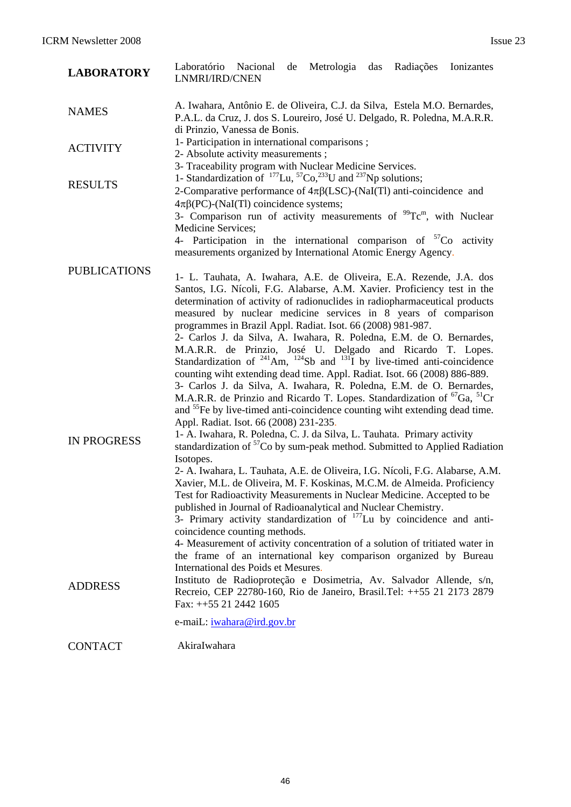| <b>LABORATORY</b>   | Laboratório<br>Nacional<br>Metrologia<br>Radiações<br>Ionizantes<br>de<br>das<br>LNMRI/IRD/CNEN                                                                                                                                                                                                                                                                                                                                                                                                                                                                                                                                                                                                                                                                                                                                                                                                                                                                                                                                                                                                         |
|---------------------|---------------------------------------------------------------------------------------------------------------------------------------------------------------------------------------------------------------------------------------------------------------------------------------------------------------------------------------------------------------------------------------------------------------------------------------------------------------------------------------------------------------------------------------------------------------------------------------------------------------------------------------------------------------------------------------------------------------------------------------------------------------------------------------------------------------------------------------------------------------------------------------------------------------------------------------------------------------------------------------------------------------------------------------------------------------------------------------------------------|
| <b>NAMES</b>        | A. Iwahara, Antônio E. de Oliveira, C.J. da Silva, Estela M.O. Bernardes,<br>P.A.L. da Cruz, J. dos S. Loureiro, José U. Delgado, R. Poledna, M.A.R.R.<br>di Prinzio, Vanessa de Bonis.                                                                                                                                                                                                                                                                                                                                                                                                                                                                                                                                                                                                                                                                                                                                                                                                                                                                                                                 |
| <b>ACTIVITY</b>     | 1- Participation in international comparisons;<br>2- Absolute activity measurements;<br>3- Traceability program with Nuclear Medicine Services.                                                                                                                                                                                                                                                                                                                                                                                                                                                                                                                                                                                                                                                                                                                                                                                                                                                                                                                                                         |
| <b>RESULTS</b>      | 1- Standardization of $^{177}$ Lu, $^{57}$ Co, $^{233}$ U and $^{237}$ Np solutions;<br>2-Comparative performance of $4\pi\beta$ (LSC)-(NaI(Tl) anti-coincidence and<br>$4\pi\beta$ (PC)-(NaI(Tl) coincidence systems;<br>3- Comparison run of activity measurements of $99^{\circ}$ Tc <sup>m</sup> , with Nuclear                                                                                                                                                                                                                                                                                                                                                                                                                                                                                                                                                                                                                                                                                                                                                                                     |
|                     | Medicine Services;<br>4- Participation in the international comparison of ${}^{57}Co$ activity<br>measurements organized by International Atomic Energy Agency.                                                                                                                                                                                                                                                                                                                                                                                                                                                                                                                                                                                                                                                                                                                                                                                                                                                                                                                                         |
| <b>PUBLICATIONS</b> | 1- L. Tauhata, A. Iwahara, A.E. de Oliveira, E.A. Rezende, J.A. dos<br>Santos, I.G. Nícoli, F.G. Alabarse, A.M. Xavier. Proficiency test in the<br>determination of activity of radionuclides in radiopharmaceutical products<br>measured by nuclear medicine services in 8 years of comparison<br>programmes in Brazil Appl. Radiat. Isot. 66 (2008) 981-987.<br>2- Carlos J. da Silva, A. Iwahara, R. Poledna, E.M. de O. Bernardes,<br>M.A.R.R. de Prinzio, José U. Delgado and Ricardo T. Lopes.                                                                                                                                                                                                                                                                                                                                                                                                                                                                                                                                                                                                    |
| <b>IN PROGRESS</b>  | Standardization of $^{241}$ Am, $^{124}$ Sb and $^{131}$ I by live-timed anti-coincidence<br>counting wiht extending dead time. Appl. Radiat. Isot. 66 (2008) 886-889.<br>3- Carlos J. da Silva, A. Iwahara, R. Poledna, E.M. de O. Bernardes,<br>M.A.R.R. de Prinzio and Ricardo T. Lopes. Standardization of <sup>67</sup> Ga, <sup>51</sup> Cr<br>and <sup>55</sup> Fe by live-timed anti-coincidence counting wiht extending dead time.<br>Appl. Radiat. Isot. 66 (2008) 231-235.<br>1- A. Iwahara, R. Poledna, C. J. da Silva, L. Tauhata. Primary activity<br>standardization of <sup>57</sup> Co by sum-peak method. Submitted to Applied Radiation<br>Isotopes.<br>2- A. Iwahara, L. Tauhata, A.E. de Oliveira, I.G. Nícoli, F.G. Alabarse, A.M.<br>Xavier, M.L. de Oliveira, M. F. Koskinas, M.C.M. de Almeida. Proficiency<br>Test for Radioactivity Measurements in Nuclear Medicine. Accepted to be<br>published in Journal of Radioanalytical and Nuclear Chemistry.<br>3- Primary activity standardization of <sup>177</sup> Lu by coincidence and anti-<br>coincidence counting methods. |
| <b>ADDRESS</b>      | 4- Measurement of activity concentration of a solution of tritiated water in<br>the frame of an international key comparison organized by Bureau<br>International des Poids et Mesures.<br>Instituto de Radioproteção e Dosimetria, Av. Salvador Allende, s/n,<br>Recreio, CEP 22780-160, Rio de Janeiro, Brasil.Tel: ++55 21 2173 2879<br>Fax: $++55$ 21 2442 1605<br>e-mail: <i>iwahara@ird.gov.br</i>                                                                                                                                                                                                                                                                                                                                                                                                                                                                                                                                                                                                                                                                                                |

CONTACT AkiraIwahara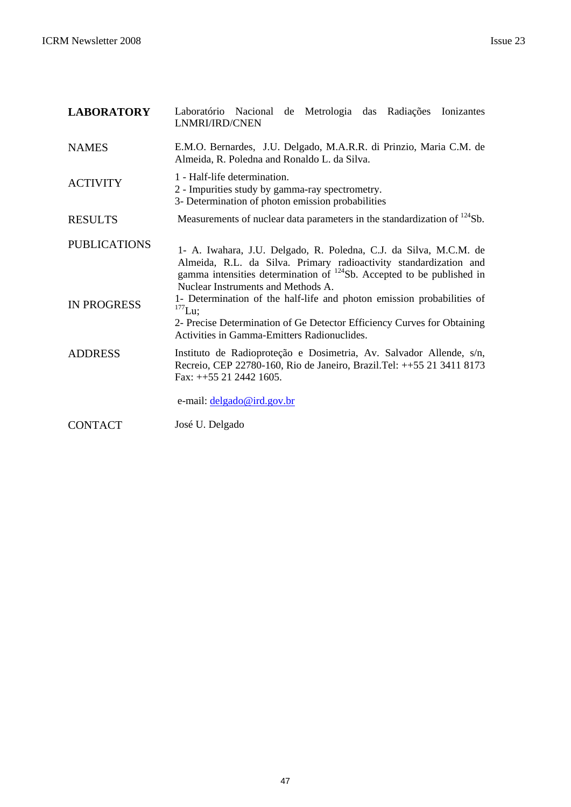| <b>LABORATORY</b>                         | Laboratório Nacional<br>de Metrologia das Radiações<br>Ionizantes<br>LNMRI/IRD/CNEN                                                                                                                                                                                                                                                                   |
|-------------------------------------------|-------------------------------------------------------------------------------------------------------------------------------------------------------------------------------------------------------------------------------------------------------------------------------------------------------------------------------------------------------|
| <b>NAMES</b>                              | E.M.O. Bernardes, J.U. Delgado, M.A.R.R. di Prinzio, Maria C.M. de<br>Almeida, R. Poledna and Ronaldo L. da Silva.                                                                                                                                                                                                                                    |
| <b>ACTIVITY</b>                           | 1 - Half-life determination.<br>2 - Impurities study by gamma-ray spectrometry.<br>3- Determination of photon emission probabilities                                                                                                                                                                                                                  |
| <b>RESULTS</b>                            | Measurements of nuclear data parameters in the standardization of <sup>124</sup> Sb.                                                                                                                                                                                                                                                                  |
| <b>PUBLICATIONS</b><br><b>IN PROGRESS</b> | 1- A. Iwahara, J.U. Delgado, R. Poledna, C.J. da Silva, M.C.M. de<br>Almeida, R.L. da Silva. Primary radioactivity standardization and<br>gamma intensities determination of $^{124}$ Sb. Accepted to be published in<br>Nuclear Instruments and Methods A.<br>1- Determination of the half-life and photon emission probabilities of<br>$^{177}$ Lu; |
|                                           | 2- Precise Determination of Ge Detector Efficiency Curves for Obtaining<br>Activities in Gamma-Emitters Radionuclides.                                                                                                                                                                                                                                |
| <b>ADDRESS</b>                            | Instituto de Radioproteção e Dosimetria, Av. Salvador Allende, s/n,<br>Recreio, CEP 22780-160, Rio de Janeiro, Brazil.Tel: ++55 21 3411 8173<br>Fax: $++55$ 21 2442 1605.                                                                                                                                                                             |
|                                           | e-mail: delgado@ird.gov.br                                                                                                                                                                                                                                                                                                                            |
| <b>CONTACT</b>                            | José U. Delgado                                                                                                                                                                                                                                                                                                                                       |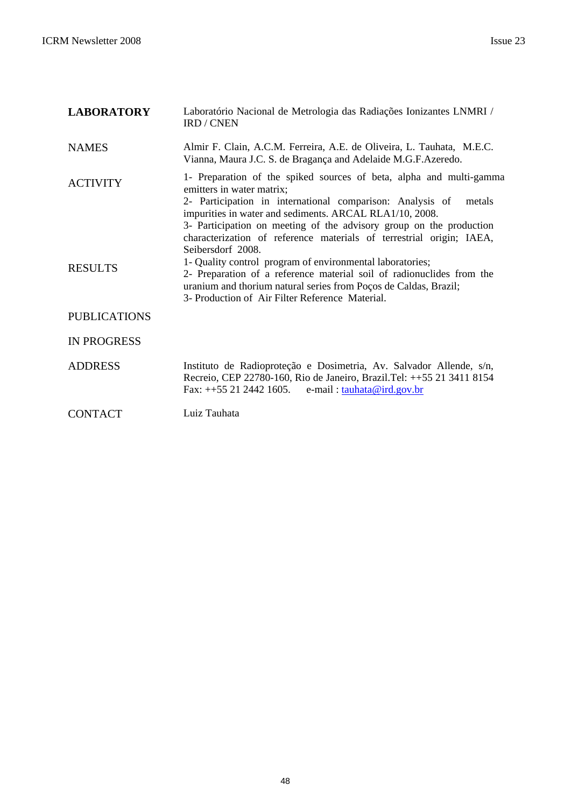| <b>LABORATORY</b>                 | Laboratório Nacional de Metrologia das Radiações Ionizantes LNMRI /<br><b>IRD</b> / CNEN                                                                                                                                                                                                                                                                                                                                                                            |
|-----------------------------------|---------------------------------------------------------------------------------------------------------------------------------------------------------------------------------------------------------------------------------------------------------------------------------------------------------------------------------------------------------------------------------------------------------------------------------------------------------------------|
| <b>NAMES</b>                      | Almir F. Clain, A.C.M. Ferreira, A.E. de Oliveira, L. Tauhata, M.E.C.<br>Vianna, Maura J.C. S. de Bragança and Adelaide M.G.F.Azeredo.                                                                                                                                                                                                                                                                                                                              |
| <b>ACTIVITY</b><br><b>RESULTS</b> | 1- Preparation of the spiked sources of beta, alpha and multi-gamma<br>emitters in water matrix;<br>2- Participation in international comparison: Analysis of<br>metals<br>impurities in water and sediments. ARCAL RLA1/10, 2008.<br>3- Participation on meeting of the advisory group on the production<br>characterization of reference materials of terrestrial origin; IAEA,<br>Seibersdorf 2008.<br>1- Quality control program of environmental laboratories; |
|                                   | 2- Preparation of a reference material soil of radionuclides from the<br>uranium and thorium natural series from Poços de Caldas, Brazil;<br>3- Production of Air Filter Reference Material.                                                                                                                                                                                                                                                                        |
| <b>PUBLICATIONS</b>               |                                                                                                                                                                                                                                                                                                                                                                                                                                                                     |
| <b>IN PROGRESS</b>                |                                                                                                                                                                                                                                                                                                                                                                                                                                                                     |
| <b>ADDRESS</b>                    | Instituto de Radioproteção e Dosimetria, Av. Salvador Allende, s/n,<br>Recreio, CEP 22780-160, Rio de Janeiro, Brazil.Tel: ++55 21 3411 8154<br>Fax: $++55$ 21 2442 1605. e-mail: $\tanh \frac{\alpha \cdot \text{rad}}{\text{rad}}$                                                                                                                                                                                                                                |
| <b>CONTACT</b>                    | Luiz Tauhata                                                                                                                                                                                                                                                                                                                                                                                                                                                        |

48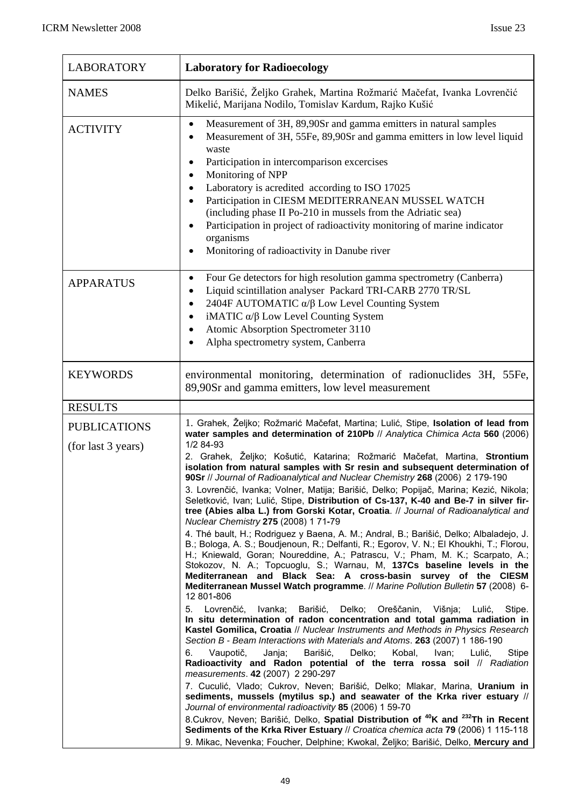| <b>LABORATORY</b>                         | <b>Laboratory for Radioecology</b>                                                                                                                                                                                                                                                                                                                                                                                                                                                                                                                                                                                                                                                                                                                                                                                                                                                                                                                                                                                                                                                                                                                                                                                                                                                                                                                                                                                                                                                                                                                                                                                                                                                                                                                                                                                                                                                                                                                                                         |
|-------------------------------------------|--------------------------------------------------------------------------------------------------------------------------------------------------------------------------------------------------------------------------------------------------------------------------------------------------------------------------------------------------------------------------------------------------------------------------------------------------------------------------------------------------------------------------------------------------------------------------------------------------------------------------------------------------------------------------------------------------------------------------------------------------------------------------------------------------------------------------------------------------------------------------------------------------------------------------------------------------------------------------------------------------------------------------------------------------------------------------------------------------------------------------------------------------------------------------------------------------------------------------------------------------------------------------------------------------------------------------------------------------------------------------------------------------------------------------------------------------------------------------------------------------------------------------------------------------------------------------------------------------------------------------------------------------------------------------------------------------------------------------------------------------------------------------------------------------------------------------------------------------------------------------------------------------------------------------------------------------------------------------------------------|
| <b>NAMES</b>                              | Delko Barišić, Željko Grahek, Martina Rožmarić Mačefat, Ivanka Lovrenčić<br>Mikelić, Marijana Nodilo, Tomislav Kardum, Rajko Kušić                                                                                                                                                                                                                                                                                                                                                                                                                                                                                                                                                                                                                                                                                                                                                                                                                                                                                                                                                                                                                                                                                                                                                                                                                                                                                                                                                                                                                                                                                                                                                                                                                                                                                                                                                                                                                                                         |
| <b>ACTIVITY</b>                           | Measurement of 3H, 89,90Sr and gamma emitters in natural samples<br>$\bullet$<br>Measurement of 3H, 55Fe, 89,90Sr and gamma emitters in low level liquid<br>waste<br>Participation in intercomparison excercises<br>$\bullet$<br>Monitoring of NPP<br>$\bullet$<br>Laboratory is acredited according to ISO 17025<br>$\bullet$<br>Participation in CIESM MEDITERRANEAN MUSSEL WATCH<br>$\bullet$<br>(including phase II Po-210 in mussels from the Adriatic sea)<br>Participation in project of radioactivity monitoring of marine indicator<br>$\bullet$<br>organisms<br>Monitoring of radioactivity in Danube river<br>$\bullet$                                                                                                                                                                                                                                                                                                                                                                                                                                                                                                                                                                                                                                                                                                                                                                                                                                                                                                                                                                                                                                                                                                                                                                                                                                                                                                                                                         |
| <b>APPARATUS</b>                          | Four Ge detectors for high resolution gamma spectrometry (Canberra)<br>$\bullet$<br>Liquid scintillation analyser Packard TRI-CARB 2770 TR/SL<br>$\bullet$<br>2404F AUTOMATIC α/β Low Level Counting System<br>iMATIC $\alpha/\beta$ Low Level Counting System<br>Atomic Absorption Spectrometer 3110<br>Alpha spectrometry system, Canberra<br>$\bullet$                                                                                                                                                                                                                                                                                                                                                                                                                                                                                                                                                                                                                                                                                                                                                                                                                                                                                                                                                                                                                                                                                                                                                                                                                                                                                                                                                                                                                                                                                                                                                                                                                                  |
| <b>KEYWORDS</b>                           | environmental monitoring, determination of radionuclides 3H, 55Fe,<br>89,90Sr and gamma emitters, low level measurement                                                                                                                                                                                                                                                                                                                                                                                                                                                                                                                                                                                                                                                                                                                                                                                                                                                                                                                                                                                                                                                                                                                                                                                                                                                                                                                                                                                                                                                                                                                                                                                                                                                                                                                                                                                                                                                                    |
| <b>RESULTS</b>                            |                                                                                                                                                                                                                                                                                                                                                                                                                                                                                                                                                                                                                                                                                                                                                                                                                                                                                                                                                                                                                                                                                                                                                                                                                                                                                                                                                                                                                                                                                                                                                                                                                                                                                                                                                                                                                                                                                                                                                                                            |
| <b>PUBLICATIONS</b><br>(for last 3 years) | 1. Grahek, Željko; Rožmarić Mačefat, Martina; Lulić, Stipe, Isolation of lead from<br>water samples and determination of 210Pb // Analytica Chimica Acta 560 (2006)<br>1/2 84-93<br>2. Grahek, Željko; Košutić, Katarina; Rožmarić Mačefat, Martina, Strontium<br>isolation from natural samples with Sr resin and subsequent determination of<br>90Sr // Journal of Radioanalytical and Nuclear Chemistry 268 (2006) 2 179-190<br>3. Lovrenčić, Ivanka; Volner, Matija; Barišić, Delko; Popijač, Marina; Kezić, Nikola;<br>Seletković, Ivan; Lulić, Stipe, Distribution of Cs-137, K-40 and Be-7 in silver fir-<br>tree (Abies alba L.) from Gorski Kotar, Croatia. // Journal of Radioanalytical and<br>Nuclear Chemistry 275 (2008) 1 71-79<br>4. Thé bault, H.; Rodriguez y Baena, A. M.; Andral, B.; Barišić, Delko; Albaladejo, J.<br>B.; Bologa, A. S.; Boudjenoun, R.; Delfanti, R.; Egorov, V. N.; El Khoukhi, T.; Florou,<br>H.; Kniewald, Goran; Noureddine, A.; Patrascu, V.; Pham, M. K.; Scarpato, A.;<br>Stokozov, N. A.; Topcuoglu, S.; Warnau, M, 137Cs baseline levels in the<br>Mediterranean and Black Sea: A cross-basin survey of the CIESM<br>Mediterranean Mussel Watch programme. // Marine Pollution Bulletin 57 (2008) 6-<br>12 801-806<br>5.<br>Lovrenčić,<br>Ivanka;<br>Barišić,<br>Delko;<br>Oreščanin,<br>Višnja;<br>Stipe.<br>Lulić,<br>In situ determination of radon concentration and total gamma radiation in<br>Kastel Gomilica, Croatia // Nuclear Instruments and Methods in Physics Research<br>Section B - Beam Interactions with Materials and Atoms. 263 (2007) 1 186-190<br>Vaupotič,<br>Janja;<br>Delko;<br>Kobal,<br>Lulić,<br>6.<br>Barišić,<br>Ivan;<br>Stipe<br>Radioactivity and Radon potential of the terra rossa soil // Radiation<br>measurements. 42 (2007) 2 290-297<br>7. Cuculić, Vlado; Cukrov, Neven; Barišić, Delko; Mlakar, Marina, Uranium in<br>sediments, mussels (mytilus sp.) and seawater of the Krka river estuary // |
|                                           | Journal of environmental radioactivity 85 (2006) 1 59-70<br>8. Cukrov, Neven; Barišić, Delko, Spatial Distribution of <sup>40</sup> K and <sup>232</sup> Th in Recent<br>Sediments of the Krka River Estuary // Croatica chemica acta 79 (2006) 1 115-118<br>9. Mikac, Nevenka; Foucher, Delphine; Kwokal, Željko; Barišić, Delko, Mercury and                                                                                                                                                                                                                                                                                                                                                                                                                                                                                                                                                                                                                                                                                                                                                                                                                                                                                                                                                                                                                                                                                                                                                                                                                                                                                                                                                                                                                                                                                                                                                                                                                                             |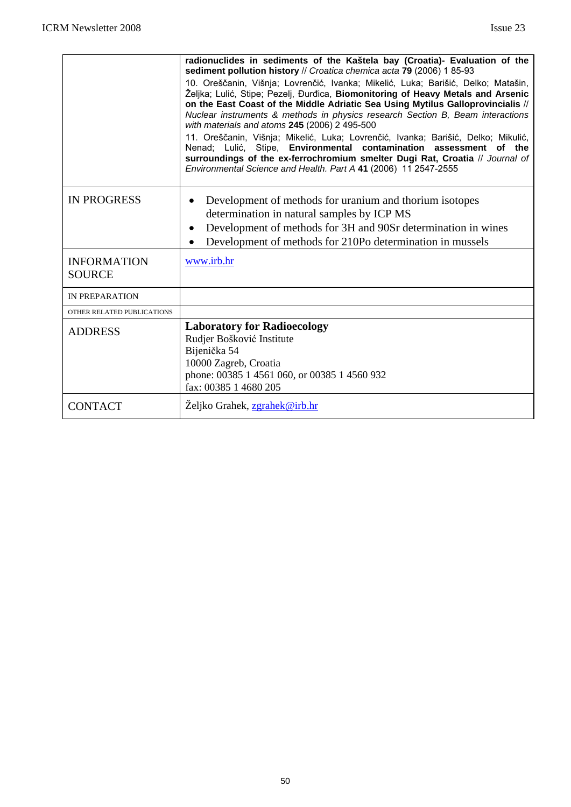|                                     | radionuclides in sediments of the Kaštela bay (Croatia)- Evaluation of the<br>sediment pollution history // Croatica chemica acta 79 (2006) 1 85-93<br>10. Oreščanin, Višnja; Lovrenčić, Ivanka; Mikelić, Luka; Barišić, Delko; Matašin,<br>Željka; Lulić, Stipe; Pezelj, Đurđica, Biomonitoring of Heavy Metals and Arsenic<br>on the East Coast of the Middle Adriatic Sea Using Mytilus Galloprovincialis //<br>Nuclear instruments & methods in physics research Section B, Beam interactions<br>with materials and atoms 245 (2006) 2 495-500<br>11. Oreščanin, Višnja; Mikelić, Luka; Lovrenčić, Ivanka; Barišić, Delko; Mikulić,<br>Nenad; Lulić, Stipe, Environmental contamination assessment of the<br>surroundings of the ex-ferrochromium smelter Dugi Rat, Croatia // Journal of<br>Environmental Science and Health. Part A 41 (2006) 11 2547-2555 |
|-------------------------------------|------------------------------------------------------------------------------------------------------------------------------------------------------------------------------------------------------------------------------------------------------------------------------------------------------------------------------------------------------------------------------------------------------------------------------------------------------------------------------------------------------------------------------------------------------------------------------------------------------------------------------------------------------------------------------------------------------------------------------------------------------------------------------------------------------------------------------------------------------------------|
| <b>IN PROGRESS</b>                  | Development of methods for uranium and thorium isotopes<br>determination in natural samples by ICP MS<br>Development of methods for 3H and 90Sr determination in wines<br>$\bullet$<br>Development of methods for 210Po determination in mussels<br>$\bullet$                                                                                                                                                                                                                                                                                                                                                                                                                                                                                                                                                                                                    |
| <b>INFORMATION</b><br><b>SOURCE</b> | www.irb.hr                                                                                                                                                                                                                                                                                                                                                                                                                                                                                                                                                                                                                                                                                                                                                                                                                                                       |
| <b>IN PREPARATION</b>               |                                                                                                                                                                                                                                                                                                                                                                                                                                                                                                                                                                                                                                                                                                                                                                                                                                                                  |
| OTHER RELATED PUBLICATIONS          |                                                                                                                                                                                                                                                                                                                                                                                                                                                                                                                                                                                                                                                                                                                                                                                                                                                                  |
| <b>ADDRESS</b>                      | <b>Laboratory for Radioecology</b><br>Rudjer Bošković Institute<br>Bijenička 54<br>10000 Zagreb, Croatia<br>phone: 00385 1 4561 060, or 00385 1 4560 932<br>fax: 00385 1 4680 205                                                                                                                                                                                                                                                                                                                                                                                                                                                                                                                                                                                                                                                                                |
| <b>CONTACT</b>                      | Željko Grahek, zgrahek@irb.hr                                                                                                                                                                                                                                                                                                                                                                                                                                                                                                                                                                                                                                                                                                                                                                                                                                    |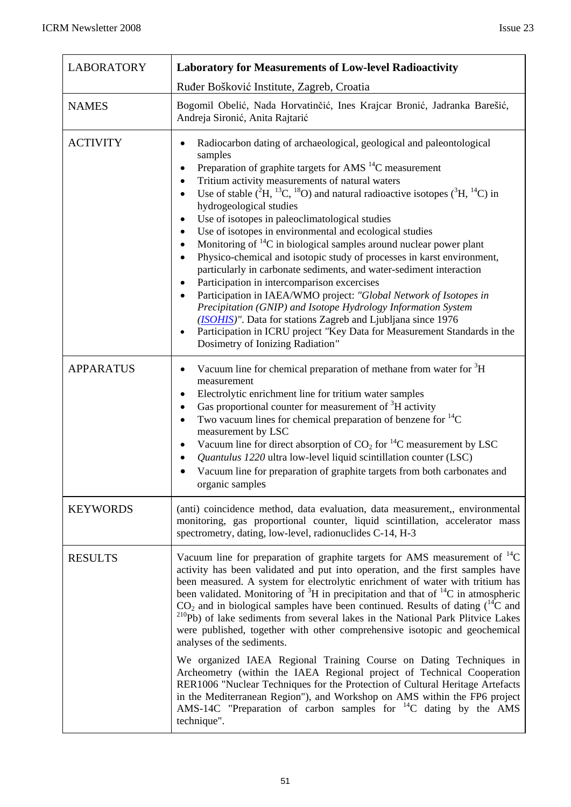| <b>LABORATORY</b> | <b>Laboratory for Measurements of Low-level Radioactivity</b>                                                                                                                                                                                                                                                                                                                                                                                                                                                                                                                                                                                                                                                                                                                                                                                                                                                                                                                                                                                                                                                                                    |
|-------------------|--------------------------------------------------------------------------------------------------------------------------------------------------------------------------------------------------------------------------------------------------------------------------------------------------------------------------------------------------------------------------------------------------------------------------------------------------------------------------------------------------------------------------------------------------------------------------------------------------------------------------------------------------------------------------------------------------------------------------------------------------------------------------------------------------------------------------------------------------------------------------------------------------------------------------------------------------------------------------------------------------------------------------------------------------------------------------------------------------------------------------------------------------|
|                   | Ruđer Bošković Institute, Zagreb, Croatia                                                                                                                                                                                                                                                                                                                                                                                                                                                                                                                                                                                                                                                                                                                                                                                                                                                                                                                                                                                                                                                                                                        |
| <b>NAMES</b>      | Bogomil Obelić, Nada Horvatinčić, Ines Krajcar Bronić, Jadranka Barešić,<br>Andreja Sironić, Anita Rajtarić                                                                                                                                                                                                                                                                                                                                                                                                                                                                                                                                                                                                                                                                                                                                                                                                                                                                                                                                                                                                                                      |
| <b>ACTIVITY</b>   | Radiocarbon dating of archaeological, geological and paleontological<br>samples<br>Preparation of graphite targets for AMS <sup>14</sup> C measurement<br>$\bullet$<br>Tritium activity measurements of natural waters<br>$\bullet$<br>Use of stable $(^{2}H, ^{13}C, ^{18}O)$ and natural radioactive isotopes $(^{3}H, ^{14}C)$ in<br>hydrogeological studies<br>Use of isotopes in paleoclimatological studies<br>$\bullet$<br>Use of isotopes in environmental and ecological studies<br>$\bullet$<br>Monitoring of ${}^{14}C$ in biological samples around nuclear power plant<br>$\bullet$<br>Physico-chemical and isotopic study of processes in karst environment,<br>particularly in carbonate sediments, and water-sediment interaction<br>Participation in intercomparison excercises<br>$\bullet$<br>Participation in IAEA/WMO project: "Global Network of Isotopes in<br>Precipitation (GNIP) and Isotope Hydrology Information System<br>(ISOHIS)". Data for stations Zagreb and Ljubljana since 1976<br>Participation in ICRU project "Key Data for Measurement Standards in the<br>$\bullet$<br>Dosimetry of Ionizing Radiation" |
| <b>APPARATUS</b>  | Vacuum line for chemical preparation of methane from water for <sup>3</sup> H<br>$\bullet$<br>measurement<br>Electrolytic enrichment line for tritium water samples<br>٠<br>Gas proportional counter for measurement of <sup>3</sup> H activity<br>Two vacuum lines for chemical preparation of benzene for ${}^{14}C$<br>measurement by LSC<br>Vacuum line for direct absorption of $CO_2$ for <sup>14</sup> C measurement by LSC<br>٠<br>Quantulus 1220 ultra low-level liquid scintillation counter (LSC)<br>Vacuum line for preparation of graphite targets from both carbonates and<br>organic samples                                                                                                                                                                                                                                                                                                                                                                                                                                                                                                                                      |
| <b>KEYWORDS</b>   | (anti) coincidence method, data evaluation, data measurement,, environmental<br>monitoring, gas proportional counter, liquid scintillation, accelerator mass<br>spectrometry, dating, low-level, radionuclides C-14, H-3                                                                                                                                                                                                                                                                                                                                                                                                                                                                                                                                                                                                                                                                                                                                                                                                                                                                                                                         |
| <b>RESULTS</b>    | Vacuum line for preparation of graphite targets for AMS measurement of ${}^{14}C$<br>activity has been validated and put into operation, and the first samples have<br>been measured. A system for electrolytic enrichment of water with tritium has<br>been validated. Monitoring of ${}^{3}H$ in precipitation and that of ${}^{14}C$ in atmospheric<br>$CO2$ and in biological samples have been continued. Results of dating ( $^{14}$ C and<br><sup>210</sup> Pb) of lake sediments from several lakes in the National Park Plitvice Lakes<br>were published, together with other comprehensive isotopic and geochemical<br>analyses of the sediments.<br>We organized IAEA Regional Training Course on Dating Techniques in<br>Archeometry (within the IAEA Regional project of Technical Cooperation<br>RER1006 "Nuclear Techniques for the Protection of Cultural Heritage Artefacts<br>in the Mediterranean Region"), and Workshop on AMS within the FP6 project<br>AMS-14C "Preparation of carbon samples for <sup>14</sup> C dating by the AMS                                                                                        |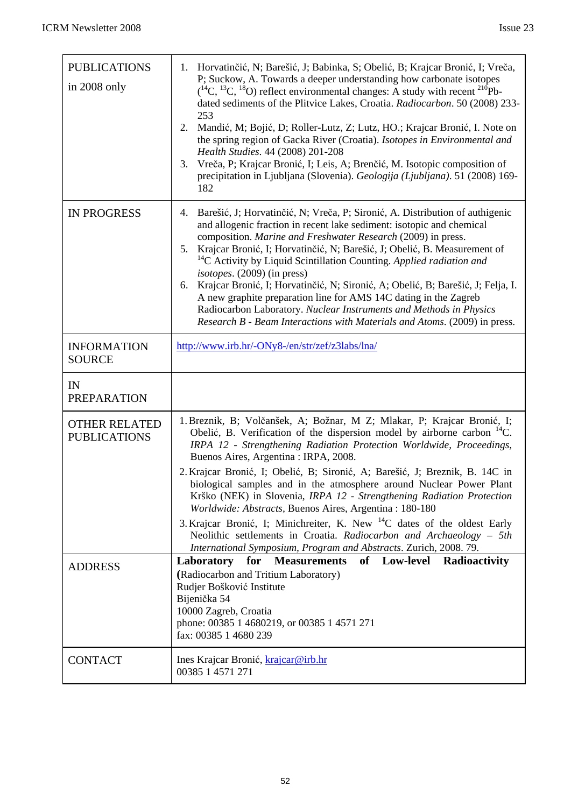| <b>PUBLICATIONS</b><br>in 2008 only         | 1. Horvatinčić, N; Barešić, J; Babinka, S; Obelić, B; Krajcar Bronić, I; Vreča,<br>P; Suckow, A. Towards a deeper understanding how carbonate isotopes<br>$($ <sup>14</sup> C, <sup>13</sup> C, <sup>18</sup> O) reflect environmental changes: A study with recent <sup>210</sup> Pb-<br>dated sediments of the Plitvice Lakes, Croatia. Radiocarbon. 50 (2008) 233-<br>253<br>Mandić, M; Bojić, D; Roller-Lutz, Z; Lutz, HO.; Krajcar Bronić, I. Note on<br>2.<br>the spring region of Gacka River (Croatia). Isotopes in Environmental and<br>Health Studies. 44 (2008) 201-208<br>Vreča, P; Krajcar Bronić, I; Leis, A; Brenčić, M. Isotopic composition of<br>3.<br>precipitation in Ljubljana (Slovenia). Geologija (Ljubljana). 51 (2008) 169-<br>182 |
|---------------------------------------------|--------------------------------------------------------------------------------------------------------------------------------------------------------------------------------------------------------------------------------------------------------------------------------------------------------------------------------------------------------------------------------------------------------------------------------------------------------------------------------------------------------------------------------------------------------------------------------------------------------------------------------------------------------------------------------------------------------------------------------------------------------------|
| <b>IN PROGRESS</b>                          | Barešić, J; Horvatinčić, N; Vreča, P; Sironić, A. Distribution of authigenic<br>4.<br>and allogenic fraction in recent lake sediment: isotopic and chemical<br>composition. Marine and Freshwater Research (2009) in press.<br>Krajcar Bronić, I; Horvatinčić, N; Barešić, J; Obelić, B. Measurement of<br>5.<br><sup>14</sup> C Activity by Liquid Scintillation Counting. Applied radiation and<br><i>isotopes.</i> (2009) (in press)<br>Krajcar Bronić, I; Horvatinčić, N; Sironić, A; Obelić, B; Barešić, J; Felja, I.<br>6.<br>A new graphite preparation line for AMS 14C dating in the Zagreb<br>Radiocarbon Laboratory. Nuclear Instruments and Methods in Physics<br>Research B - Beam Interactions with Materials and Atoms. (2009) in press.      |
| <b>INFORMATION</b><br><b>SOURCE</b>         | http://www.irb.hr/-ONy8-/en/str/zef/z3labs/lna/                                                                                                                                                                                                                                                                                                                                                                                                                                                                                                                                                                                                                                                                                                              |
| IN<br><b>PREPARATION</b>                    |                                                                                                                                                                                                                                                                                                                                                                                                                                                                                                                                                                                                                                                                                                                                                              |
| <b>OTHER RELATED</b><br><b>PUBLICATIONS</b> | 1. Breznik, B; Volčanšek, A; Božnar, M Z; Mlakar, P; Krajcar Bronić, I;<br>Obelić, B. Verification of the dispersion model by airborne carbon $^{14}$ C.<br>IRPA 12 - Strengthening Radiation Protection Worldwide, Proceedings,<br>Buenos Aires, Argentina: IRPA, 2008.<br>2. Krajcar Bronić, I; Obelić, B; Sironić, A; Barešić, J; Breznik, B. 14C in                                                                                                                                                                                                                                                                                                                                                                                                      |
|                                             | biological samples and in the atmosphere around Nuclear Power Plant<br>Krško (NEK) in Slovenia, IRPA 12 - Strengthening Radiation Protection<br>Worldwide: Abstracts, Buenos Aires, Argentina: 180-180                                                                                                                                                                                                                                                                                                                                                                                                                                                                                                                                                       |
|                                             | 3. Krajcar Bronić, I; Minichreiter, K. New $^{14}$ C dates of the oldest Early<br>Neolithic settlements in Croatia. Radiocarbon and Archaeology - 5th<br>International Symposium, Program and Abstracts. Zurich, 2008. 79.                                                                                                                                                                                                                                                                                                                                                                                                                                                                                                                                   |
| <b>ADDRESS</b>                              | for<br><b>Measurements</b><br>of<br>Radioactivity<br>Laboratory<br><b>Low-level</b><br>(Radiocarbon and Tritium Laboratory)<br>Rudjer Bošković Institute<br>Bijenička 54<br>10000 Zagreb, Croatia<br>phone: 00385 1 4680219, or 00385 1 4571 271<br>fax: 00385 1 4680 239                                                                                                                                                                                                                                                                                                                                                                                                                                                                                    |
| <b>CONTACT</b>                              | Ines Krajcar Bronić, krajcar@irb.hr<br>00385 1 4571 271                                                                                                                                                                                                                                                                                                                                                                                                                                                                                                                                                                                                                                                                                                      |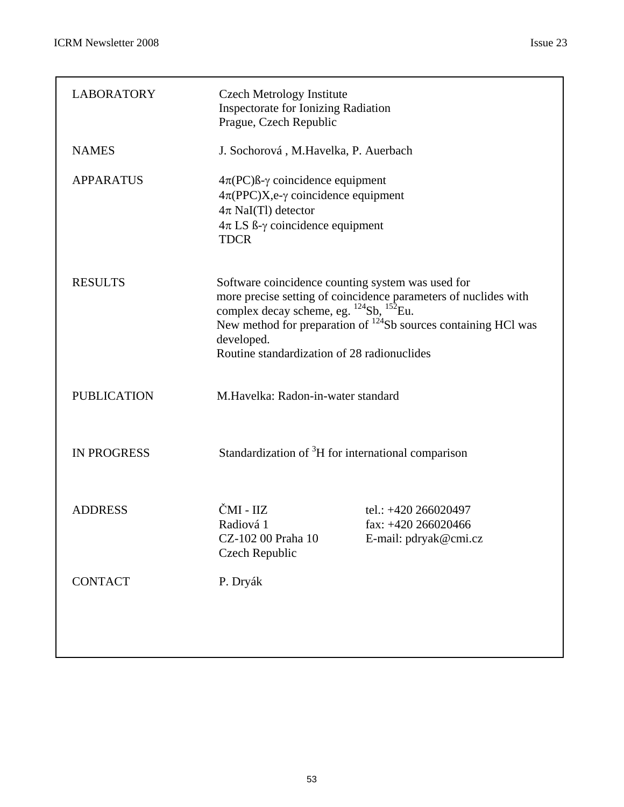| <b>LABORATORY</b>  | <b>Czech Metrology Institute</b><br>Inspectorate for Ionizing Radiation<br>Prague, Czech Republic                                                                                                  |                                                                                                                                               |
|--------------------|----------------------------------------------------------------------------------------------------------------------------------------------------------------------------------------------------|-----------------------------------------------------------------------------------------------------------------------------------------------|
| <b>NAMES</b>       | J. Sochorová, M.Havelka, P. Auerbach                                                                                                                                                               |                                                                                                                                               |
| <b>APPARATUS</b>   | $4\pi (PC)$ <sub>B</sub> - $\gamma$ coincidence equipment<br>$4\pi (PPC)X,e-\gamma$ coincidence equipment<br>$4\pi$ NaI(Tl) detector<br>$4\pi$ LS 8- $\gamma$ coincidence equipment<br><b>TDCR</b> |                                                                                                                                               |
| <b>RESULTS</b>     | Software coincidence counting system was used for<br>complex decay scheme, eg. <sup>124</sup> Sb, <sup>152</sup> Eu.<br>developed.<br>Routine standardization of 28 radionuclides                  | more precise setting of coincidence parameters of nuclides with<br>New method for preparation of <sup>124</sup> Sb sources containing HCl was |
| <b>PUBLICATION</b> | M.Havelka: Radon-in-water standard                                                                                                                                                                 |                                                                                                                                               |
| <b>IN PROGRESS</b> | Standardization of <sup>3</sup> H for international comparison                                                                                                                                     |                                                                                                                                               |
| <b>ADDRESS</b>     | ČMI - IIZ<br>Radiová 1<br>CZ-102 00 Praha 10<br>Czech Republic                                                                                                                                     | tel.: $+420\,266020497$<br>fax: $+420$ 266020466<br>E-mail: pdryak@cmi.cz                                                                     |
| <b>CONTACT</b>     | P. Dryák                                                                                                                                                                                           |                                                                                                                                               |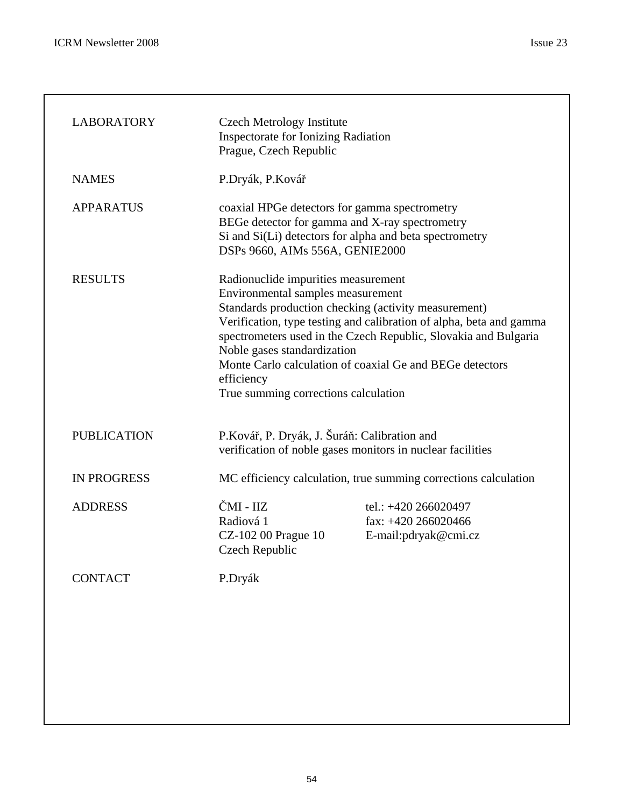| <b>LABORATORY</b>  | <b>Czech Metrology Institute</b><br>Inspectorate for Ionizing Radiation<br>Prague, Czech Republic                                                             |                                                                                                                                                                                                                                                            |
|--------------------|---------------------------------------------------------------------------------------------------------------------------------------------------------------|------------------------------------------------------------------------------------------------------------------------------------------------------------------------------------------------------------------------------------------------------------|
| <b>NAMES</b>       | P.Dryák, P.Kovář                                                                                                                                              |                                                                                                                                                                                                                                                            |
| <b>APPARATUS</b>   | coaxial HPGe detectors for gamma spectrometry<br>BEGe detector for gamma and X-ray spectrometry<br>DSPs 9660, AIMs 556A, GENIE2000                            | Si and Si(Li) detectors for alpha and beta spectrometry                                                                                                                                                                                                    |
| <b>RESULTS</b>     | Radionuclide impurities measurement<br>Environmental samples measurement<br>Noble gases standardization<br>efficiency<br>True summing corrections calculation | Standards production checking (activity measurement)<br>Verification, type testing and calibration of alpha, beta and gamma<br>spectrometers used in the Czech Republic, Slovakia and Bulgaria<br>Monte Carlo calculation of coaxial Ge and BEGe detectors |
| <b>PUBLICATION</b> | P.Kovář, P. Dryák, J. Šuráň: Calibration and                                                                                                                  | verification of noble gases monitors in nuclear facilities                                                                                                                                                                                                 |
| <b>IN PROGRESS</b> | MC efficiency calculation, true summing corrections calculation                                                                                               |                                                                                                                                                                                                                                                            |
| <b>ADDRESS</b>     | ČMI - IIZ<br>Radiová 1<br>CZ-102 00 Prague 10<br>Czech Republic                                                                                               | tel.: +420 266020497<br>fax: $+420\,266020466$<br>E-mail:pdryak@cmi.cz                                                                                                                                                                                     |
| <b>CONTACT</b>     | P.Dryák                                                                                                                                                       |                                                                                                                                                                                                                                                            |
|                    |                                                                                                                                                               |                                                                                                                                                                                                                                                            |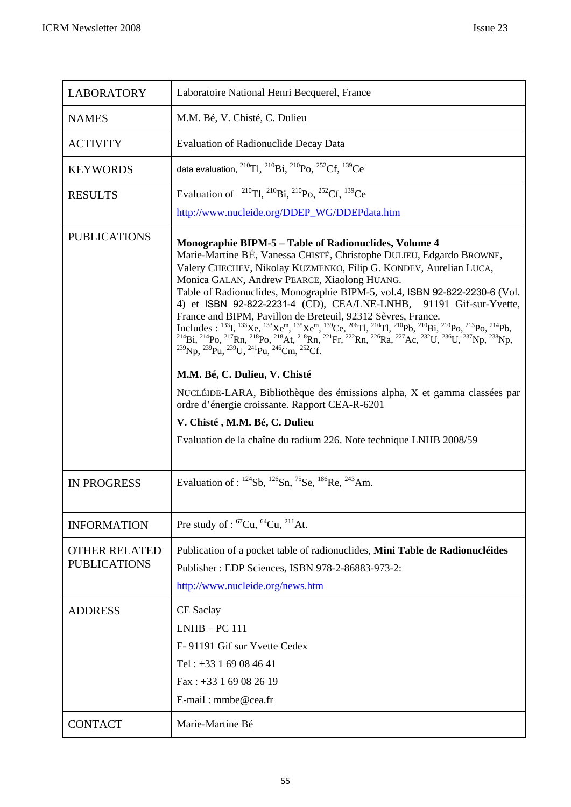| <b>LABORATORY</b>                           | Laboratoire National Henri Becquerel, France                                                                                                                                                                                                                                                                                                                                                                                                                                                                                                                                                                                                                                                                                                                                                                                                                                                                                                                                                                                                                                                                                                                                                                                                                                                                                                                                                                                                                 |
|---------------------------------------------|--------------------------------------------------------------------------------------------------------------------------------------------------------------------------------------------------------------------------------------------------------------------------------------------------------------------------------------------------------------------------------------------------------------------------------------------------------------------------------------------------------------------------------------------------------------------------------------------------------------------------------------------------------------------------------------------------------------------------------------------------------------------------------------------------------------------------------------------------------------------------------------------------------------------------------------------------------------------------------------------------------------------------------------------------------------------------------------------------------------------------------------------------------------------------------------------------------------------------------------------------------------------------------------------------------------------------------------------------------------------------------------------------------------------------------------------------------------|
| <b>NAMES</b>                                | M.M. Bé, V. Chisté, C. Dulieu                                                                                                                                                                                                                                                                                                                                                                                                                                                                                                                                                                                                                                                                                                                                                                                                                                                                                                                                                                                                                                                                                                                                                                                                                                                                                                                                                                                                                                |
| <b>ACTIVITY</b>                             | <b>Evaluation of Radionuclide Decay Data</b>                                                                                                                                                                                                                                                                                                                                                                                                                                                                                                                                                                                                                                                                                                                                                                                                                                                                                                                                                                                                                                                                                                                                                                                                                                                                                                                                                                                                                 |
| <b>KEYWORDS</b>                             | data evaluation, $^{210}$ Tl, $^{210}$ Bi, $^{210}$ Po, $^{252}$ Cf, $^{139}$ Ce                                                                                                                                                                                                                                                                                                                                                                                                                                                                                                                                                                                                                                                                                                                                                                                                                                                                                                                                                                                                                                                                                                                                                                                                                                                                                                                                                                             |
| <b>RESULTS</b>                              | Evaluation of $^{210}$ Tl, $^{210}$ Bi, $^{210}$ Po, $^{252}$ Cf, $^{139}$ Ce<br>http://www.nucleide.org/DDEP_WG/DDEPdata.htm                                                                                                                                                                                                                                                                                                                                                                                                                                                                                                                                                                                                                                                                                                                                                                                                                                                                                                                                                                                                                                                                                                                                                                                                                                                                                                                                |
| <b>PUBLICATIONS</b>                         | <b>Monographie BIPM-5 - Table of Radionuclides, Volume 4</b><br>Marie-Martine BÉ, Vanessa CHISTÉ, Christophe DULIEU, Edgardo BROWNE,<br>Valery CHECHEV, Nikolay KUZMENKO, Filip G. KONDEV, Aurelian LUCA,<br>Monica GALAN, Andrew PEARCE, Xiaolong HUANG.<br>Table of Radionuclides, Monographie BIPM-5, vol.4, ISBN 92-822-2230-6 (Vol.<br>4) et ISBN 92-822-2231-4 (CD), CEA/LNE-LNHB, 91191 Gif-sur-Yvette,<br>France and BIPM, Pavillon de Breteuil, 92312 Sèvres, France.<br>Includes: $^{133}$ I, $^{133}$ Xe, $^{133}$ Xe <sup>m</sup> , $^{135}$ Xe <sup>m</sup> , $^{139}$ Ce, $^{206}$ Tl, $^{210}$ Tl, $^{210}$ Pb, $^{210}$ Bi, $^{210}$ Po, $^{213}$ Po, $^{214}$ Pb,<br><sup>214</sup> Bi, <sup>214</sup> Po, <sup>217</sup> Rn, <sup>218</sup> Po, <sup>218</sup> At, <sup>218</sup> Rn, <sup>221</sup> Fr, <sup>222</sup> Rn, <sup>226</sup> Ra, <sup>227</sup> Ac, <sup>232</sup> U, <sup>236</sup> U, <sup>237</sup> Np, <sup>238</sup> Np, <sup>239</sup> Np, <sup>239</sup> U, <sup>239</sup> U, <sup>239</sup> U, <sup>239</sup> U, <sup>239</sup> U, <sup>239</sup> U, <sup>239</sup> U, <sup>239</sup> U, <sup>239</sup> U, <sup>239</sup> U, <sup>239</sup> U,<br>M.M. Bé, C. Dulieu, V. Chisté<br>NUCLÉIDE-LARA, Bibliothèque des émissions alpha, X et gamma classées par<br>ordre d'énergie croissante. Rapport CEA-R-6201<br>V. Chisté, M.M. Bé, C. Dulieu<br>Evaluation de la chaîne du radium 226. Note technique LNHB 2008/59 |
| <b>IN PROGRESS</b>                          | Evaluation of : $^{124}Sb$ , $^{126}Sn$ , $^{75}Se$ , $^{186}Re$ , $^{243}Am$ .                                                                                                                                                                                                                                                                                                                                                                                                                                                                                                                                                                                                                                                                                                                                                                                                                                                                                                                                                                                                                                                                                                                                                                                                                                                                                                                                                                              |
| <b>INFORMATION</b>                          | Pre study of : ${}^{67}Cu$ , ${}^{64}Cu$ , ${}^{211}At$ .                                                                                                                                                                                                                                                                                                                                                                                                                                                                                                                                                                                                                                                                                                                                                                                                                                                                                                                                                                                                                                                                                                                                                                                                                                                                                                                                                                                                    |
| <b>OTHER RELATED</b><br><b>PUBLICATIONS</b> | Publication of a pocket table of radionuclides, Mini Table de Radionucléides<br>Publisher: EDP Sciences, ISBN 978-2-86883-973-2:<br>http://www.nucleide.org/news.htm                                                                                                                                                                                                                                                                                                                                                                                                                                                                                                                                                                                                                                                                                                                                                                                                                                                                                                                                                                                                                                                                                                                                                                                                                                                                                         |
| <b>ADDRESS</b><br><b>CONTACT</b>            | CE Saclay<br>$LNHB - PC$ 111<br>F-91191 Gif sur Yvette Cedex<br>Tel: $+33$ 1 69 08 46 41<br>Fax: $+33$ 1 69 08 26 19<br>E-mail: mmbe@cea.fr<br>Marie-Martine Bé                                                                                                                                                                                                                                                                                                                                                                                                                                                                                                                                                                                                                                                                                                                                                                                                                                                                                                                                                                                                                                                                                                                                                                                                                                                                                              |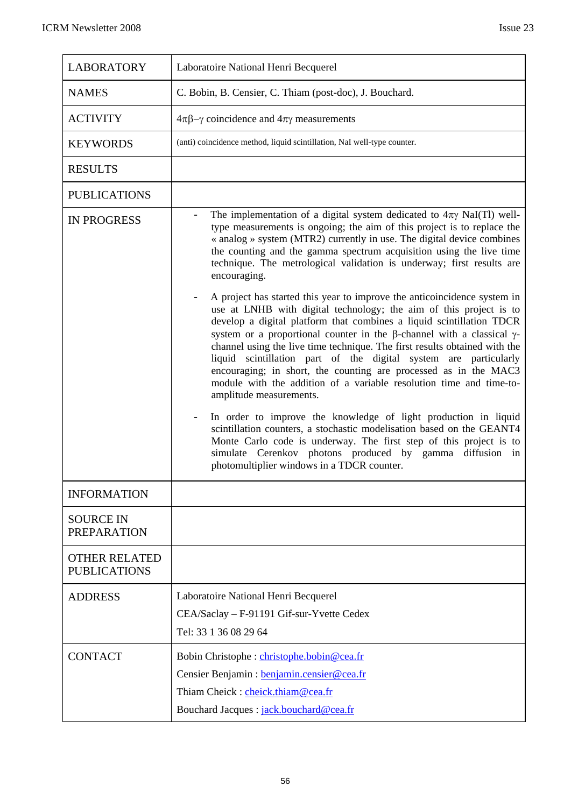| <b>LABORATORY</b>                           | Laboratoire National Henri Becquerel                                                                                                                                                                                                                                                                                                                                                                                                                                                                                                                                                                                                                                                                                                                                                                                                                                                                                                                                                                                                                                                                                  |
|---------------------------------------------|-----------------------------------------------------------------------------------------------------------------------------------------------------------------------------------------------------------------------------------------------------------------------------------------------------------------------------------------------------------------------------------------------------------------------------------------------------------------------------------------------------------------------------------------------------------------------------------------------------------------------------------------------------------------------------------------------------------------------------------------------------------------------------------------------------------------------------------------------------------------------------------------------------------------------------------------------------------------------------------------------------------------------------------------------------------------------------------------------------------------------|
| <b>NAMES</b>                                | C. Bobin, B. Censier, C. Thiam (post-doc), J. Bouchard.                                                                                                                                                                                                                                                                                                                                                                                                                                                                                                                                                                                                                                                                                                                                                                                                                                                                                                                                                                                                                                                               |
| <b>ACTIVITY</b>                             | $4\pi\beta-\gamma$ coincidence and $4\pi\gamma$ measurements                                                                                                                                                                                                                                                                                                                                                                                                                                                                                                                                                                                                                                                                                                                                                                                                                                                                                                                                                                                                                                                          |
| <b>KEYWORDS</b>                             | (anti) coincidence method, liquid scintillation, NaI well-type counter.                                                                                                                                                                                                                                                                                                                                                                                                                                                                                                                                                                                                                                                                                                                                                                                                                                                                                                                                                                                                                                               |
| <b>RESULTS</b>                              |                                                                                                                                                                                                                                                                                                                                                                                                                                                                                                                                                                                                                                                                                                                                                                                                                                                                                                                                                                                                                                                                                                                       |
| <b>PUBLICATIONS</b>                         |                                                                                                                                                                                                                                                                                                                                                                                                                                                                                                                                                                                                                                                                                                                                                                                                                                                                                                                                                                                                                                                                                                                       |
| <b>IN PROGRESS</b>                          | The implementation of a digital system dedicated to $4\pi\gamma$ NaI(Tl) well-<br>type measurements is ongoing; the aim of this project is to replace the<br>« analog » system (MTR2) currently in use. The digital device combines<br>the counting and the gamma spectrum acquisition using the live time<br>technique. The metrological validation is underway; first results are<br>encouraging.<br>A project has started this year to improve the anticoincidence system in<br>use at LNHB with digital technology; the aim of this project is to<br>develop a digital platform that combines a liquid scintillation TDCR<br>system or a proportional counter in the $\beta$ -channel with a classical $\gamma$ -<br>channel using the live time technique. The first results obtained with the<br>liquid scintillation part of the digital system are particularly<br>encouraging; in short, the counting are processed as in the MAC3<br>module with the addition of a variable resolution time and time-to-<br>amplitude measurements.<br>In order to improve the knowledge of light production in liquid<br>- |
|                                             | scintillation counters, a stochastic modelisation based on the GEANT4<br>Monte Carlo code is underway. The first step of this project is to<br>simulate Cerenkov photons produced by gamma<br>diffusion in<br>photomultiplier windows in a TDCR counter.                                                                                                                                                                                                                                                                                                                                                                                                                                                                                                                                                                                                                                                                                                                                                                                                                                                              |
| <b>INFORMATION</b>                          |                                                                                                                                                                                                                                                                                                                                                                                                                                                                                                                                                                                                                                                                                                                                                                                                                                                                                                                                                                                                                                                                                                                       |
| <b>SOURCE IN</b><br><b>PREPARATION</b>      |                                                                                                                                                                                                                                                                                                                                                                                                                                                                                                                                                                                                                                                                                                                                                                                                                                                                                                                                                                                                                                                                                                                       |
| <b>OTHER RELATED</b><br><b>PUBLICATIONS</b> |                                                                                                                                                                                                                                                                                                                                                                                                                                                                                                                                                                                                                                                                                                                                                                                                                                                                                                                                                                                                                                                                                                                       |
| <b>ADDRESS</b>                              | Laboratoire National Henri Becquerel<br>CEA/Saclay - F-91191 Gif-sur-Yvette Cedex<br>Tel: 33 1 36 08 29 64                                                                                                                                                                                                                                                                                                                                                                                                                                                                                                                                                                                                                                                                                                                                                                                                                                                                                                                                                                                                            |
| <b>CONTACT</b>                              | Bobin Christophe : christophe.bobin@cea.fr<br>Censier Benjamin : benjamin.censier@cea.fr<br>Thiam Cheick: cheick.thiam@cea.fr<br>Bouchard Jacques : jack.bouchard@cea.fr                                                                                                                                                                                                                                                                                                                                                                                                                                                                                                                                                                                                                                                                                                                                                                                                                                                                                                                                              |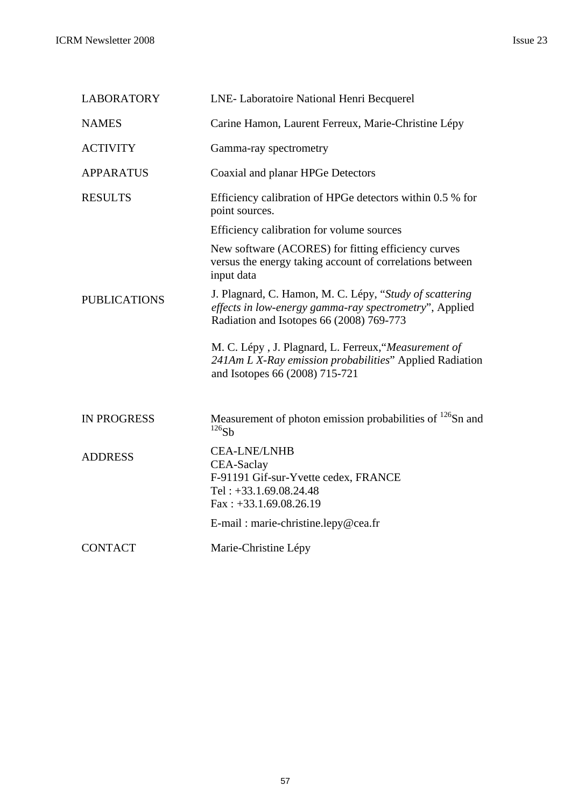| <b>LABORATORY</b>   | LNE- Laboratoire National Henri Becquerel                                                                                                                     |
|---------------------|---------------------------------------------------------------------------------------------------------------------------------------------------------------|
| <b>NAMES</b>        | Carine Hamon, Laurent Ferreux, Marie-Christine Lépy                                                                                                           |
| <b>ACTIVITY</b>     | Gamma-ray spectrometry                                                                                                                                        |
| <b>APPARATUS</b>    | Coaxial and planar HPGe Detectors                                                                                                                             |
| <b>RESULTS</b>      | Efficiency calibration of HPGe detectors within 0.5 % for<br>point sources.                                                                                   |
|                     | Efficiency calibration for volume sources                                                                                                                     |
|                     | New software (ACORES) for fitting efficiency curves<br>versus the energy taking account of correlations between<br>input data                                 |
| <b>PUBLICATIONS</b> | J. Plagnard, C. Hamon, M. C. Lépy, "Study of scattering<br>effects in low-energy gamma-ray spectrometry", Applied<br>Radiation and Isotopes 66 (2008) 769-773 |
|                     | M. C. Lépy, J. Plagnard, L. Ferreux, "Measurement of<br>241Am L X-Ray emission probabilities" Applied Radiation<br>and Isotopes 66 (2008) 715-721             |
| <b>IN PROGRESS</b>  | Measurement of photon emission probabilities of <sup>126</sup> Sn and<br>126Sb                                                                                |
| <b>ADDRESS</b>      | <b>CEA-LNE/LNHB</b><br>CEA-Saclay<br>F-91191 Gif-sur-Yvette cedex, FRANCE<br>Tel: $+33.1.69.08.24.48$<br>$Fax: +33.1.69.08.26.19$                             |
|                     | E-mail: marie-christine.lepy@cea.fr                                                                                                                           |
| <b>CONTACT</b>      | Marie-Christine Lépy                                                                                                                                          |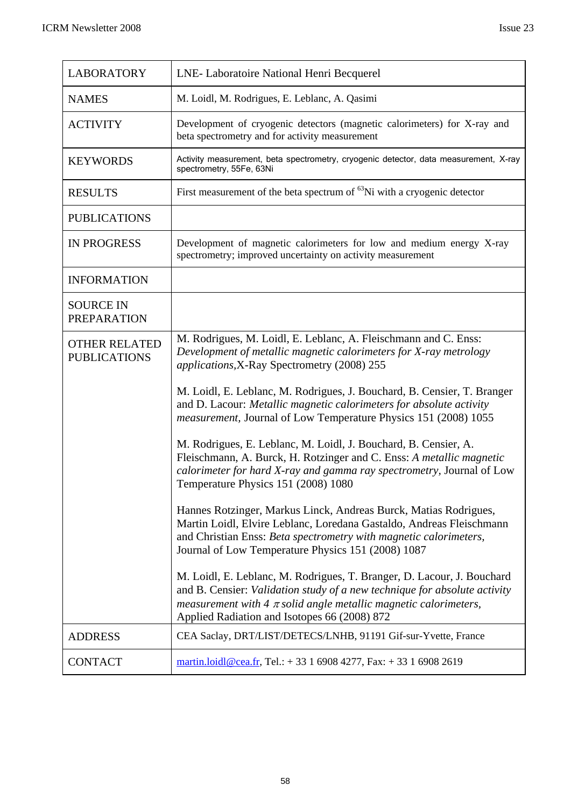| <b>LABORATORY</b>                           | LNE- Laboratoire National Henri Becquerel                                                                                                                                                                                                                                   |
|---------------------------------------------|-----------------------------------------------------------------------------------------------------------------------------------------------------------------------------------------------------------------------------------------------------------------------------|
| <b>NAMES</b>                                | M. Loidl, M. Rodrigues, E. Leblanc, A. Qasimi                                                                                                                                                                                                                               |
| <b>ACTIVITY</b>                             | Development of cryogenic detectors (magnetic calorimeters) for X-ray and<br>beta spectrometry and for activity measurement                                                                                                                                                  |
| <b>KEYWORDS</b>                             | Activity measurement, beta spectrometry, cryogenic detector, data measurement, X-ray<br>spectrometry, 55Fe, 63Ni                                                                                                                                                            |
| <b>RESULTS</b>                              | First measurement of the beta spectrum of <sup>63</sup> Ni with a cryogenic detector                                                                                                                                                                                        |
| <b>PUBLICATIONS</b>                         |                                                                                                                                                                                                                                                                             |
| <b>IN PROGRESS</b>                          | Development of magnetic calorimeters for low and medium energy X-ray<br>spectrometry; improved uncertainty on activity measurement                                                                                                                                          |
| <b>INFORMATION</b>                          |                                                                                                                                                                                                                                                                             |
| <b>SOURCE IN</b><br><b>PREPARATION</b>      |                                                                                                                                                                                                                                                                             |
| <b>OTHER RELATED</b><br><b>PUBLICATIONS</b> | M. Rodrigues, M. Loidl, E. Leblanc, A. Fleischmann and C. Enss:<br>Development of metallic magnetic calorimeters for X-ray metrology<br>applications, X-Ray Spectrometry (2008) 255                                                                                         |
|                                             | M. Loidl, E. Leblanc, M. Rodrigues, J. Bouchard, B. Censier, T. Branger<br>and D. Lacour: Metallic magnetic calorimeters for absolute activity<br><i>measurement, Journal of Low Temperature Physics 151 (2008) 1055</i>                                                    |
|                                             | M. Rodrigues, E. Leblanc, M. Loidl, J. Bouchard, B. Censier, A.<br>Fleischmann, A. Burck, H. Rotzinger and C. Enss: A metallic magnetic<br>calorimeter for hard X-ray and gamma ray spectrometry, Journal of Low<br>Temperature Physics 151 (2008) 1080                     |
|                                             | Hannes Rotzinger, Markus Linck, Andreas Burck, Matias Rodrigues,<br>Martin Loidl, Elvire Leblanc, Loredana Gastaldo, Andreas Fleischmann<br>and Christian Enss: Beta spectrometry with magnetic calorimeters,<br>Journal of Low Temperature Physics 151 (2008) 1087         |
|                                             | M. Loidl, E. Leblanc, M. Rodrigues, T. Branger, D. Lacour, J. Bouchard<br>and B. Censier: Validation study of a new technique for absolute activity<br>measurement with 4 $\pi$ solid angle metallic magnetic calorimeters,<br>Applied Radiation and Isotopes 66 (2008) 872 |
| <b>ADDRESS</b>                              | CEA Saclay, DRT/LIST/DETECS/LNHB, 91191 Gif-sur-Yvette, France                                                                                                                                                                                                              |
| <b>CONTACT</b>                              | martin.loidl@cea.fr, Tel.: +33 1 6908 4277, Fax: +33 1 6908 2619                                                                                                                                                                                                            |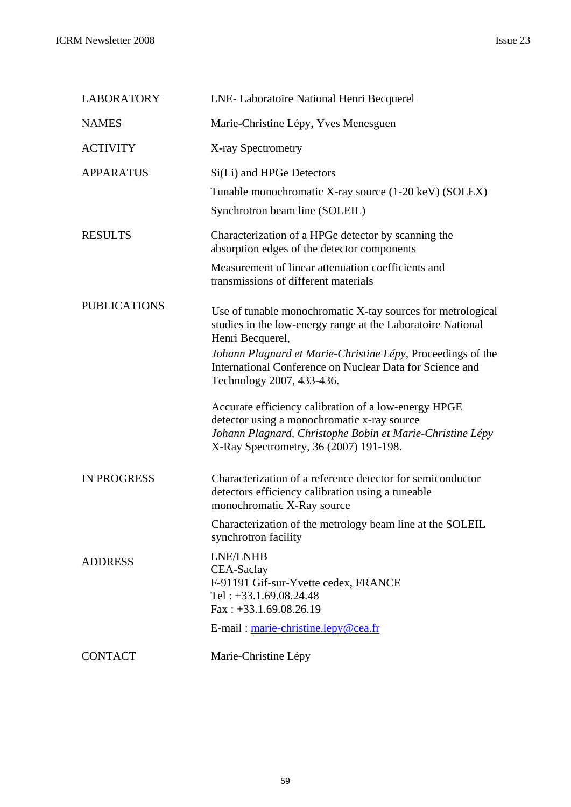| <b>LABORATORY</b>   | LNE- Laboratoire National Henri Becquerel                                                                                                                                                                  |
|---------------------|------------------------------------------------------------------------------------------------------------------------------------------------------------------------------------------------------------|
| <b>NAMES</b>        | Marie-Christine Lépy, Yves Menesguen                                                                                                                                                                       |
| <b>ACTIVITY</b>     | X-ray Spectrometry                                                                                                                                                                                         |
| <b>APPARATUS</b>    | Si(Li) and HPGe Detectors<br>Tunable monochromatic X-ray source (1-20 keV) (SOLEX)<br>Synchrotron beam line (SOLEIL)                                                                                       |
| <b>RESULTS</b>      | Characterization of a HPGe detector by scanning the<br>absorption edges of the detector components                                                                                                         |
|                     | Measurement of linear attenuation coefficients and<br>transmissions of different materials                                                                                                                 |
| <b>PUBLICATIONS</b> | Use of tunable monochromatic X-tay sources for metrological<br>studies in the low-energy range at the Laboratoire National<br>Henri Becquerel,                                                             |
|                     | Johann Plagnard et Marie-Christine Lépy, Proceedings of the<br>International Conference on Nuclear Data for Science and<br>Technology 2007, 433-436.                                                       |
|                     | Accurate efficiency calibration of a low-energy HPGE<br>detector using a monochromatic x-ray source<br>Johann Plagnard, Christophe Bobin et Marie-Christine Lépy<br>X-Ray Spectrometry, 36 (2007) 191-198. |
| <b>IN PROGRESS</b>  | Characterization of a reference detector for semiconductor<br>detectors efficiency calibration using a tuneable<br>monochromatic X-Ray source                                                              |
|                     | Characterization of the metrology beam line at the SOLEIL<br>synchrotron facility                                                                                                                          |
| <b>ADDRESS</b>      | LNE/LNHB<br><b>CEA-Saclay</b><br>F-91191 Gif-sur-Yvette cedex, FRANCE<br>Tel: $+33.1.69.08.24.48$<br>$Fax: +33.1.69.08.26.19$<br>E-mail: marie-christine.lepy@cea.fr                                       |
| <b>CONTACT</b>      | Marie-Christine Lépy                                                                                                                                                                                       |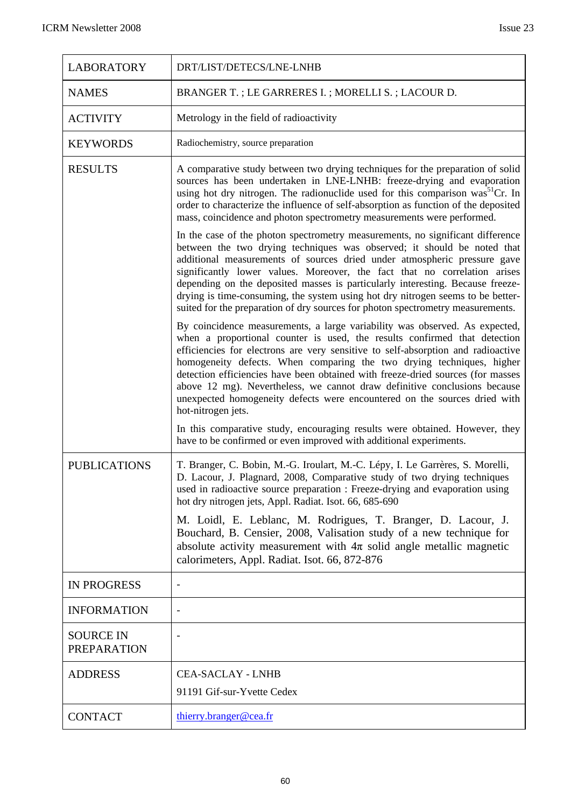| <b>LABORATORY</b>                      | DRT/LIST/DETECS/LNE-LNHB                                                                                                                                                                                                                                                                                                                                                                                                                                                                                                                                                                 |
|----------------------------------------|------------------------------------------------------------------------------------------------------------------------------------------------------------------------------------------------------------------------------------------------------------------------------------------------------------------------------------------------------------------------------------------------------------------------------------------------------------------------------------------------------------------------------------------------------------------------------------------|
| <b>NAMES</b>                           | BRANGER T.; LE GARRERES I.; MORELLI S.; LACOUR D.                                                                                                                                                                                                                                                                                                                                                                                                                                                                                                                                        |
| <b>ACTIVITY</b>                        | Metrology in the field of radioactivity                                                                                                                                                                                                                                                                                                                                                                                                                                                                                                                                                  |
| <b>KEYWORDS</b>                        | Radiochemistry, source preparation                                                                                                                                                                                                                                                                                                                                                                                                                                                                                                                                                       |
| <b>RESULTS</b>                         | A comparative study between two drying techniques for the preparation of solid<br>sources has been undertaken in LNE-LNHB: freeze-drying and evaporation<br>using hot dry nitrogen. The radionuclide used for this comparison was <sup>51</sup> Cr. In<br>order to characterize the influence of self-absorption as function of the deposited<br>mass, coincidence and photon spectrometry measurements were performed.                                                                                                                                                                  |
|                                        | In the case of the photon spectrometry measurements, no significant difference<br>between the two drying techniques was observed; it should be noted that<br>additional measurements of sources dried under atmospheric pressure gave<br>significantly lower values. Moreover, the fact that no correlation arises<br>depending on the deposited masses is particularly interesting. Because freeze-<br>drying is time-consuming, the system using hot dry nitrogen seems to be better-<br>suited for the preparation of dry sources for photon spectrometry measurements.               |
|                                        | By coincidence measurements, a large variability was observed. As expected,<br>when a proportional counter is used, the results confirmed that detection<br>efficiencies for electrons are very sensitive to self-absorption and radioactive<br>homogeneity defects. When comparing the two drying techniques, higher<br>detection efficiencies have been obtained with freeze-dried sources (for masses<br>above 12 mg). Nevertheless, we cannot draw definitive conclusions because<br>unexpected homogeneity defects were encountered on the sources dried with<br>hot-nitrogen jets. |
|                                        | In this comparative study, encouraging results were obtained. However, they<br>have to be confirmed or even improved with additional experiments.                                                                                                                                                                                                                                                                                                                                                                                                                                        |
| <b>PUBLICATIONS</b>                    | T. Branger, C. Bobin, M.-G. Iroulart, M.-C. Lépy, I. Le Garrères, S. Morelli,<br>D. Lacour, J. Plagnard, 2008, Comparative study of two drying techniques<br>used in radioactive source preparation : Freeze-drying and evaporation using<br>hot dry nitrogen jets, Appl. Radiat. Isot. 66, 685-690                                                                                                                                                                                                                                                                                      |
|                                        | M. Loidl, E. Leblanc, M. Rodrigues, T. Branger, D. Lacour, J.<br>Bouchard, B. Censier, 2008, Valisation study of a new technique for<br>absolute activity measurement with $4\pi$ solid angle metallic magnetic<br>calorimeters, Appl. Radiat. Isot. 66, 872-876                                                                                                                                                                                                                                                                                                                         |
| <b>IN PROGRESS</b>                     | $\overline{\phantom{a}}$                                                                                                                                                                                                                                                                                                                                                                                                                                                                                                                                                                 |
| <b>INFORMATION</b>                     |                                                                                                                                                                                                                                                                                                                                                                                                                                                                                                                                                                                          |
| <b>SOURCE IN</b><br><b>PREPARATION</b> | $\overline{a}$                                                                                                                                                                                                                                                                                                                                                                                                                                                                                                                                                                           |
| <b>ADDRESS</b>                         | <b>CEA-SACLAY - LNHB</b>                                                                                                                                                                                                                                                                                                                                                                                                                                                                                                                                                                 |
|                                        | 91191 Gif-sur-Yvette Cedex                                                                                                                                                                                                                                                                                                                                                                                                                                                                                                                                                               |
| <b>CONTACT</b>                         | thierry.branger@cea.fr                                                                                                                                                                                                                                                                                                                                                                                                                                                                                                                                                                   |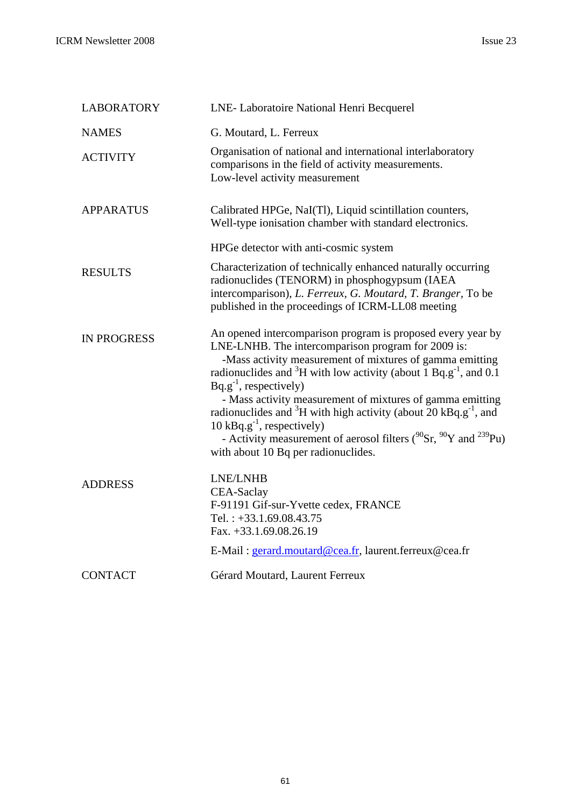| <b>LABORATORY</b>  | LNE- Laboratoire National Henri Becquerel                                                                                                                                                                                                                                                                                                                                                                                                                                                                                                                                                                               |
|--------------------|-------------------------------------------------------------------------------------------------------------------------------------------------------------------------------------------------------------------------------------------------------------------------------------------------------------------------------------------------------------------------------------------------------------------------------------------------------------------------------------------------------------------------------------------------------------------------------------------------------------------------|
| <b>NAMES</b>       | G. Moutard, L. Ferreux                                                                                                                                                                                                                                                                                                                                                                                                                                                                                                                                                                                                  |
| <b>ACTIVITY</b>    | Organisation of national and international interlaboratory<br>comparisons in the field of activity measurements.<br>Low-level activity measurement                                                                                                                                                                                                                                                                                                                                                                                                                                                                      |
| <b>APPARATUS</b>   | Calibrated HPGe, NaI(Tl), Liquid scintillation counters,<br>Well-type ionisation chamber with standard electronics.                                                                                                                                                                                                                                                                                                                                                                                                                                                                                                     |
|                    | HPGe detector with anti-cosmic system                                                                                                                                                                                                                                                                                                                                                                                                                                                                                                                                                                                   |
| <b>RESULTS</b>     | Characterization of technically enhanced naturally occurring<br>radionuclides (TENORM) in phosphogypsum (IAEA<br>intercomparison), L. Ferreux, G. Moutard, T. Branger, To be<br>published in the proceedings of ICRM-LL08 meeting                                                                                                                                                                                                                                                                                                                                                                                       |
| <b>IN PROGRESS</b> | An opened intercomparison program is proposed every year by<br>LNE-LNHB. The intercomparison program for 2009 is:<br>-Mass activity measurement of mixtures of gamma emitting<br>radionuclides and ${}^{3}H$ with low activity (about 1 Bq.g <sup>-1</sup> , and 0.1<br>$Bq.g^{-1}$ , respectively)<br>- Mass activity measurement of mixtures of gamma emitting<br>radionuclides and ${}^{3}H$ with high activity (about 20 kBq.g <sup>-1</sup> , and<br>10 kBq.g <sup>-1</sup> , respectively)<br>- Activity measurement of aerosol filters $(^{90}Sr, ^{90}Y$ and $^{239}Pu)$<br>with about 10 Bq per radionuclides. |
| <b>ADDRESS</b>     | LNE/LNHB<br><b>CEA-Saclay</b><br>F-91191 Gif-sur-Yvette cedex, FRANCE<br>Tel.: $+33.1.69.08.43.75$<br>Fax. +33.1.69.08.26.19<br>E-Mail: gerard.moutard@cea.fr, laurent.ferreux@cea.fr                                                                                                                                                                                                                                                                                                                                                                                                                                   |
| <b>CONTACT</b>     | Gérard Moutard, Laurent Ferreux                                                                                                                                                                                                                                                                                                                                                                                                                                                                                                                                                                                         |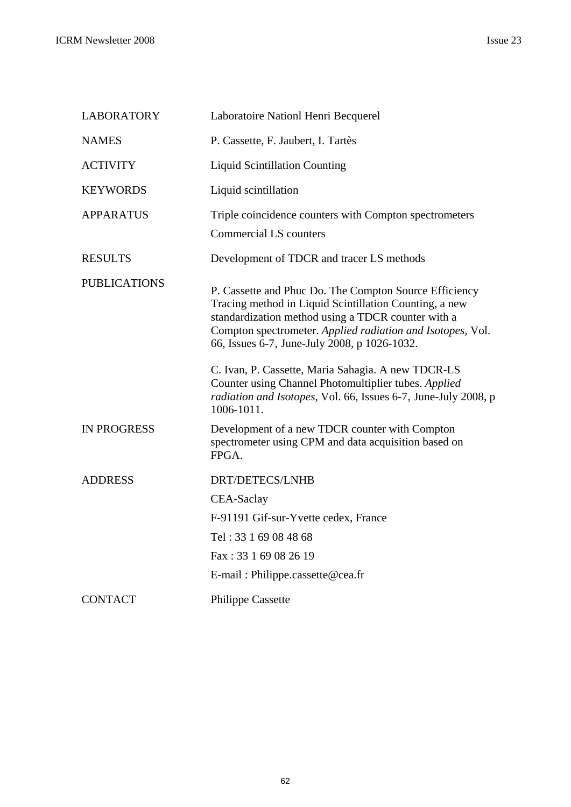| <b>LABORATORY</b>   | Laboratoire Nationl Henri Becquerel                                                                                                                                                                                                                                                  |
|---------------------|--------------------------------------------------------------------------------------------------------------------------------------------------------------------------------------------------------------------------------------------------------------------------------------|
| <b>NAMES</b>        | P. Cassette, F. Jaubert, I. Tartès                                                                                                                                                                                                                                                   |
| <b>ACTIVITY</b>     | <b>Liquid Scintillation Counting</b>                                                                                                                                                                                                                                                 |
| <b>KEYWORDS</b>     | Liquid scintillation                                                                                                                                                                                                                                                                 |
| <b>APPARATUS</b>    | Triple coincidence counters with Compton spectrometers<br><b>Commercial LS counters</b>                                                                                                                                                                                              |
| <b>RESULTS</b>      | Development of TDCR and tracer LS methods                                                                                                                                                                                                                                            |
| <b>PUBLICATIONS</b> | P. Cassette and Phuc Do. The Compton Source Efficiency<br>Tracing method in Liquid Scintillation Counting, a new<br>standardization method using a TDCR counter with a<br>Compton spectrometer. Applied radiation and Isotopes, Vol.<br>66, Issues 6-7, June-July 2008, p 1026-1032. |
|                     | C. Ivan, P. Cassette, Maria Sahagia. A new TDCR-LS<br>Counter using Channel Photomultiplier tubes. Applied<br>radiation and Isotopes, Vol. 66, Issues 6-7, June-July 2008, p<br>1006-1011.                                                                                           |
| <b>IN PROGRESS</b>  | Development of a new TDCR counter with Compton<br>spectrometer using CPM and data acquisition based on<br>FPGA.                                                                                                                                                                      |
| <b>ADDRESS</b>      | DRT/DETECS/LNHB                                                                                                                                                                                                                                                                      |
|                     | CEA-Saclay                                                                                                                                                                                                                                                                           |
|                     | F-91191 Gif-sur-Yvette cedex, France                                                                                                                                                                                                                                                 |
|                     | Tel: 33 1 69 08 48 68                                                                                                                                                                                                                                                                |
|                     | Fax: 33 1 69 08 26 19                                                                                                                                                                                                                                                                |
|                     | E-mail: Philippe.cassette@cea.fr                                                                                                                                                                                                                                                     |
| <b>CONTACT</b>      | <b>Philippe Cassette</b>                                                                                                                                                                                                                                                             |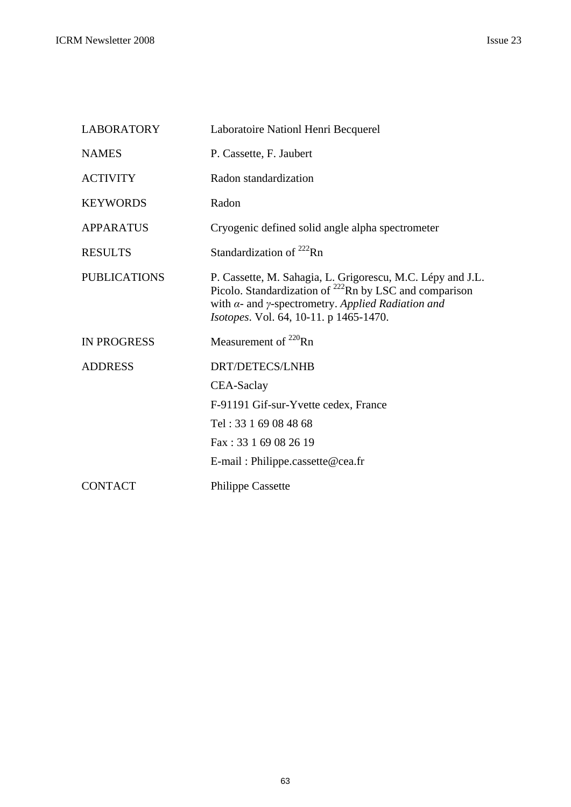| <b>LABORATORY</b>   | Laboratoire Nationl Henri Becquerel                                                                                                                                                                                                       |
|---------------------|-------------------------------------------------------------------------------------------------------------------------------------------------------------------------------------------------------------------------------------------|
| <b>NAMES</b>        | P. Cassette, F. Jaubert                                                                                                                                                                                                                   |
| <b>ACTIVITY</b>     | Radon standardization                                                                                                                                                                                                                     |
| <b>KEYWORDS</b>     | Radon                                                                                                                                                                                                                                     |
| <b>APPARATUS</b>    | Cryogenic defined solid angle alpha spectrometer                                                                                                                                                                                          |
| <b>RESULTS</b>      | Standardization of $^{222}$ Rn                                                                                                                                                                                                            |
| <b>PUBLICATIONS</b> | P. Cassette, M. Sahagia, L. Grigorescu, M.C. Lépy and J.L.<br>Picolo. Standardization of $^{222}$ Rn by LSC and comparison<br>with $\alpha$ - and $\gamma$ -spectrometry. Applied Radiation and<br>Isotopes. Vol. 64, 10-11. p 1465-1470. |
| <b>IN PROGRESS</b>  | Measurement of <sup>220</sup> Rn                                                                                                                                                                                                          |
| <b>ADDRESS</b>      | DRT/DETECS/LNHB<br>CEA-Saclay<br>F-91191 Gif-sur-Yvette cedex, France                                                                                                                                                                     |
|                     | Tel: 33 1 69 08 48 68                                                                                                                                                                                                                     |
|                     | Fax: 33 1 69 08 26 19                                                                                                                                                                                                                     |
|                     | E-mail: Philippe.cassette@cea.fr                                                                                                                                                                                                          |
| <b>CONTACT</b>      | <b>Philippe Cassette</b>                                                                                                                                                                                                                  |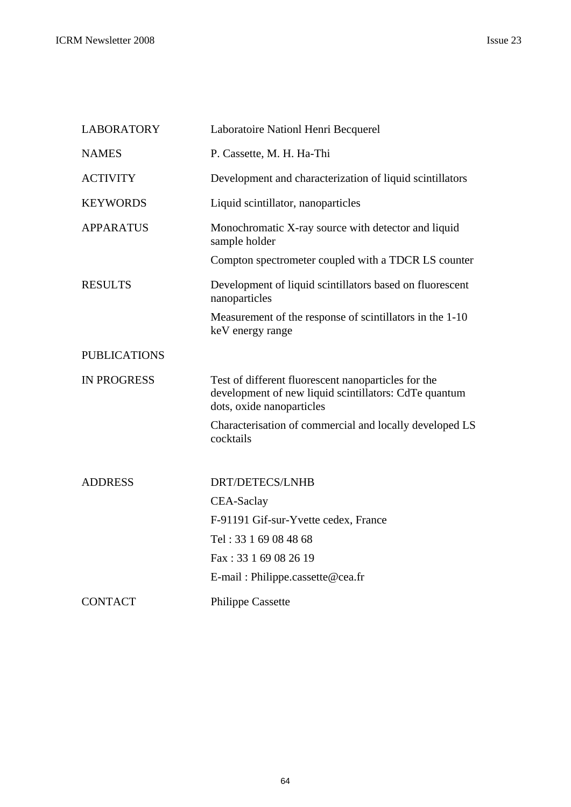| <b>LABORATORY</b>   | Laboratoire Nationl Henri Becquerel                                                                                                       |
|---------------------|-------------------------------------------------------------------------------------------------------------------------------------------|
| <b>NAMES</b>        | P. Cassette, M. H. Ha-Thi                                                                                                                 |
| <b>ACTIVITY</b>     | Development and characterization of liquid scintillators                                                                                  |
| <b>KEYWORDS</b>     | Liquid scintillator, nanoparticles                                                                                                        |
| <b>APPARATUS</b>    | Monochromatic X-ray source with detector and liquid<br>sample holder                                                                      |
|                     | Compton spectrometer coupled with a TDCR LS counter                                                                                       |
| <b>RESULTS</b>      | Development of liquid scintillators based on fluorescent<br>nanoparticles                                                                 |
|                     | Measurement of the response of scintillators in the 1-10<br>keV energy range                                                              |
| <b>PUBLICATIONS</b> |                                                                                                                                           |
| <b>IN PROGRESS</b>  | Test of different fluorescent nanoparticles for the<br>development of new liquid scintillators: CdTe quantum<br>dots, oxide nanoparticles |
|                     | Characterisation of commercial and locally developed LS<br>cocktails                                                                      |
| <b>ADDRESS</b>      | DRT/DETECS/LNHB                                                                                                                           |
|                     | CEA-Saclay                                                                                                                                |
|                     | F-91191 Gif-sur-Yvette cedex, France                                                                                                      |
|                     | Tel: 33 1 69 08 48 68                                                                                                                     |
|                     | Fax: 33 1 69 08 26 19                                                                                                                     |
|                     | E-mail: Philippe.cassette@cea.fr                                                                                                          |
| <b>CONTACT</b>      | Philippe Cassette                                                                                                                         |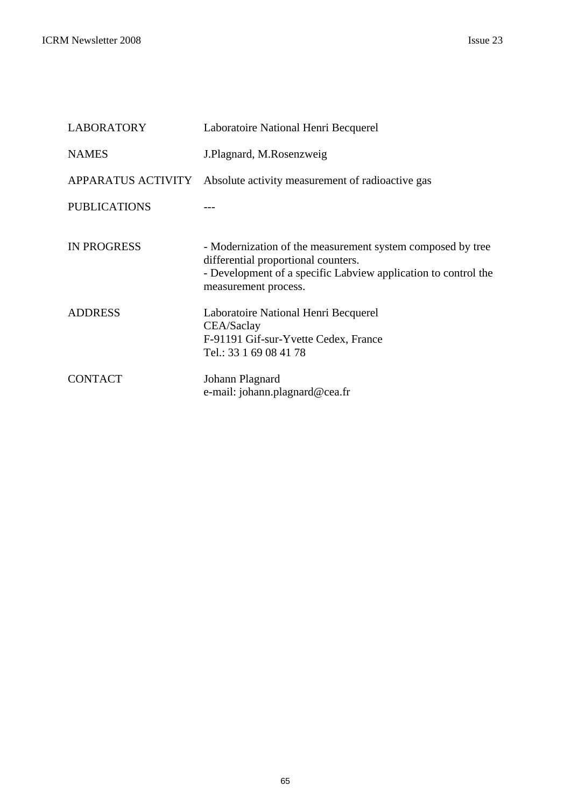| <b>LABORATORY</b>   | Laboratoire National Henri Becquerel                                                                                                                                                        |
|---------------------|---------------------------------------------------------------------------------------------------------------------------------------------------------------------------------------------|
| <b>NAMES</b>        | J.Plagnard, M.Rosenzweig                                                                                                                                                                    |
| APPARATUS ACTIVITY  | Absolute activity measurement of radioactive gas                                                                                                                                            |
| <b>PUBLICATIONS</b> |                                                                                                                                                                                             |
| <b>IN PROGRESS</b>  | - Modernization of the measurement system composed by tree<br>differential proportional counters.<br>- Development of a specific Labview application to control the<br>measurement process. |
| <b>ADDRESS</b>      | Laboratoire National Henri Becquerel<br>CEA/Saclay<br>F-91191 Gif-sur-Yvette Cedex, France<br>Tel.: 33 1 69 08 41 78                                                                        |
| <b>CONTACT</b>      | Johann Plagnard<br>e-mail: johann.plagnard@cea.fr                                                                                                                                           |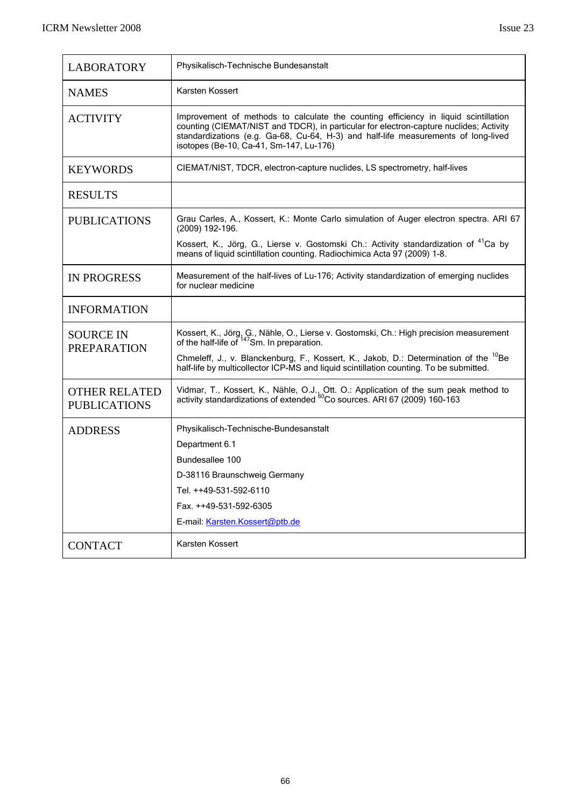| <b>LABORATORY</b>                           | Physikalisch-Technische Bundesanstalt                                                                                                                                                                                                                                                                          |
|---------------------------------------------|----------------------------------------------------------------------------------------------------------------------------------------------------------------------------------------------------------------------------------------------------------------------------------------------------------------|
| <b>NAMES</b>                                | Karsten Kossert                                                                                                                                                                                                                                                                                                |
| <b>ACTIVITY</b>                             | Improvement of methods to calculate the counting efficiency in liquid scintillation<br>counting (CIEMAT/NIST and TDCR), in particular for electron-capture nuclides; Activity<br>standardizations (e.g. Ga-68, Cu-64, H-3) and half-life measurements of long-lived<br>isotopes (Be-10, Ca-41, Sm-147, Lu-176) |
| <b>KEYWORDS</b>                             | CIEMAT/NIST, TDCR, electron-capture nuclides, LS spectrometry, half-lives                                                                                                                                                                                                                                      |
| <b>RESULTS</b>                              |                                                                                                                                                                                                                                                                                                                |
| <b>PUBLICATIONS</b>                         | Grau Carles, A., Kossert, K.: Monte Carlo simulation of Auger electron spectra. ARI 67<br>(2009) 192-196.                                                                                                                                                                                                      |
|                                             | Kossert, K., Jörg, G., Lierse v. Gostomski Ch.: Activity standardization of <sup>41</sup> Ca by<br>means of liquid scintillation counting. Radiochimica Acta 97 (2009) 1-8.                                                                                                                                    |
| <b>IN PROGRESS</b>                          | Measurement of the half-lives of Lu-176; Activity standardization of emerging nuclides<br>for nuclear medicine                                                                                                                                                                                                 |
| <b>INFORMATION</b>                          |                                                                                                                                                                                                                                                                                                                |
| <b>SOURCE IN</b><br><b>PREPARATION</b>      | Kossert, K., Jörg, G., Nähle, O., Lierse v. Gostomski, Ch.: High precision measurement<br>of the half-life of <sup>147</sup> Sm. In preparation.                                                                                                                                                               |
|                                             | Chmeleff, J., v. Blanckenburg, F., Kossert, K., Jakob, D.: Determination of the <sup>10</sup> Be<br>half-life by multicollector ICP-MS and liquid scintillation counting. To be submitted.                                                                                                                     |
| <b>OTHER RELATED</b><br><b>PUBLICATIONS</b> | Vidmar, T., Kossert, K., Nähle, O.J., Ott. O.: Application of the sum peak method to activity standardizations of extended <sup>60</sup> Co sources. ARI 67 (2009) 160-163                                                                                                                                     |
| <b>ADDRESS</b>                              | Physikalisch-Technische-Bundesanstalt                                                                                                                                                                                                                                                                          |
|                                             | Department 6.1                                                                                                                                                                                                                                                                                                 |
|                                             | Bundesallee 100                                                                                                                                                                                                                                                                                                |
|                                             | D-38116 Braunschweig Germany                                                                                                                                                                                                                                                                                   |
|                                             | Tel. ++49-531-592-6110                                                                                                                                                                                                                                                                                         |
|                                             | Fax. ++49-531-592-6305                                                                                                                                                                                                                                                                                         |
|                                             | E-mail: Karsten.Kossert@ptb.de                                                                                                                                                                                                                                                                                 |
| <b>CONTACT</b>                              | Karsten Kossert                                                                                                                                                                                                                                                                                                |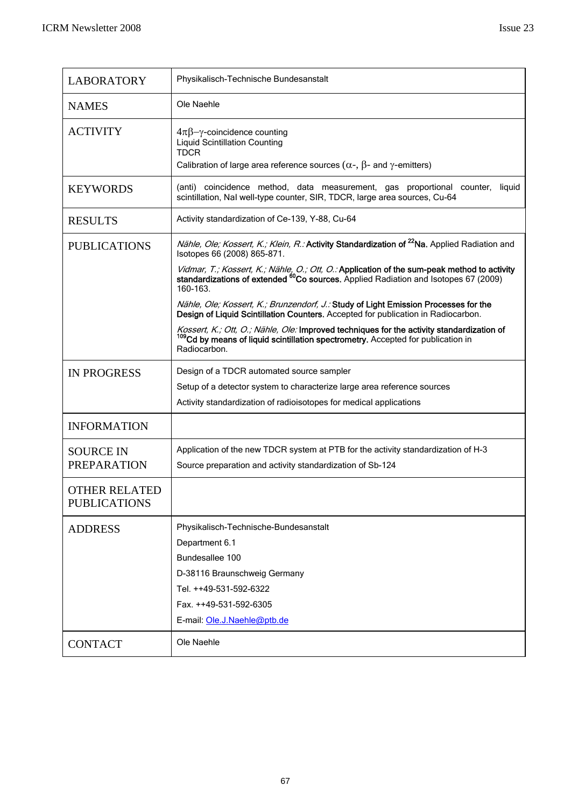| <b>LABORATORY</b>                           | Physikalisch-Technische Bundesanstalt                                                                                                                                                                      |
|---------------------------------------------|------------------------------------------------------------------------------------------------------------------------------------------------------------------------------------------------------------|
| <b>NAMES</b>                                | Ole Naehle                                                                                                                                                                                                 |
| <b>ACTIVITY</b>                             | $4\pi\beta-\gamma$ -coincidence counting<br><b>Liquid Scintillation Counting</b><br>TDCR<br>Calibration of large area reference sources ( $\alpha$ -, $\beta$ - and $\gamma$ -emitters)                    |
| <b>KEYWORDS</b>                             | (anti) coincidence method, data measurement, gas proportional counter,<br>liquid<br>scintillation, Nal well-type counter, SIR, TDCR, large area sources, Cu-64                                             |
| <b>RESULTS</b>                              | Activity standardization of Ce-139, Y-88, Cu-64                                                                                                                                                            |
| <b>PUBLICATIONS</b>                         | Nähle, Ole; Kossert, K.; Klein, R.: Activity Standardization of <sup>22</sup> Na. Applied Radiation and<br>Isotopes 66 (2008) 865-871.                                                                     |
|                                             | Vidmar, T.; Kossert, K.; Nähle, O.; Ott, O.: Application of the sum-peak method to activity<br>standardizations of extended <sup>60</sup> Co sources. Applied Radiation and Isotopes 67 (2009)<br>160-163. |
|                                             | Nähle, Ole; Kossert, K.; Brunzendorf, J.: Study of Light Emission Processes for the<br>Design of Liquid Scintillation Counters. Accepted for publication in Radiocarbon.                                   |
|                                             | Kossert, K.; Ott, O.; Nähle, Ole: Improved techniques for the activity standardization of<br><sup>109</sup> Cd by means of liquid scintillation spectrometry. Accepted for publication in<br>Radiocarbon.  |
| <b>IN PROGRESS</b>                          | Design of a TDCR automated source sampler                                                                                                                                                                  |
|                                             | Setup of a detector system to characterize large area reference sources                                                                                                                                    |
|                                             | Activity standardization of radioisotopes for medical applications                                                                                                                                         |
| <b>INFORMATION</b>                          |                                                                                                                                                                                                            |
| <b>SOURCE IN</b>                            | Application of the new TDCR system at PTB for the activity standardization of H-3                                                                                                                          |
| <b>PREPARATION</b>                          | Source preparation and activity standardization of Sb-124                                                                                                                                                  |
| <b>OTHER RELATED</b><br><b>PUBLICATIONS</b> |                                                                                                                                                                                                            |
| <b>ADDRESS</b>                              | Physikalisch-Technische-Bundesanstalt                                                                                                                                                                      |
|                                             | Department 6.1                                                                                                                                                                                             |
|                                             | Bundesallee 100                                                                                                                                                                                            |
|                                             | D-38116 Braunschweig Germany                                                                                                                                                                               |
|                                             | Tel. ++49-531-592-6322                                                                                                                                                                                     |
|                                             | Fax. ++49-531-592-6305                                                                                                                                                                                     |
|                                             | E-mail: Ole.J.Naehle@ptb.de                                                                                                                                                                                |
| <b>CONTACT</b>                              | Ole Naehle                                                                                                                                                                                                 |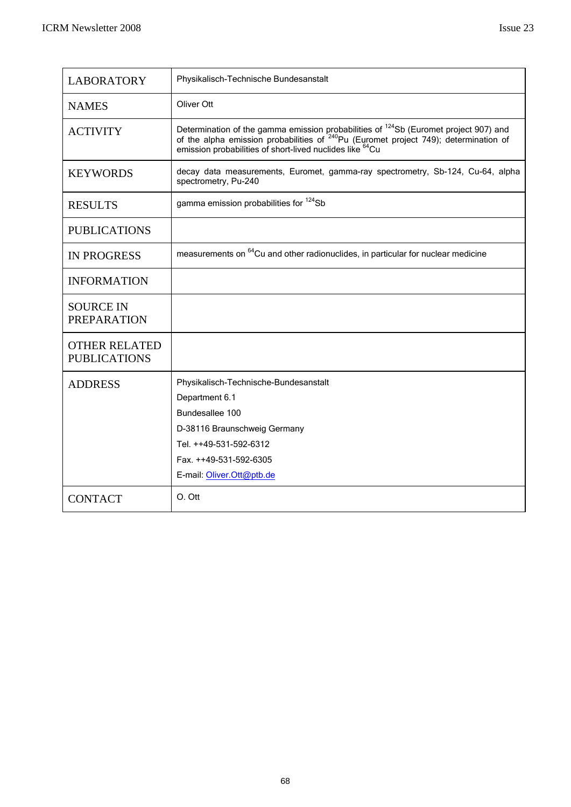| <b>LABORATORY</b>                           | Physikalisch-Technische Bundesanstalt                                                                                                                                                                                                                                     |
|---------------------------------------------|---------------------------------------------------------------------------------------------------------------------------------------------------------------------------------------------------------------------------------------------------------------------------|
| <b>NAMES</b>                                | Oliver Ott                                                                                                                                                                                                                                                                |
| <b>ACTIVITY</b>                             | Determination of the gamma emission probabilities of <sup>124</sup> Sb (Euromet project 907) and of the alpha emission probabilities of <sup>240</sup> Pu (Euromet project 749); determination of<br>emission probabilities of short-lived nuclides like <sup>64</sup> Cu |
| <b>KEYWORDS</b>                             | decay data measurements, Euromet, gamma-ray spectrometry, Sb-124, Cu-64, alpha<br>spectrometry, Pu-240                                                                                                                                                                    |
| <b>RESULTS</b>                              | gamma emission probabilities for <sup>124</sup> Sb                                                                                                                                                                                                                        |
| <b>PUBLICATIONS</b>                         |                                                                                                                                                                                                                                                                           |
| <b>IN PROGRESS</b>                          | measurements on <sup>64</sup> Cu and other radionuclides, in particular for nuclear medicine                                                                                                                                                                              |
| <b>INFORMATION</b>                          |                                                                                                                                                                                                                                                                           |
| <b>SOURCE IN</b><br><b>PREPARATION</b>      |                                                                                                                                                                                                                                                                           |
| <b>OTHER RELATED</b><br><b>PUBLICATIONS</b> |                                                                                                                                                                                                                                                                           |
| <b>ADDRESS</b>                              | Physikalisch-Technische-Bundesanstalt                                                                                                                                                                                                                                     |
|                                             | Department 6.1                                                                                                                                                                                                                                                            |
|                                             | Bundesallee 100                                                                                                                                                                                                                                                           |
|                                             | D-38116 Braunschweig Germany                                                                                                                                                                                                                                              |
|                                             | Tel. ++49-531-592-6312                                                                                                                                                                                                                                                    |
|                                             | Fax. ++49-531-592-6305                                                                                                                                                                                                                                                    |
|                                             | E-mail: Oliver.Ott@ptb.de                                                                                                                                                                                                                                                 |
| <b>CONTACT</b>                              | O. Ott                                                                                                                                                                                                                                                                    |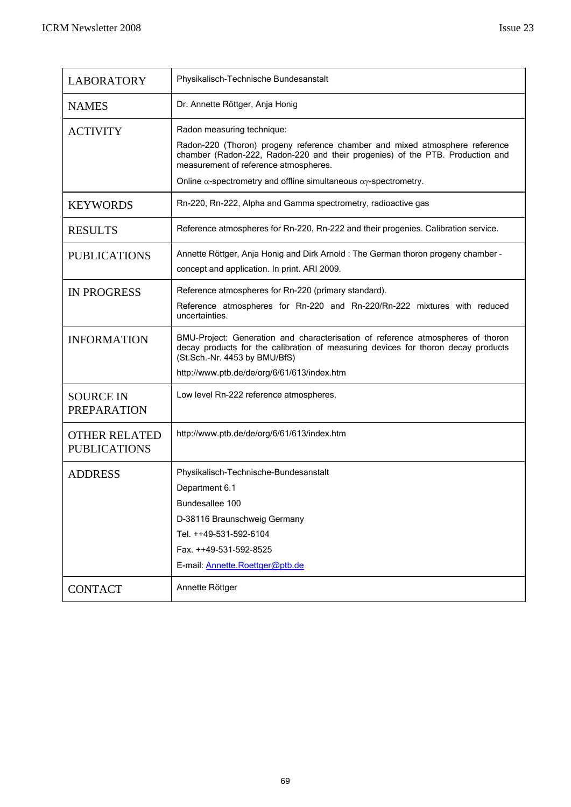| <b>LABORATORY</b>                           | Physikalisch-Technische Bundesanstalt                                                                                                                                                                 |
|---------------------------------------------|-------------------------------------------------------------------------------------------------------------------------------------------------------------------------------------------------------|
| <b>NAMES</b>                                | Dr. Annette Röttger, Anja Honig                                                                                                                                                                       |
| <b>ACTIVITY</b>                             | Radon measuring technique:                                                                                                                                                                            |
|                                             | Radon-220 (Thoron) progeny reference chamber and mixed atmosphere reference<br>chamber (Radon-222, Radon-220 and their progenies) of the PTB. Production and<br>measurement of reference atmospheres. |
|                                             | Online $\alpha$ -spectrometry and offline simultaneous $\alpha$ y-spectrometry.                                                                                                                       |
| <b>KEYWORDS</b>                             | Rn-220, Rn-222, Alpha and Gamma spectrometry, radioactive gas                                                                                                                                         |
| <b>RESULTS</b>                              | Reference atmospheres for Rn-220, Rn-222 and their progenies. Calibration service.                                                                                                                    |
| <b>PUBLICATIONS</b>                         | Annette Röttger, Anja Honig and Dirk Arnold : The German thoron progeny chamber -<br>concept and application. In print. ARI 2009.                                                                     |
| <b>IN PROGRESS</b>                          | Reference atmospheres for Rn-220 (primary standard).                                                                                                                                                  |
|                                             | Reference atmospheres for Rn-220 and Rn-220/Rn-222 mixtures with reduced<br>uncertainties.                                                                                                            |
| <b>INFORMATION</b>                          | BMU-Project: Generation and characterisation of reference atmospheres of thoron<br>decay products for the calibration of measuring devices for thoron decay products<br>(St.Sch.-Nr. 4453 by BMU/BfS) |
|                                             | http://www.ptb.de/de/org/6/61/613/index.htm                                                                                                                                                           |
| <b>SOURCE IN</b><br><b>PREPARATION</b>      | Low level Rn-222 reference atmospheres.                                                                                                                                                               |
|                                             |                                                                                                                                                                                                       |
| <b>OTHER RELATED</b><br><b>PUBLICATIONS</b> | http://www.ptb.de/de/org/6/61/613/index.htm                                                                                                                                                           |
| <b>ADDRESS</b>                              | Physikalisch-Technische-Bundesanstalt                                                                                                                                                                 |
|                                             | Department 6.1                                                                                                                                                                                        |
|                                             | Bundesallee 100                                                                                                                                                                                       |
|                                             | D-38116 Braunschweig Germany                                                                                                                                                                          |
|                                             | Tel. ++49-531-592-6104                                                                                                                                                                                |
|                                             | Fax. ++49-531-592-8525                                                                                                                                                                                |
|                                             | E-mail: Annette.Roettger@ptb.de                                                                                                                                                                       |
| <b>CONTACT</b>                              | Annette Röttger                                                                                                                                                                                       |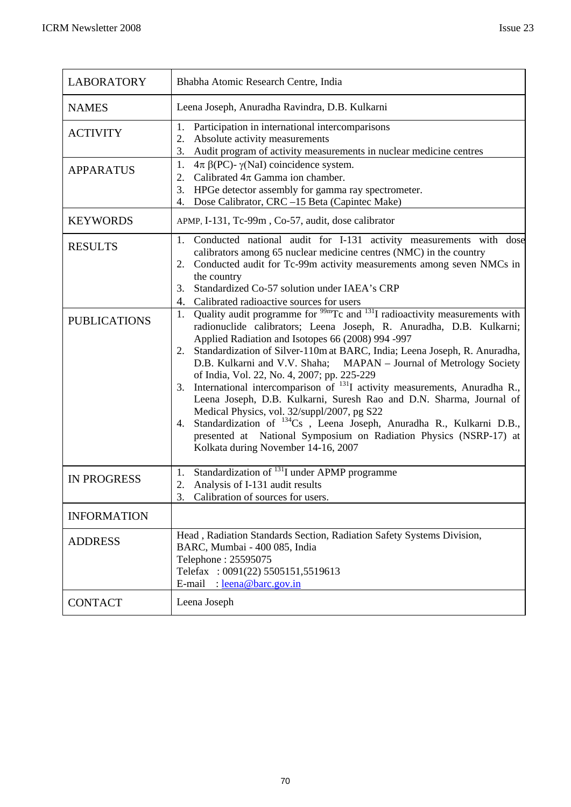| <b>LABORATORY</b>                     | Bhabha Atomic Research Centre, India                                                                                                                                                                                                                                                                                                                                                                                                                                                                                                                                                                                                                                                                                                                                                                                                                                                                                                                                                                                                                                                                                                                                                                              |
|---------------------------------------|-------------------------------------------------------------------------------------------------------------------------------------------------------------------------------------------------------------------------------------------------------------------------------------------------------------------------------------------------------------------------------------------------------------------------------------------------------------------------------------------------------------------------------------------------------------------------------------------------------------------------------------------------------------------------------------------------------------------------------------------------------------------------------------------------------------------------------------------------------------------------------------------------------------------------------------------------------------------------------------------------------------------------------------------------------------------------------------------------------------------------------------------------------------------------------------------------------------------|
| <b>NAMES</b>                          | Leena Joseph, Anuradha Ravindra, D.B. Kulkarni                                                                                                                                                                                                                                                                                                                                                                                                                                                                                                                                                                                                                                                                                                                                                                                                                                                                                                                                                                                                                                                                                                                                                                    |
| <b>ACTIVITY</b>                       | Participation in international intercomparisons<br>1.<br>Absolute activity measurements<br>2.<br>Audit program of activity measurements in nuclear medicine centres<br>3.                                                                                                                                                                                                                                                                                                                                                                                                                                                                                                                                                                                                                                                                                                                                                                                                                                                                                                                                                                                                                                         |
| <b>APPARATUS</b>                      | 1.<br>$4\pi \beta$ (PC)- $\gamma$ (NaI) coincidence system.<br>Calibrated $4\pi$ Gamma ion chamber.<br>2.<br>HPGe detector assembly for gamma ray spectrometer.<br>3.<br>Dose Calibrator, CRC -15 Beta (Capintec Make)<br>4.                                                                                                                                                                                                                                                                                                                                                                                                                                                                                                                                                                                                                                                                                                                                                                                                                                                                                                                                                                                      |
| <b>KEYWORDS</b>                       | APMP, I-131, Tc-99m, Co-57, audit, dose calibrator                                                                                                                                                                                                                                                                                                                                                                                                                                                                                                                                                                                                                                                                                                                                                                                                                                                                                                                                                                                                                                                                                                                                                                |
| <b>RESULTS</b><br><b>PUBLICATIONS</b> | 1. Conducted national audit for I-131 activity measurements with dose<br>calibrators among 65 nuclear medicine centres (NMC) in the country<br>2. Conducted audit for Tc-99m activity measurements among seven NMCs in<br>the country<br>Standardized Co-57 solution under IAEA's CRP<br>3.<br>4. Calibrated radioactive sources for users<br>Quality audit programme for <sup>99m</sup> Tc and <sup>131</sup> I radioactivity measurements with<br>1.<br>radionuclide calibrators; Leena Joseph, R. Anuradha, D.B. Kulkarni;<br>Applied Radiation and Isotopes 66 (2008) 994 -997<br>Standardization of Silver-110m at BARC, India; Leena Joseph, R. Anuradha,<br>2.<br>D.B. Kulkarni and V.V. Shaha; MAPAN - Journal of Metrology Society<br>of India, Vol. 22, No. 4, 2007; pp. 225-229<br>3. International intercomparison of <sup>131</sup> I activity measurements, Anuradha R.,<br>Leena Joseph, D.B. Kulkarni, Suresh Rao and D.N. Sharma, Journal of<br>Medical Physics, vol. 32/suppl/2007, pg S22<br>Standardization of <sup>134</sup> Cs, Leena Joseph, Anuradha R., Kulkarni D.B.,<br>4.<br>presented at National Symposium on Radiation Physics (NSRP-17) at<br>Kolkata during November 14-16, 2007 |
| <b>IN PROGRESS</b>                    | Standardization of <sup>131</sup> I under APMP programme<br>1.<br>2. Analysis of I-131 audit results<br>3. Calibration of sources for users.                                                                                                                                                                                                                                                                                                                                                                                                                                                                                                                                                                                                                                                                                                                                                                                                                                                                                                                                                                                                                                                                      |
| <b>INFORMATION</b>                    |                                                                                                                                                                                                                                                                                                                                                                                                                                                                                                                                                                                                                                                                                                                                                                                                                                                                                                                                                                                                                                                                                                                                                                                                                   |
| <b>ADDRESS</b>                        | Head, Radiation Standards Section, Radiation Safety Systems Division,<br>BARC, Mumbai - 400 085, India<br>Telephone: 25595075<br>Telefax: 0091(22) 5505151,5519613<br>: <u>leena@barc.gov.in</u><br>E-mail                                                                                                                                                                                                                                                                                                                                                                                                                                                                                                                                                                                                                                                                                                                                                                                                                                                                                                                                                                                                        |
| <b>CONTACT</b>                        | Leena Joseph                                                                                                                                                                                                                                                                                                                                                                                                                                                                                                                                                                                                                                                                                                                                                                                                                                                                                                                                                                                                                                                                                                                                                                                                      |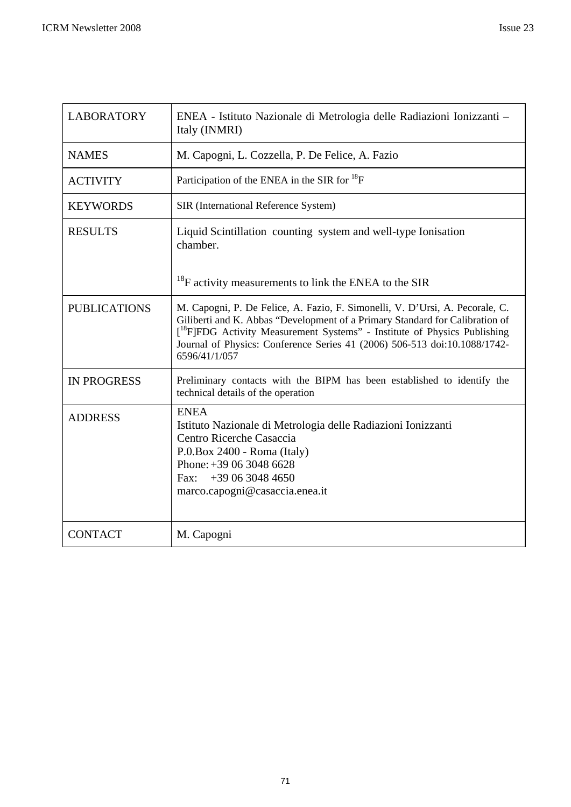| <b>LABORATORY</b>   | ENEA - Istituto Nazionale di Metrologia delle Radiazioni Ionizzanti -<br>Italy (INMRI)                                                                                                                                                                                                                                                                |
|---------------------|-------------------------------------------------------------------------------------------------------------------------------------------------------------------------------------------------------------------------------------------------------------------------------------------------------------------------------------------------------|
| <b>NAMES</b>        | M. Capogni, L. Cozzella, P. De Felice, A. Fazio                                                                                                                                                                                                                                                                                                       |
| <b>ACTIVITY</b>     | Participation of the ENEA in the SIR for ${}^{18}F$                                                                                                                                                                                                                                                                                                   |
| <b>KEYWORDS</b>     | SIR (International Reference System)                                                                                                                                                                                                                                                                                                                  |
| <b>RESULTS</b>      | Liquid Scintillation counting system and well-type Ionisation<br>chamber.                                                                                                                                                                                                                                                                             |
|                     | $^{18}$ F activity measurements to link the ENEA to the SIR                                                                                                                                                                                                                                                                                           |
| <b>PUBLICATIONS</b> | M. Capogni, P. De Felice, A. Fazio, F. Simonelli, V. D'Ursi, A. Pecorale, C.<br>Giliberti and K. Abbas "Development of a Primary Standard for Calibration of<br>$[$ <sup>18</sup> F]FDG Activity Measurement Systems" - Institute of Physics Publishing<br>Journal of Physics: Conference Series 41 (2006) 506-513 doi:10.1088/1742-<br>6596/41/1/057 |
| <b>IN PROGRESS</b>  | Preliminary contacts with the BIPM has been established to identify the<br>technical details of the operation                                                                                                                                                                                                                                         |
| <b>ADDRESS</b>      | <b>ENEA</b><br>Istituto Nazionale di Metrologia delle Radiazioni Ionizzanti<br>Centro Ricerche Casaccia<br>P.0.Box 2400 - Roma (Italy)<br>Phone: $+390630486628$<br>$+390630484650$<br>Fax:<br>marco.capogni@casaccia.enea.it                                                                                                                         |
| <b>CONTACT</b>      | M. Capogni                                                                                                                                                                                                                                                                                                                                            |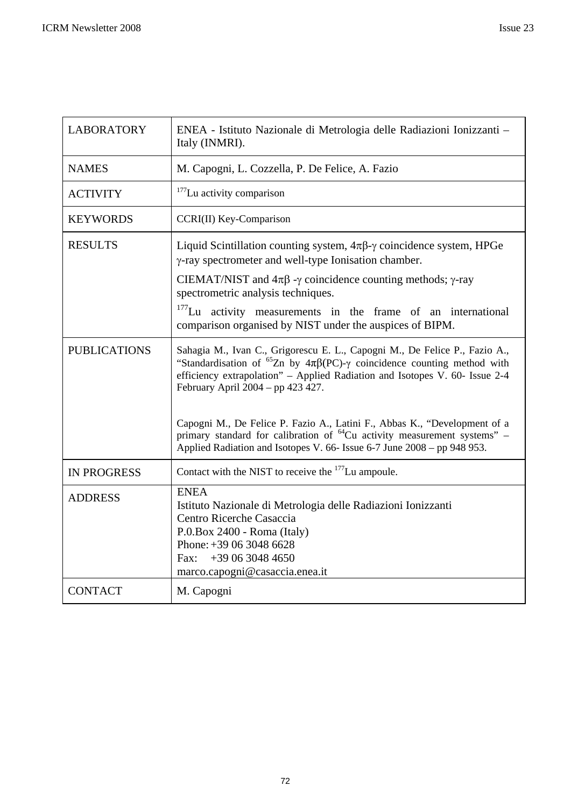| <b>LABORATORY</b>   | ENEA - Istituto Nazionale di Metrologia delle Radiazioni Ionizzanti -<br>Italy (INMRI).                                                                                                                                                                                                               |
|---------------------|-------------------------------------------------------------------------------------------------------------------------------------------------------------------------------------------------------------------------------------------------------------------------------------------------------|
| <b>NAMES</b>        | M. Capogni, L. Cozzella, P. De Felice, A. Fazio                                                                                                                                                                                                                                                       |
| <b>ACTIVITY</b>     | $177$ Lu activity comparison                                                                                                                                                                                                                                                                          |
| <b>KEYWORDS</b>     | CCRI(II) Key-Comparison                                                                                                                                                                                                                                                                               |
| <b>RESULTS</b>      | Liquid Scintillation counting system, $4\pi\beta\gamma$ coincidence system, HPGe<br>γ-ray spectrometer and well-type Ionisation chamber.                                                                                                                                                              |
|                     | CIEMAT/NIST and $4\pi\beta$ - $\gamma$ coincidence counting methods; $\gamma$ -ray<br>spectrometric analysis techniques.                                                                                                                                                                              |
|                     | <sup>177</sup> Lu activity measurements in the frame of an international<br>comparison organised by NIST under the auspices of BIPM.                                                                                                                                                                  |
| <b>PUBLICATIONS</b> | Sahagia M., Ivan C., Grigorescu E. L., Capogni M., De Felice P., Fazio A.,<br>"Standardisation of <sup>65</sup> Zn by $4\pi\beta$ (PC)- $\gamma$ coincidence counting method with<br>efficiency extrapolation" - Applied Radiation and Isotopes V. 60- Issue 2-4<br>February April 2004 – pp 423 427. |
|                     | Capogni M., De Felice P. Fazio A., Latini F., Abbas K., "Development of a<br>primary standard for calibration of <sup>64</sup> Cu activity measurement systems" -<br>Applied Radiation and Isotopes V. 66- Issue 6-7 June 2008 - pp 948 953.                                                          |
| <b>IN PROGRESS</b>  | Contact with the NIST to receive the <sup>177</sup> Lu ampoule.                                                                                                                                                                                                                                       |
| <b>ADDRESS</b>      | <b>ENEA</b><br>Istituto Nazionale di Metrologia delle Radiazioni Ionizzanti<br>Centro Ricerche Casaccia<br>P.0.Box 2400 - Roma (Italy)<br>Phone: +39 06 3048 6628<br>Fax: $+390630484650$<br>marco.capogni@casaccia.enea.it                                                                           |
| <b>CONTACT</b>      | M. Capogni                                                                                                                                                                                                                                                                                            |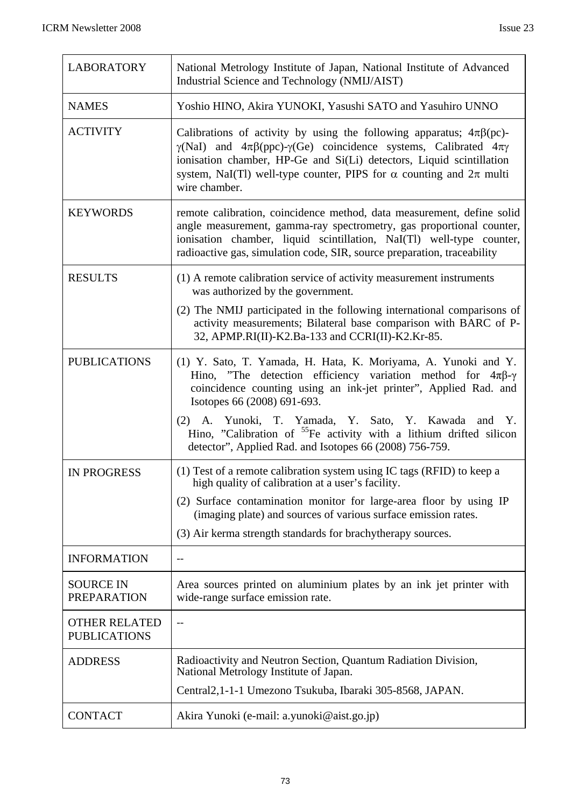| <b>LABORATORY</b>                           | National Metrology Institute of Japan, National Institute of Advanced<br>Industrial Science and Technology (NMIJ/AIST)                                                                                                                                                                                                                                    |
|---------------------------------------------|-----------------------------------------------------------------------------------------------------------------------------------------------------------------------------------------------------------------------------------------------------------------------------------------------------------------------------------------------------------|
| <b>NAMES</b>                                | Yoshio HINO, Akira YUNOKI, Yasushi SATO and Yasuhiro UNNO                                                                                                                                                                                                                                                                                                 |
| <b>ACTIVITY</b>                             | Calibrations of activity by using the following apparatus; $4\pi\beta$ (pc)-<br>$\gamma(NaI)$ and $4\pi\beta(ppc)$ - $\gamma(Ge)$ coincidence systems, Calibrated $4\pi\gamma$<br>ionisation chamber, HP-Ge and Si(Li) detectors, Liquid scintillation<br>system, NaI(Tl) well-type counter, PIPS for $\alpha$ counting and $2\pi$ multi<br>wire chamber. |
| <b>KEYWORDS</b>                             | remote calibration, coincidence method, data measurement, define solid<br>angle measurement, gamma-ray spectrometry, gas proportional counter,<br>ionisation chamber, liquid scintillation, NaI(Tl) well-type counter,<br>radioactive gas, simulation code, SIR, source preparation, traceability                                                         |
| <b>RESULTS</b>                              | (1) A remote calibration service of activity measurement instruments<br>was authorized by the government.                                                                                                                                                                                                                                                 |
|                                             | (2) The NMIJ participated in the following international comparisons of<br>activity measurements; Bilateral base comparison with BARC of P-<br>32, APMP.RI(II)-K2.Ba-133 and CCRI(II)-K2.Kr-85.                                                                                                                                                           |
| <b>PUBLICATIONS</b>                         | (1) Y. Sato, T. Yamada, H. Hata, K. Moriyama, A. Yunoki and Y.<br>Hino, "The detection efficiency variation method for $4\pi\beta$ - $\gamma$<br>coincidence counting using an ink-jet printer", Applied Rad. and<br>Isotopes 66 (2008) 691-693.                                                                                                          |
|                                             | (2) A. Yunoki, T. Yamada, Y. Sato, Y. Kawada and Y.<br>Hino, "Calibration of ${}^{55}Fe$ activity with a lithium drifted silicon<br>detector", Applied Rad. and Isotopes 66 (2008) 756-759.                                                                                                                                                               |
| <b>IN PROGRESS</b>                          | (1) Test of a remote calibration system using IC tags (RFID) to keep a<br>high quality of calibration at a user's facility.                                                                                                                                                                                                                               |
|                                             | (2) Surface contamination monitor for large-area floor by using IP<br>(imaging plate) and sources of various surface emission rates.                                                                                                                                                                                                                      |
|                                             | (3) Air kerma strength standards for brachytherapy sources.                                                                                                                                                                                                                                                                                               |
| <b>INFORMATION</b>                          | $-$                                                                                                                                                                                                                                                                                                                                                       |
| <b>SOURCE IN</b><br><b>PREPARATION</b>      | Area sources printed on aluminium plates by an ink jet printer with<br>wide-range surface emission rate.                                                                                                                                                                                                                                                  |
| <b>OTHER RELATED</b><br><b>PUBLICATIONS</b> | --                                                                                                                                                                                                                                                                                                                                                        |
| <b>ADDRESS</b>                              | Radioactivity and Neutron Section, Quantum Radiation Division,<br>National Metrology Institute of Japan.                                                                                                                                                                                                                                                  |
|                                             | Central2,1-1-1 Umezono Tsukuba, Ibaraki 305-8568, JAPAN.                                                                                                                                                                                                                                                                                                  |
| <b>CONTACT</b>                              | Akira Yunoki (e-mail: a.yunoki@aist.go.jp)                                                                                                                                                                                                                                                                                                                |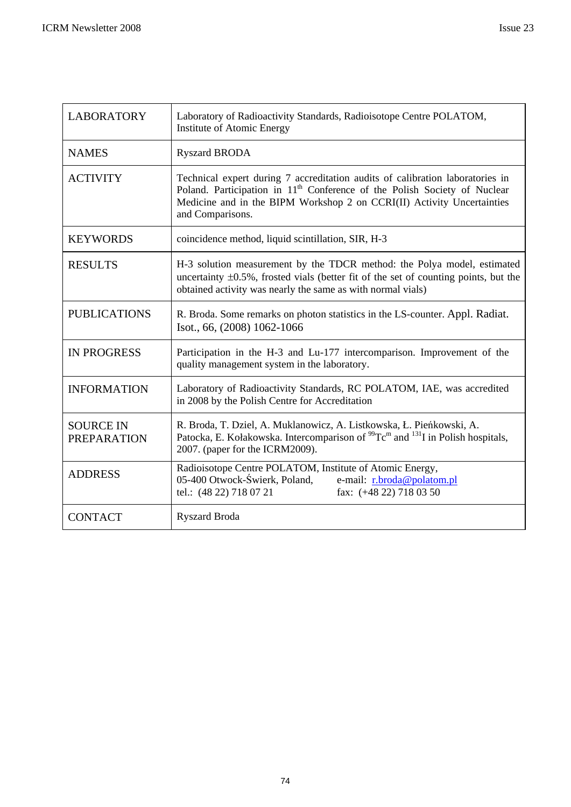| <b>LABORATORY</b>                      | Laboratory of Radioactivity Standards, Radioisotope Centre POLATOM,<br>Institute of Atomic Energy                                                                                                                                                                    |
|----------------------------------------|----------------------------------------------------------------------------------------------------------------------------------------------------------------------------------------------------------------------------------------------------------------------|
| <b>NAMES</b>                           | <b>Ryszard BRODA</b>                                                                                                                                                                                                                                                 |
| <b>ACTIVITY</b>                        | Technical expert during 7 accreditation audits of calibration laboratories in<br>Poland. Participation in 11 <sup>th</sup> Conference of the Polish Society of Nuclear<br>Medicine and in the BIPM Workshop 2 on CCRI(II) Activity Uncertainties<br>and Comparisons. |
| <b>KEYWORDS</b>                        | coincidence method, liquid scintillation, SIR, H-3                                                                                                                                                                                                                   |
| <b>RESULTS</b>                         | H-3 solution measurement by the TDCR method: the Polya model, estimated<br>uncertainty $\pm 0.5\%$ , frosted vials (better fit of the set of counting points, but the<br>obtained activity was nearly the same as with normal vials)                                 |
| <b>PUBLICATIONS</b>                    | R. Broda. Some remarks on photon statistics in the LS-counter. Appl. Radiat.<br>Isot., 66, (2008) 1062-1066                                                                                                                                                          |
| <b>IN PROGRESS</b>                     | Participation in the H-3 and Lu-177 intercomparison. Improvement of the<br>quality management system in the laboratory.                                                                                                                                              |
| <b>INFORMATION</b>                     | Laboratory of Radioactivity Standards, RC POLATOM, IAE, was accredited<br>in 2008 by the Polish Centre for Accreditation                                                                                                                                             |
| <b>SOURCE IN</b><br><b>PREPARATION</b> | R. Broda, T. Dziel, A. Muklanowicz, A. Listkowska, Ł. Pieńkowski, A.<br>Patocka, E. Kołakowska. Intercomparison of $^{99}$ Tc <sup>m</sup> and <sup>131</sup> I in Polish hospitals,<br>2007. (paper for the ICRM2009).                                              |
| <b>ADDRESS</b>                         | Radioisotope Centre POLATOM, Institute of Atomic Energy,<br>05-400 Otwock-Świerk, Poland,<br>e-mail: r.broda@polatom.pl<br>tel.: (48 22) 718 07 21<br>fax: (+48 22) 718 03 50                                                                                        |
| <b>CONTACT</b>                         | Ryszard Broda                                                                                                                                                                                                                                                        |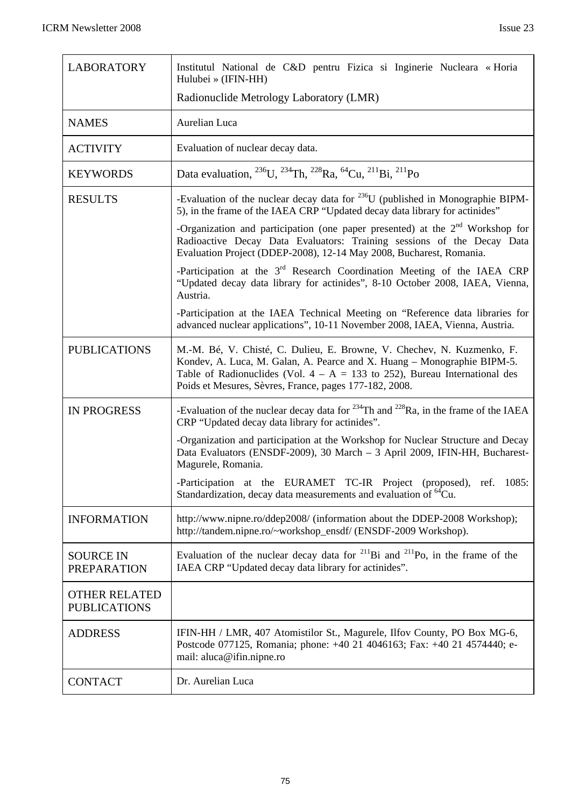| <b>LABORATORY</b>                           | Institutul National de C&D pentru Fizica si Inginerie Nucleara « Horia<br>Hulubei » (IFIN-HH)                                                                                                                                                                                               |
|---------------------------------------------|---------------------------------------------------------------------------------------------------------------------------------------------------------------------------------------------------------------------------------------------------------------------------------------------|
|                                             | Radionuclide Metrology Laboratory (LMR)                                                                                                                                                                                                                                                     |
| <b>NAMES</b>                                | Aurelian Luca                                                                                                                                                                                                                                                                               |
| <b>ACTIVITY</b>                             | Evaluation of nuclear decay data.                                                                                                                                                                                                                                                           |
| <b>KEYWORDS</b>                             | Data evaluation, <sup>236</sup> U, <sup>234</sup> Th, <sup>228</sup> Ra, <sup>64</sup> Cu, <sup>211</sup> Bi, <sup>211</sup> Po                                                                                                                                                             |
| <b>RESULTS</b>                              | -Evaluation of the nuclear decay data for <sup>236</sup> U (published in Monographie BIPM-<br>5), in the frame of the IAEA CRP "Updated decay data library for actinides"                                                                                                                   |
|                                             | -Organization and participation (one paper presented) at the $2nd$ Workshop for<br>Radioactive Decay Data Evaluators: Training sessions of the Decay Data<br>Evaluation Project (DDEP-2008), 12-14 May 2008, Bucharest, Romania.                                                            |
|                                             | -Participation at the $3rd$ Research Coordination Meeting of the IAEA CRP<br>"Updated decay data library for actinides", 8-10 October 2008, IAEA, Vienna,<br>Austria.                                                                                                                       |
|                                             | -Participation at the IAEA Technical Meeting on "Reference data libraries for<br>advanced nuclear applications", 10-11 November 2008, IAEA, Vienna, Austria.                                                                                                                                |
| <b>PUBLICATIONS</b>                         | M.-M. Bé, V. Chisté, C. Dulieu, E. Browne, V. Chechev, N. Kuzmenko, F.<br>Kondev, A. Luca, M. Galan, A. Pearce and X. Huang - Monographie BIPM-5.<br>Table of Radionuclides (Vol. $4 - A = 133$ to 252), Bureau International des<br>Poids et Mesures, Sèvres, France, pages 177-182, 2008. |
| <b>IN PROGRESS</b>                          | -Evaluation of the nuclear decay data for $^{234}$ Th and $^{228}$ Ra, in the frame of the IAEA<br>CRP "Updated decay data library for actinides".                                                                                                                                          |
|                                             | -Organization and participation at the Workshop for Nuclear Structure and Decay<br>Data Evaluators (ENSDF-2009), 30 March - 3 April 2009, IFIN-HH, Bucharest-<br>Magurele, Romania.                                                                                                         |
|                                             | -Participation at the EURAMET TC-IR Project (proposed), ref. 1085:<br>Standardization, decay data measurements and evaluation of <sup>64</sup> Cu.                                                                                                                                          |
| <b>INFORMATION</b>                          | http://www.nipne.ro/ddep2008/ (information about the DDEP-2008 Workshop);<br>http://tandem.nipne.ro/~workshop_ensdf/ (ENSDF-2009 Workshop).                                                                                                                                                 |
| <b>SOURCE IN</b><br><b>PREPARATION</b>      | Evaluation of the nuclear decay data for $^{211}$ Bi and $^{211}$ Po, in the frame of the<br>IAEA CRP "Updated decay data library for actinides".                                                                                                                                           |
| <b>OTHER RELATED</b><br><b>PUBLICATIONS</b> |                                                                                                                                                                                                                                                                                             |
| <b>ADDRESS</b>                              | IFIN-HH / LMR, 407 Atomistilor St., Magurele, Ilfov County, PO Box MG-6,<br>Postcode 077125, Romania; phone: +40 21 4046163; Fax: +40 21 4574440; e-<br>mail: aluca@ifin.nipne.ro                                                                                                           |
| <b>CONTACT</b>                              | Dr. Aurelian Luca                                                                                                                                                                                                                                                                           |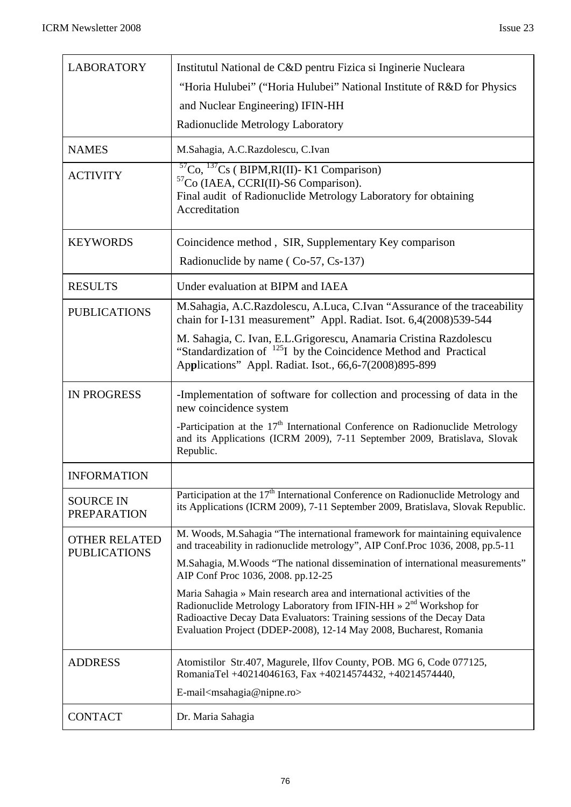| <b>LABORATORY</b>                           | Institutul National de C&D pentru Fizica si Inginerie Nucleara                                                                                                                                                                                                                                          |
|---------------------------------------------|---------------------------------------------------------------------------------------------------------------------------------------------------------------------------------------------------------------------------------------------------------------------------------------------------------|
|                                             | "Horia Hulubei" ("Horia Hulubei" National Institute of R&D for Physics                                                                                                                                                                                                                                  |
|                                             | and Nuclear Engineering) IFIN-HH                                                                                                                                                                                                                                                                        |
|                                             | Radionuclide Metrology Laboratory                                                                                                                                                                                                                                                                       |
| <b>NAMES</b>                                | M.Sahagia, A.C.Razdolescu, C.Ivan                                                                                                                                                                                                                                                                       |
| <b>ACTIVITY</b>                             | ${}^{57}Co, {}^{137}Cs$ (BIPM,RI(II)- K1 Comparison)<br><sup>57</sup> Co (IAEA, CCRI(II)-S6 Comparison).<br>Final audit of Radionuclide Metrology Laboratory for obtaining<br>Accreditation                                                                                                             |
| <b>KEYWORDS</b>                             | Coincidence method, SIR, Supplementary Key comparison                                                                                                                                                                                                                                                   |
|                                             | Radionuclide by name (Co-57, Cs-137)                                                                                                                                                                                                                                                                    |
| <b>RESULTS</b>                              | Under evaluation at BIPM and IAEA                                                                                                                                                                                                                                                                       |
| <b>PUBLICATIONS</b>                         | M.Sahagia, A.C.Razdolescu, A.Luca, C.Ivan "Assurance of the traceability<br>chain for I-131 measurement" Appl. Radiat. Isot. 6,4(2008)539-544                                                                                                                                                           |
|                                             | M. Sahagia, C. Ivan, E.L.Grigorescu, Anamaria Cristina Razdolescu<br>"Standardization of $^{125}I$ by the Coincidence Method and Practical<br>Applications" Appl. Radiat. Isot., 66,6-7(2008)895-899                                                                                                    |
| <b>IN PROGRESS</b>                          | -Implementation of software for collection and processing of data in the<br>new coincidence system                                                                                                                                                                                                      |
|                                             | -Participation at the $17th$ International Conference on Radionuclide Metrology<br>and its Applications (ICRM 2009), 7-11 September 2009, Bratislava, Slovak<br>Republic.                                                                                                                               |
| <b>INFORMATION</b>                          |                                                                                                                                                                                                                                                                                                         |
| <b>SOURCE IN</b><br><b>PREPARATION</b>      | Participation at the 17 <sup>th</sup> International Conference on Radionuclide Metrology and<br>its Applications (ICRM 2009), 7-11 September 2009, Bratislava, Slovak Republic.                                                                                                                         |
| <b>OTHER RELATED</b><br><b>PUBLICATIONS</b> | M. Woods, M.Sahagia "The international framework for maintaining equivalence<br>and traceability in radionuclide metrology", AIP Conf.Proc 1036, 2008, pp.5-11                                                                                                                                          |
|                                             | M.Sahagia, M.Woods "The national dissemination of international measurements"<br>AIP Conf Proc 1036, 2008. pp.12-25                                                                                                                                                                                     |
|                                             | Maria Sahagia » Main research area and international activities of the<br>Radionuclide Metrology Laboratory from IFIN-HH » 2 <sup>nd</sup> Workshop for<br>Radioactive Decay Data Evaluators: Training sessions of the Decay Data<br>Evaluation Project (DDEP-2008), 12-14 May 2008, Bucharest, Romania |
| <b>ADDRESS</b>                              | Atomistilor Str.407, Magurele, Ilfov County, POB. MG 6, Code 077125,<br>RomaniaTel +40214046163, Fax +40214574432, +40214574440,                                                                                                                                                                        |
|                                             | E-mail <msahagia@nipne.ro></msahagia@nipne.ro>                                                                                                                                                                                                                                                          |
| <b>CONTACT</b>                              | Dr. Maria Sahagia                                                                                                                                                                                                                                                                                       |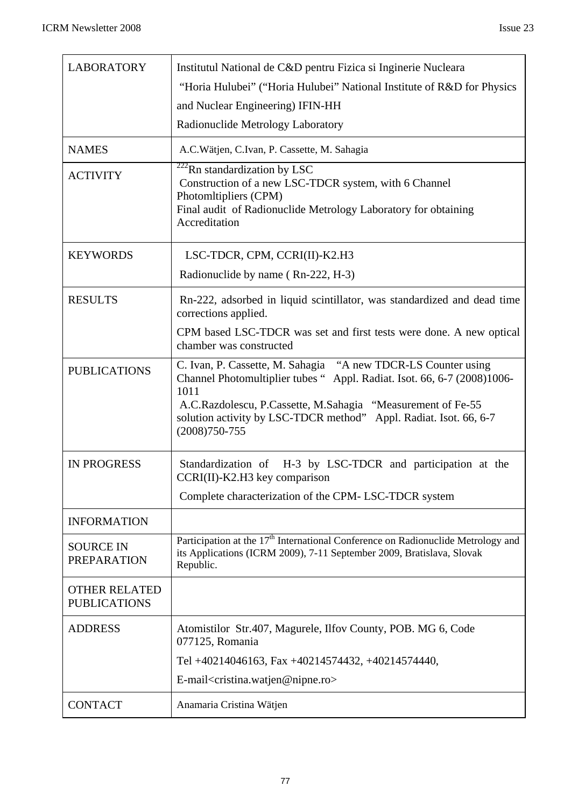| <b>LABORATORY</b>                           | Institutul National de C&D pentru Fizica si Inginerie Nucleara                                                                                                                                                                                                                                                |
|---------------------------------------------|---------------------------------------------------------------------------------------------------------------------------------------------------------------------------------------------------------------------------------------------------------------------------------------------------------------|
|                                             | "Horia Hulubei" ("Horia Hulubei" National Institute of R&D for Physics                                                                                                                                                                                                                                        |
|                                             | and Nuclear Engineering) IFIN-HH                                                                                                                                                                                                                                                                              |
|                                             | Radionuclide Metrology Laboratory                                                                                                                                                                                                                                                                             |
| <b>NAMES</b>                                | A.C.Wätjen, C.Ivan, P. Cassette, M. Sahagia                                                                                                                                                                                                                                                                   |
| <b>ACTIVITY</b>                             | $^{222}$ Rn standardization by LSC<br>Construction of a new LSC-TDCR system, with 6 Channel<br>Photomltipliers (CPM)<br>Final audit of Radionuclide Metrology Laboratory for obtaining<br>Accreditation                                                                                                       |
| <b>KEYWORDS</b>                             | LSC-TDCR, CPM, CCRI(II)-K2.H3                                                                                                                                                                                                                                                                                 |
|                                             | Radionuclide by name (Rn-222, H-3)                                                                                                                                                                                                                                                                            |
| <b>RESULTS</b>                              | Rn-222, adsorbed in liquid scintillator, was standardized and dead time<br>corrections applied.                                                                                                                                                                                                               |
|                                             | CPM based LSC-TDCR was set and first tests were done. A new optical<br>chamber was constructed                                                                                                                                                                                                                |
| <b>PUBLICATIONS</b>                         | "A new TDCR-LS Counter using<br>C. Ivan, P. Cassette, M. Sahagia<br>Channel Photomultiplier tubes "<br>Appl. Radiat. Isot. 66, 6-7 (2008)1006-<br>1011<br>A.C.Razdolescu, P.Cassette, M.Sahagia "Measurement of Fe-55<br>solution activity by LSC-TDCR method" Appl. Radiat. Isot. 66, 6-7<br>$(2008)750-755$ |
| <b>IN PROGRESS</b>                          | H-3 by LSC-TDCR and participation at the<br>Standardization of<br>$CCRI(II)$ -K2.H3 key comparison                                                                                                                                                                                                            |
|                                             | Complete characterization of the CPM-LSC-TDCR system                                                                                                                                                                                                                                                          |
| <b>INFORMATION</b>                          |                                                                                                                                                                                                                                                                                                               |
| <b>SOURCE IN</b><br><b>PREPARATION</b>      | Participation at the 17 <sup>th</sup> International Conference on Radionuclide Metrology and<br>its Applications (ICRM 2009), 7-11 September 2009, Bratislava, Slovak<br>Republic.                                                                                                                            |
| <b>OTHER RELATED</b><br><b>PUBLICATIONS</b> |                                                                                                                                                                                                                                                                                                               |
| <b>ADDRESS</b>                              | Atomistilor Str.407, Magurele, Ilfov County, POB. MG 6, Code<br>077125, Romania                                                                                                                                                                                                                               |
|                                             | Tel +40214046163, Fax +40214574432, +40214574440,                                                                                                                                                                                                                                                             |
|                                             | E-mail <cristina.watjen@nipne.ro></cristina.watjen@nipne.ro>                                                                                                                                                                                                                                                  |
| <b>CONTACT</b>                              | Anamaria Cristina Wätjen                                                                                                                                                                                                                                                                                      |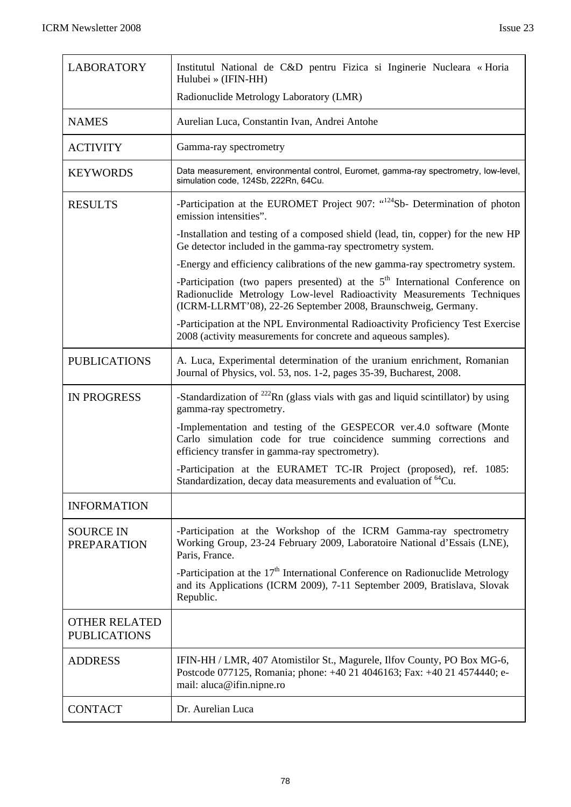| <b>LABORATORY</b>                           | Institutul National de C&D pentru Fizica si Inginerie Nucleara « Horia<br>Hulubei » (IFIN-HH)                                                                                                                             |
|---------------------------------------------|---------------------------------------------------------------------------------------------------------------------------------------------------------------------------------------------------------------------------|
|                                             | Radionuclide Metrology Laboratory (LMR)                                                                                                                                                                                   |
| <b>NAMES</b>                                | Aurelian Luca, Constantin Ivan, Andrei Antohe                                                                                                                                                                             |
| <b>ACTIVITY</b>                             | Gamma-ray spectrometry                                                                                                                                                                                                    |
| <b>KEYWORDS</b>                             | Data measurement, environmental control, Euromet, gamma-ray spectrometry, low-level,<br>simulation code, 124Sb, 222Rn, 64Cu.                                                                                              |
| <b>RESULTS</b>                              | -Participation at the EUROMET Project 907: " <sup>124</sup> Sb- Determination of photon<br>emission intensities".                                                                                                         |
|                                             | -Installation and testing of a composed shield (lead, tin, copper) for the new HP<br>Ge detector included in the gamma-ray spectrometry system.                                                                           |
|                                             | -Energy and efficiency calibrations of the new gamma-ray spectrometry system.                                                                                                                                             |
|                                             | -Participation (two papers presented) at the $5th$ International Conference on<br>Radionuclide Metrology Low-level Radioactivity Measurements Techniques<br>(ICRM-LLRMT'08), 22-26 September 2008, Braunschweig, Germany. |
|                                             | -Participation at the NPL Environmental Radioactivity Proficiency Test Exercise<br>2008 (activity measurements for concrete and aqueous samples).                                                                         |
| <b>PUBLICATIONS</b>                         | A. Luca, Experimental determination of the uranium enrichment, Romanian<br>Journal of Physics, vol. 53, nos. 1-2, pages 35-39, Bucharest, 2008.                                                                           |
| <b>IN PROGRESS</b>                          | -Standardization of $^{222}$ Rn (glass vials with gas and liquid scintillator) by using<br>gamma-ray spectrometry.                                                                                                        |
|                                             | -Implementation and testing of the GESPECOR ver.4.0 software (Monte<br>Carlo simulation code for true coincidence summing corrections and<br>efficiency transfer in gamma-ray spectrometry).                              |
|                                             | -Participation at the EURAMET TC-IR Project (proposed), ref. 1085:<br>Standardization, decay data measurements and evaluation of <sup>64</sup> Cu.                                                                        |
| <b>INFORMATION</b>                          |                                                                                                                                                                                                                           |
| <b>SOURCE IN</b><br><b>PREPARATION</b>      | -Participation at the Workshop of the ICRM Gamma-ray spectrometry<br>Working Group, 23-24 February 2009, Laboratoire National d'Essais (LNE),<br>Paris, France.                                                           |
|                                             | -Participation at the 17 <sup>th</sup> International Conference on Radionuclide Metrology<br>and its Applications (ICRM 2009), 7-11 September 2009, Bratislava, Slovak<br>Republic.                                       |
| <b>OTHER RELATED</b><br><b>PUBLICATIONS</b> |                                                                                                                                                                                                                           |
| <b>ADDRESS</b>                              | IFIN-HH / LMR, 407 Atomistilor St., Magurele, Ilfov County, PO Box MG-6,<br>Postcode 077125, Romania; phone: +40 21 4046163; Fax: +40 21 4574440; e-<br>mail: aluca@ifin.nipne.ro                                         |
| <b>CONTACT</b>                              | Dr. Aurelian Luca                                                                                                                                                                                                         |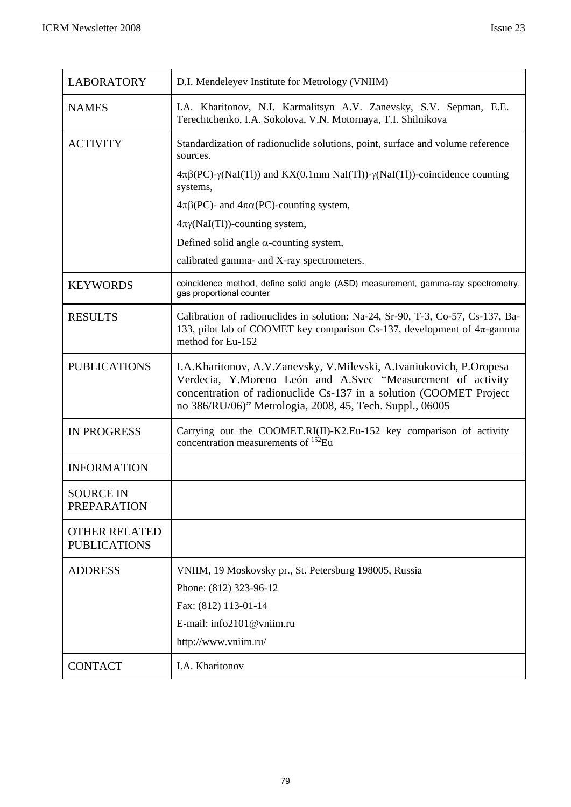| <b>LABORATORY</b>                           | D.I. Mendeleyev Institute for Metrology (VNIIM)                                                                                                                                                                                                                      |
|---------------------------------------------|----------------------------------------------------------------------------------------------------------------------------------------------------------------------------------------------------------------------------------------------------------------------|
| <b>NAMES</b>                                | I.A. Kharitonov, N.I. Karmalitsyn A.V. Zanevsky, S.V. Sepman, E.E.<br>Terechtchenko, I.A. Sokolova, V.N. Motornaya, T.I. Shilnikova                                                                                                                                  |
| <b>ACTIVITY</b>                             | Standardization of radionuclide solutions, point, surface and volume reference<br>sources.                                                                                                                                                                           |
|                                             | $4\pi\beta(PC)$ - $\gamma(NaI(Tl))$ and KX(0.1mm NaI(Tl))- $\gamma(NaI(Tl))$ -coincidence counting<br>systems,                                                                                                                                                       |
|                                             | $4\pi\beta$ (PC)- and $4\pi\alpha$ (PC)-counting system,                                                                                                                                                                                                             |
|                                             | $4\pi\gamma(NaI(T))$ -counting system,                                                                                                                                                                                                                               |
|                                             | Defined solid angle $\alpha$ -counting system,                                                                                                                                                                                                                       |
|                                             | calibrated gamma- and X-ray spectrometers.                                                                                                                                                                                                                           |
| <b>KEYWORDS</b>                             | coincidence method, define solid angle (ASD) measurement, gamma-ray spectrometry,<br>gas proportional counter                                                                                                                                                        |
| <b>RESULTS</b>                              | Calibration of radionuclides in solution: Na-24, Sr-90, T-3, Co-57, Cs-137, Ba-<br>133, pilot lab of COOMET key comparison Cs-137, development of $4\pi$ -gamma<br>method for Eu-152                                                                                 |
| <b>PUBLICATIONS</b>                         | I.A.Kharitonov, A.V.Zanevsky, V.Milevski, A.Ivaniukovich, P.Oropesa<br>Verdecia, Y.Moreno León and A.Svec "Measurement of activity<br>concentration of radionuclide Cs-137 in a solution (COOMET Project<br>no 386/RU/06)" Metrologia, 2008, 45, Tech. Suppl., 06005 |
| <b>IN PROGRESS</b>                          | Carrying out the COOMET.RI(II)-K2.Eu-152 key comparison of activity<br>concentration measurements of <sup>152</sup> Eu                                                                                                                                               |
| <b>INFORMATION</b>                          |                                                                                                                                                                                                                                                                      |
| <b>SOURCE IN</b><br><b>PREPARATION</b>      |                                                                                                                                                                                                                                                                      |
| <b>OTHER RELATED</b><br><b>PUBLICATIONS</b> |                                                                                                                                                                                                                                                                      |
| <b>ADDRESS</b>                              | VNIIM, 19 Moskovsky pr., St. Petersburg 198005, Russia                                                                                                                                                                                                               |
|                                             | Phone: (812) 323-96-12                                                                                                                                                                                                                                               |
|                                             | Fax: (812) 113-01-14                                                                                                                                                                                                                                                 |
|                                             | E-mail: info2101@vniim.ru                                                                                                                                                                                                                                            |
|                                             | http://www.vniim.ru/                                                                                                                                                                                                                                                 |
| <b>CONTACT</b>                              | I.A. Kharitonov                                                                                                                                                                                                                                                      |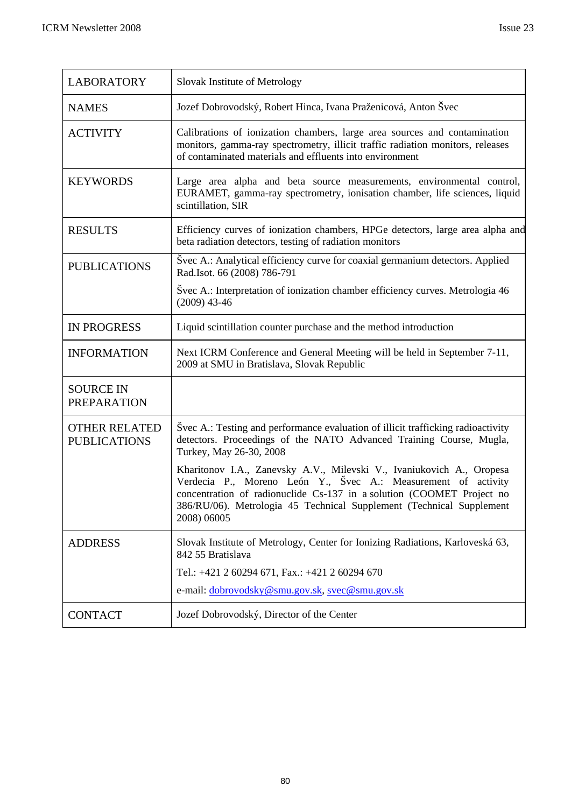| <b>LABORATORY</b>                           | Slovak Institute of Metrology                                                                                                                                                                                                                                                                          |
|---------------------------------------------|--------------------------------------------------------------------------------------------------------------------------------------------------------------------------------------------------------------------------------------------------------------------------------------------------------|
| <b>NAMES</b>                                | Jozef Dobrovodský, Robert Hinca, Ivana Praženicová, Anton Švec                                                                                                                                                                                                                                         |
| <b>ACTIVITY</b>                             | Calibrations of ionization chambers, large area sources and contamination<br>monitors, gamma-ray spectrometry, illicit traffic radiation monitors, releases<br>of contaminated materials and effluents into environment                                                                                |
| <b>KEYWORDS</b>                             | Large area alpha and beta source measurements, environmental control,<br>EURAMET, gamma-ray spectrometry, ionisation chamber, life sciences, liquid<br>scintillation, SIR                                                                                                                              |
| <b>RESULTS</b>                              | Efficiency curves of ionization chambers, HPGe detectors, large area alpha and<br>beta radiation detectors, testing of radiation monitors                                                                                                                                                              |
| <b>PUBLICATIONS</b>                         | Švec A.: Analytical efficiency curve for coaxial germanium detectors. Applied<br>Rad.Isot. 66 (2008) 786-791                                                                                                                                                                                           |
|                                             | Švec A.: Interpretation of ionization chamber efficiency curves. Metrologia 46<br>$(2009)$ 43-46                                                                                                                                                                                                       |
| <b>IN PROGRESS</b>                          | Liquid scintillation counter purchase and the method introduction                                                                                                                                                                                                                                      |
| <b>INFORMATION</b>                          | Next ICRM Conference and General Meeting will be held in September 7-11,<br>2009 at SMU in Bratislava, Slovak Republic                                                                                                                                                                                 |
| <b>SOURCE IN</b><br><b>PREPARATION</b>      |                                                                                                                                                                                                                                                                                                        |
| <b>OTHER RELATED</b><br><b>PUBLICATIONS</b> | Švec A.: Testing and performance evaluation of illicit trafficking radioactivity<br>detectors. Proceedings of the NATO Advanced Training Course, Mugla,<br>Turkey, May 26-30, 2008                                                                                                                     |
|                                             | Kharitonov I.A., Zanevsky A.V., Milevski V., Ivaniukovich A., Oropesa<br>Verdecia P., Moreno León Y., Švec A.: Measurement of activity<br>concentration of radionuclide Cs-137 in a solution (COOMET Project no<br>386/RU/06). Metrologia 45 Technical Supplement (Technical Supplement<br>2008) 06005 |
| <b>ADDRESS</b>                              | Slovak Institute of Metrology, Center for Ionizing Radiations, Karloveská 63,<br>842 55 Bratislava                                                                                                                                                                                                     |
|                                             | Tel.: +421 2 60294 671, Fax.: +421 2 60294 670                                                                                                                                                                                                                                                         |
|                                             | e-mail: dobrovodsky@smu.gov.sk, svec@smu.gov.sk                                                                                                                                                                                                                                                        |
| <b>CONTACT</b>                              | Jozef Dobrovodský, Director of the Center                                                                                                                                                                                                                                                              |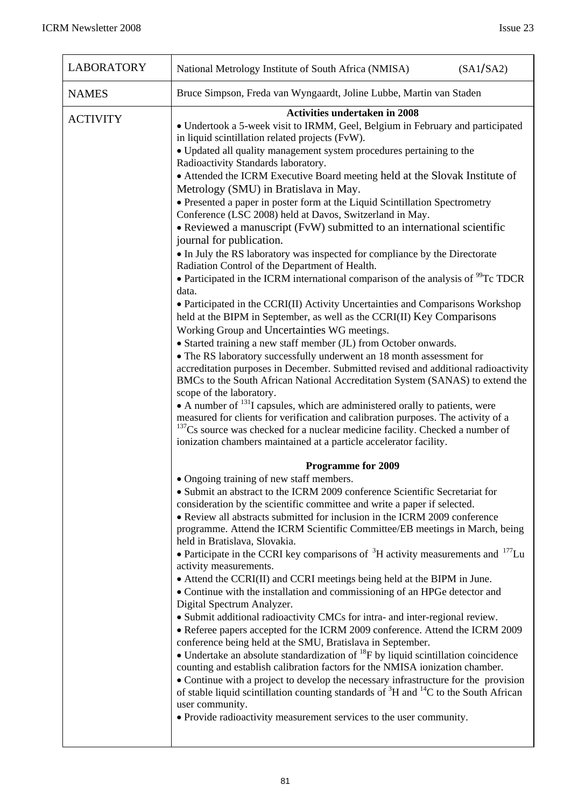| LABORATORY      | (SA1/SA2)<br>National Metrology Institute of South Africa (NMISA)                                                                                                                                                                                                                                                                                                                                                                                                                                                                                                                                                                                                                                                                                                                                                                                                                                                                                                                                                                                                                                                                                                                                                                                                                                                                                                                                                                                                                                                                                                                                                                                                                                                                                                                                                  |
|-----------------|--------------------------------------------------------------------------------------------------------------------------------------------------------------------------------------------------------------------------------------------------------------------------------------------------------------------------------------------------------------------------------------------------------------------------------------------------------------------------------------------------------------------------------------------------------------------------------------------------------------------------------------------------------------------------------------------------------------------------------------------------------------------------------------------------------------------------------------------------------------------------------------------------------------------------------------------------------------------------------------------------------------------------------------------------------------------------------------------------------------------------------------------------------------------------------------------------------------------------------------------------------------------------------------------------------------------------------------------------------------------------------------------------------------------------------------------------------------------------------------------------------------------------------------------------------------------------------------------------------------------------------------------------------------------------------------------------------------------------------------------------------------------------------------------------------------------|
| <b>NAMES</b>    | Bruce Simpson, Freda van Wyngaardt, Joline Lubbe, Martin van Staden                                                                                                                                                                                                                                                                                                                                                                                                                                                                                                                                                                                                                                                                                                                                                                                                                                                                                                                                                                                                                                                                                                                                                                                                                                                                                                                                                                                                                                                                                                                                                                                                                                                                                                                                                |
| <b>ACTIVITY</b> | <b>Activities undertaken in 2008</b><br>• Undertook a 5-week visit to IRMM, Geel, Belgium in February and participated<br>in liquid scintillation related projects (FvW).<br>• Updated all quality management system procedures pertaining to the<br>Radioactivity Standards laboratory.<br>• Attended the ICRM Executive Board meeting held at the Slovak Institute of<br>Metrology (SMU) in Bratislava in May.<br>• Presented a paper in poster form at the Liquid Scintillation Spectrometry<br>Conference (LSC 2008) held at Davos, Switzerland in May.<br>• Reviewed a manuscript (FvW) submitted to an international scientific<br>journal for publication.<br>• In July the RS laboratory was inspected for compliance by the Directorate<br>Radiation Control of the Department of Health.<br>• Participated in the ICRM international comparison of the analysis of <sup>99</sup> Tc TDCR<br>data.<br>• Participated in the CCRI(II) Activity Uncertainties and Comparisons Workshop<br>held at the BIPM in September, as well as the CCRI(II) Key Comparisons<br>Working Group and Uncertainties WG meetings.<br>• Started training a new staff member (JL) from October onwards.<br>• The RS laboratory successfully underwent an 18 month assessment for<br>accreditation purposes in December. Submitted revised and additional radioactivity<br>BMCs to the South African National Accreditation System (SANAS) to extend the<br>scope of the laboratory.<br>• A number of <sup>131</sup> I capsules, which are administered orally to patients, were<br>measured for clients for verification and calibration purposes. The activity of a<br>$137$ Cs source was checked for a nuclear medicine facility. Checked a number of<br>ionization chambers maintained at a particle accelerator facility. |
|                 | <b>Programme for 2009</b><br>• Ongoing training of new staff members.<br>• Submit an abstract to the ICRM 2009 conference Scientific Secretariat for<br>consideration by the scientific committee and write a paper if selected.<br>• Review all abstracts submitted for inclusion in the ICRM 2009 conference<br>programme. Attend the ICRM Scientific Committee/EB meetings in March, being<br>held in Bratislava, Slovakia.<br>• Participate in the CCRI key comparisons of <sup>3</sup> H activity measurements and <sup>177</sup> Lu<br>activity measurements.<br>• Attend the CCRI(II) and CCRI meetings being held at the BIPM in June.<br>• Continue with the installation and commissioning of an HPGe detector and<br>Digital Spectrum Analyzer.<br>• Submit additional radioactivity CMCs for intra- and inter-regional review.<br>• Referee papers accepted for the ICRM 2009 conference. Attend the ICRM 2009<br>conference being held at the SMU, Bratislava in September.<br>• Undertake an absolute standardization of $^{18}$ F by liquid scintillation coincidence<br>counting and establish calibration factors for the NMISA ionization chamber.<br>• Continue with a project to develop the necessary infrastructure for the provision<br>of stable liquid scintillation counting standards of ${}^{3}H$ and ${}^{14}C$ to the South African<br>user community.<br>• Provide radioactivity measurement services to the user community.                                                                                                                                                                                                                                                                                                                                                        |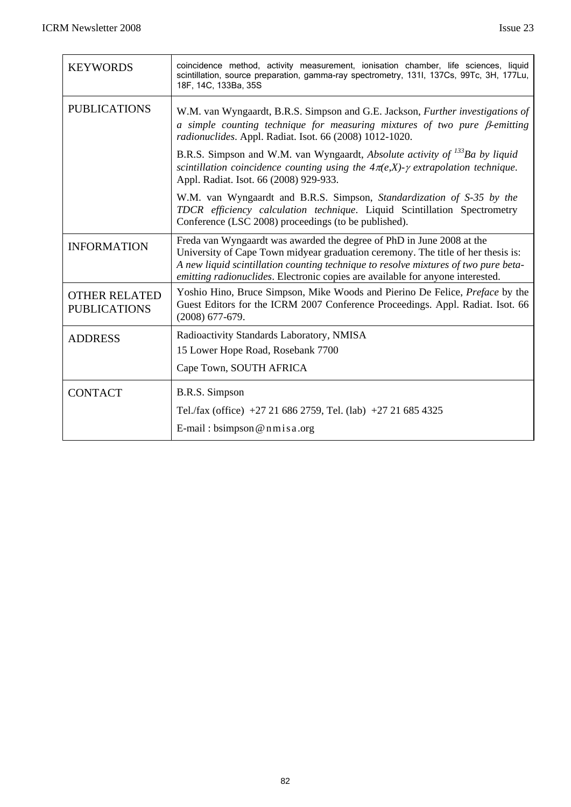| <b>KEYWORDS</b>                             | coincidence method, activity measurement, ionisation chamber, life sciences, liquid<br>scintillation, source preparation, gamma-ray spectrometry, 131l, 137Cs, 99Tc, 3H, 177Lu,<br>18F, 14C, 133Ba, 35S                                                                                                                            |
|---------------------------------------------|------------------------------------------------------------------------------------------------------------------------------------------------------------------------------------------------------------------------------------------------------------------------------------------------------------------------------------|
| <b>PUBLICATIONS</b>                         | W.M. van Wyngaardt, B.R.S. Simpson and G.E. Jackson, <i>Further investigations of</i><br>a simple counting technique for measuring mixtures of two pure $\beta$ -emitting<br>radionuclides. Appl. Radiat. Isot. 66 (2008) 1012-1020.                                                                                               |
|                                             | B.R.S. Simpson and W.M. van Wyngaardt, Absolute activity of <sup>133</sup> Ba by liquid<br>scintillation coincidence counting using the $4\pi(e,X)$ - $\gamma$ extrapolation technique.<br>Appl. Radiat. Isot. 66 (2008) 929-933.                                                                                                  |
|                                             | W.M. van Wyngaardt and B.R.S. Simpson, <i>Standardization of S-35 by the</i><br>TDCR efficiency calculation technique. Liquid Scintillation Spectrometry<br>Conference (LSC 2008) proceedings (to be published).                                                                                                                   |
| <b>INFORMATION</b>                          | Freda van Wyngaardt was awarded the degree of PhD in June 2008 at the<br>University of Cape Town midyear graduation ceremony. The title of her thesis is:<br>A new liquid scintillation counting technique to resolve mixtures of two pure beta-<br>emitting radionuclides. Electronic copies are available for anyone interested. |
| <b>OTHER RELATED</b><br><b>PUBLICATIONS</b> | Yoshio Hino, Bruce Simpson, Mike Woods and Pierino De Felice, Preface by the<br>Guest Editors for the ICRM 2007 Conference Proceedings. Appl. Radiat. Isot. 66<br>$(2008)$ 677-679.                                                                                                                                                |
| <b>ADDRESS</b>                              | Radioactivity Standards Laboratory, NMISA<br>15 Lower Hope Road, Rosebank 7700<br>Cape Town, SOUTH AFRICA                                                                                                                                                                                                                          |
| <b>CONTACT</b>                              | B.R.S. Simpson<br>Tel./fax (office) +27 21 686 2759, Tel. (lab) +27 21 685 4325<br>E-mail: bsimpson $@$ n m is a .org                                                                                                                                                                                                              |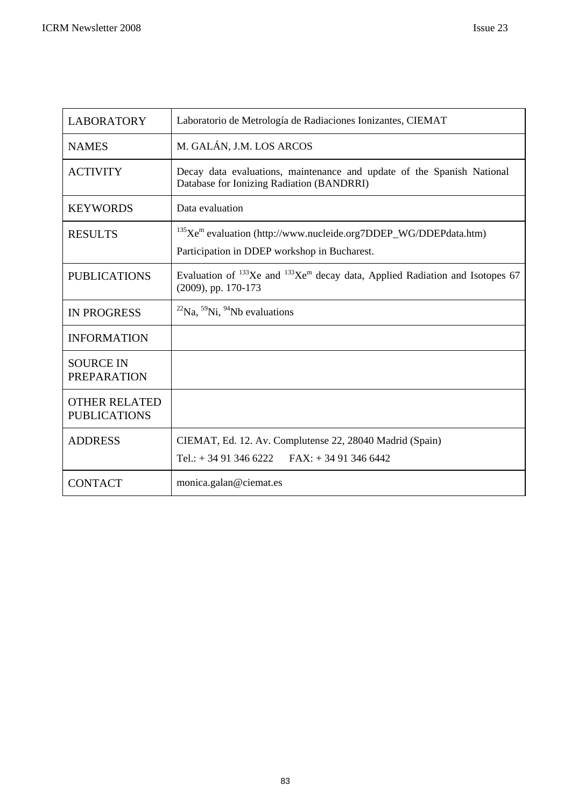$\overline{1}$ 

| <b>LABORATORY</b>                           | Laboratorio de Metrología de Radiaciones Ionizantes, CIEMAT                                                                             |  |
|---------------------------------------------|-----------------------------------------------------------------------------------------------------------------------------------------|--|
| <b>NAMES</b>                                | M. GALÁN, J.M. LOS ARCOS                                                                                                                |  |
| <b>ACTIVITY</b>                             | Decay data evaluations, maintenance and update of the Spanish National<br>Database for Ionizing Radiation (BANDRRI)                     |  |
| <b>KEYWORDS</b>                             | Data evaluation                                                                                                                         |  |
| <b>RESULTS</b>                              | $^{135}Xe^m$ evaluation (http://www.nucleide.org7DDEP_WG/DDEPdata.htm)<br>Participation in DDEP workshop in Bucharest.                  |  |
| <b>PUBLICATIONS</b>                         | Evaluation of <sup>133</sup> Xe and <sup>133</sup> Xe <sup>m</sup> decay data, Applied Radiation and Isotopes 67<br>(2009), pp. 170-173 |  |
| <b>IN PROGRESS</b>                          | $^{22}$ Na, $^{59}$ Ni, $^{94}$ Nb evaluations                                                                                          |  |
| <b>INFORMATION</b>                          |                                                                                                                                         |  |
| <b>SOURCE IN</b><br><b>PREPARATION</b>      |                                                                                                                                         |  |
| <b>OTHER RELATED</b><br><b>PUBLICATIONS</b> |                                                                                                                                         |  |
| <b>ADDRESS</b>                              | CIEMAT, Ed. 12. Av. Complutense 22, 28040 Madrid (Spain)<br>Tel.: $+ 34913466222$<br>$FAX: + 34913466442$                               |  |
| <b>CONTACT</b>                              | monica.galan@ciemat.es                                                                                                                  |  |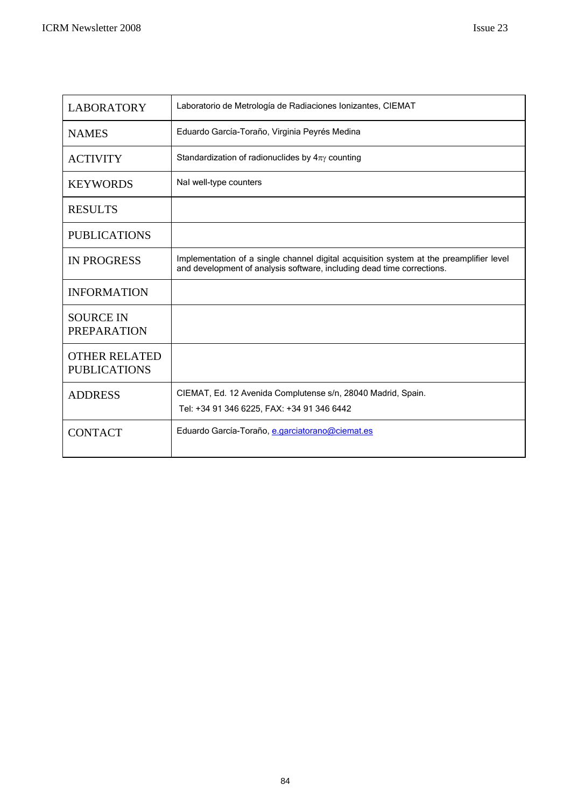| <b>LABORATORY</b>                           | Laboratorio de Metrología de Radiaciones Ionizantes, CIEMAT                                                                                                       |
|---------------------------------------------|-------------------------------------------------------------------------------------------------------------------------------------------------------------------|
| <b>NAMES</b>                                | Eduardo García-Toraño, Virginia Peyrés Medina                                                                                                                     |
| <b>ACTIVITY</b>                             | Standardization of radionuclides by $4\pi\gamma$ counting                                                                                                         |
| <b>KEYWORDS</b>                             | Nal well-type counters                                                                                                                                            |
| <b>RESULTS</b>                              |                                                                                                                                                                   |
| <b>PUBLICATIONS</b>                         |                                                                                                                                                                   |
| <b>IN PROGRESS</b>                          | Implementation of a single channel digital acquisition system at the preamplifier level<br>and development of analysis software, including dead time corrections. |
| <b>INFORMATION</b>                          |                                                                                                                                                                   |
| <b>SOURCE IN</b><br><b>PREPARATION</b>      |                                                                                                                                                                   |
| <b>OTHER RELATED</b><br><b>PUBLICATIONS</b> |                                                                                                                                                                   |
| <b>ADDRESS</b>                              | CIEMAT, Ed. 12 Avenida Complutense s/n, 28040 Madrid, Spain.<br>Tel: +34 91 346 6225, FAX: +34 91 346 6442                                                        |
| <b>CONTACT</b>                              | Eduardo García-Toraño, e.garciatorano@ciemat.es                                                                                                                   |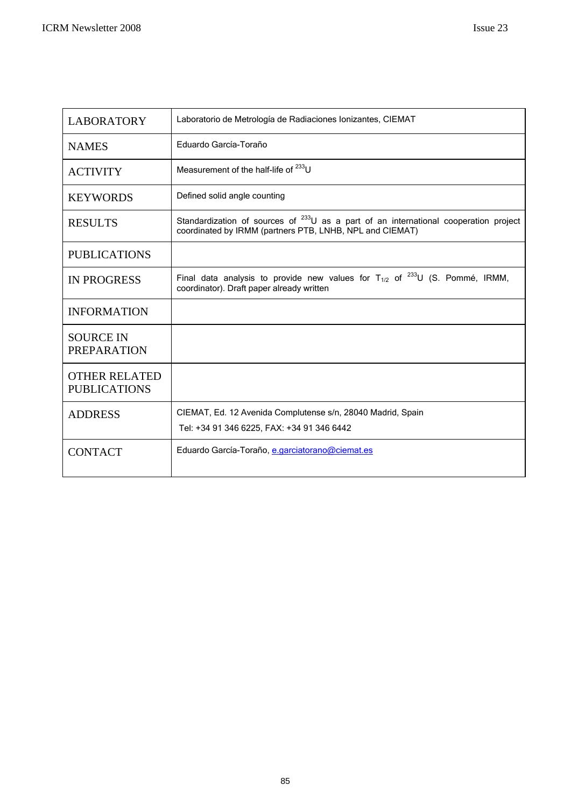| <b>LABORATORY</b>                           | Laboratorio de Metrología de Radiaciones Ionizantes, CIEMAT                                                                                                  |
|---------------------------------------------|--------------------------------------------------------------------------------------------------------------------------------------------------------------|
| <b>NAMES</b>                                | Eduardo García-Toraño                                                                                                                                        |
| <b>ACTIVITY</b>                             | Measurement of the half-life of <sup>233</sup> U                                                                                                             |
| <b>KEYWORDS</b>                             | Defined solid angle counting                                                                                                                                 |
| <b>RESULTS</b>                              | Standardization of sources of <sup>233</sup> U as a part of an international cooperation project<br>coordinated by IRMM (partners PTB, LNHB, NPL and CIEMAT) |
| <b>PUBLICATIONS</b>                         |                                                                                                                                                              |
| <b>IN PROGRESS</b>                          | Final data analysis to provide new values for $T_{1/2}$ of $^{233}$ U (S. Pommé, IRMM,<br>coordinator). Draft paper already written                          |
| <b>INFORMATION</b>                          |                                                                                                                                                              |
| <b>SOURCE IN</b><br><b>PREPARATION</b>      |                                                                                                                                                              |
| <b>OTHER RELATED</b><br><b>PUBLICATIONS</b> |                                                                                                                                                              |
| <b>ADDRESS</b>                              | CIEMAT, Ed. 12 Avenida Complutense s/n, 28040 Madrid, Spain<br>Tel: +34 91 346 6225, FAX: +34 91 346 6442                                                    |
| <b>CONTACT</b>                              | Eduardo García-Toraño, e.garciatorano@ciemat.es                                                                                                              |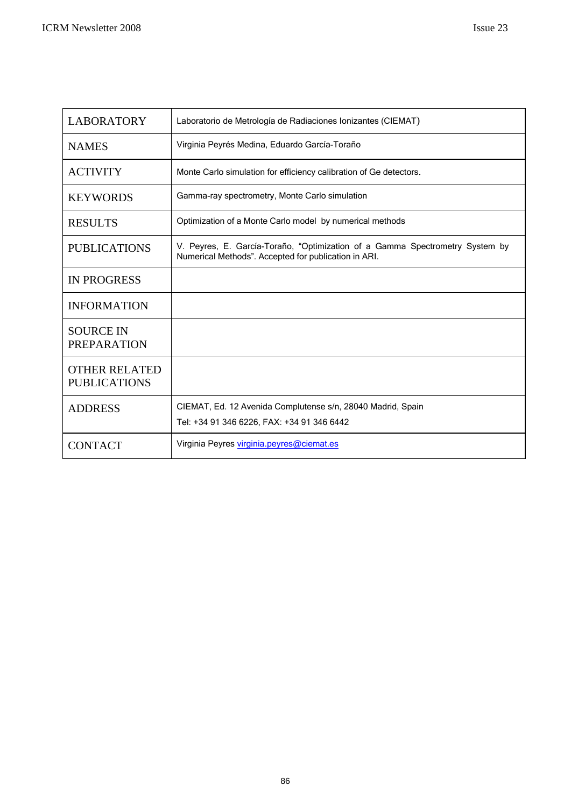| <b>LABORATORY</b>                           | Laboratorio de Metrología de Radiaciones Ionizantes (CIEMAT)                                                                         |
|---------------------------------------------|--------------------------------------------------------------------------------------------------------------------------------------|
| <b>NAMES</b>                                | Virginia Peyrés Medina, Eduardo García-Toraño                                                                                        |
| <b>ACTIVITY</b>                             | Monte Carlo simulation for efficiency calibration of Ge detectors.                                                                   |
| <b>KEYWORDS</b>                             | Gamma-ray spectrometry, Monte Carlo simulation                                                                                       |
| <b>RESULTS</b>                              | Optimization of a Monte Carlo model by numerical methods                                                                             |
| <b>PUBLICATIONS</b>                         | V. Peyres, E. García-Toraño, "Optimization of a Gamma Spectrometry System by<br>Numerical Methods". Accepted for publication in ARI. |
| <b>IN PROGRESS</b>                          |                                                                                                                                      |
| <b>INFORMATION</b>                          |                                                                                                                                      |
| <b>SOURCE IN</b><br><b>PREPARATION</b>      |                                                                                                                                      |
| <b>OTHER RELATED</b><br><b>PUBLICATIONS</b> |                                                                                                                                      |
| <b>ADDRESS</b>                              | CIEMAT, Ed. 12 Avenida Complutense s/n, 28040 Madrid, Spain<br>Tel: +34 91 346 6226, FAX: +34 91 346 6442                            |
| <b>CONTACT</b>                              | Virginia Peyres virginia.peyres@ciemat.es                                                                                            |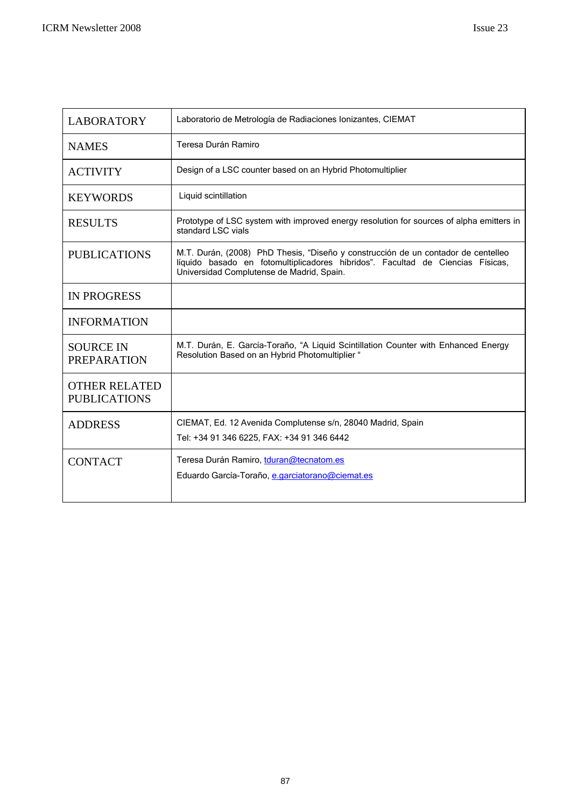| <b>LABORATORY</b>                           | Laboratorio de Metrología de Radiaciones Ionizantes, CIEMAT                                                                                                                                                      |  |
|---------------------------------------------|------------------------------------------------------------------------------------------------------------------------------------------------------------------------------------------------------------------|--|
| <b>NAMES</b>                                | Teresa Durán Ramiro                                                                                                                                                                                              |  |
| <b>ACTIVITY</b>                             | Design of a LSC counter based on an Hybrid Photomultiplier                                                                                                                                                       |  |
| <b>KEYWORDS</b>                             | Liquid scintillation                                                                                                                                                                                             |  |
| <b>RESULTS</b>                              | Prototype of LSC system with improved energy resolution for sources of alpha emitters in<br>standard LSC vials                                                                                                   |  |
| <b>PUBLICATIONS</b>                         | M.T. Durán, (2008) PhD Thesis, "Diseño y construcción de un contador de centelleo<br>líquido basado en fotomultiplicadores híbridos". Facultad de Ciencias Físicas,<br>Universidad Complutense de Madrid, Spain. |  |
| <b>IN PROGRESS</b>                          |                                                                                                                                                                                                                  |  |
| <b>INFORMATION</b>                          |                                                                                                                                                                                                                  |  |
| <b>SOURCE IN</b><br><b>PREPARATION</b>      | M.T. Durán, E. García-Toraño, "A Liquid Scintillation Counter with Enhanced Energy<br>Resolution Based on an Hybrid Photomultiplier "                                                                            |  |
| <b>OTHER RELATED</b><br><b>PUBLICATIONS</b> |                                                                                                                                                                                                                  |  |
| <b>ADDRESS</b>                              | CIEMAT, Ed. 12 Avenida Complutense s/n, 28040 Madrid, Spain<br>Tel: +34 91 346 6225, FAX: +34 91 346 6442                                                                                                        |  |
| <b>CONTACT</b>                              | Teresa Durán Ramiro, tduran@tecnatom.es<br>Eduardo García-Toraño, e.garciatorano@ciemat.es                                                                                                                       |  |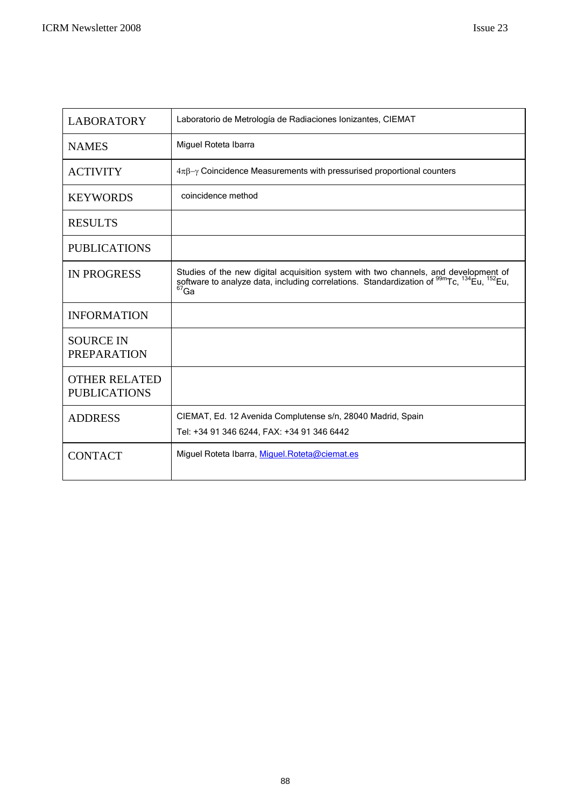| <b>LABORATORY</b>                           | Laboratorio de Metrología de Radiaciones Ionizantes, CIEMAT                                                                                                                                                                     |
|---------------------------------------------|---------------------------------------------------------------------------------------------------------------------------------------------------------------------------------------------------------------------------------|
| <b>NAMES</b>                                | Miguel Roteta Ibarra                                                                                                                                                                                                            |
| <b>ACTIVITY</b>                             | $4\pi\beta-\gamma$ Coincidence Measurements with pressurised proportional counters                                                                                                                                              |
| <b>KEYWORDS</b>                             | coincidence method                                                                                                                                                                                                              |
| <b>RESULTS</b>                              |                                                                                                                                                                                                                                 |
| <b>PUBLICATIONS</b>                         |                                                                                                                                                                                                                                 |
| <b>IN PROGRESS</b>                          | Studies of the new digital acquisition system with two channels, and development of<br>software to analyze data, including correlations. Standardization of <sup>99m</sup> Tc, <sup>134</sup> Eu, <sup>152</sup> Eu,<br>$67$ Ga |
| <b>INFORMATION</b>                          |                                                                                                                                                                                                                                 |
| <b>SOURCE IN</b><br><b>PREPARATION</b>      |                                                                                                                                                                                                                                 |
| <b>OTHER RELATED</b><br><b>PUBLICATIONS</b> |                                                                                                                                                                                                                                 |
| <b>ADDRESS</b>                              | CIEMAT, Ed. 12 Avenida Complutense s/n, 28040 Madrid, Spain<br>Tel: +34 91 346 6244, FAX: +34 91 346 6442                                                                                                                       |
| <b>CONTACT</b>                              | Miguel Roteta Ibarra, Miguel.Roteta@ciemat.es                                                                                                                                                                                   |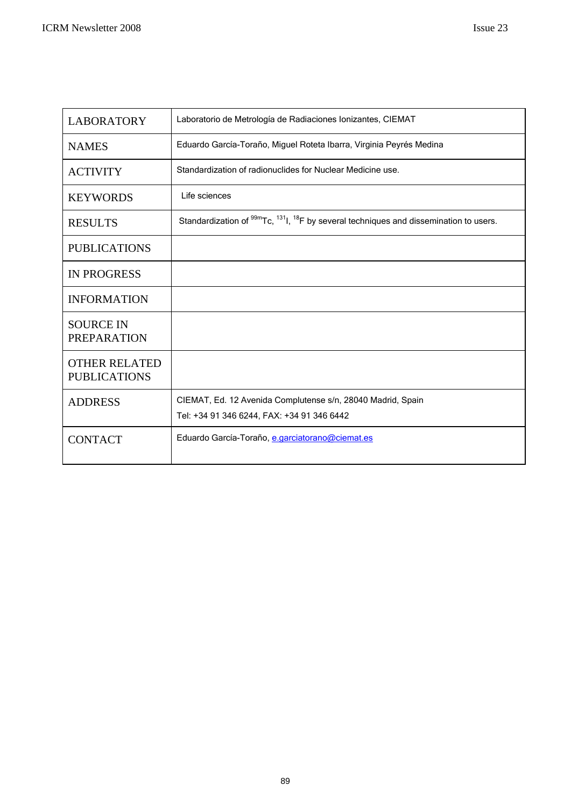| <b>LABORATORY</b>                           | Laboratorio de Metrología de Radiaciones Ionizantes, CIEMAT                                                               |
|---------------------------------------------|---------------------------------------------------------------------------------------------------------------------------|
| <b>NAMES</b>                                | Eduardo García-Toraño, Miguel Roteta Ibarra, Virginia Peyrés Medina                                                       |
| <b>ACTIVITY</b>                             | Standardization of radionuclides for Nuclear Medicine use.                                                                |
| <b>KEYWORDS</b>                             | Life sciences                                                                                                             |
| <b>RESULTS</b>                              | Standardization of <sup>99m</sup> Tc, <sup>131</sup> l, <sup>18</sup> F by several techniques and dissemination to users. |
| <b>PUBLICATIONS</b>                         |                                                                                                                           |
| <b>IN PROGRESS</b>                          |                                                                                                                           |
| <b>INFORMATION</b>                          |                                                                                                                           |
| <b>SOURCE IN</b><br><b>PREPARATION</b>      |                                                                                                                           |
| <b>OTHER RELATED</b><br><b>PUBLICATIONS</b> |                                                                                                                           |
| <b>ADDRESS</b>                              | CIEMAT, Ed. 12 Avenida Complutense s/n, 28040 Madrid, Spain<br>Tel: +34 91 346 6244, FAX: +34 91 346 6442                 |
| <b>CONTACT</b>                              | Eduardo García-Toraño, e.garciatorano@ciemat.es                                                                           |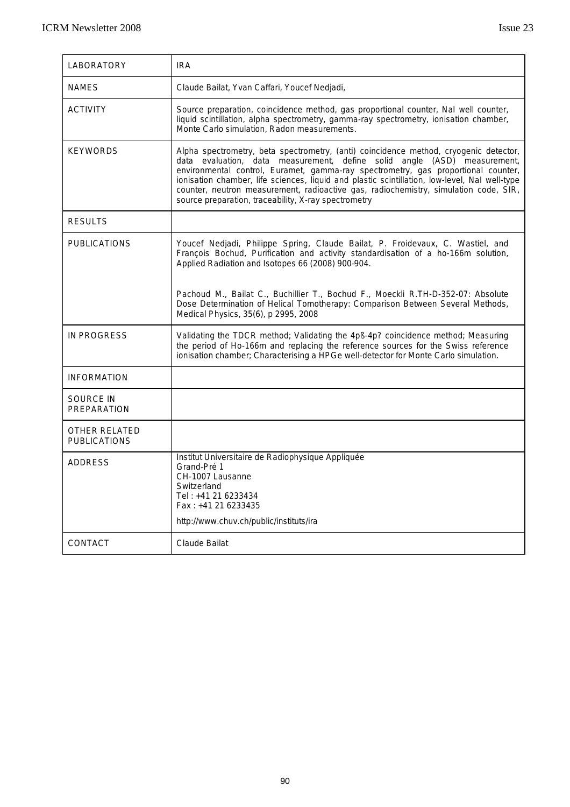| LABORATORY                           | <b>IRA</b>                                                                                                                                                                                                                                                                                                                                                                                                                                                                                              |
|--------------------------------------|---------------------------------------------------------------------------------------------------------------------------------------------------------------------------------------------------------------------------------------------------------------------------------------------------------------------------------------------------------------------------------------------------------------------------------------------------------------------------------------------------------|
| <b>NAMES</b>                         | Claude Bailat, Yvan Caffari, Youcef Nedjadi,                                                                                                                                                                                                                                                                                                                                                                                                                                                            |
| <b>ACTIVITY</b>                      | Source preparation, coincidence method, gas proportional counter, Nal well counter,<br>liquid scintillation, alpha spectrometry, gamma-ray spectrometry, ionisation chamber,<br>Monte Carlo simulation, Radon measurements.                                                                                                                                                                                                                                                                             |
| <b>KEYWORDS</b>                      | Alpha spectrometry, beta spectrometry, (anti) coincidence method, cryogenic detector,<br>data evaluation, data measurement, define solid angle (ASD) measurement,<br>environmental control, Euramet, gamma-ray spectrometry, gas proportional counter,<br>ionisation chamber, life sciences, liquid and plastic scintillation, low-level, Nal well-type<br>counter, neutron measurement, radioactive gas, radiochemistry, simulation code, SIR,<br>source preparation, traceability, X-ray spectrometry |
| <b>RESULTS</b>                       |                                                                                                                                                                                                                                                                                                                                                                                                                                                                                                         |
| <b>PUBLICATIONS</b>                  | Youcef Nedjadi, Philippe Spring, Claude Bailat, P. Froidevaux, C. Wastiel, and<br>François Bochud, Purification and activity standardisation of a ho-166m solution,<br>Applied Radiation and Isotopes 66 (2008) 900-904.                                                                                                                                                                                                                                                                                |
|                                      | Pachoud M., Bailat C., Buchillier T., Bochud F., Moeckli R.TH-D-352-07: Absolute<br>Dose Determination of Helical Tomotherapy: Comparison Between Several Methods,<br>Medical Physics, 35(6), p 2995, 2008                                                                                                                                                                                                                                                                                              |
| <b>IN PROGRESS</b>                   | Validating the TDCR method; Validating the 4pß-4p? coincidence method; Measuring<br>the period of Ho-166m and replacing the reference sources for the Swiss reference<br>ionisation chamber; Characterising a HPGe well-detector for Monte Carlo simulation.                                                                                                                                                                                                                                            |
| <b>INFORMATION</b>                   |                                                                                                                                                                                                                                                                                                                                                                                                                                                                                                         |
| <b>SOURCE IN</b><br>PREPARATION      |                                                                                                                                                                                                                                                                                                                                                                                                                                                                                                         |
| OTHER RELATED<br><b>PUBLICATIONS</b> |                                                                                                                                                                                                                                                                                                                                                                                                                                                                                                         |
| <b>ADDRESS</b>                       | Institut Universitaire de Radiophysique Appliquée<br>Grand-Pré 1<br>CH-1007 Lausanne<br>Switzerland<br>Tel: +41 21 6233434<br>Fax: +41 21 6233435<br>http://www.chuv.ch/public/instituts/ira                                                                                                                                                                                                                                                                                                            |
| CONTACT                              | Claude Bailat                                                                                                                                                                                                                                                                                                                                                                                                                                                                                           |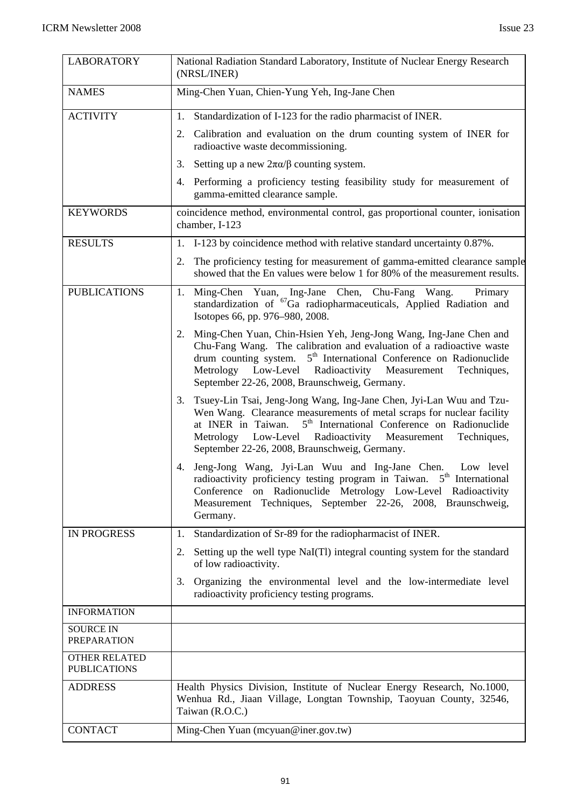| <b>LABORATORY</b>                           | National Radiation Standard Laboratory, Institute of Nuclear Energy Research<br>(NRSL/INER)                                                                                                                                                                                                                                                        |  |
|---------------------------------------------|----------------------------------------------------------------------------------------------------------------------------------------------------------------------------------------------------------------------------------------------------------------------------------------------------------------------------------------------------|--|
| <b>NAMES</b>                                | Ming-Chen Yuan, Chien-Yung Yeh, Ing-Jane Chen                                                                                                                                                                                                                                                                                                      |  |
| <b>ACTIVITY</b>                             | Standardization of I-123 for the radio pharmacist of INER.<br>1.<br>2. Calibration and evaluation on the drum counting system of INER for<br>radioactive waste decommissioning.                                                                                                                                                                    |  |
|                                             | Setting up a new $2\pi\alpha/\beta$ counting system.<br>3.                                                                                                                                                                                                                                                                                         |  |
|                                             | 4. Performing a proficiency testing feasibility study for measurement of<br>gamma-emitted clearance sample.                                                                                                                                                                                                                                        |  |
| <b>KEYWORDS</b>                             | coincidence method, environmental control, gas proportional counter, ionisation<br>chamber, I-123                                                                                                                                                                                                                                                  |  |
| <b>RESULTS</b>                              | 1. I-123 by coincidence method with relative standard uncertainty 0.87%.                                                                                                                                                                                                                                                                           |  |
|                                             | 2. The proficiency testing for measurement of gamma-emitted clearance sample<br>showed that the En values were below 1 for 80% of the measurement results.                                                                                                                                                                                         |  |
| <b>PUBLICATIONS</b>                         | Ming-Chen Yuan, Ing-Jane Chen, Chu-Fang Wang. Primary<br>1.<br>standardization of <sup>67</sup> Ga radiopharmaceuticals, Applied Radiation and<br>Isotopes 66, pp. 976–980, 2008.                                                                                                                                                                  |  |
|                                             | Ming-Chen Yuan, Chin-Hsien Yeh, Jeng-Jong Wang, Ing-Jane Chen and<br>2.<br>Chu-Fang Wang. The calibration and evaluation of a radioactive waste<br>drum counting system. $5th$ International Conference on Radionuclide<br>Metrology Low-Level Radioactivity Measurement<br>Techniques,<br>September 22-26, 2008, Braunschweig, Germany.           |  |
|                                             | Tsuey-Lin Tsai, Jeng-Jong Wang, Ing-Jane Chen, Jyi-Lan Wuu and Tzu-<br>3.<br>Wen Wang. Clearance measurements of metal scraps for nuclear facility<br>at INER in Taiwan. 5 <sup>th</sup> International Conference on Radionuclide<br>Metrology Low-Level Radioactivity Measurement<br>Techniques,<br>September 22-26, 2008, Braunschweig, Germany. |  |
|                                             | Jeng-Jong Wang, Jyi-Lan Wuu and Ing-Jane Chen. Low level<br>4.<br>radioactivity proficiency testing program in Taiwan. 5 <sup>th</sup> International<br>Conference on Radionuclide Metrology Low-Level Radioactivity<br>Measurement Techniques, September 22-26, 2008, Braunschweig,<br>Germany.                                                   |  |
| <b>IN PROGRESS</b>                          | Standardization of Sr-89 for the radiopharmacist of INER.<br>1.                                                                                                                                                                                                                                                                                    |  |
|                                             | Setting up the well type NaI(Tl) integral counting system for the standard<br>2.<br>of low radioactivity.                                                                                                                                                                                                                                          |  |
|                                             | Organizing the environmental level and the low-intermediate level<br>3.<br>radioactivity proficiency testing programs.                                                                                                                                                                                                                             |  |
| <b>INFORMATION</b>                          |                                                                                                                                                                                                                                                                                                                                                    |  |
| <b>SOURCE IN</b><br><b>PREPARATION</b>      |                                                                                                                                                                                                                                                                                                                                                    |  |
| <b>OTHER RELATED</b><br><b>PUBLICATIONS</b> |                                                                                                                                                                                                                                                                                                                                                    |  |
| <b>ADDRESS</b>                              | Health Physics Division, Institute of Nuclear Energy Research, No.1000,<br>Wenhua Rd., Jiaan Village, Longtan Township, Taoyuan County, 32546,<br>Taiwan (R.O.C.)                                                                                                                                                                                  |  |
| <b>CONTACT</b>                              | Ming-Chen Yuan (mcyuan@iner.gov.tw)                                                                                                                                                                                                                                                                                                                |  |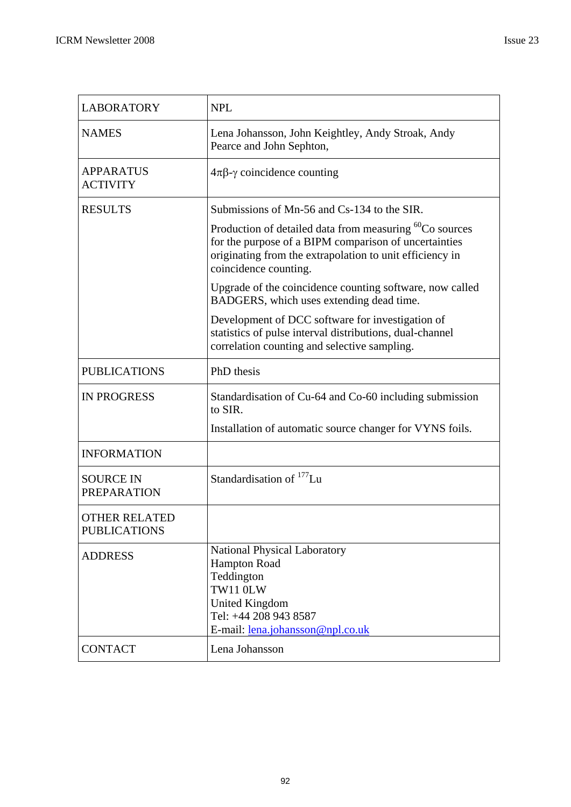| <b>LABORATORY</b>                           | <b>NPL</b>                                                                                                                                                                                                        |
|---------------------------------------------|-------------------------------------------------------------------------------------------------------------------------------------------------------------------------------------------------------------------|
| <b>NAMES</b>                                | Lena Johansson, John Keightley, Andy Stroak, Andy<br>Pearce and John Sephton,                                                                                                                                     |
| <b>APPARATUS</b><br><b>ACTIVITY</b>         | $4\pi\beta\gamma$ coincidence counting                                                                                                                                                                            |
| <b>RESULTS</b>                              | Submissions of Mn-56 and Cs-134 to the SIR.                                                                                                                                                                       |
|                                             | Production of detailed data from measuring <sup>60</sup> Co sources<br>for the purpose of a BIPM comparison of uncertainties<br>originating from the extrapolation to unit efficiency in<br>coincidence counting. |
|                                             | Upgrade of the coincidence counting software, now called<br>BADGERS, which uses extending dead time.                                                                                                              |
|                                             | Development of DCC software for investigation of<br>statistics of pulse interval distributions, dual-channel<br>correlation counting and selective sampling.                                                      |
| <b>PUBLICATIONS</b>                         | PhD thesis                                                                                                                                                                                                        |
| <b>IN PROGRESS</b>                          | Standardisation of Cu-64 and Co-60 including submission<br>to SIR.                                                                                                                                                |
|                                             | Installation of automatic source changer for VYNS foils.                                                                                                                                                          |
| <b>INFORMATION</b>                          |                                                                                                                                                                                                                   |
| <b>SOURCE IN</b><br><b>PREPARATION</b>      | Standardisation of <sup>177</sup> Lu                                                                                                                                                                              |
| <b>OTHER RELATED</b><br><b>PUBLICATIONS</b> |                                                                                                                                                                                                                   |
| <b>ADDRESS</b>                              | National Physical Laboratory<br><b>Hampton Road</b><br>Teddington<br>TW11 0LW<br><b>United Kingdom</b><br>Tel: +44 208 943 8587<br>E-mail: lena.johansson@npl.co.uk                                               |
| <b>CONTACT</b>                              | Lena Johansson                                                                                                                                                                                                    |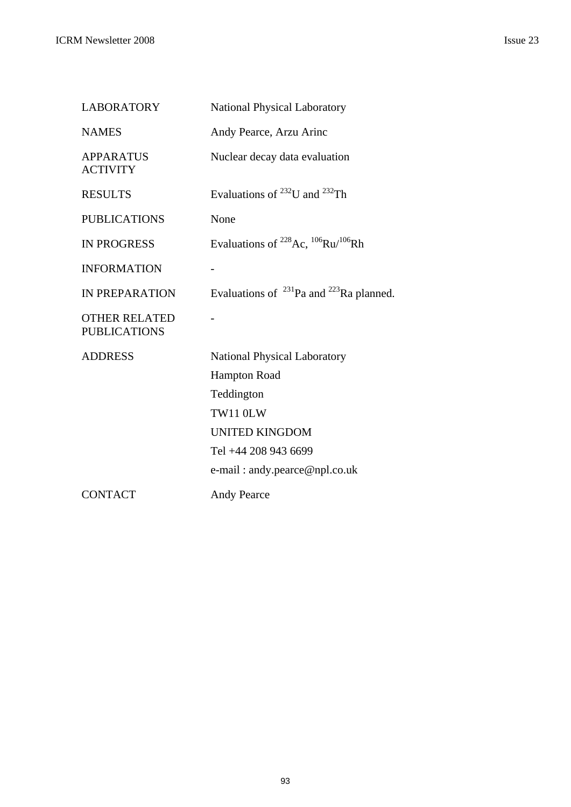| <b>LABORATORY</b>                           | <b>National Physical Laboratory</b>                  |
|---------------------------------------------|------------------------------------------------------|
| <b>NAMES</b>                                | Andy Pearce, Arzu Arinc                              |
| <b>APPARATUS</b><br><b>ACTIVITY</b>         | Nuclear decay data evaluation                        |
| <b>RESULTS</b>                              | Evaluations of $^{232}$ U and $^{232}$ Th            |
| <b>PUBLICATIONS</b>                         | None                                                 |
| <b>IN PROGRESS</b>                          | Evaluations of $^{228}$ Ac, $^{106}$ Ru/ $^{106}$ Rh |
| <b>INFORMATION</b>                          |                                                      |
| <b>IN PREPARATION</b>                       | Evaluations of $^{231}$ Pa and $^{223}$ Ra planned.  |
| <b>OTHER RELATED</b><br><b>PUBLICATIONS</b> |                                                      |
| <b>ADDRESS</b>                              | <b>National Physical Laboratory</b>                  |
|                                             | <b>Hampton Road</b>                                  |
|                                             | Teddington                                           |
|                                             | TW11 0LW                                             |
|                                             | <b>UNITED KINGDOM</b>                                |
|                                             | Tel +44 208 943 6699                                 |
|                                             | e-mail: andy.pearce@npl.co.uk                        |
| <b>CONTACT</b>                              | <b>Andy Pearce</b>                                   |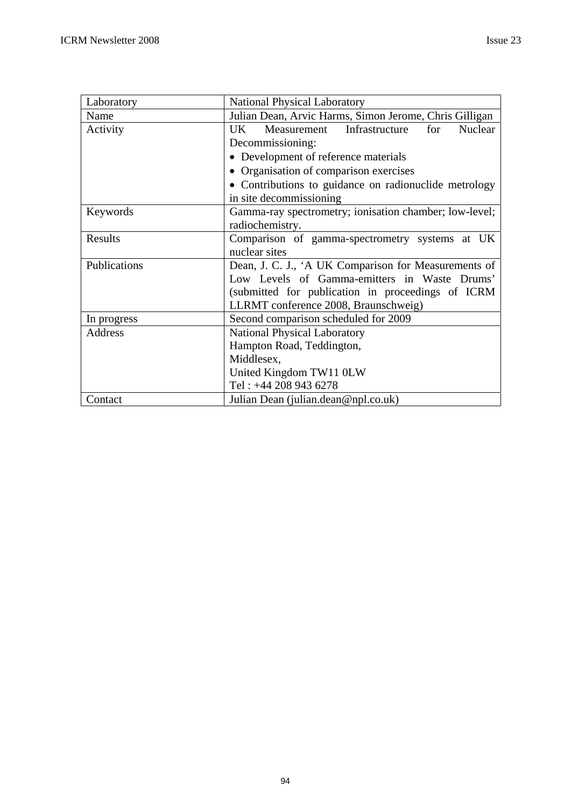| Laboratory   | <b>National Physical Laboratory</b>                        |  |
|--------------|------------------------------------------------------------|--|
| Name         | Julian Dean, Arvic Harms, Simon Jerome, Chris Gilligan     |  |
| Activity     | Infrastructure<br>for<br>Measurement<br>Nuclear<br>$I$ $K$ |  |
|              | Decommissioning:                                           |  |
|              | • Development of reference materials                       |  |
|              | Organisation of comparison exercises                       |  |
|              | Contributions to guidance on radionuclide metrology        |  |
|              | in site decommissioning                                    |  |
| Keywords     | Gamma-ray spectrometry; ionisation chamber; low-level;     |  |
|              | radiochemistry.                                            |  |
| Results      | Comparison of gamma-spectrometry systems at UK             |  |
|              | nuclear sites                                              |  |
| Publications | Dean, J. C. J., 'A UK Comparison for Measurements of       |  |
|              | Low Levels of Gamma-emitters in Waste Drums'               |  |
|              | (submitted for publication in proceedings of ICRM          |  |
|              | LLRMT conference 2008, Braunschweig)                       |  |
| In progress  | Second comparison scheduled for 2009                       |  |
| Address      | <b>National Physical Laboratory</b>                        |  |
|              | Hampton Road, Teddington,                                  |  |
|              | Middlesex,                                                 |  |
|              | United Kingdom TW11 0LW                                    |  |
|              | Tel: +44 208 943 6278                                      |  |
| Contact      | Julian Dean (julian.dean@npl.co.uk)                        |  |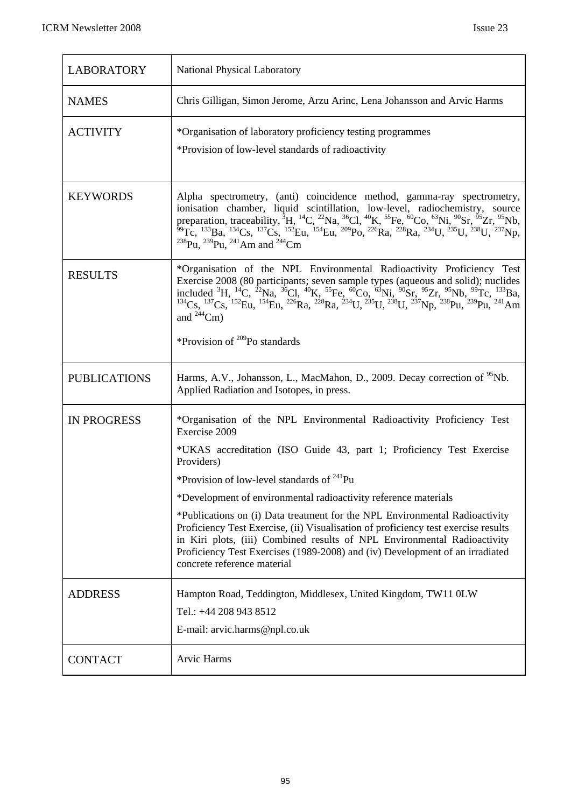| <b>LABORATORY</b>   | <b>National Physical Laboratory</b>                                                                                                                                                                                                                                                                                                                                                                                                                                                                                                                                                                                                                                                                                      |
|---------------------|--------------------------------------------------------------------------------------------------------------------------------------------------------------------------------------------------------------------------------------------------------------------------------------------------------------------------------------------------------------------------------------------------------------------------------------------------------------------------------------------------------------------------------------------------------------------------------------------------------------------------------------------------------------------------------------------------------------------------|
| <b>NAMES</b>        | Chris Gilligan, Simon Jerome, Arzu Arinc, Lena Johansson and Arvic Harms                                                                                                                                                                                                                                                                                                                                                                                                                                                                                                                                                                                                                                                 |
| <b>ACTIVITY</b>     | *Organisation of laboratory proficiency testing programmes<br>*Provision of low-level standards of radioactivity                                                                                                                                                                                                                                                                                                                                                                                                                                                                                                                                                                                                         |
| <b>KEYWORDS</b>     | Alpha spectrometry, (anti) coincidence method, gamma-ray spectrometry,<br>ionisation chamber, liquid scintillation, low-level, radiochemistry, source<br>preparation, traceability, <sup>3</sup> H, <sup>14</sup> C, <sup>22</sup> Na, <sup>36</sup> Cl, <sup>40</sup> K, <sup>55</sup> Fe, <sup>60</sup> Co, <sup>63</sup> Ni, <sup>90</sup> Sr, <sup>55</sup> Zr, <sup>95</sup> Nb, <sup>99</sup> Tc, <sup>133</sup> Ba, <sup>134</sup> Cs, <sup>137</sup> Cs, <sup>152</sup> Eu, <sup>154</sup> Eu, <sup>209</sup> Po, <sup>226</sup> Ra, <sup>228</sup> Ra, <sup>234</sup> U, <sup>235</sup> U, <sup>238</sup> U, <sup>237</sup> Np<br><sup>238</sup> Pu, <sup>239</sup> Pu, <sup>241</sup> Am and <sup>244</sup> Cm |
| <b>RESULTS</b>      | *Organisation of the NPL Environmental Radioactivity Proficiency Test<br>Exercise 2008 (80 participants; seven sample types (aqueous and solid); nuclides<br>included <sup>3</sup> H, <sup>14</sup> C, <sup>22</sup> Na, <sup>36</sup> Cl, <sup>40</sup> K, <sup>55</sup> Fe, <sup>60</sup> Co, <sup>63</sup> Ni, <sup>90</sup> Sr, <sup>95</sup> Zr, <sup>95</sup> Nb, <sup>99</sup> Tc, <sup>133</sup> Ba, <sup>134</sup> Cs, <sup>137</sup> Cs, <sup>152</sup> Eu, <sup>154</sup> Eu, <sup>226</sup> Ra, <sup>228</sup> Ra, <sup>234</sup> U, <sup>235</sup> U, <sup>238</sup> U, <sup>237</sup> Np, <sup>238</sup> Pu, <sup>239</sup> Pu, <sup>241</sup> A<br>and $^{244}$ Cm)                                       |
|                     | *Provision of <sup>209</sup> Po standards                                                                                                                                                                                                                                                                                                                                                                                                                                                                                                                                                                                                                                                                                |
| <b>PUBLICATIONS</b> | Harms, A.V., Johansson, L., MacMahon, D., 2009. Decay correction of <sup>95</sup> Nb.<br>Applied Radiation and Isotopes, in press.                                                                                                                                                                                                                                                                                                                                                                                                                                                                                                                                                                                       |
| <b>IN PROGRESS</b>  | *Organisation of the NPL Environmental Radioactivity Proficiency Test<br>Exercise 2009                                                                                                                                                                                                                                                                                                                                                                                                                                                                                                                                                                                                                                   |
|                     | *UKAS accreditation (ISO Guide 43, part 1; Proficiency Test Exercise<br>Providers)                                                                                                                                                                                                                                                                                                                                                                                                                                                                                                                                                                                                                                       |
|                     | *Provision of low-level standards of <sup>241</sup> Pu                                                                                                                                                                                                                                                                                                                                                                                                                                                                                                                                                                                                                                                                   |
|                     | *Development of environmental radioactivity reference materials                                                                                                                                                                                                                                                                                                                                                                                                                                                                                                                                                                                                                                                          |
|                     | *Publications on (i) Data treatment for the NPL Environmental Radioactivity<br>Proficiency Test Exercise, (ii) Visualisation of proficiency test exercise results<br>in Kiri plots, (iii) Combined results of NPL Environmental Radioactivity<br>Proficiency Test Exercises (1989-2008) and (iv) Development of an irradiated<br>concrete reference material                                                                                                                                                                                                                                                                                                                                                             |
| <b>ADDRESS</b>      | Hampton Road, Teddington, Middlesex, United Kingdom, TW11 0LW                                                                                                                                                                                                                                                                                                                                                                                                                                                                                                                                                                                                                                                            |
|                     | Tel.: +44 208 943 8512                                                                                                                                                                                                                                                                                                                                                                                                                                                                                                                                                                                                                                                                                                   |
|                     | E-mail: arvic.harms@npl.co.uk                                                                                                                                                                                                                                                                                                                                                                                                                                                                                                                                                                                                                                                                                            |
| <b>CONTACT</b>      | Arvic Harms                                                                                                                                                                                                                                                                                                                                                                                                                                                                                                                                                                                                                                                                                                              |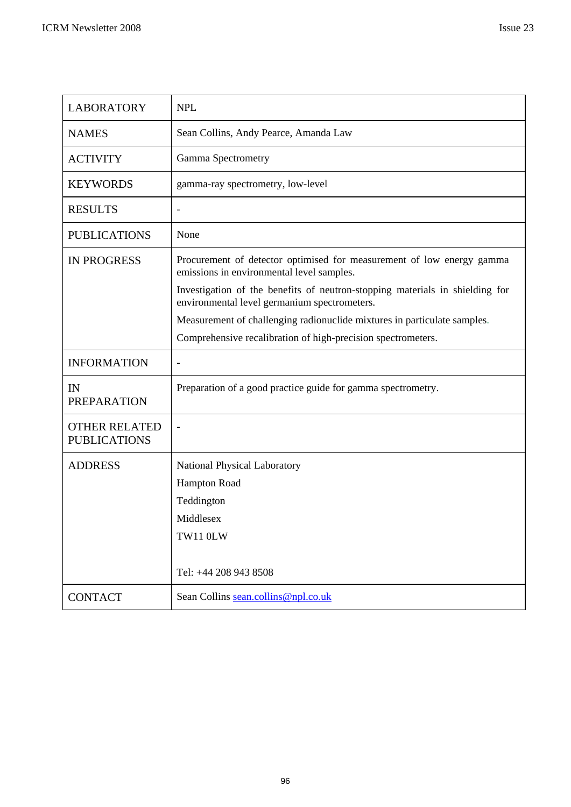| <b>LABORATORY</b>                           | <b>NPL</b>                                                                                                                   |
|---------------------------------------------|------------------------------------------------------------------------------------------------------------------------------|
| <b>NAMES</b>                                | Sean Collins, Andy Pearce, Amanda Law                                                                                        |
| <b>ACTIVITY</b>                             | <b>Gamma Spectrometry</b>                                                                                                    |
| <b>KEYWORDS</b>                             | gamma-ray spectrometry, low-level                                                                                            |
| <b>RESULTS</b>                              |                                                                                                                              |
| <b>PUBLICATIONS</b>                         | None                                                                                                                         |
| <b>IN PROGRESS</b>                          | Procurement of detector optimised for measurement of low energy gamma<br>emissions in environmental level samples.           |
|                                             | Investigation of the benefits of neutron-stopping materials in shielding for<br>environmental level germanium spectrometers. |
|                                             | Measurement of challenging radionuclide mixtures in particulate samples.                                                     |
|                                             | Comprehensive recalibration of high-precision spectrometers.                                                                 |
| <b>INFORMATION</b>                          |                                                                                                                              |
| IN<br><b>PREPARATION</b>                    | Preparation of a good practice guide for gamma spectrometry.                                                                 |
| <b>OTHER RELATED</b><br><b>PUBLICATIONS</b> |                                                                                                                              |
| <b>ADDRESS</b>                              | National Physical Laboratory                                                                                                 |
|                                             | Hampton Road                                                                                                                 |
|                                             | Teddington                                                                                                                   |
|                                             | Middlesex                                                                                                                    |
|                                             | TW11 0LW                                                                                                                     |
|                                             |                                                                                                                              |
|                                             | Tel: +44 208 943 8508                                                                                                        |
| <b>CONTACT</b>                              | Sean Collins sean.collins@npl.co.uk                                                                                          |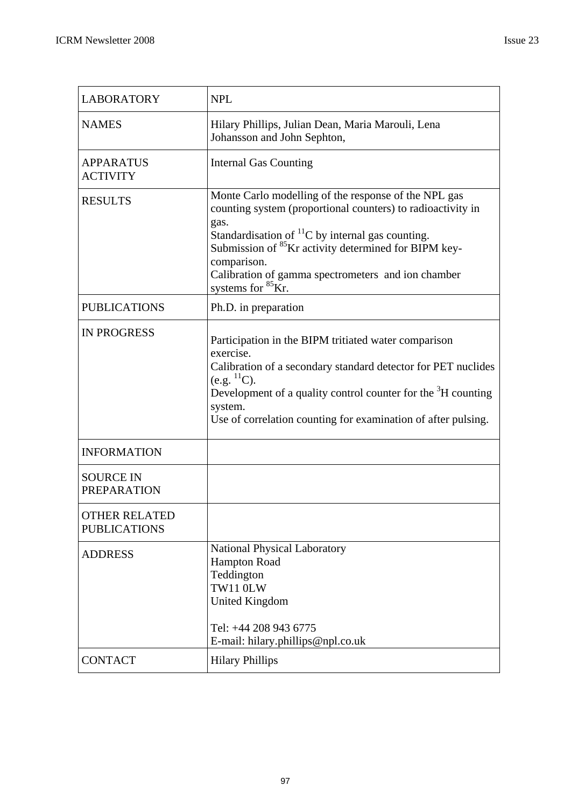| <b>LABORATORY</b>                           | <b>NPL</b>                                                                                                                                                                                                                                                                                                                                                       |
|---------------------------------------------|------------------------------------------------------------------------------------------------------------------------------------------------------------------------------------------------------------------------------------------------------------------------------------------------------------------------------------------------------------------|
| <b>NAMES</b>                                | Hilary Phillips, Julian Dean, Maria Marouli, Lena<br>Johansson and John Sephton,                                                                                                                                                                                                                                                                                 |
| <b>APPARATUS</b><br><b>ACTIVITY</b>         | <b>Internal Gas Counting</b>                                                                                                                                                                                                                                                                                                                                     |
| <b>RESULTS</b>                              | Monte Carlo modelling of the response of the NPL gas<br>counting system (proportional counters) to radioactivity in<br>gas.<br>Standardisation of ${}^{11}C$ by internal gas counting.<br>Submission of <sup>85</sup> Kr activity determined for BIPM key-<br>comparison.<br>Calibration of gamma spectrometers and ion chamber<br>systems for <sup>85</sup> Kr. |
| <b>PUBLICATIONS</b>                         | Ph.D. in preparation                                                                                                                                                                                                                                                                                                                                             |
| <b>IN PROGRESS</b>                          | Participation in the BIPM tritiated water comparison<br>exercise.<br>Calibration of a secondary standard detector for PET nuclides<br>(e.g. <sup>11</sup> C).<br>Development of a quality control counter for the ${}^{3}$ H counting<br>system.<br>Use of correlation counting for examination of after pulsing.                                                |
| <b>INFORMATION</b>                          |                                                                                                                                                                                                                                                                                                                                                                  |
| <b>SOURCE IN</b><br><b>PREPARATION</b>      |                                                                                                                                                                                                                                                                                                                                                                  |
| <b>OTHER RELATED</b><br><b>PUBLICATIONS</b> |                                                                                                                                                                                                                                                                                                                                                                  |
| <b>ADDRESS</b>                              | <b>National Physical Laboratory</b><br><b>Hampton Road</b><br>Teddington<br>TW11 0LW<br><b>United Kingdom</b><br>Tel: +44 208 943 6775<br>E-mail: hilary.phillips@npl.co.uk                                                                                                                                                                                      |
| <b>CONTACT</b>                              | <b>Hilary Phillips</b>                                                                                                                                                                                                                                                                                                                                           |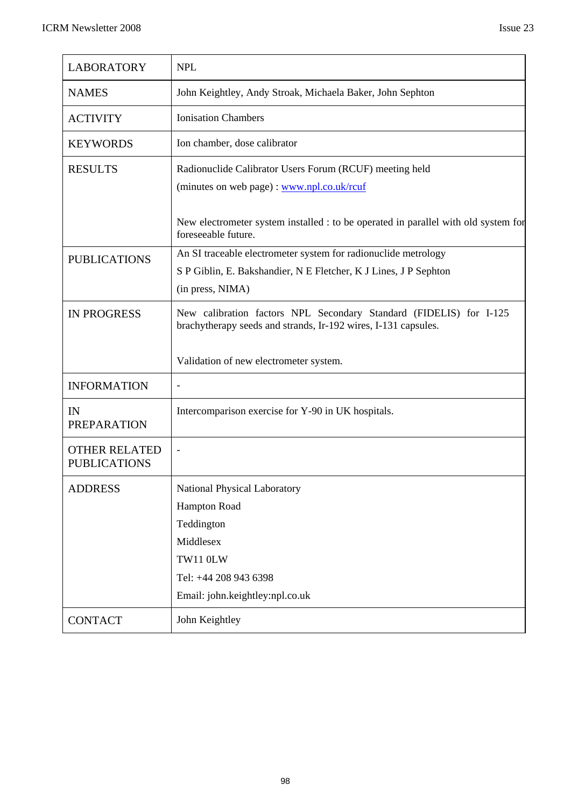| <b>LABORATORY</b>                           | <b>NPL</b>                                                                                                                           |
|---------------------------------------------|--------------------------------------------------------------------------------------------------------------------------------------|
| <b>NAMES</b>                                | John Keightley, Andy Stroak, Michaela Baker, John Sephton                                                                            |
| <b>ACTIVITY</b>                             | <b>Ionisation Chambers</b>                                                                                                           |
| <b>KEYWORDS</b>                             | Ion chamber, dose calibrator                                                                                                         |
| <b>RESULTS</b>                              | Radionuclide Calibrator Users Forum (RCUF) meeting held                                                                              |
|                                             | (minutes on web page) : www.npl.co.uk/rcuf                                                                                           |
|                                             | New electrometer system installed : to be operated in parallel with old system for<br>foreseeable future.                            |
| <b>PUBLICATIONS</b>                         | An SI traceable electrometer system for radionuclide metrology                                                                       |
|                                             | S P Giblin, E. Bakshandier, N E Fletcher, K J Lines, J P Sephton                                                                     |
|                                             | (in press, NIMA)                                                                                                                     |
| <b>IN PROGRESS</b>                          | New calibration factors NPL Secondary Standard (FIDELIS) for I-125<br>brachytherapy seeds and strands, Ir-192 wires, I-131 capsules. |
|                                             | Validation of new electrometer system.                                                                                               |
| <b>INFORMATION</b>                          | $\qquad \qquad -$                                                                                                                    |
| IN<br><b>PREPARATION</b>                    | Intercomparison exercise for Y-90 in UK hospitals.                                                                                   |
| <b>OTHER RELATED</b><br><b>PUBLICATIONS</b> | $\overline{\phantom{0}}$                                                                                                             |
| <b>ADDRESS</b>                              | National Physical Laboratory                                                                                                         |
|                                             | Hampton Road                                                                                                                         |
|                                             | Teddington                                                                                                                           |
|                                             | Middlesex                                                                                                                            |
|                                             | TW11 0LW                                                                                                                             |
|                                             | Tel: +44 208 943 6398                                                                                                                |
|                                             | Email: john.keightley:npl.co.uk                                                                                                      |
| <b>CONTACT</b>                              | John Keightley                                                                                                                       |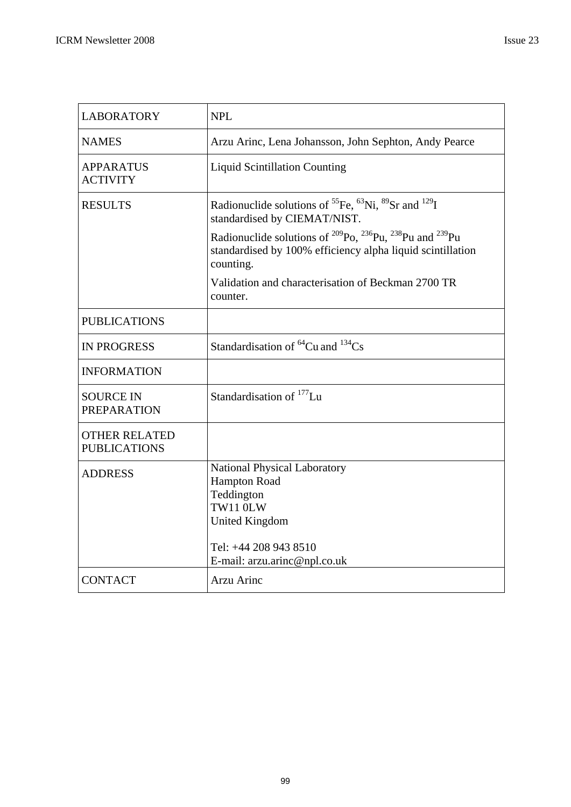| Arzu Arinc, Lena Johansson, John Sephton, Andy Pearce                                                                                                     |
|-----------------------------------------------------------------------------------------------------------------------------------------------------------|
|                                                                                                                                                           |
| <b>Liquid Scintillation Counting</b>                                                                                                                      |
| Radionuclide solutions of ${}^{55}Fe$ , ${}^{63}Ni$ , ${}^{89}Sr$ and ${}^{129}I$<br>standardised by CIEMAT/NIST.                                         |
| Radionuclide solutions of $^{209}P_0$ , $^{236}Pu$ , $^{238}Pu$ and $^{239}Pu$<br>standardised by 100% efficiency alpha liquid scintillation<br>counting. |
| Validation and characterisation of Beckman 2700 TR<br>counter.                                                                                            |
|                                                                                                                                                           |
| Standardisation of ${}^{64}Cu$ and ${}^{134}Cs$                                                                                                           |
|                                                                                                                                                           |
| Standardisation of <sup>177</sup> Lu                                                                                                                      |
|                                                                                                                                                           |
| <b>National Physical Laboratory</b><br><b>Hampton Road</b><br>Teddington<br>TW11 0LW<br><b>United Kingdom</b><br>Tel: +44 208 943 8510                    |
| E-mail: arzu.arinc@npl.co.uk<br>Arzu Arinc                                                                                                                |
|                                                                                                                                                           |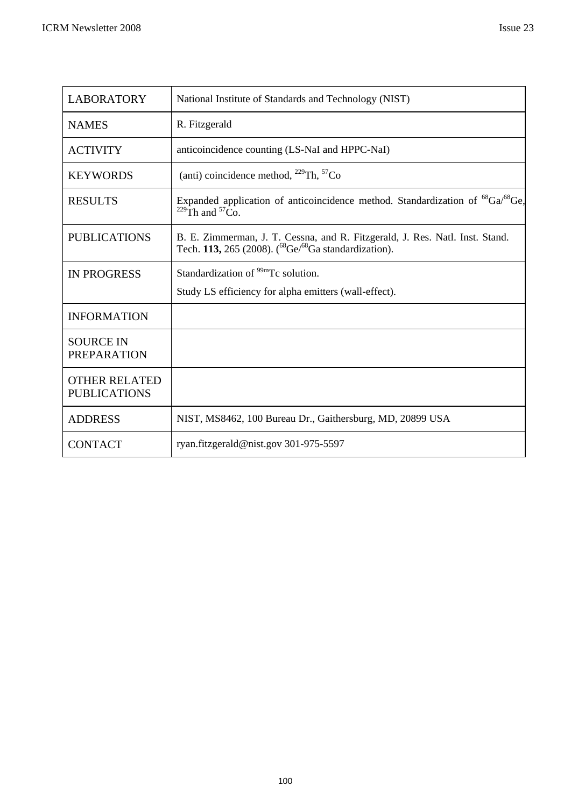| <b>LABORATORY</b>                           | National Institute of Standards and Technology (NIST)                                                                                       |
|---------------------------------------------|---------------------------------------------------------------------------------------------------------------------------------------------|
| <b>NAMES</b>                                | R. Fitzgerald                                                                                                                               |
| <b>ACTIVITY</b>                             | anticoincidence counting (LS-NaI and HPPC-NaI)                                                                                              |
| <b>KEYWORDS</b>                             | (anti) coincidence method, <sup>229</sup> Th, <sup>57</sup> Co                                                                              |
| <b>RESULTS</b>                              | Expanded application of anticoincidence method. Standardization of ${}^{68}Ga/{}^{68}Ge$ ,<br><sup>229</sup> Th and ${}^{57}Co$ .           |
| <b>PUBLICATIONS</b>                         | B. E. Zimmerman, J. T. Cessna, and R. Fitzgerald, J. Res. Natl. Inst. Stand.<br>Tech. 113, 265 (2008). $(^{68}Ge/^{68}Ga$ standardization). |
| <b>IN PROGRESS</b>                          | Standardization of <sup>99m</sup> Tc solution.                                                                                              |
|                                             | Study LS efficiency for alpha emitters (wall-effect).                                                                                       |
| <b>INFORMATION</b>                          |                                                                                                                                             |
| <b>SOURCE IN</b><br><b>PREPARATION</b>      |                                                                                                                                             |
| <b>OTHER RELATED</b><br><b>PUBLICATIONS</b> |                                                                                                                                             |
| <b>ADDRESS</b>                              | NIST, MS8462, 100 Bureau Dr., Gaithersburg, MD, 20899 USA                                                                                   |
| <b>CONTACT</b>                              | ryan.fitzgerald@nist.gov 301-975-5597                                                                                                       |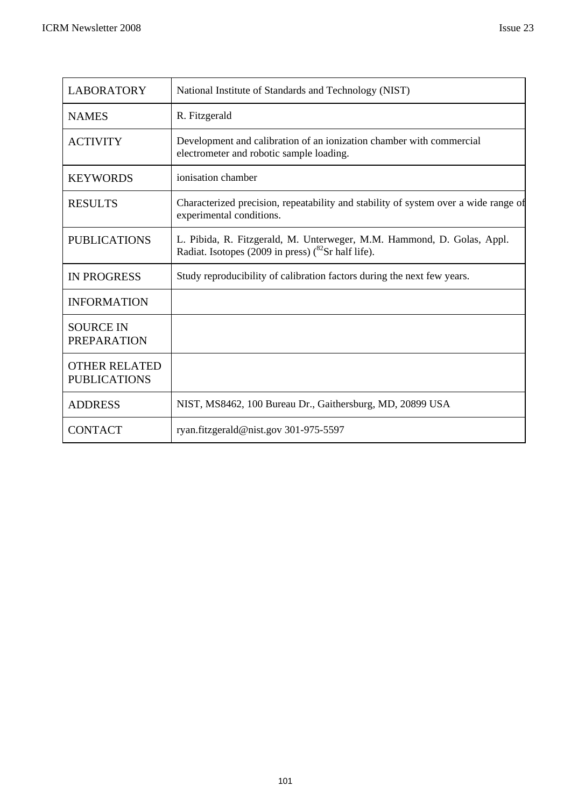| <b>LABORATORY</b>                           | National Institute of Standards and Technology (NIST)                                                                             |
|---------------------------------------------|-----------------------------------------------------------------------------------------------------------------------------------|
| <b>NAMES</b>                                | R. Fitzgerald                                                                                                                     |
| <b>ACTIVITY</b>                             | Development and calibration of an ionization chamber with commercial<br>electrometer and robotic sample loading.                  |
| <b>KEYWORDS</b>                             | ionisation chamber                                                                                                                |
| <b>RESULTS</b>                              | Characterized precision, repeatability and stability of system over a wide range of<br>experimental conditions.                   |
| <b>PUBLICATIONS</b>                         | L. Pibida, R. Fitzgerald, M. Unterweger, M.M. Hammond, D. Golas, Appl.<br>Radiat. Isotopes (2009 in press) $(^{82}Sr$ half life). |
| <b>IN PROGRESS</b>                          | Study reproducibility of calibration factors during the next few years.                                                           |
| <b>INFORMATION</b>                          |                                                                                                                                   |
| <b>SOURCE IN</b><br><b>PREPARATION</b>      |                                                                                                                                   |
| <b>OTHER RELATED</b><br><b>PUBLICATIONS</b> |                                                                                                                                   |
| <b>ADDRESS</b>                              | NIST, MS8462, 100 Bureau Dr., Gaithersburg, MD, 20899 USA                                                                         |
| <b>CONTACT</b>                              | ryan.fitzgerald@nist.gov 301-975-5597                                                                                             |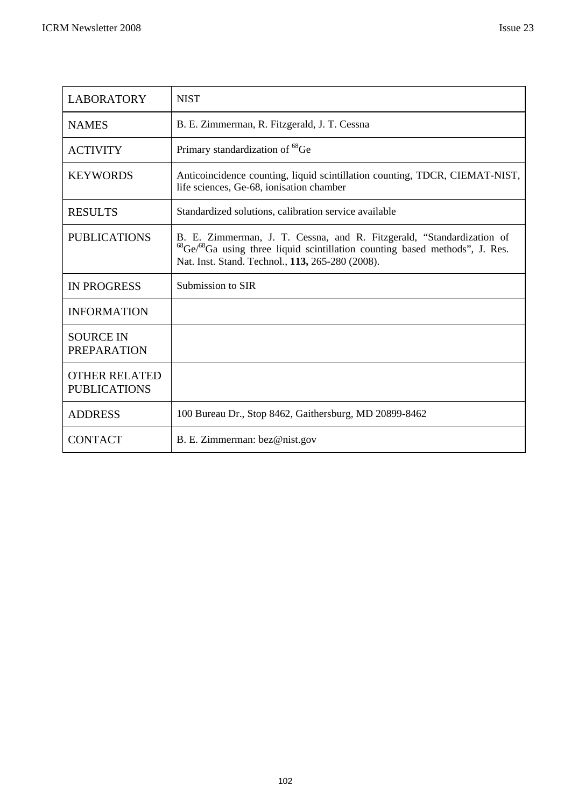| <b>LABORATORY</b>                           | <b>NIST</b>                                                                                                                                                                                                                       |
|---------------------------------------------|-----------------------------------------------------------------------------------------------------------------------------------------------------------------------------------------------------------------------------------|
| <b>NAMES</b>                                | B. E. Zimmerman, R. Fitzgerald, J. T. Cessna                                                                                                                                                                                      |
| <b>ACTIVITY</b>                             | Primary standardization of <sup>68</sup> Ge                                                                                                                                                                                       |
| <b>KEYWORDS</b>                             | Anticoincidence counting, liquid scintillation counting, TDCR, CIEMAT-NIST,<br>life sciences, Ge-68, ionisation chamber                                                                                                           |
| <b>RESULTS</b>                              | Standardized solutions, calibration service available                                                                                                                                                                             |
| <b>PUBLICATIONS</b>                         | B. E. Zimmerman, J. T. Cessna, and R. Fitzgerald, "Standardization of<br><sup>68</sup> Ge/ <sup>68</sup> Ga using three liquid scintillation counting based methods", J. Res.<br>Nat. Inst. Stand. Technol., 113, 265-280 (2008). |
| <b>IN PROGRESS</b>                          | Submission to SIR                                                                                                                                                                                                                 |
| <b>INFORMATION</b>                          |                                                                                                                                                                                                                                   |
| <b>SOURCE IN</b><br><b>PREPARATION</b>      |                                                                                                                                                                                                                                   |
| <b>OTHER RELATED</b><br><b>PUBLICATIONS</b> |                                                                                                                                                                                                                                   |
| <b>ADDRESS</b>                              | 100 Bureau Dr., Stop 8462, Gaithersburg, MD 20899-8462                                                                                                                                                                            |
| <b>CONTACT</b>                              | B. E. Zimmerman: bez@nist.gov                                                                                                                                                                                                     |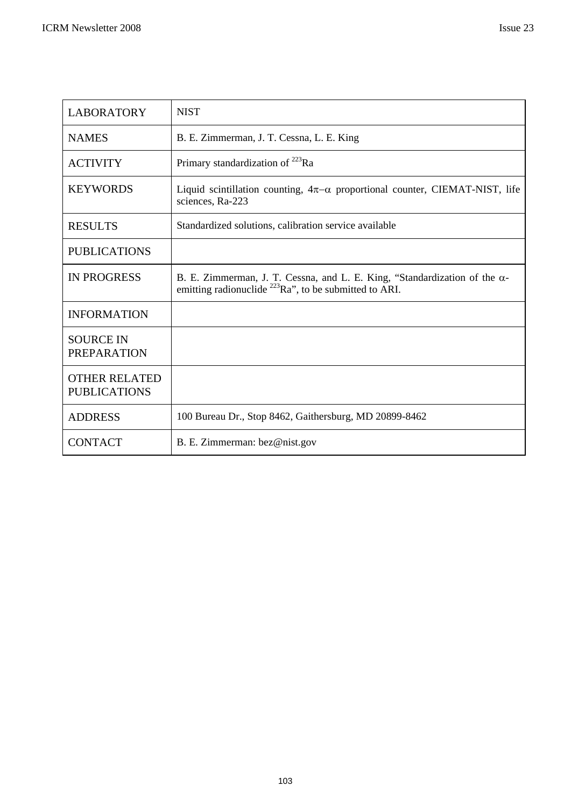| <b>LABORATORY</b>                           | <b>NIST</b>                                                                                                                                      |
|---------------------------------------------|--------------------------------------------------------------------------------------------------------------------------------------------------|
| <b>NAMES</b>                                | B. E. Zimmerman, J. T. Cessna, L. E. King                                                                                                        |
| <b>ACTIVITY</b>                             | Primary standardization of <sup>223</sup> Ra                                                                                                     |
| <b>KEYWORDS</b>                             | Liquid scintillation counting, $4\pi-\alpha$ proportional counter, CIEMAT-NIST, life<br>sciences, Ra-223                                         |
| <b>RESULTS</b>                              | Standardized solutions, calibration service available                                                                                            |
| <b>PUBLICATIONS</b>                         |                                                                                                                                                  |
| <b>IN PROGRESS</b>                          | B. E. Zimmerman, J. T. Cessna, and L. E. King, "Standardization of the $\alpha$ -<br>emitting radionuclide $^{223}$ Ra", to be submitted to ARI. |
| <b>INFORMATION</b>                          |                                                                                                                                                  |
| <b>SOURCE IN</b><br><b>PREPARATION</b>      |                                                                                                                                                  |
| <b>OTHER RELATED</b><br><b>PUBLICATIONS</b> |                                                                                                                                                  |
| <b>ADDRESS</b>                              | 100 Bureau Dr., Stop 8462, Gaithersburg, MD 20899-8462                                                                                           |
| <b>CONTACT</b>                              | B. E. Zimmerman: bez@nist.gov                                                                                                                    |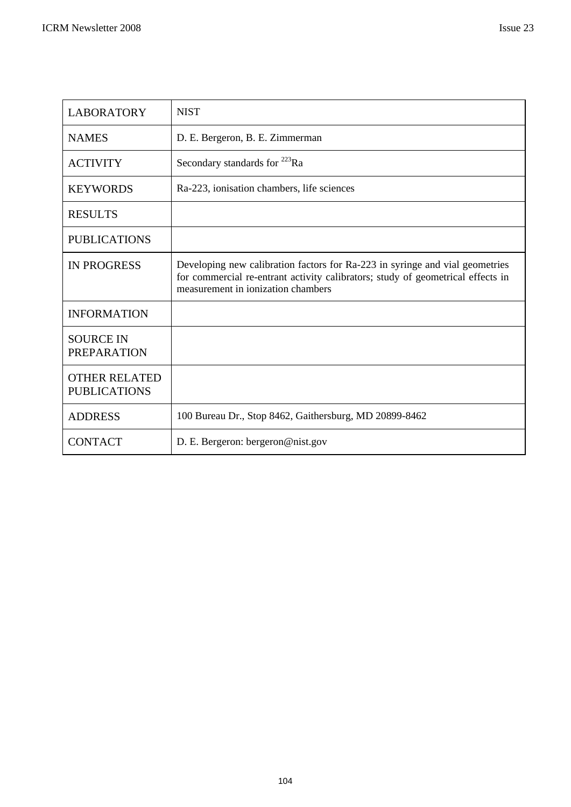| <b>LABORATORY</b>                           | <b>NIST</b>                                                                                                                                                                                           |
|---------------------------------------------|-------------------------------------------------------------------------------------------------------------------------------------------------------------------------------------------------------|
| <b>NAMES</b>                                | D. E. Bergeron, B. E. Zimmerman                                                                                                                                                                       |
| <b>ACTIVITY</b>                             | Secondary standards for <sup>223</sup> Ra                                                                                                                                                             |
| <b>KEYWORDS</b>                             | Ra-223, ionisation chambers, life sciences                                                                                                                                                            |
| <b>RESULTS</b>                              |                                                                                                                                                                                                       |
| <b>PUBLICATIONS</b>                         |                                                                                                                                                                                                       |
| <b>IN PROGRESS</b>                          | Developing new calibration factors for Ra-223 in syringe and vial geometries<br>for commercial re-entrant activity calibrators; study of geometrical effects in<br>measurement in ionization chambers |
| <b>INFORMATION</b>                          |                                                                                                                                                                                                       |
| <b>SOURCE IN</b><br><b>PREPARATION</b>      |                                                                                                                                                                                                       |
| <b>OTHER RELATED</b><br><b>PUBLICATIONS</b> |                                                                                                                                                                                                       |
| <b>ADDRESS</b>                              | 100 Bureau Dr., Stop 8462, Gaithersburg, MD 20899-8462                                                                                                                                                |
| <b>CONTACT</b>                              | D. E. Bergeron: bergeron@nist.gov                                                                                                                                                                     |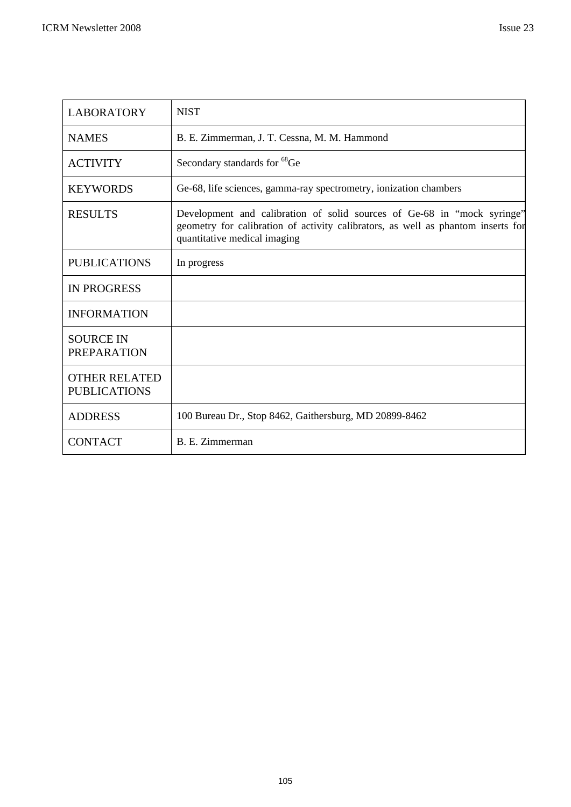| <b>LABORATORY</b>                           | <b>NIST</b>                                                                                                                                                                                 |
|---------------------------------------------|---------------------------------------------------------------------------------------------------------------------------------------------------------------------------------------------|
| <b>NAMES</b>                                | B. E. Zimmerman, J. T. Cessna, M. M. Hammond                                                                                                                                                |
| <b>ACTIVITY</b>                             | Secondary standards for <sup>68</sup> Ge                                                                                                                                                    |
| <b>KEYWORDS</b>                             | Ge-68, life sciences, gamma-ray spectrometry, ionization chambers                                                                                                                           |
| <b>RESULTS</b>                              | Development and calibration of solid sources of Ge-68 in "mock syringe"<br>geometry for calibration of activity calibrators, as well as phantom inserts for<br>quantitative medical imaging |
| <b>PUBLICATIONS</b>                         | In progress                                                                                                                                                                                 |
| <b>IN PROGRESS</b>                          |                                                                                                                                                                                             |
| <b>INFORMATION</b>                          |                                                                                                                                                                                             |
| <b>SOURCE IN</b><br><b>PREPARATION</b>      |                                                                                                                                                                                             |
| <b>OTHER RELATED</b><br><b>PUBLICATIONS</b> |                                                                                                                                                                                             |
| <b>ADDRESS</b>                              | 100 Bureau Dr., Stop 8462, Gaithersburg, MD 20899-8462                                                                                                                                      |
| <b>CONTACT</b>                              | B. E. Zimmerman                                                                                                                                                                             |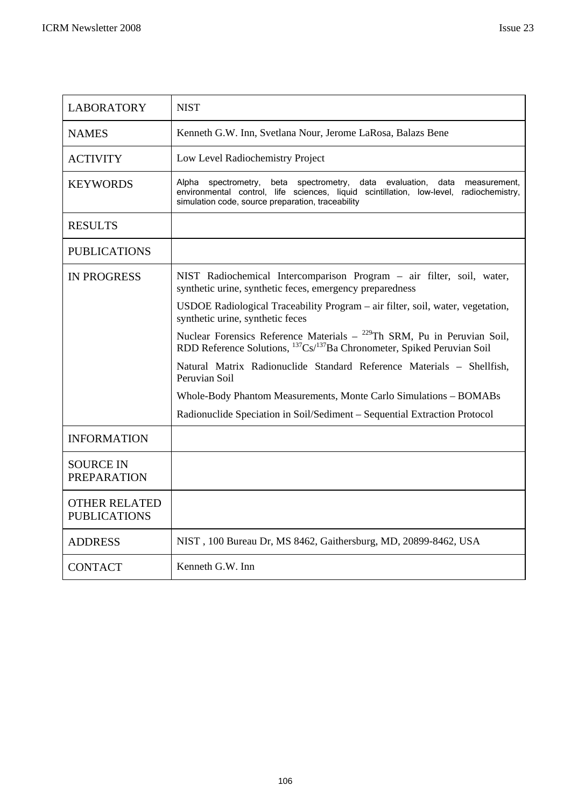| <b>LABORATORY</b>                           | <b>NIST</b>                                                                                                                                                                                                                 |
|---------------------------------------------|-----------------------------------------------------------------------------------------------------------------------------------------------------------------------------------------------------------------------------|
| <b>NAMES</b>                                | Kenneth G.W. Inn, Svetlana Nour, Jerome LaRosa, Balazs Bene                                                                                                                                                                 |
| <b>ACTIVITY</b>                             | Low Level Radiochemistry Project                                                                                                                                                                                            |
| <b>KEYWORDS</b>                             | Alpha spectrometry, beta spectrometry, data evaluation, data<br>measurement,<br>environmental control, life sciences, liquid scintillation, low-level, radiochemistry,<br>simulation code, source preparation, traceability |
| <b>RESULTS</b>                              |                                                                                                                                                                                                                             |
| <b>PUBLICATIONS</b>                         |                                                                                                                                                                                                                             |
| <b>IN PROGRESS</b>                          | NIST Radiochemical Intercomparison Program - air filter, soil, water,<br>synthetic urine, synthetic feces, emergency preparedness                                                                                           |
|                                             | USDOE Radiological Traceability Program - air filter, soil, water, vegetation,<br>synthetic urine, synthetic feces                                                                                                          |
|                                             | Nuclear Forensics Reference Materials - <sup>229</sup> Th SRM, Pu in Peruvian Soil,<br>RDD Reference Solutions, ${}^{137}Cs/{}^{137}Ba$ Chronometer, Spiked Peruvian Soil                                                   |
|                                             | Natural Matrix Radionuclide Standard Reference Materials - Shellfish,<br>Peruvian Soil                                                                                                                                      |
|                                             | Whole-Body Phantom Measurements, Monte Carlo Simulations - BOMABs                                                                                                                                                           |
|                                             | Radionuclide Speciation in Soil/Sediment - Sequential Extraction Protocol                                                                                                                                                   |
| <b>INFORMATION</b>                          |                                                                                                                                                                                                                             |
| <b>SOURCE IN</b><br><b>PREPARATION</b>      |                                                                                                                                                                                                                             |
| <b>OTHER RELATED</b><br><b>PUBLICATIONS</b> |                                                                                                                                                                                                                             |
| <b>ADDRESS</b>                              | NIST, 100 Bureau Dr, MS 8462, Gaithersburg, MD, 20899-8462, USA                                                                                                                                                             |
| <b>CONTACT</b>                              | Kenneth G.W. Inn                                                                                                                                                                                                            |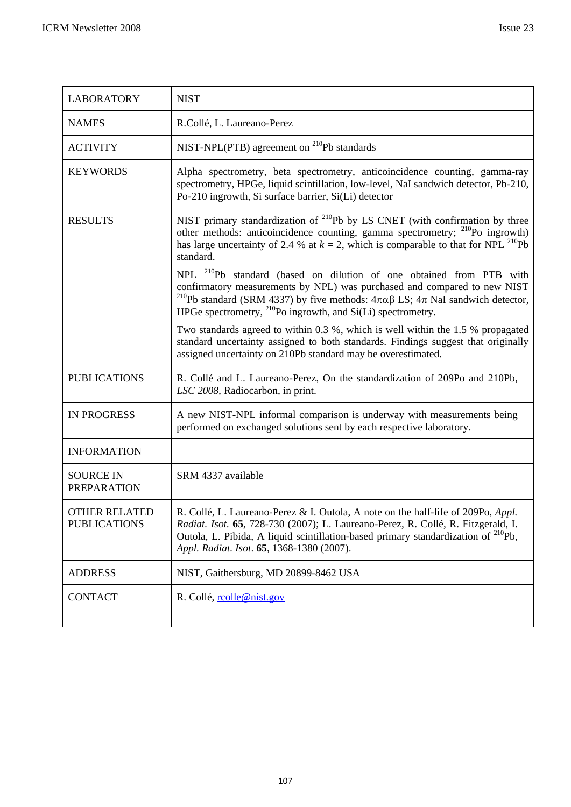| <b>LABORATORY</b>                           | <b>NIST</b>                                                                                                                                                                                                                                                                                                                                    |
|---------------------------------------------|------------------------------------------------------------------------------------------------------------------------------------------------------------------------------------------------------------------------------------------------------------------------------------------------------------------------------------------------|
| <b>NAMES</b>                                | R.Collé, L. Laureano-Perez                                                                                                                                                                                                                                                                                                                     |
| <b>ACTIVITY</b>                             | NIST-NPL(PTB) agreement on $^{210}Pb$ standards                                                                                                                                                                                                                                                                                                |
| <b>KEYWORDS</b>                             | Alpha spectrometry, beta spectrometry, anticoincidence counting, gamma-ray<br>spectrometry, HPGe, liquid scintillation, low-level, NaI sandwich detector, Pb-210,<br>Po-210 ingrowth, Si surface barrier, Si(Li) detector                                                                                                                      |
| <b>RESULTS</b>                              | NIST primary standardization of $^{210}Pb$ by LS CNET (with confirmation by three<br>other methods: anticoincidence counting, gamma spectrometry; <sup>210</sup> Po ingrowth)<br>has large uncertainty of 2.4 % at $k = 2$ , which is comparable to that for NPL <sup>210</sup> Pb<br>standard.                                                |
|                                             | NPL <sup>210</sup> Pb standard (based on dilution of one obtained from PTB with<br>confirmatory measurements by NPL) was purchased and compared to new NIST<br><sup>210</sup> Pb standard (SRM 4337) by five methods: $4\pi\alpha\beta$ LS; $4\pi$ NaI sandwich detector,<br>HPGe spectrometry, $^{210}$ Po ingrowth, and Si(Li) spectrometry. |
|                                             | Two standards agreed to within 0.3 %, which is well within the 1.5 % propagated<br>standard uncertainty assigned to both standards. Findings suggest that originally<br>assigned uncertainty on 210Pb standard may be overestimated.                                                                                                           |
| <b>PUBLICATIONS</b>                         | R. Collé and L. Laureano-Perez, On the standardization of 209Po and 210Pb,<br>LSC 2008, Radiocarbon, in print.                                                                                                                                                                                                                                 |
| <b>IN PROGRESS</b>                          | A new NIST-NPL informal comparison is underway with measurements being<br>performed on exchanged solutions sent by each respective laboratory.                                                                                                                                                                                                 |
| <b>INFORMATION</b>                          |                                                                                                                                                                                                                                                                                                                                                |
| <b>SOURCE IN</b><br><b>PREPARATION</b>      | SRM 4337 available                                                                                                                                                                                                                                                                                                                             |
| <b>OTHER RELATED</b><br><b>PUBLICATIONS</b> | R. Collé, L. Laureano-Perez & I. Outola, A note on the half-life of 209Po, Appl.<br>Radiat. Isot. 65, 728-730 (2007); L. Laureano-Perez, R. Collé, R. Fitzgerald, I.<br>Outola, L. Pibida, A liquid scintillation-based primary standardization of <sup>210</sup> Pb,<br>Appl. Radiat. Isot. 65, 1368-1380 (2007).                             |
| <b>ADDRESS</b>                              | NIST, Gaithersburg, MD 20899-8462 USA                                                                                                                                                                                                                                                                                                          |
| <b>CONTACT</b>                              | R. Collé, rolle@nist.gov                                                                                                                                                                                                                                                                                                                       |
|                                             |                                                                                                                                                                                                                                                                                                                                                |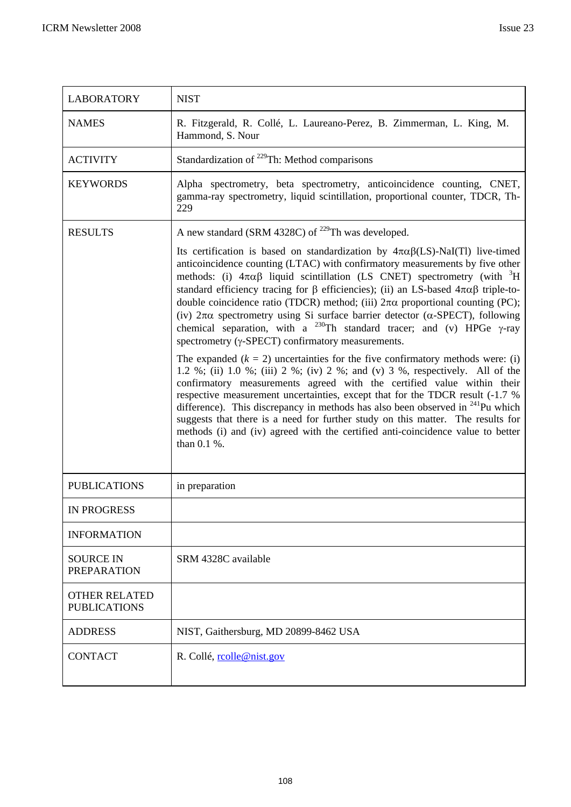| <b>LABORATORY</b>                           | <b>NIST</b>                                                                                                                                                                                                                                                                                                                                                                                                                                                                                                                                                                                                                                                                                                                    |
|---------------------------------------------|--------------------------------------------------------------------------------------------------------------------------------------------------------------------------------------------------------------------------------------------------------------------------------------------------------------------------------------------------------------------------------------------------------------------------------------------------------------------------------------------------------------------------------------------------------------------------------------------------------------------------------------------------------------------------------------------------------------------------------|
| <b>NAMES</b>                                | R. Fitzgerald, R. Collé, L. Laureano-Perez, B. Zimmerman, L. King, M.<br>Hammond, S. Nour                                                                                                                                                                                                                                                                                                                                                                                                                                                                                                                                                                                                                                      |
| <b>ACTIVITY</b>                             | Standardization of <sup>229</sup> Th: Method comparisons                                                                                                                                                                                                                                                                                                                                                                                                                                                                                                                                                                                                                                                                       |
| <b>KEYWORDS</b>                             | Alpha spectrometry, beta spectrometry, anticoincidence counting, CNET,<br>gamma-ray spectrometry, liquid scintillation, proportional counter, TDCR, Th-<br>229                                                                                                                                                                                                                                                                                                                                                                                                                                                                                                                                                                 |
| <b>RESULTS</b>                              | A new standard (SRM 4328C) of <sup>229</sup> Th was developed.                                                                                                                                                                                                                                                                                                                                                                                                                                                                                                                                                                                                                                                                 |
|                                             | Its certification is based on standardization by $4\pi\alpha\beta(LS)$ -NaI(Tl) live-timed<br>anticoincidence counting (LTAC) with confirmatory measurements by five other<br>methods: (i) $4\pi\alpha\beta$ liquid scintillation (LS CNET) spectrometry (with ${}^{3}H$<br>standard efficiency tracing for $\beta$ efficiencies); (ii) an LS-based $4\pi\alpha\beta$ triple-to-<br>double coincidence ratio (TDCR) method; (iii) $2\pi\alpha$ proportional counting (PC);<br>(iv) $2\pi\alpha$ spectrometry using Si surface barrier detector ( $\alpha$ -SPECT), following<br>chemical separation, with a <sup>230</sup> Th standard tracer; and (v) HPGe $\gamma$ -ray<br>spectrometry (y-SPECT) confirmatory measurements. |
|                                             | The expanded $(k = 2)$ uncertainties for the five confirmatory methods were: (i)<br>1.2 %; (ii) 1.0 %; (iii) 2 %; (iv) 2 %; and (v) 3 %, respectively. All of the<br>confirmatory measurements agreed with the certified value within their<br>respective measurement uncertainties, except that for the TDCR result (-1.7 %<br>difference). This discrepancy in methods has also been observed in $241$ Pu which<br>suggests that there is a need for further study on this matter. The results for<br>methods (i) and (iv) agreed with the certified anti-coincidence value to better<br>than 0.1 %.                                                                                                                         |
| <b>PUBLICATIONS</b>                         | in preparation                                                                                                                                                                                                                                                                                                                                                                                                                                                                                                                                                                                                                                                                                                                 |
| <b>IN PROGRESS</b>                          |                                                                                                                                                                                                                                                                                                                                                                                                                                                                                                                                                                                                                                                                                                                                |
| <b>INFORMATION</b>                          |                                                                                                                                                                                                                                                                                                                                                                                                                                                                                                                                                                                                                                                                                                                                |
| <b>SOURCE IN</b><br><b>PREPARATION</b>      | SRM 4328C available                                                                                                                                                                                                                                                                                                                                                                                                                                                                                                                                                                                                                                                                                                            |
| <b>OTHER RELATED</b><br><b>PUBLICATIONS</b> |                                                                                                                                                                                                                                                                                                                                                                                                                                                                                                                                                                                                                                                                                                                                |
| <b>ADDRESS</b>                              | NIST, Gaithersburg, MD 20899-8462 USA                                                                                                                                                                                                                                                                                                                                                                                                                                                                                                                                                                                                                                                                                          |
| <b>CONTACT</b>                              | R. Collé, rolle@nist.gov                                                                                                                                                                                                                                                                                                                                                                                                                                                                                                                                                                                                                                                                                                       |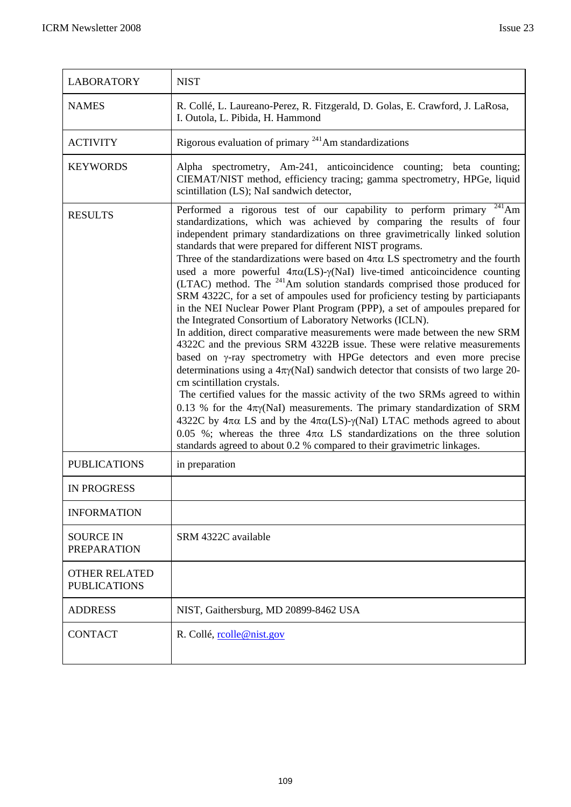| <b>LABORATORY</b>                           | <b>NIST</b>                                                                                                                                                                                                                                                                                                                                                                                                                                                                                                                                                                                                                                                                                                                                                                                                                                                                                                                                                                                                                                                                                                                                                                                                                                                                                                                                                                                                                                                                                                                                                                                                        |
|---------------------------------------------|--------------------------------------------------------------------------------------------------------------------------------------------------------------------------------------------------------------------------------------------------------------------------------------------------------------------------------------------------------------------------------------------------------------------------------------------------------------------------------------------------------------------------------------------------------------------------------------------------------------------------------------------------------------------------------------------------------------------------------------------------------------------------------------------------------------------------------------------------------------------------------------------------------------------------------------------------------------------------------------------------------------------------------------------------------------------------------------------------------------------------------------------------------------------------------------------------------------------------------------------------------------------------------------------------------------------------------------------------------------------------------------------------------------------------------------------------------------------------------------------------------------------------------------------------------------------------------------------------------------------|
| <b>NAMES</b>                                | R. Collé, L. Laureano-Perez, R. Fitzgerald, D. Golas, E. Crawford, J. LaRosa,<br>I. Outola, L. Pibida, H. Hammond                                                                                                                                                                                                                                                                                                                                                                                                                                                                                                                                                                                                                                                                                                                                                                                                                                                                                                                                                                                                                                                                                                                                                                                                                                                                                                                                                                                                                                                                                                  |
| <b>ACTIVITY</b>                             | Rigorous evaluation of primary $241$ Am standardizations                                                                                                                                                                                                                                                                                                                                                                                                                                                                                                                                                                                                                                                                                                                                                                                                                                                                                                                                                                                                                                                                                                                                                                                                                                                                                                                                                                                                                                                                                                                                                           |
| <b>KEYWORDS</b>                             | Alpha spectrometry, Am-241, anticoincidence counting; beta counting;<br>CIEMAT/NIST method, efficiency tracing; gamma spectrometry, HPGe, liquid<br>scintillation (LS); NaI sandwich detector,                                                                                                                                                                                                                                                                                                                                                                                                                                                                                                                                                                                                                                                                                                                                                                                                                                                                                                                                                                                                                                                                                                                                                                                                                                                                                                                                                                                                                     |
| <b>RESULTS</b>                              | Performed a rigorous test of our capability to perform primary $241$ Am<br>standardizations, which was achieved by comparing the results of four<br>independent primary standardizations on three gravimetrically linked solution<br>standards that were prepared for different NIST programs.<br>Three of the standardizations were based on $4\pi\alpha$ LS spectrometry and the fourth<br>used a more powerful $4\pi\alpha$ (LS)- $\gamma$ (NaI) live-timed anticoincidence counting<br>(LTAC) method. The $^{241}$ Am solution standards comprised those produced for<br>SRM 4322C, for a set of ampoules used for proficiency testing by particiapants<br>in the NEI Nuclear Power Plant Program (PPP), a set of ampoules prepared for<br>the Integrated Consortium of Laboratory Networks (ICLN).<br>In addition, direct comparative measurements were made between the new SRM<br>4322C and the previous SRM 4322B issue. These were relative measurements<br>based on y-ray spectrometry with HPGe detectors and even more precise<br>determinations using a $4\pi\gamma$ (NaI) sandwich detector that consists of two large 20-<br>cm scintillation crystals.<br>The certified values for the massic activity of the two SRMs agreed to within<br>0.13 % for the $4\pi\gamma$ (NaI) measurements. The primary standardization of SRM<br>4322C by $4\pi\alpha$ LS and by the $4\pi\alpha$ (LS)- $\gamma$ (NaI) LTAC methods agreed to about<br>0.05 %; whereas the three $4\pi\alpha$ LS standardizations on the three solution<br>standards agreed to about 0.2 % compared to their gravimetric linkages. |
| <b>PUBLICATIONS</b>                         | in preparation                                                                                                                                                                                                                                                                                                                                                                                                                                                                                                                                                                                                                                                                                                                                                                                                                                                                                                                                                                                                                                                                                                                                                                                                                                                                                                                                                                                                                                                                                                                                                                                                     |
| <b>IN PROGRESS</b>                          |                                                                                                                                                                                                                                                                                                                                                                                                                                                                                                                                                                                                                                                                                                                                                                                                                                                                                                                                                                                                                                                                                                                                                                                                                                                                                                                                                                                                                                                                                                                                                                                                                    |
| <b>INFORMATION</b>                          |                                                                                                                                                                                                                                                                                                                                                                                                                                                                                                                                                                                                                                                                                                                                                                                                                                                                                                                                                                                                                                                                                                                                                                                                                                                                                                                                                                                                                                                                                                                                                                                                                    |
| <b>SOURCE IN</b><br><b>PREPARATION</b>      | SRM 4322C available                                                                                                                                                                                                                                                                                                                                                                                                                                                                                                                                                                                                                                                                                                                                                                                                                                                                                                                                                                                                                                                                                                                                                                                                                                                                                                                                                                                                                                                                                                                                                                                                |
| <b>OTHER RELATED</b><br><b>PUBLICATIONS</b> |                                                                                                                                                                                                                                                                                                                                                                                                                                                                                                                                                                                                                                                                                                                                                                                                                                                                                                                                                                                                                                                                                                                                                                                                                                                                                                                                                                                                                                                                                                                                                                                                                    |
| <b>ADDRESS</b>                              | NIST, Gaithersburg, MD 20899-8462 USA                                                                                                                                                                                                                                                                                                                                                                                                                                                                                                                                                                                                                                                                                                                                                                                                                                                                                                                                                                                                                                                                                                                                                                                                                                                                                                                                                                                                                                                                                                                                                                              |
| <b>CONTACT</b>                              | R. Collé, rcolle@nist.gov                                                                                                                                                                                                                                                                                                                                                                                                                                                                                                                                                                                                                                                                                                                                                                                                                                                                                                                                                                                                                                                                                                                                                                                                                                                                                                                                                                                                                                                                                                                                                                                          |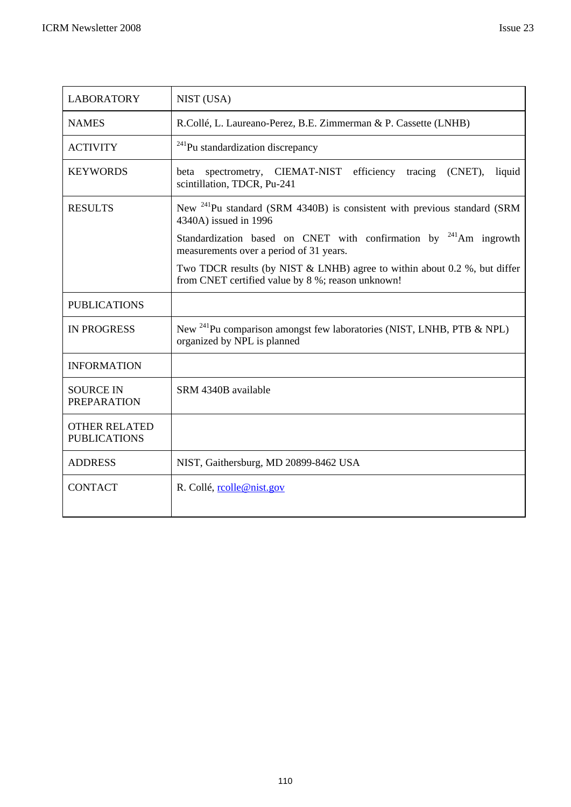| <b>LABORATORY</b>                           | NIST (USA)                                                                                                                       |
|---------------------------------------------|----------------------------------------------------------------------------------------------------------------------------------|
| <b>NAMES</b>                                | R.Collé, L. Laureano-Perez, B.E. Zimmerman & P. Cassette (LNHB)                                                                  |
| <b>ACTIVITY</b>                             | <sup>241</sup> Pu standardization discrepancy                                                                                    |
| <b>KEYWORDS</b>                             | (CNET),<br>spectrometry, CIEMAT-NIST efficiency<br>liquid<br>tracing<br>beta<br>scintillation, TDCR, Pu-241                      |
| <b>RESULTS</b>                              | New <sup>241</sup> Pu standard (SRM 4340B) is consistent with previous standard (SRM<br>4340A) issued in 1996                    |
|                                             | Standardization based on CNET with confirmation by $241$ Am ingrowth<br>measurements over a period of 31 years.                  |
|                                             | Two TDCR results (by NIST $&$ LNHB) agree to within about 0.2 %, but differ<br>from CNET certified value by 8 %; reason unknown! |
| <b>PUBLICATIONS</b>                         |                                                                                                                                  |
| <b>IN PROGRESS</b>                          | New <sup>241</sup> Pu comparison amongst few laboratories (NIST, LNHB, PTB & NPL)<br>organized by NPL is planned                 |
| <b>INFORMATION</b>                          |                                                                                                                                  |
| <b>SOURCE IN</b><br><b>PREPARATION</b>      | SRM 4340B available                                                                                                              |
| <b>OTHER RELATED</b><br><b>PUBLICATIONS</b> |                                                                                                                                  |
| <b>ADDRESS</b>                              | NIST, Gaithersburg, MD 20899-8462 USA                                                                                            |
| <b>CONTACT</b>                              | R. Collé, rolle@nist.gov                                                                                                         |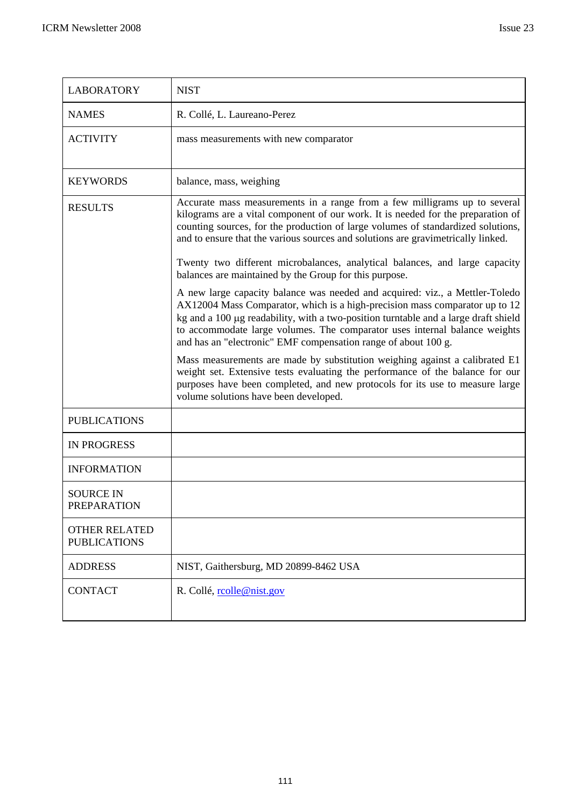| <b>LABORATORY</b>                           | <b>NIST</b>                                                                                                                                                                                                                                                                                                                                                                                        |
|---------------------------------------------|----------------------------------------------------------------------------------------------------------------------------------------------------------------------------------------------------------------------------------------------------------------------------------------------------------------------------------------------------------------------------------------------------|
| <b>NAMES</b>                                | R. Collé, L. Laureano-Perez                                                                                                                                                                                                                                                                                                                                                                        |
| <b>ACTIVITY</b>                             | mass measurements with new comparator                                                                                                                                                                                                                                                                                                                                                              |
| <b>KEYWORDS</b>                             | balance, mass, weighing                                                                                                                                                                                                                                                                                                                                                                            |
| <b>RESULTS</b>                              | Accurate mass measurements in a range from a few milligrams up to several<br>kilograms are a vital component of our work. It is needed for the preparation of<br>counting sources, for the production of large volumes of standardized solutions,<br>and to ensure that the various sources and solutions are gravimetrically linked.                                                              |
|                                             | Twenty two different microbalances, analytical balances, and large capacity<br>balances are maintained by the Group for this purpose.                                                                                                                                                                                                                                                              |
|                                             | A new large capacity balance was needed and acquired: viz., a Mettler-Toledo<br>AX12004 Mass Comparator, which is a high-precision mass comparator up to 12<br>kg and a 100 µg readability, with a two-position turntable and a large draft shield<br>to accommodate large volumes. The comparator uses internal balance weights<br>and has an "electronic" EMF compensation range of about 100 g. |
|                                             | Mass measurements are made by substitution weighing against a calibrated E1<br>weight set. Extensive tests evaluating the performance of the balance for our<br>purposes have been completed, and new protocols for its use to measure large<br>volume solutions have been developed.                                                                                                              |
| <b>PUBLICATIONS</b>                         |                                                                                                                                                                                                                                                                                                                                                                                                    |
| <b>IN PROGRESS</b>                          |                                                                                                                                                                                                                                                                                                                                                                                                    |
| <b>INFORMATION</b>                          |                                                                                                                                                                                                                                                                                                                                                                                                    |
| <b>SOURCE IN</b><br>PREPARATION             |                                                                                                                                                                                                                                                                                                                                                                                                    |
| <b>OTHER RELATED</b><br><b>PUBLICATIONS</b> |                                                                                                                                                                                                                                                                                                                                                                                                    |
| <b>ADDRESS</b>                              | NIST, Gaithersburg, MD 20899-8462 USA                                                                                                                                                                                                                                                                                                                                                              |
| <b>CONTACT</b>                              | R. Collé, rolle@nist.gov                                                                                                                                                                                                                                                                                                                                                                           |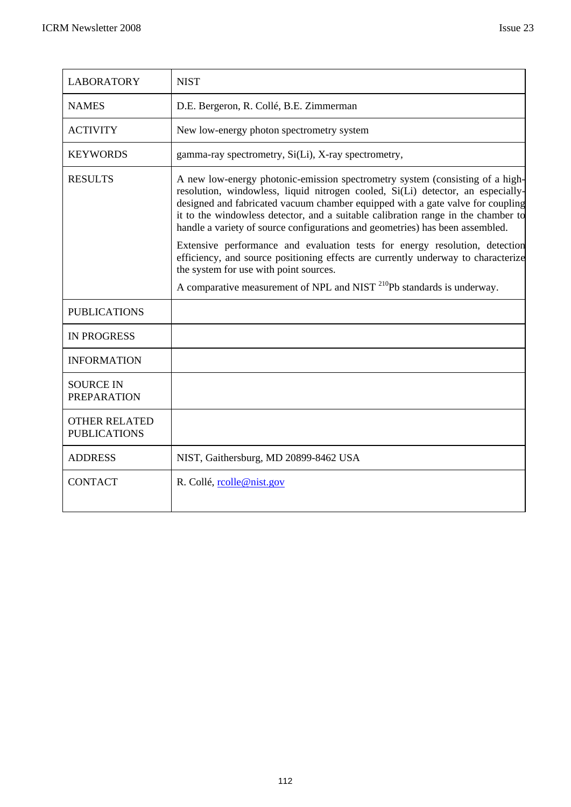| <b>LABORATORY</b>                           | <b>NIST</b>                                                                                                                                                                                                                                                                                                                                                                                                              |
|---------------------------------------------|--------------------------------------------------------------------------------------------------------------------------------------------------------------------------------------------------------------------------------------------------------------------------------------------------------------------------------------------------------------------------------------------------------------------------|
| <b>NAMES</b>                                | D.E. Bergeron, R. Collé, B.E. Zimmerman                                                                                                                                                                                                                                                                                                                                                                                  |
| <b>ACTIVITY</b>                             | New low-energy photon spectrometry system                                                                                                                                                                                                                                                                                                                                                                                |
| <b>KEYWORDS</b>                             | gamma-ray spectrometry, Si(Li), X-ray spectrometry,                                                                                                                                                                                                                                                                                                                                                                      |
| <b>RESULTS</b>                              | A new low-energy photonic-emission spectrometry system (consisting of a high-<br>resolution, windowless, liquid nitrogen cooled, Si(Li) detector, an especially-<br>designed and fabricated vacuum chamber equipped with a gate valve for coupling<br>it to the windowless detector, and a suitable calibration range in the chamber to<br>handle a variety of source configurations and geometries) has been assembled. |
|                                             | Extensive performance and evaluation tests for energy resolution, detection<br>efficiency, and source positioning effects are currently underway to characterize<br>the system for use with point sources.                                                                                                                                                                                                               |
|                                             | A comparative measurement of NPL and NIST $^{210}Pb$ standards is underway.                                                                                                                                                                                                                                                                                                                                              |
| <b>PUBLICATIONS</b>                         |                                                                                                                                                                                                                                                                                                                                                                                                                          |
| <b>IN PROGRESS</b>                          |                                                                                                                                                                                                                                                                                                                                                                                                                          |
| <b>INFORMATION</b>                          |                                                                                                                                                                                                                                                                                                                                                                                                                          |
| <b>SOURCE IN</b><br><b>PREPARATION</b>      |                                                                                                                                                                                                                                                                                                                                                                                                                          |
| <b>OTHER RELATED</b><br><b>PUBLICATIONS</b> |                                                                                                                                                                                                                                                                                                                                                                                                                          |
| <b>ADDRESS</b>                              | NIST, Gaithersburg, MD 20899-8462 USA                                                                                                                                                                                                                                                                                                                                                                                    |
| <b>CONTACT</b>                              | R. Collé, reolle@nist.gov                                                                                                                                                                                                                                                                                                                                                                                                |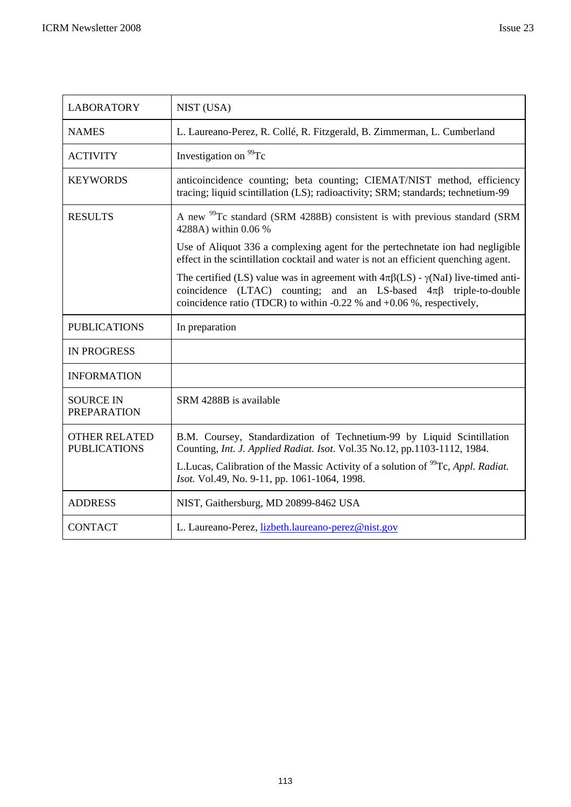| <b>LABORATORY</b>                           | NIST (USA)                                                                                                                                                                                                                                                  |
|---------------------------------------------|-------------------------------------------------------------------------------------------------------------------------------------------------------------------------------------------------------------------------------------------------------------|
| <b>NAMES</b>                                | L. Laureano-Perez, R. Collé, R. Fitzgerald, B. Zimmerman, L. Cumberland                                                                                                                                                                                     |
| <b>ACTIVITY</b>                             | Investigation on <sup>99</sup> Tc                                                                                                                                                                                                                           |
| <b>KEYWORDS</b>                             | anticoincidence counting; beta counting; CIEMAT/NIST method, efficiency<br>tracing; liquid scintillation (LS); radioactivity; SRM; standards; technetium-99                                                                                                 |
| <b>RESULTS</b>                              | A new <sup>99</sup> Tc standard (SRM 4288B) consistent is with previous standard (SRM<br>4288A) within 0.06 %                                                                                                                                               |
|                                             | Use of Aliquot 336 a complexing agent for the pertechnetate ion had negligible<br>effect in the scintillation cocktail and water is not an efficient quenching agent.                                                                                       |
|                                             | The certified (LS) value was in agreement with $4\pi\beta$ (LS) - $\gamma$ (NaI) live-timed anti-<br>coincidence (LTAC) counting; and an LS-based $4\pi\beta$ triple-to-double<br>coincidence ratio (TDCR) to within $-0.22$ % and $+0.06$ %, respectively, |
| <b>PUBLICATIONS</b>                         | In preparation                                                                                                                                                                                                                                              |
| <b>IN PROGRESS</b>                          |                                                                                                                                                                                                                                                             |
| <b>INFORMATION</b>                          |                                                                                                                                                                                                                                                             |
| <b>SOURCE IN</b><br><b>PREPARATION</b>      | SRM 4288B is available                                                                                                                                                                                                                                      |
| <b>OTHER RELATED</b><br><b>PUBLICATIONS</b> | B.M. Coursey, Standardization of Technetium-99 by Liquid Scintillation<br>Counting, Int. J. Applied Radiat. Isot. Vol.35 No.12, pp.1103-1112, 1984.                                                                                                         |
|                                             | L.Lucas, Calibration of the Massic Activity of a solution of <sup>99</sup> Tc, Appl. Radiat.<br>Isot. Vol.49, No. 9-11, pp. 1061-1064, 1998.                                                                                                                |
| <b>ADDRESS</b>                              | NIST, Gaithersburg, MD 20899-8462 USA                                                                                                                                                                                                                       |
|                                             |                                                                                                                                                                                                                                                             |